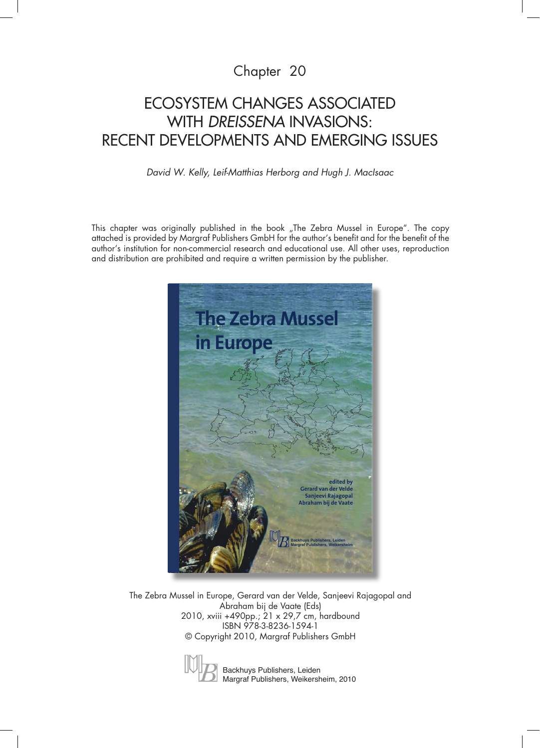### Chapter 20

# Ecosystem changes associated with *Dreissena* invasions: recent developments and emerging issues

### *David W. Kelly, Leif-Matthias Herborg and Hugh J. MacIsaac*

This chapter was originally published in the book "The Zebra Mussel in Europe". The copy attached is provided by Margraf Publishers GmbH for the author's benefit and for the benefit of the author's institution for non-commercial research and educational use. All other uses, reproduction and distribution are prohibited and require a written permission by the publisher.



The Zebra Mussel in Europe, Gerard van der Velde, Sanjeevi Rajagopal and Abraham bij de Vaate (Eds) 2010, xviii +490pp.; 21 x 29,7 cm, hardbound ISBN 978-3-8236-1594-1 © Copyright 2010, Margraf Publishers GmbH



Backhuys Publishers, Leiden Margraf Publishers, Weikersheim, 2010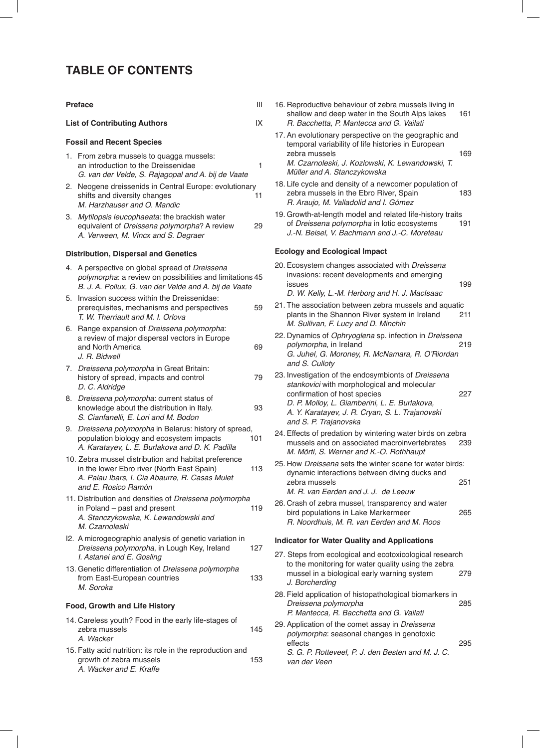### **Table of Contents**

| <b>Preface</b> |                                                                                                                                                                             |                                             | 16. Reproducti<br>shallow an                               |
|----------------|-----------------------------------------------------------------------------------------------------------------------------------------------------------------------------|---------------------------------------------|------------------------------------------------------------|
|                | <b>List of Contributing Authors</b>                                                                                                                                         | IX                                          | R. Bacchei                                                 |
|                | <b>Fossil and Recent Species</b><br>1. From zebra mussels to quagga mussels:                                                                                                | 17. An evolutic<br>temporal va<br>zebra mus |                                                            |
|                | an introduction to the Dreissenidae<br>G. van der Velde, S. Rajagopal and A. bij de Vaate                                                                                   | 1                                           | M. Czarnol<br>Müller and                                   |
| 2.             | Neogene dreissenids in Central Europe: evolutionary<br>shifts and diversity changes<br>M. Harzhauser and O. Mandic                                                          | 11                                          | 18. Life cycle a<br>zebra mus<br>R. Araujo,                |
| З.             | <i>Mytilopsis leucophaeata:</i> the brackish water<br>equivalent of Dreissena polymorpha? A review<br>A. Verween, M. Vincx and S. Degraer                                   | 29                                          | 19. Growth-at-<br>of Dreisser<br>J.-N. Beise               |
|                | <b>Distribution, Dispersal and Genetics</b>                                                                                                                                 |                                             | Ecology and                                                |
|                | 4. A perspective on global spread of Dreissena<br>polymorpha: a review on possibilities and limitations 45<br>B. J. A. Pollux, G. van der Velde and A. bij de Vaate         |                                             | 20. Ecosystem<br>invasions:<br>issues<br>D. W. Kelly       |
| 5.             | Invasion success within the Dreissenidae:<br>prerequisites, mechanisms and perspectives<br>T. W. Therriault and M. I. Orlova                                                | 59                                          | 21. The associ<br>plants in th<br>M. Sullivan              |
| 6.             | Range expansion of Dreissena polymorpha:<br>a review of major dispersal vectors in Europe<br>and North America<br>J. R. Bidwell                                             | 69                                          | 22. Dynamics<br>polymorph<br>G. Juhel, C<br>and S. Cul.    |
| 7.             | Dreissena polymorpha in Great Britain:<br>history of spread, impacts and control<br>D. C. Aldridge                                                                          | 79                                          | 23. Investigatio<br>stankovici                             |
| 8.             | Dreissena polymorpha: current status of<br>knowledge about the distribution in Italy.<br>S. Cianfanelli, E. Lori and M. Bodon                                               | 93                                          | confirmatio<br>D. P. Mollo<br>A. Y. Karat<br>and $S. P. T$ |
| 9.             | Dreissena polymorpha in Belarus: history of spread,<br>population biology and ecosystem impacts<br>A. Karatayev, L. E. Burlakova and D. K. Padilla                          | 101                                         | 24. Effects of p<br>mussels ar<br>M. Mörtl, S              |
|                | 10. Zebra mussel distribution and habitat preference<br>in the lower Ebro river (North East Spain)<br>A. Palau Ibars, I. Cia Abaurre, R. Casas Mulet<br>and E. Rosico Ramón | 113                                         | 25. How Dreis.<br>dynamic in<br>zebra mus<br>M. R. van l   |
|                | 11. Distribution and densities of Dreissena polymorpha<br>in Poland - past and present<br>A. Stanczykowska, K. Lewandowski and<br>M. Czarnoleski                            | 119                                         | 26. Crash of ze<br>bird popula<br>R. Noordhu               |
|                | I2. A microgeographic analysis of genetic variation in<br>Dreissena polymorpha, in Lough Key, Ireland<br>I. Astanei and E. Gosling                                          | 127                                         | Indicator for \<br>27. Steps from                          |
|                | 13. Genetic differentiation of Dreissena polymorpha<br>from East-European countries<br>M. Soroka                                                                            | 133                                         | to the mon<br>mussel in a<br>J. Borcherd                   |
|                | Food, Growth and Life History                                                                                                                                               |                                             | 28. Field applic<br>Dreissena<br>P. Mantecc                |
|                | 14. Careless youth? Food in the early life-stages of<br>zebra mussels<br>A. Wacker                                                                                          | 145                                         | 29. Application<br>polymorph<br>effects                    |
|                | 15. Fatty acid nutrition: its role in the reproduction and<br>growth of zebra mussels<br>A. Wacker and E. Kraffe                                                            | 153                                         | S. G. P. Ro<br>van der Ve                                  |

| 16. Reproductive behaviour of zebra mussels living in |     |
|-------------------------------------------------------|-----|
| shallow and deep water in the South Alps lakes        | 161 |
| R. Bacchetta, P. Mantecca and G. Vailati              |     |

- onary perspective on the geographic and ariability of life histories in European<br>sels zebra mussels 169 leski, J. Kozlowski, K. Lewandowski, T. A. Stanczykowska
- and density of a newcomer population of zels in the Ebro River, Spain 183 M. Valladolid and I. Gómez
- length model and related life-history traits na polymorpha in lotic ecosystems 191 el, V. Bachmann and J.-C. Moreteau

#### **Ecological Impact**

- changes associated with Dreissena recent developments and emerging issues 199 , L.-M. Herborg and H. J. MacIsaac
- iation between zebra mussels and aquatic e Shannon River system in Ireland 211 n, F. Lucy and D. Minchin
- of Ophryoglena sp. infection in Dreissena polymorpha, in Ireland 219 G. Moroney, R. McNamara, R. O'Riordan loty
- on of the endosymbionts of Dreissena with morphological and molecular on of host species 227 y, L. Giamberini, L. E. Burlakova, .<br>ayev, J. R. Cryan, S. L. Trajanovski Trajanovska
- predation by wintering water birds on zebra<br>nd on associated macroinvertebrates 239 nd on associated macroinvertebrates 8. Werner and K.-O. Rothhaupt
- sena sets the winter scene for water birds: teractions between diving ducks and zebra mussels 251 Eerden and J. J. de Leeuw
- ebra mussel, transparency and water bird populations in Lake Markermeer 265 uis, M. R. van Eerden and M. Roos

#### *<u><b>Nater Quality and Applications</u>*

| 27. Steps from ecological and ecotoxicological research<br>to the monitoring for water quality using the zebra               |     |  |
|------------------------------------------------------------------------------------------------------------------------------|-----|--|
| mussel in a biological early warning system<br>J. Borcherding                                                                | 279 |  |
| 28. Field application of histopathological biomarkers in<br>Dreissena polymorpha<br>P. Mantecca, R. Bacchetta and G. Vailati | 285 |  |
| 29. Application of the comet assay in Dreissena<br>polymorpha: seasonal changes in genotoxic                                 |     |  |

effects 295 otteveel, P. J. den Besten and M. J. C. en.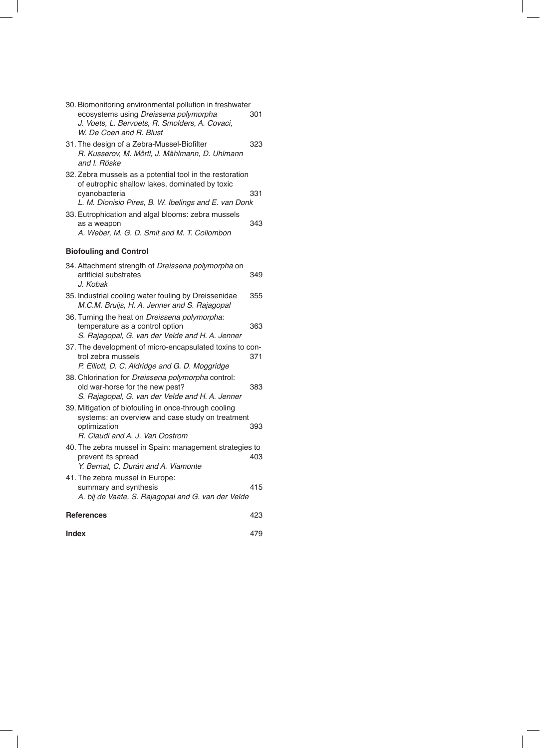| 30. Biomonitoring environmental pollution in freshwater                                                                                                                                                                                                                                                 |            |  |  |
|---------------------------------------------------------------------------------------------------------------------------------------------------------------------------------------------------------------------------------------------------------------------------------------------------------|------------|--|--|
| ecosystems using Dreissena polymorpha<br>J. Voets, L. Bervoets, R. Smolders, A. Covaci,<br>W. De Coen and R. Blust                                                                                                                                                                                      | 301        |  |  |
| 31. The design of a Zebra-Mussel-Biofilter<br>R. Kusserov, M. Mörtl, J. Mählmann, D. Uhlmann<br>and I. Röske                                                                                                                                                                                            | 323        |  |  |
| 32. Zebra mussels as a potential tool in the restoration<br>of eutrophic shallow lakes, dominated by toxic<br>cyanobacteria<br>L. M. Dionisio Pires, B. W. Ibelings and E. van Donk<br>33. Eutrophication and algal blooms: zebra mussels<br>as a weapon<br>A. Weber, M. G. D. Smit and M. T. Collombon | 331<br>343 |  |  |
| <b>Biofouling and Control</b>                                                                                                                                                                                                                                                                           |            |  |  |
| 34. Attachment strength of Dreissena polymorpha on<br>artificial substrates<br>J. Kobak                                                                                                                                                                                                                 | 349        |  |  |
| 35. Industrial cooling water fouling by Dreissenidae<br>M.C.M. Bruijs, H. A. Jenner and S. Rajagopal                                                                                                                                                                                                    | 355        |  |  |
| 36. Turning the heat on <i>Dreissena polymorpha</i> :<br>temperature as a control option<br>S. Rajagopal, G. van der Velde and H. A. Jenner                                                                                                                                                             | 363        |  |  |
| 37. The development of micro-encapsulated toxins to con-<br>trol zebra mussels<br>P. Elliott, D. C. Aldridge and G. D. Moggridge                                                                                                                                                                        | 371        |  |  |
| 38. Chlorination for Dreissena polymorpha control:<br>old war-horse for the new pest?<br>S. Rajagopal, G. van der Velde and H. A. Jenner                                                                                                                                                                | 383        |  |  |
| 39. Mitigation of biofouling in once-through cooling<br>systems: an overview and case study on treatment<br>optimization<br>R. Claudi and A. J. Van Oostrom                                                                                                                                             | 393        |  |  |
| 40. The zebra mussel in Spain: management strategies to<br>prevent its spread<br>Y. Bernat, C. Durán and A. Viamonte                                                                                                                                                                                    | 403        |  |  |
| 41. The zebra mussel in Europe:<br>summary and synthesis<br>A. bij de Vaate, S. Rajagopal and G. van der Velde                                                                                                                                                                                          | 415        |  |  |
| <b>References</b><br>423                                                                                                                                                                                                                                                                                |            |  |  |
| <b>Index</b>                                                                                                                                                                                                                                                                                            | 479        |  |  |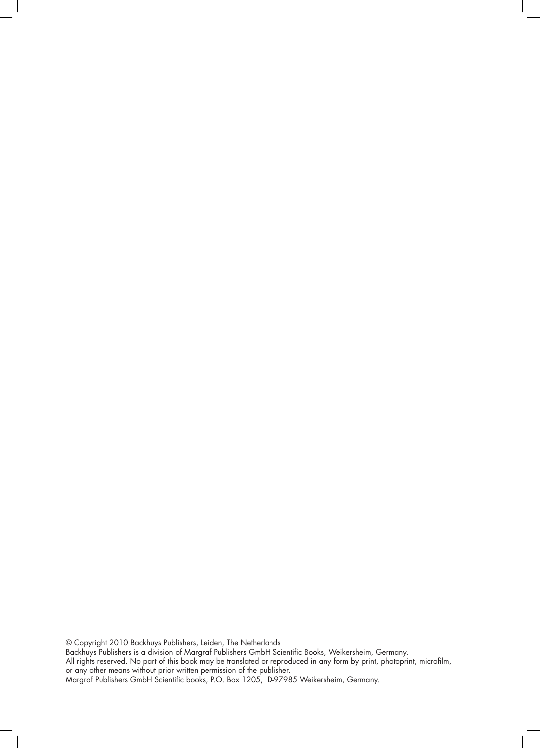© Copyright 2010 Backhuys Publishers, Leiden, The Netherlands Backhuys Publishers is a division of Margraf Publishers GmbH Scientific Books, Weikersheim, Germany. All rights reserved. No part of this book may be translated or reproduced in any form by print, photoprint, microfilm, or any other means without prior written permission of the publisher. Margraf Publishers GmbH Scientific books, P.O. Box 1205, D-97985 Weikersheim, Germany.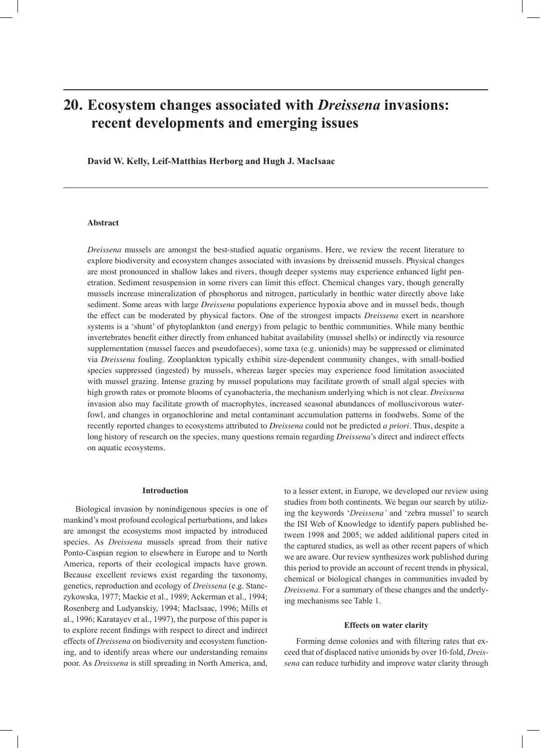## **20. Ecosystem changes associated with** *Dreissena* **invasions: recent developments and emerging issues**

**David W. Kelly, Leif-Matthias Herborg and Hugh J. MacIsaac**

#### **Abstract**

*Dreissena* mussels are amongst the best-studied aquatic organisms. Here, we review the recent literature to explore biodiversity and ecosystem changes associated with invasions by dreissenid mussels. Physical changes are most pronounced in shallow lakes and rivers, though deeper systems may experience enhanced light penetration. Sediment resuspension in some rivers can limit this effect. Chemical changes vary, though generally mussels increase mineralization of phosphorus and nitrogen, particularly in benthic water directly above lake sediment. Some areas with large *Dreissena* populations experience hypoxia above and in mussel beds, though the effect can be moderated by physical factors. One of the strongest impacts *Dreissena* exert in nearshore systems is a 'shunt' of phytoplankton (and energy) from pelagic to benthic communities. While many benthic invertebrates benefit either directly from enhanced habitat availability (mussel shells) or indirectly via resource supplementation (mussel faeces and pseudofaeces), some taxa (e.g. unionids) may be suppressed or eliminated via *Dreissena* fouling. Zooplankton typically exhibit size-dependent community changes, with small-bodied species suppressed (ingested) by mussels, whereas larger species may experience food limitation associated with mussel grazing. Intense grazing by mussel populations may facilitate growth of small algal species with high growth rates or promote blooms of cyanobacteria, the mechanism underlying which is not clear. *Dreissena* invasion also may facilitate growth of macrophytes, increased seasonal abundances of molluscivorous waterfowl, and changes in organochlorine and metal contaminant accumulation patterns in foodwebs. Some of the recently reported changes to ecosystems attributed to *Dreissena* could not be predicted *a priori.* Thus, despite a long history of research on the species, many questions remain regarding *Dreissena*'s direct and indirect effects on aquatic ecosystems.

#### **Introduction**

Biological invasion by nonindigenous species is one of mankind's most profound ecological perturbations, and lakes are amongst the ecosystems most impacted by introduced species. As *Dreissena* mussels spread from their native Ponto-Caspian region to elsewhere in Europe and to North America, reports of their ecological impacts have grown. Because excellent reviews exist regarding the taxonomy, genetics, reproduction and ecology of *Dreissena* (e.g. Stanczykowska, 1977; Mackie et al., 1989; Ackerman et al., 1994; Rosenberg and Ludyanskiy, 1994; MacIsaac, 1996; Mills et al., 1996; Karatayev et al., 1997), the purpose of this paper is to explore recent findings with respect to direct and indirect effects of *Dreissena* on biodiversity and ecosystem functioning, and to identify areas where our understanding remains poor. As *Dreissena* is still spreading in North America, and,

to a lesser extent, in Europe, we developed our review using studies from both continents. We began our search by utilizing the keywords '*Dreissena'* and 'zebra mussel' to search the ISI Web of Knowledge to identify papers published between 1998 and 2005; we added additional papers cited in the captured studies, as well as other recent papers of which we are aware. Our review synthesizes work published during this period to provide an account of recent trends in physical, chemical or biological changes in communities invaded by *Dreissena*. For a summary of these changes and the underlying mechanisms see Table 1.

#### **Effects on water clarity**

Forming dense colonies and with filtering rates that exceed that of displaced native unionids by over 10-fold, *Dreissena* can reduce turbidity and improve water clarity through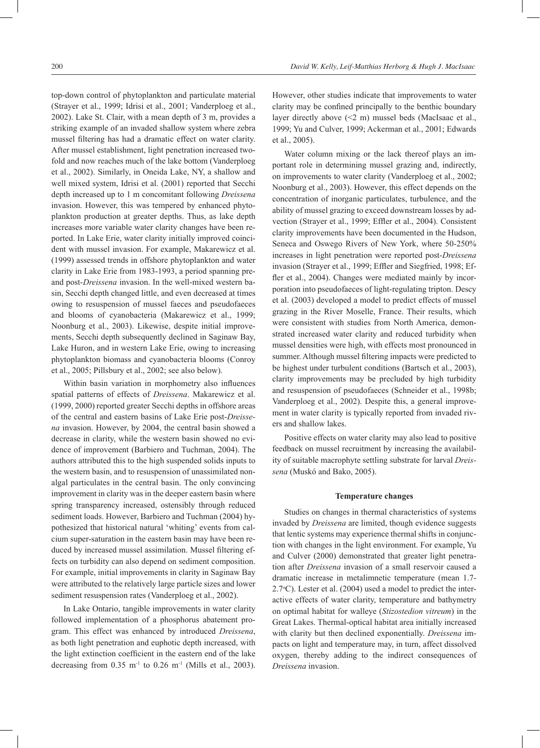top-down control of phytoplankton and particulate material (Strayer et al., 1999; Idrisi et al., 2001; Vanderploeg et al., 2002). Lake St. Clair, with a mean depth of 3 m, provides a striking example of an invaded shallow system where zebra mussel filtering has had a dramatic effect on water clarity. After mussel establishment, light penetration increased twofold and now reaches much of the lake bottom (Vanderploeg et al., 2002). Similarly, in Oneida Lake, NY, a shallow and well mixed system, Idrisi et al. (2001) reported that Secchi depth increased up to 1 m concomitant following *Dreissena* invasion. However, this was tempered by enhanced phytoplankton production at greater depths. Thus, as lake depth increases more variable water clarity changes have been reported. In Lake Erie, water clarity initially improved coincident with mussel invasion. For example, Makarewicz et al. (1999) assessed trends in offshore phytoplankton and water clarity in Lake Erie from 1983-1993, a period spanning preand post-*Dreissena* invasion. In the well-mixed western basin, Secchi depth changed little, and even decreased at times owing to resuspension of mussel faeces and pseudofaeces and blooms of cyanobacteria (Makarewicz et al., 1999; Noonburg et al., 2003). Likewise, despite initial improvements, Secchi depth subsequently declined in Saginaw Bay, Lake Huron, and in western Lake Erie, owing to increasing phytoplankton biomass and cyanobacteria blooms (Conroy et al., 2005; Pillsbury et al., 2002; see also below).

Within basin variation in morphometry also influences spatial patterns of effects of *Dreissena*. Makarewicz et al. (1999, 2000) reported greater Secchi depths in offshore areas of the central and eastern basins of Lake Erie post-*Dreissena* invasion. However, by 2004, the central basin showed a decrease in clarity, while the western basin showed no evidence of improvement (Barbiero and Tuchman, 2004). The authors attributed this to the high suspended solids inputs to the western basin, and to resuspension of unassimilated nonalgal particulates in the central basin. The only convincing improvement in clarity was in the deeper eastern basin where spring transparency increased, ostensibly through reduced sediment loads. However, Barbiero and Tuchman (2004) hypothesized that historical natural 'whiting' events from calcium super-saturation in the eastern basin may have been reduced by increased mussel assimilation. Mussel filtering effects on turbidity can also depend on sediment composition. For example, initial improvements in clarity in Saginaw Bay were attributed to the relatively large particle sizes and lower sediment resuspension rates (Vanderploeg et al., 2002).

In Lake Ontario, tangible improvements in water clarity followed implementation of a phosphorus abatement program. This effect was enhanced by introduced *Dreissena*, as both light penetration and euphotic depth increased, with the light extinction coefficient in the eastern end of the lake decreasing from  $0.35 \text{ m}^{-1}$  to  $0.26 \text{ m}^{-1}$  (Mills et al., 2003). However, other studies indicate that improvements to water clarity may be confined principally to the benthic boundary layer directly above (<2 m) mussel beds (MacIsaac et al., 1999; Yu and Culver, 1999; Ackerman et al., 2001; Edwards et al., 2005).

Water column mixing or the lack thereof plays an important role in determining mussel grazing and, indirectly, on improvements to water clarity (Vanderploeg et al., 2002; Noonburg et al., 2003). However, this effect depends on the concentration of inorganic particulates, turbulence, and the ability of mussel grazing to exceed downstream losses by advection (Strayer et al., 1999; Effler et al., 2004). Consistent clarity improvements have been documented in the Hudson, Seneca and Oswego Rivers of New York, where 50-250% increases in light penetration were reported post-*Dreissena* invasion (Strayer et al., 1999; Effler and Siegfried, 1998; Effler et al., 2004). Changes were mediated mainly by incorporation into pseudofaeces of light-regulating tripton. Descy et al. (2003) developed a model to predict effects of mussel grazing in the River Moselle, France. Their results, which were consistent with studies from North America, demonstrated increased water clarity and reduced turbidity when mussel densities were high, with effects most pronounced in summer. Although mussel filtering impacts were predicted to be highest under turbulent conditions (Bartsch et al., 2003), clarity improvements may be precluded by high turbidity and resuspension of pseudofaeces (Schneider et al., 1998b; Vanderploeg et al., 2002). Despite this, a general improvement in water clarity is typically reported from invaded rivers and shallow lakes.

Positive effects on water clarity may also lead to positive feedback on mussel recruitment by increasing the availability of suitable macrophyte settling substrate for larval *Dreissena* (Muskó and Bako, 2005).

#### **Temperature changes**

Studies on changes in thermal characteristics of systems invaded by *Dreissena* are limited, though evidence suggests that lentic systems may experience thermal shifts in conjunction with changes in the light environment. For example, Yu and Culver (2000) demonstrated that greater light penetration after *Dreissena* invasion of a small reservoir caused a dramatic increase in metalimnetic temperature (mean 1.7-  $2.7^{\circ}$ C). Lester et al. (2004) used a model to predict the interactive effects of water clarity, temperature and bathymetry on optimal habitat for walleye (*Stizostedion vitreum*) in the Great Lakes. Thermal-optical habitat area initially increased with clarity but then declined exponentially. *Dreissena* impacts on light and temperature may, in turn, affect dissolved oxygen, thereby adding to the indirect consequences of *Dreissena* invasion.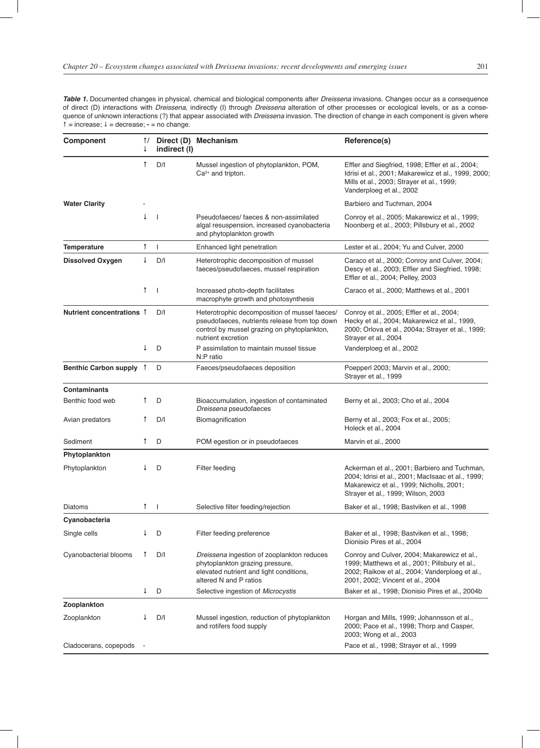Table 1. Documented changes in physical, chemical and biological components after Dreissena invasions. Changes occur as a consequence of direct (D) interactions with *Dreissena*, indirectly (I) through *Dreissena* alteration of other processes or ecological levels, or as a consequence of unknown interactions (?) that appear associated with Dreissena invasion. The direction of change in each component is given where = increase; = decrease; **-** = no change.

| <b>Component</b>          | $\uparrow$ /<br>↓ | indirect (I)             | Direct (D) Mechanism                                                                                                                                                | Reference(s)                                                                                                                                                                        |
|---------------------------|-------------------|--------------------------|---------------------------------------------------------------------------------------------------------------------------------------------------------------------|-------------------------------------------------------------------------------------------------------------------------------------------------------------------------------------|
|                           | $\uparrow$        | D/I                      | Mussel ingestion of phytoplankton, POM,<br>$Ca2+$ and tripton.                                                                                                      | Effler and Siegfried, 1998; Effler et al., 2004;<br>Idrisi et al., 2001; Makarewicz et al., 1999, 2000;<br>Mills et al., 2003; Strayer et al., 1999;<br>Vanderploeg et al., 2002    |
| <b>Water Clarity</b>      |                   |                          |                                                                                                                                                                     | Barbiero and Tuchman, 2004                                                                                                                                                          |
|                           | $\downarrow$      | $\overline{\phantom{a}}$ | Pseudofaeces/faeces & non-assimilated<br>algal resuspension, increased cyanobacteria<br>and phytoplankton growth                                                    | Conroy et al., 2005; Makarewicz et al., 1999;<br>Noonberg et al., 2003; Pillsbury et al., 2002                                                                                      |
| <b>Temperature</b>        | $\uparrow$        | $\mathbf{I}$             | Enhanced light penetration                                                                                                                                          | Lester et al., 2004; Yu and Culver, 2000                                                                                                                                            |
| <b>Dissolved Oxygen</b>   | $\downarrow$      | D/I                      | Heterotrophic decomposition of mussel<br>faeces/pseudofaeces, mussel respiration                                                                                    | Caraco et al., 2000; Conroy and Culver, 2004;<br>Descy et al., 2003; Effler and Siegfried, 1998;<br>Effler et al., 2004; Pelley, 2003                                               |
|                           | $\uparrow$        | $\overline{\phantom{a}}$ | Increased photo-depth facilitates<br>macrophyte growth and photosynthesis                                                                                           | Caraco et al., 2000; Matthews et al., 2001                                                                                                                                          |
| Nutrient concentrations 1 |                   | D/I                      | Heterotrophic decomposition of mussel faeces/<br>pseudofaeces, nutrients release from top down<br>control by mussel grazing on phytoplankton,<br>nutrient excretion | Conroy et al., 2005; Effler et al., 2004;<br>Hecky et al., 2004; Makarewicz et al., 1999,<br>2000; Orlova et al., 2004a; Strayer et al., 1999;<br>Strayer et al., 2004              |
|                           | ↓                 | D                        | P assimilation to maintain mussel tissue<br>N:P ratio                                                                                                               | Vanderploeg et al., 2002                                                                                                                                                            |
| Benthic Carbon supply 1   |                   | D                        | Faeces/pseudofaeces deposition                                                                                                                                      | Poepperl 2003; Marvin et al., 2000;<br>Strayer et al., 1999                                                                                                                         |
| <b>Contaminants</b>       |                   |                          |                                                                                                                                                                     |                                                                                                                                                                                     |
| Benthic food web          | ↑                 | D                        | Bioaccumulation, ingestion of contaminated<br>Dreissena pseudofaeces                                                                                                | Berny et al., 2003; Cho et al., 2004                                                                                                                                                |
| Avian predators           | Ť                 | D/I                      | Biomagnification                                                                                                                                                    | Berny et al., 2003; Fox et al., 2005;<br>Holeck et al., 2004                                                                                                                        |
| Sediment                  | $\uparrow$        | D                        | POM egestion or in pseudofaeces                                                                                                                                     | Marvin et al., 2000                                                                                                                                                                 |
| Phytoplankton             |                   |                          |                                                                                                                                                                     |                                                                                                                                                                                     |
| Phytoplankton             | ↓                 | D                        | Filter feeding                                                                                                                                                      | Ackerman et al., 2001; Barbiero and Tuchman,<br>2004; Idrisi et al., 2001; MacIsaac et al., 1999;<br>Makarewicz et al., 1999; Nicholls, 2001;<br>Strayer et al., 1999; Wilson, 2003 |
| Diatoms                   | $\uparrow$        | $\overline{\phantom{a}}$ | Selective filter feeding/rejection                                                                                                                                  | Baker et al., 1998; Bastviken et al., 1998                                                                                                                                          |
| Cyanobacteria             |                   |                          |                                                                                                                                                                     |                                                                                                                                                                                     |
| Single cells              | ↓                 | D                        | Filter feeding preference                                                                                                                                           | Baker et al., 1998; Bastviken et al., 1998;<br>Dionisio Pires et al., 2004                                                                                                          |
| Cyanobacterial blooms     | $\mathsf{T}$      | D/I                      | Dreissena ingestion of zooplankton reduces<br>phytoplankton grazing pressure,<br>elevated nutrient and light conditions,<br>altered N and P ratios                  | Conroy and Culver, 2004; Makarewicz et al.,<br>1999; Matthews et al., 2001; Pillsbury et al.,<br>2002; Raikow et al., 2004; Vanderploeg et al.,<br>2001, 2002; Vincent et al., 2004 |
|                           | ↓                 | D                        | Selective ingestion of Microcystis                                                                                                                                  | Baker et al., 1998; Dionisio Pires et al., 2004b                                                                                                                                    |
| Zooplankton               |                   |                          |                                                                                                                                                                     |                                                                                                                                                                                     |
| Zooplankton               |                   | D/I                      | Mussel ingestion, reduction of phytoplankton<br>and rotifers food supply                                                                                            | Horgan and Mills, 1999; Johannsson et al.,<br>2000; Pace et al., 1998; Thorp and Casper,<br>2003; Wong et al., 2003                                                                 |
| Cladocerans, copepods     |                   |                          |                                                                                                                                                                     | Pace et al., 1998; Strayer et al., 1999                                                                                                                                             |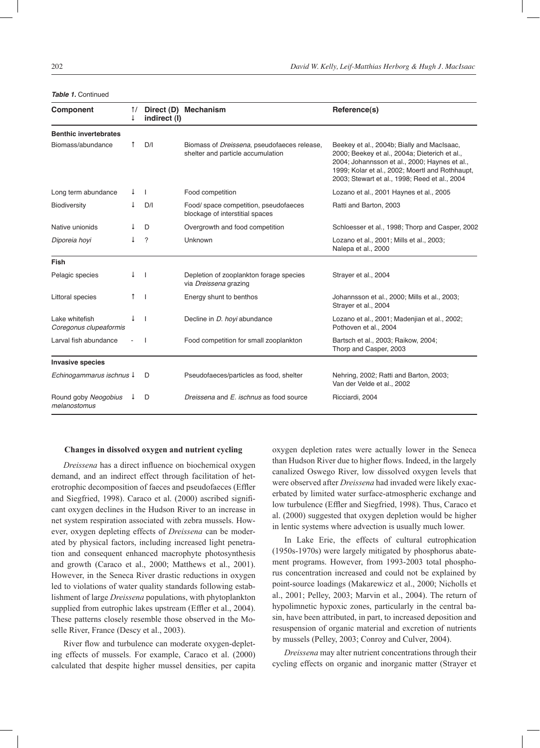| Component                                | $\uparrow$ /<br>↓ | Direct (D)<br>indirect (I) | <b>Mechanism</b>                                                                         | Reference(s)                                                                                                                                                                                                                                     |
|------------------------------------------|-------------------|----------------------------|------------------------------------------------------------------------------------------|--------------------------------------------------------------------------------------------------------------------------------------------------------------------------------------------------------------------------------------------------|
| <b>Benthic invertebrates</b>             |                   |                            |                                                                                          |                                                                                                                                                                                                                                                  |
| Biomass/abundance                        | Ť                 | D/I                        | Biomass of <i>Dreissena</i> , pseudofaeces release,<br>shelter and particle accumulation | Beekey et al., 2004b; Bially and MacIsaac,<br>2000; Beekey et al., 2004a; Dieterich et al.,<br>2004; Johannsson et al., 2000; Haynes et al.,<br>1999; Kolar et al., 2002; Moertl and Rothhaupt,<br>2003; Stewart et al., 1998; Reed et al., 2004 |
| Long term abundance                      | ↓                 | $\overline{1}$             | Food competition                                                                         | Lozano et al., 2001 Haynes et al., 2005                                                                                                                                                                                                          |
| Biodiversity                             |                   | D/I                        | Food/ space competition, pseudofaeces<br>blockage of interstitial spaces                 | Ratti and Barton, 2003                                                                                                                                                                                                                           |
| Native unionids                          |                   | D                          | Overgrowth and food competition                                                          | Schloesser et al., 1998; Thorp and Casper, 2002                                                                                                                                                                                                  |
| Diporeia hoyi                            |                   | ?                          | Unknown                                                                                  | Lozano et al., 2001; Mills et al., 2003;<br>Nalepa et al., 2000                                                                                                                                                                                  |
| Fish                                     |                   |                            |                                                                                          |                                                                                                                                                                                                                                                  |
| Pelagic species                          | Ť                 | -1                         | Depletion of zooplankton forage species<br>via Dreissena grazing                         | Strayer et al., 2004                                                                                                                                                                                                                             |
| Littoral species                         |                   | -1                         | Energy shunt to benthos                                                                  | Johannsson et al., 2000; Mills et al., 2003;<br>Strayer et al., 2004                                                                                                                                                                             |
| Lake whitefish<br>Coregonus clupeaformis |                   | $\overline{\phantom{a}}$   | Decline in <i>D. hoyi</i> abundance                                                      | Lozano et al., 2001; Madenjian et al., 2002;<br>Pothoven et al., 2004                                                                                                                                                                            |
| Larval fish abundance                    |                   |                            | Food competition for small zooplankton                                                   | Bartsch et al., 2003; Raikow, 2004;<br>Thorp and Casper, 2003                                                                                                                                                                                    |
| <b>Invasive species</b>                  |                   |                            |                                                                                          |                                                                                                                                                                                                                                                  |
| Echinogammarus ischnus ↓                 |                   | D                          | Pseudofaeces/particles as food, shelter                                                  | Nehring, 2002; Ratti and Barton, 2003;<br>Van der Velde et al., 2002                                                                                                                                                                             |
| Round goby Neogobius<br>melanostomus     |                   | D                          | Dreissena and E. ischnus as food source                                                  | Ricciardi, 2004                                                                                                                                                                                                                                  |

#### **Table 1. Continued**

#### **Changes in dissolved oxygen and nutrient cycling**

*Dreissena* has a direct influence on biochemical oxygen demand, and an indirect effect through facilitation of heterotrophic decomposition of faeces and pseudofaeces (Effler and Siegfried, 1998). Caraco et al. (2000) ascribed significant oxygen declines in the Hudson River to an increase in net system respiration associated with zebra mussels. However, oxygen depleting effects of *Dreissena* can be moderated by physical factors, including increased light penetration and consequent enhanced macrophyte photosynthesis and growth (Caraco et al., 2000; Matthews et al., 2001). However, in the Seneca River drastic reductions in oxygen led to violations of water quality standards following establishment of large *Dreissena* populations, with phytoplankton supplied from eutrophic lakes upstream (Effler et al., 2004). These patterns closely resemble those observed in the Moselle River, France (Descy et al., 2003).

River flow and turbulence can moderate oxygen-depleting effects of mussels. For example, Caraco et al. (2000) calculated that despite higher mussel densities, per capita oxygen depletion rates were actually lower in the Seneca than Hudson River due to higher flows. Indeed, in the largely canalized Oswego River, low dissolved oxygen levels that were observed after *Dreissena* had invaded were likely exacerbated by limited water surface-atmospheric exchange and low turbulence (Effler and Siegfried, 1998). Thus, Caraco et al. (2000) suggested that oxygen depletion would be higher in lentic systems where advection is usually much lower.

In Lake Erie, the effects of cultural eutrophication (1950s-1970s) were largely mitigated by phosphorus abatement programs. However, from 1993-2003 total phosphorus concentration increased and could not be explained by point-source loadings (Makarewicz et al., 2000; Nicholls et al., 2001; Pelley, 2003; Marvin et al., 2004). The return of hypolimnetic hypoxic zones, particularly in the central basin, have been attributed, in part, to increased deposition and resuspension of organic material and excretion of nutrients by mussels (Pelley, 2003; Conroy and Culver, 2004).

*Dreissena* may alter nutrient concentrations through their cycling effects on organic and inorganic matter (Strayer et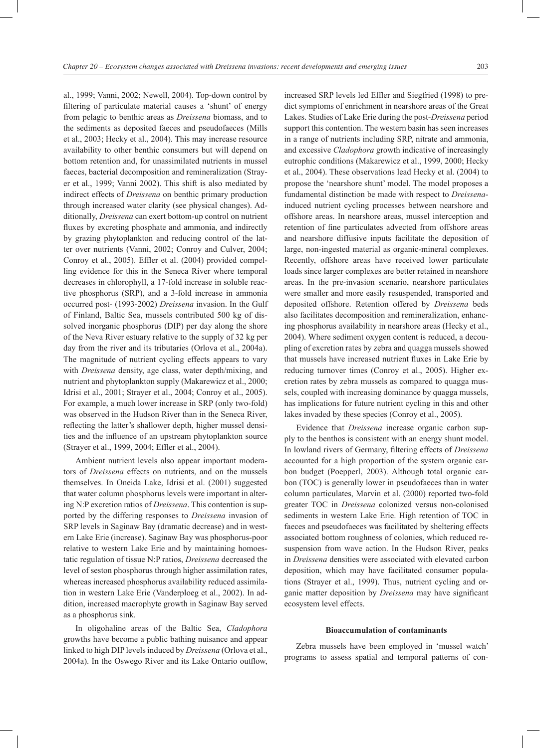al., 1999; Vanni, 2002; Newell, 2004). Top-down control by filtering of particulate material causes a 'shunt' of energy from pelagic to benthic areas as *Dreissena* biomass, and to the sediments as deposited faeces and pseudofaeces (Mills et al., 2003; Hecky et al., 2004). This may increase resource availability to other benthic consumers but will depend on bottom retention and, for unassimilated nutrients in mussel faeces, bacterial decomposition and remineralization (Strayer et al., 1999; Vanni 2002). This shift is also mediated by indirect effects of *Dreissena* on benthic primary production through increased water clarity (see physical changes). Additionally, *Dreissena* can exert bottom-up control on nutrient fluxes by excreting phosphate and ammonia, and indirectly by grazing phytoplankton and reducing control of the latter over nutrients (Vanni, 2002; Conroy and Culver, 2004; Conroy et al., 2005). Effler et al. (2004) provided compelling evidence for this in the Seneca River where temporal decreases in chlorophyll, a 17-fold increase in soluble reactive phosphorus (SRP), and a 3-fold increase in ammonia occurred post- (1993-2002) *Dreissena* invasion. In the Gulf of Finland, Baltic Sea, mussels contributed 500 kg of dissolved inorganic phosphorus (DIP) per day along the shore of the Neva River estuary relative to the supply of 32 kg per day from the river and its tributaries (Orlova et al., 2004a). The magnitude of nutrient cycling effects appears to vary with *Dreissena* density, age class, water depth/mixing, and nutrient and phytoplankton supply (Makarewicz et al., 2000; Idrisi et al., 2001; Strayer et al., 2004; Conroy et al., 2005). For example, a much lower increase in SRP (only two-fold) was observed in the Hudson River than in the Seneca River, reflecting the latter's shallower depth, higher mussel densities and the influence of an upstream phytoplankton source (Strayer et al., 1999, 2004; Effler et al., 2004).

Ambient nutrient levels also appear important moderators of *Dreissena* effects on nutrients, and on the mussels themselves. In Oneida Lake, Idrisi et al. (2001) suggested that water column phosphorus levels were important in altering N:P excretion ratios of *Dreissena*. This contention is supported by the differing responses to *Dreissena* invasion of SRP levels in Saginaw Bay (dramatic decrease) and in western Lake Erie (increase). Saginaw Bay was phosphorus-poor relative to western Lake Erie and by maintaining homoestatic regulation of tissue N:P ratios, *Dreissena* decreased the level of seston phosphorus through higher assimilation rates, whereas increased phosphorus availability reduced assimilation in western Lake Erie (Vanderploeg et al., 2002). In addition, increased macrophyte growth in Saginaw Bay served as a phosphorus sink.

In oligohaline areas of the Baltic Sea, *Cladophora* growths have become a public bathing nuisance and appear linked to high DIP levels induced by *Dreissena* (Orlova et al., 2004a). In the Oswego River and its Lake Ontario outflow,

increased SRP levels led Effler and Siegfried (1998) to predict symptoms of enrichment in nearshore areas of the Great Lakes. Studies of Lake Erie during the post-*Dreissena* period support this contention. The western basin has seen increases in a range of nutrients including SRP, nitrate and ammonia, and excessive *Cladophora* growth indicative of increasingly eutrophic conditions (Makarewicz et al., 1999, 2000; Hecky et al., 2004). These observations lead Hecky et al. (2004) to propose the 'nearshore shunt' model. The model proposes a fundamental distinction be made with respect to *Dreissena*induced nutrient cycling processes between nearshore and offshore areas. In nearshore areas, mussel interception and retention of fine particulates advected from offshore areas and nearshore diffusive inputs facilitate the deposition of large, non-ingested material as organic-mineral complexes. Recently, offshore areas have received lower particulate loads since larger complexes are better retained in nearshore areas. In the pre-invasion scenario, nearshore particulates were smaller and more easily resuspended, transported and deposited offshore. Retention offered by *Dreissena* beds also facilitates decomposition and remineralization, enhancing phosphorus availability in nearshore areas (Hecky et al., 2004). Where sediment oxygen content is reduced, a decoupling of excretion rates by zebra and quagga mussels showed that mussels have increased nutrient fluxes in Lake Erie by reducing turnover times (Conroy et al., 2005). Higher excretion rates by zebra mussels as compared to quagga mussels, coupled with increasing dominance by quagga mussels, has implications for future nutrient cycling in this and other lakes invaded by these species (Conroy et al., 2005).

Evidence that *Dreissena* increase organic carbon supply to the benthos is consistent with an energy shunt model. In lowland rivers of Germany, filtering effects of *Dreissena* accounted for a high proportion of the system organic carbon budget (Poepperl, 2003). Although total organic carbon (TOC) is generally lower in pseudofaeces than in water column particulates, Marvin et al. (2000) reported two-fold greater TOC in *Dreissena* colonized versus non-colonised sediments in western Lake Erie. High retention of TOC in faeces and pseudofaeces was facilitated by sheltering effects associated bottom roughness of colonies, which reduced resuspension from wave action. In the Hudson River, peaks in *Dreissena* densities were associated with elevated carbon deposition, which may have facilitated consumer populations (Strayer et al., 1999). Thus, nutrient cycling and organic matter deposition by *Dreissena* may have significant ecosystem level effects.

#### **Bioaccumulation of contaminants**

Zebra mussels have been employed in 'mussel watch' programs to assess spatial and temporal patterns of con-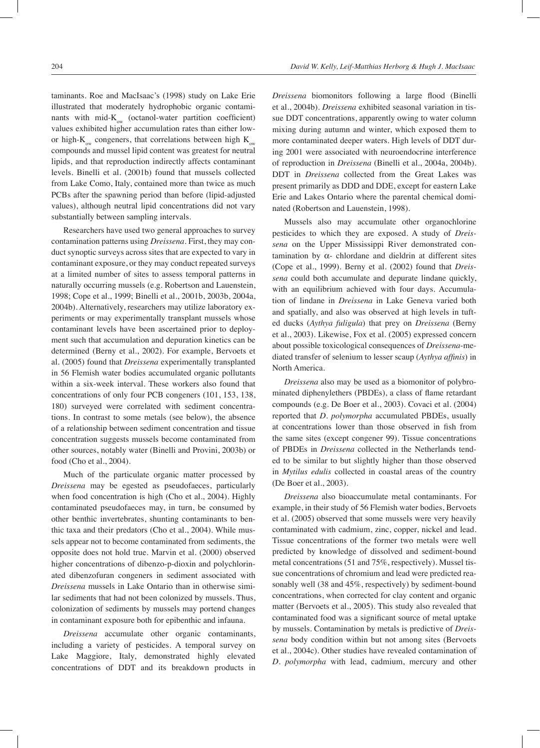taminants. Roe and MacIsaac's (1998) study on Lake Erie illustrated that moderately hydrophobic organic contaminants with mid- $K_{ow}$  (octanol-water partition coefficient) values exhibited higher accumulation rates than either lowor high- $K_{\infty}$  congeners, that correlations between high  $K_{\infty}$ compounds and mussel lipid content was greatest for neutral lipids, and that reproduction indirectly affects contaminant levels. Binelli et al. (2001b) found that mussels collected from Lake Como, Italy, contained more than twice as much PCBs after the spawning period than before (lipid-adjusted values), although neutral lipid concentrations did not vary substantially between sampling intervals.

Researchers have used two general approaches to survey contamination patterns using *Dreissena*. First, they may conduct synoptic surveys across sites that are expected to vary in contaminant exposure, or they may conduct repeated surveys at a limited number of sites to assess temporal patterns in naturally occurring mussels (e.g. Robertson and Lauenstein, 1998; Cope et al., 1999; Binelli et al., 2001b, 2003b, 2004a, 2004b). Alternatively, researchers may utilize laboratory experiments or may experimentally transplant mussels whose contaminant levels have been ascertained prior to deployment such that accumulation and depuration kinetics can be determined (Berny et al., 2002). For example, Bervoets et al. (2005) found that *Dreissena* experimentally transplanted in 56 Flemish water bodies accumulated organic pollutants within a six-week interval. These workers also found that concentrations of only four PCB congeners (101, 153, 138, 180) surveyed were correlated with sediment concentrations. In contrast to some metals (see below), the absence of a relationship between sediment concentration and tissue concentration suggests mussels become contaminated from other sources, notably water (Binelli and Provini, 2003b) or food (Cho et al., 2004).

Much of the particulate organic matter processed by *Dreissena* may be egested as pseudofaeces, particularly when food concentration is high (Cho et al., 2004). Highly contaminated pseudofaeces may, in turn, be consumed by other benthic invertebrates, shunting contaminants to benthic taxa and their predators (Cho et al., 2004). While mussels appear not to become contaminated from sediments, the opposite does not hold true. Marvin et al. (2000) observed higher concentrations of dibenzo-p-dioxin and polychlorinated dibenzofuran congeners in sediment associated with *Dreissena* mussels in Lake Ontario than in otherwise similar sediments that had not been colonized by mussels. Thus, colonization of sediments by mussels may portend changes in contaminant exposure both for epibenthic and infauna.

*Dreissena* accumulate other organic contaminants, including a variety of pesticides. A temporal survey on Lake Maggiore, Italy, demonstrated highly elevated concentrations of DDT and its breakdown products in

*Dreissena* biomonitors following a large flood (Binelli et al., 2004b). *Dreissena* exhibited seasonal variation in tissue DDT concentrations, apparently owing to water column mixing during autumn and winter, which exposed them to more contaminated deeper waters. High levels of DDT during 2001 were associated with neuroendocrine interference of reproduction in *Dreissena* (Binelli et al., 2004a, 2004b). DDT in *Dreissena* collected from the Great Lakes was present primarily as DDD and DDE, except for eastern Lake Erie and Lakes Ontario where the parental chemical dominated (Robertson and Lauenstein, 1998).

Mussels also may accumulate other organochlorine pesticides to which they are exposed. A study of *Dreissena* on the Upper Mississippi River demonstrated contamination by α- chlordane and dieldrin at different sites (Cope et al., 1999). Berny et al. (2002) found that *Dreissena* could both accumulate and depurate lindane quickly, with an equilibrium achieved with four days. Accumulation of lindane in *Dreissena* in Lake Geneva varied both and spatially, and also was observed at high levels in tufted ducks (*Aythya fuligula*) that prey on *Dreissena* (Berny et al., 2003). Likewise, Fox et al. (2005) expressed concern about possible toxicological consequences of *Dreissena*-mediated transfer of selenium to lesser scaup (*Aythya affinis*) in North America.

*Dreissena* also may be used as a biomonitor of polybrominated diphenylethers (PBDEs), a class of flame retardant compounds (e.g. De Boer et al., 2003). Covaci et al. (2004) reported that *D. polymorpha* accumulated PBDEs, usually at concentrations lower than those observed in fish from the same sites (except congener 99). Tissue concentrations of PBDEs in *Dreissena* collected in the Netherlands tended to be similar to but slightly higher than those observed in *Mytilus edulis* collected in coastal areas of the country (De Boer et al., 2003).

*Dreissena* also bioaccumulate metal contaminants. For example, in their study of 56 Flemish water bodies, Bervoets et al. (2005) observed that some mussels were very heavily contaminated with cadmium, zinc, copper, nickel and lead. Tissue concentrations of the former two metals were well predicted by knowledge of dissolved and sediment-bound metal concentrations (51 and 75%, respectively). Mussel tissue concentrations of chromium and lead were predicted reasonably well (38 and 45%, respectively) by sediment-bound concentrations, when corrected for clay content and organic matter (Bervoets et al., 2005). This study also revealed that contaminated food was a significant source of metal uptake by mussels. Contamination by metals is predictive of *Dreissena* body condition within but not among sites (Bervoets et al., 2004c). Other studies have revealed contamination of *D. polymorpha* with lead, cadmium, mercury and other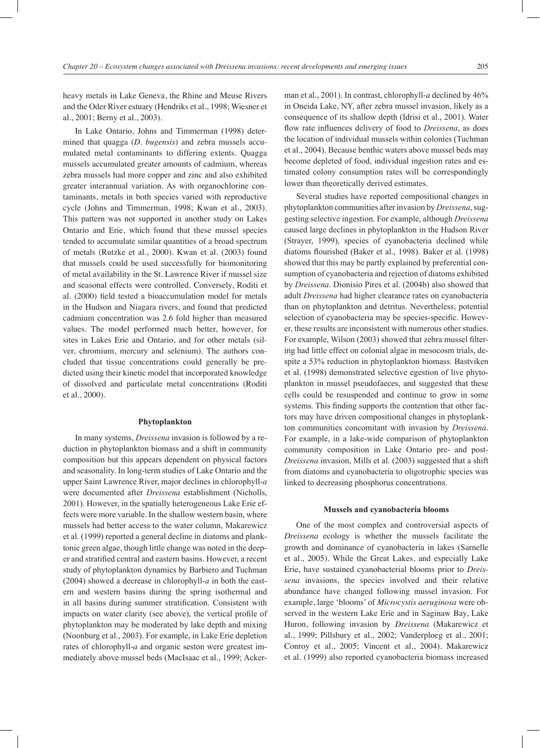heavy metals in Lake Geneva, the Rhine and Meuse Rivers and the Oder River estuary (Hendriks et al., 1998; Wiesner et al., 2001; Berny et al., 2003).

In Lake Ontario, Johns and Timmerman (1998) determined that quagga (*D. bugensis*) and zebra mussels accumulated metal contaminants to differing extents. Quagga mussels accumulated greater amounts of cadmium, whereas zebra mussels had more copper and zinc and also exhibited greater interannual variation. As with organochlorine contaminants, metals in both species varied with reproductive cycle (Johns and Timmerman, 1998; Kwan et al., 2003). This pattern was not supported in another study on Lakes Ontario and Erie, which found that these mussel species tended to accumulate similar quantities of a broad spectrum of metals (Rutzke et al., 2000). Kwan et al. (2003) found that mussels could be used successfully for biomonitoring of metal availability in the St. Lawrence River if mussel size and seasonal effects were controlled. Conversely, Roditi et al. (2000) field tested a bioaccumulation model for metals in the Hudson and Niagara rivers, and found that predicted cadmium concentration was 2.6 fold higher than measured values. The model performed much better, however, for sites in Lakes Erie and Ontario, and for other metals (silver, chromium, mercury and selenium). The authors concluded that tissue concentrations could generally be predicted using their kinetic model that incorporated knowledge of dissolved and particulate metal concentrations (Roditi et al., 2000).

#### **Phytoplankton**

In many systems, *Dreissena* invasion is followed by a reduction in phytoplankton biomass and a shift in community composition but this appears dependent on physical factors and seasonality. In long-term studies of Lake Ontario and the upper Saint Lawrence River, major declines in chlorophyll-*a* were documented after *Dreissena* establishment (Nicholls, 2001). However, in the spatially heterogeneous Lake Erie effects were more variable. In the shallow western basin, where mussels had better access to the water column, Makarewicz et al. (1999) reported a general decline in diatoms and planktonic green algae, though little change was noted in the deeper and stratified central and eastern basins. However, a recent study of phytoplankton dynamics by Barbiero and Tuchman (2004) showed a decrease in chlorophyll-*a* in both the eastern and western basins during the spring isothermal and in all basins during summer stratification. Consistent with impacts on water clarity (see above), the vertical profile of phytoplankton may be moderated by lake depth and mixing (Noonburg et al., 2003). For example, in Lake Erie depletion rates of chlorophyll-*a* and organic seston were greatest immediately above mussel beds (MacIsaac et al., 1999; Ackerman et al., 2001). In contrast, chlorophyll-*a* declined by 46% in Oneida Lake, NY, after zebra mussel invasion, likely as a consequence of its shallow depth (Idrisi et al., 2001). Water flow rate influences delivery of food to *Dreissena*, as does the location of individual mussels within colonies (Tuchman et al., 2004). Because benthic waters above mussel beds may become depleted of food, individual ingestion rates and estimated colony consumption rates will be correspondingly lower than theoretically derived estimates.

Several studies have reported compositional changes in phytoplankton communities after invasion by *Dreissena*, suggesting selective ingestion. For example, although *Dreissena* caused large declines in phytoplankton in the Hudson River (Strayer, 1999), species of cyanobacteria declined while diatoms flourished (Baker et al., 1998). Baker et al. (1998) showed that this may be partly explained by preferential consumption of cyanobacteria and rejection of diatoms exhibited by *Dreissena*. Dionisio Pires et al. (2004b) also showed that adult *Dreissena* had higher clearance rates on cyanobacteria than on phytoplankton and detritus. Nevertheless, potential selection of cyanobacteria may be species-specific. However, these results are inconsistent with numerous other studies. For example, Wilson (2003) showed that zebra mussel filtering had little effect on colonial algae in mesocosm trials, despite a 53% reduction in phytoplankton biomass. Bastviken et al. (1998) demonstrated selective egestion of live phytoplankton in mussel pseudofaeces, and suggested that these cells could be resuspended and continue to grow in some systems. This finding supports the contention that other factors may have driven compositional changes in phytoplankton communities concomitant with invasion by *Dreissena*. For example, in a lake-wide comparison of phytoplankton community composition in Lake Ontario pre- and post-*Dreissena* invasion, Mills et al. (2003) suggested that a shift from diatoms and cyanobacteria to oligotrophic species was linked to decreasing phosphorus concentrations.

#### **Mussels and cyanobacteria blooms**

One of the most complex and controversial aspects of *Dreissena* ecology is whether the mussels facilitate the growth and dominance of cyanobacteria in lakes (Sarnelle et al., 2005). While the Great Lakes, and especially Lake Erie, have sustained cyanobacterial blooms prior to *Dreissena* invasions, the species involved and their relative abundance have changed following mussel invasion. For example, large 'blooms' of *Microcystis aeruginosa* were observed in the western Lake Erie and in Saginaw Bay, Lake Huron, following invasion by *Dreissena* (Makarewicz et al., 1999; Pillsbury et al., 2002; Vanderploeg et al., 2001; Conroy et al., 2005; Vincent et al., 2004). Makarewicz et al. (1999) also reported cyanobacteria biomass increased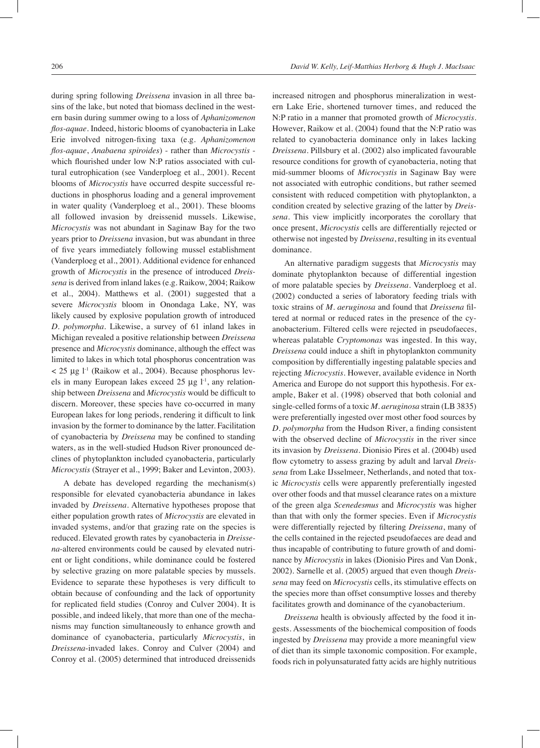during spring following *Dreissena* invasion in all three basins of the lake, but noted that biomass declined in the western basin during summer owing to a loss of *Aphanizomenon flos-aquae*. Indeed, historic blooms of cyanobacteria in Lake Erie involved nitrogen-fixing taxa (e.g. *Aphanizomenon flos-aquae*, *Anabaena spiroides*) - rather than *Microcystis* which flourished under low N:P ratios associated with cultural eutrophication (see Vanderploeg et al., 2001). Recent blooms of *Microcystis* have occurred despite successful reductions in phosphorus loading and a general improvement in water quality (Vanderploeg et al., 2001). These blooms all followed invasion by dreissenid mussels. Likewise, *Microcystis* was not abundant in Saginaw Bay for the two years prior to *Dreissena* invasion, but was abundant in three of five years immediately following mussel establishment (Vanderploeg et al., 2001). Additional evidence for enhanced growth of *Microcystis* in the presence of introduced *Dreissena* is derived from inland lakes (e.g. Raikow, 2004; Raikow et al., 2004). Matthews et al. (2001) suggested that a severe *Microcystis* bloom in Onondaga Lake, NY, was likely caused by explosive population growth of introduced *D. polymorpha*. Likewise, a survey of 61 inland lakes in Michigan revealed a positive relationship between *Dreissena* presence and *Microcystis* dominance, although the effect was limited to lakes in which total phosphorus concentration was  $<$  25 µg l<sup>-1</sup> (Raikow et al., 2004). Because phosphorus levels in many European lakes exceed  $25 \mu g$  l<sup>-1</sup>, any relationship between *Dreissena* and *Microcystis* would be difficult to discern. Moreover, these species have co-occurred in many European lakes for long periods, rendering it difficult to link invasion by the former to dominance by the latter. Facilitation of cyanobacteria by *Dreissena* may be confined to standing waters, as in the well-studied Hudson River pronounced declines of phytoplankton included cyanobacteria, particularly *Microcystis* (Strayer et al., 1999; Baker and Levinton, 2003).

A debate has developed regarding the mechanism(s) responsible for elevated cyanobacteria abundance in lakes invaded by *Dreissena*. Alternative hypotheses propose that either population growth rates of *Microcystis* are elevated in invaded systems, and/or that grazing rate on the species is reduced. Elevated growth rates by cyanobacteria in *Dreissena*-altered environments could be caused by elevated nutrient or light conditions, while dominance could be fostered by selective grazing on more palatable species by mussels. Evidence to separate these hypotheses is very difficult to obtain because of confounding and the lack of opportunity for replicated field studies (Conroy and Culver 2004). It is possible, and indeed likely, that more than one of the mechanisms may function simultaneously to enhance growth and dominance of cyanobacteria, particularly *Microcystis*, in *Dreissena*-invaded lakes. Conroy and Culver (2004) and Conroy et al. (2005) determined that introduced dreissenids

increased nitrogen and phosphorus mineralization in western Lake Erie, shortened turnover times, and reduced the N:P ratio in a manner that promoted growth of *Microcystis.*  However, Raikow et al. (2004) found that the N:P ratio was related to cyanobacteria dominance only in lakes lacking *Dreissena*. Pillsbury et al. (2002) also implicated favourable resource conditions for growth of cyanobacteria, noting that mid-summer blooms of *Microcystis* in Saginaw Bay were not associated with eutrophic conditions, but rather seemed consistent with reduced competition with phytoplankton, a condition created by selective grazing of the latter by *Dreissena*. This view implicitly incorporates the corollary that once present, *Microcystis* cells are differentially rejected or otherwise not ingested by *Dreissena*, resulting in its eventual dominance.

An alternative paradigm suggests that *Microcystis* may dominate phytoplankton because of differential ingestion of more palatable species by *Dreissena*. Vanderploeg et al. (2002) conducted a series of laboratory feeding trials with toxic strains of *M. aeruginosa* and found that *Dreissena* filtered at normal or reduced rates in the presence of the cyanobacterium. Filtered cells were rejected in pseudofaeces, whereas palatable *Cryptomonas* was ingested. In this way, *Dreissena* could induce a shift in phytoplankton community composition by differentially ingesting palatable species and rejecting *Microcystis*. However, available evidence in North America and Europe do not support this hypothesis. For example, Baker et al. (1998) observed that both colonial and single-celled forms of a toxic *M. aeruginosa* strain (LB 3835) were preferentially ingested over most other food sources by *D. polymorpha* from the Hudson River, a finding consistent with the observed decline of *Microcystis* in the river since its invasion by *Dreissena*. Dionisio Pires et al. (2004b) used flow cytometry to assess grazing by adult and larval *Dreissena* from Lake IJsselmeer, Netherlands, and noted that toxic *Microcystis* cells were apparently preferentially ingested over other foods and that mussel clearance rates on a mixture of the green alga *Scenedesmus* and *Microcystis* was higher than that with only the former species. Even if *Microcystis* were differentially rejected by filtering *Dreissena*, many of the cells contained in the rejected pseudofaeces are dead and thus incapable of contributing to future growth of and dominance by *Microcystis* in lakes (Dionisio Pires and Van Donk, 2002). Sarnelle et al. (2005) argued that even though *Dreissena* may feed on *Microcystis* cells, its stimulative effects on the species more than offset consumptive losses and thereby facilitates growth and dominance of the cyanobacterium.

*Dreissena* health is obviously affected by the food it ingests. Assessments of the biochemical composition of foods ingested by *Dreissena* may provide a more meaningful view of diet than its simple taxonomic composition. For example, foods rich in polyunsaturated fatty acids are highly nutritious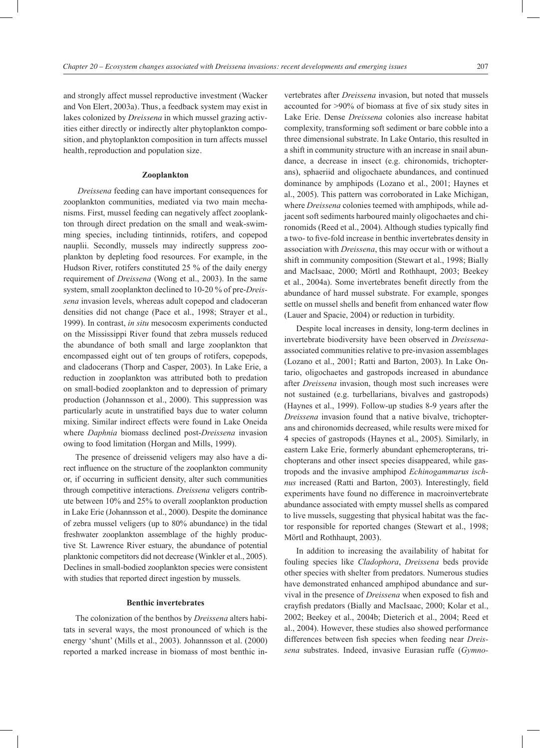and strongly affect mussel reproductive investment (Wacker and Von Elert, 2003a). Thus, a feedback system may exist in lakes colonized by *Dreissena* in which mussel grazing activities either directly or indirectly alter phytoplankton composition, and phytoplankton composition in turn affects mussel health, reproduction and population size.

#### **Zooplankton**

*Dreissena* feeding can have important consequences for zooplankton communities, mediated via two main mechanisms. First, mussel feeding can negatively affect zooplankton through direct predation on the small and weak-swimming species, including tintinnids, rotifers, and copepod nauplii. Secondly, mussels may indirectly suppress zooplankton by depleting food resources. For example, in the Hudson River, rotifers constituted 25 % of the daily energy requirement of *Dreissena* (Wong et al., 2003). In the same system, small zooplankton declined to 10-20 % of pre-*Dreissena* invasion levels, whereas adult copepod and cladoceran densities did not change (Pace et al., 1998; Strayer et al., 1999). In contrast, *in situ* mesocosm experiments conducted on the Mississippi River found that zebra mussels reduced the abundance of both small and large zooplankton that encompassed eight out of ten groups of rotifers, copepods, and cladocerans (Thorp and Casper, 2003). In Lake Erie, a reduction in zooplankton was attributed both to predation on small-bodied zooplankton and to depression of primary production (Johannsson et al., 2000). This suppression was particularly acute in unstratified bays due to water column mixing. Similar indirect effects were found in Lake Oneida where *Daphnia* biomass declined post-*Dreissena* invasion owing to food limitation (Horgan and Mills, 1999).

The presence of dreissenid veligers may also have a direct influence on the structure of the zooplankton community or, if occurring in sufficient density, alter such communities through competitive interactions. *Dreissena* veligers contribute between 10% and 25% to overall zooplankton production in Lake Erie (Johannsson et al., 2000). Despite the dominance of zebra mussel veligers (up to 80% abundance) in the tidal freshwater zooplankton assemblage of the highly productive St. Lawrence River estuary, the abundance of potential planktonic competitors did not decrease (Winkler et al., 2005). Declines in small-bodied zooplankton species were consistent with studies that reported direct ingestion by mussels.

#### **Benthic invertebrates**

The colonization of the benthos by *Dreissena* alters habitats in several ways, the most pronounced of which is the energy 'shunt' (Mills et al., 2003). Johannsson et al. (2000) reported a marked increase in biomass of most benthic invertebrates after *Dreissena* invasion, but noted that mussels accounted for >90% of biomass at five of six study sites in Lake Erie. Dense *Dreissena* colonies also increase habitat complexity, transforming soft sediment or bare cobble into a three dimensional substrate. In Lake Ontario, this resulted in a shift in community structure with an increase in snail abundance, a decrease in insect (e.g. chironomids, trichopterans), sphaeriid and oligochaete abundances, and continued dominance by amphipods (Lozano et al., 2001; Haynes et al., 2005). This pattern was corroborated in Lake Michigan, where *Dreissena* colonies teemed with amphipods, while adjacent soft sediments harboured mainly oligochaetes and chironomids (Reed et al., 2004). Although studies typically find a two- to five-fold increase in benthic invertebrates density in association with *Dreissena*, this may occur with or without a shift in community composition (Stewart et al., 1998; Bially and MacIsaac, 2000; Mörtl and Rothhaupt, 2003; Beekey et al., 2004a). Some invertebrates benefit directly from the abundance of hard mussel substrate. For example, sponges settle on mussel shells and benefit from enhanced water flow (Lauer and Spacie, 2004) or reduction in turbidity.

Despite local increases in density, long-term declines in invertebrate biodiversity have been observed in *Dreissena*associated communities relative to pre-invasion assemblages (Lozano et al., 2001; Ratti and Barton, 2003). In Lake Ontario, oligochaetes and gastropods increased in abundance after *Dreissena* invasion, though most such increases were not sustained (e.g. turbellarians, bivalves and gastropods) (Haynes et al., 1999). Follow-up studies 8-9 years after the *Dreissena* invasion found that a native bivalve, trichopterans and chironomids decreased, while results were mixed for 4 species of gastropods (Haynes et al., 2005). Similarly, in eastern Lake Erie, formerly abundant ephemeropterans, trichopterans and other insect species disappeared, while gastropods and the invasive amphipod *Echinogammarus ischnus* increased (Ratti and Barton, 2003). Interestingly, field experiments have found no difference in macroinvertebrate abundance associated with empty mussel shells as compared to live mussels, suggesting that physical habitat was the factor responsible for reported changes (Stewart et al., 1998; Mörtl and Rothhaupt, 2003).

In addition to increasing the availability of habitat for fouling species like *Cladophora*, *Dreissena* beds provide other species with shelter from predators. Numerous studies have demonstrated enhanced amphipod abundance and survival in the presence of *Dreissena* when exposed to fish and crayfish predators (Bially and MacIsaac, 2000; Kolar et al., 2002; Beekey et al., 2004b; Dieterich et al., 2004; Reed et al., 2004). However, these studies also showed performance differences between fish species when feeding near *Dreissena* substrates. Indeed, invasive Eurasian ruffe (*Gymno-*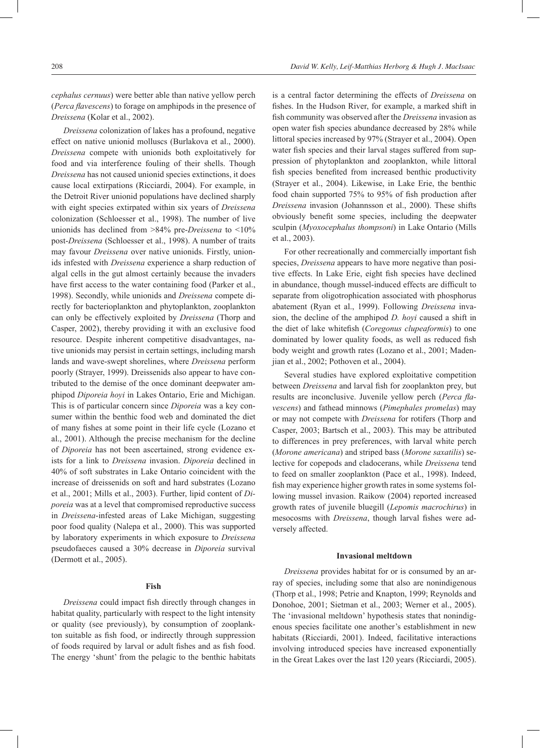*cephalus cernuus*) were better able than native yellow perch (*Perca flavescens*) to forage on amphipods in the presence of *Dreissena* (Kolar et al., 2002).

*Dreissena* colonization of lakes has a profound, negative effect on native unionid molluscs (Burlakova et al., 2000). *Dreissena* compete with unionids both exploitatively for food and via interference fouling of their shells. Though *Dreissena* has not caused unionid species extinctions, it does cause local extirpations (Ricciardi, 2004). For example, in the Detroit River unionid populations have declined sharply with eight species extirpated within six years of *Dreissena* colonization (Schloesser et al., 1998). The number of live unionids has declined from >84% pre-*Dreissena* to <10% post-*Dreissena* (Schloesser et al., 1998). A number of traits may favour *Dreissena* over native unionids. Firstly, unionids infested with *Dreissena* experience a sharp reduction of algal cells in the gut almost certainly because the invaders have first access to the water containing food (Parker et al., 1998). Secondly, while unionids and *Dreissena* compete directly for bacterioplankton and phytoplankton, zooplankton can only be effectively exploited by *Dreissena* (Thorp and Casper, 2002), thereby providing it with an exclusive food resource. Despite inherent competitive disadvantages, native unionids may persist in certain settings, including marsh lands and wave-swept shorelines, where *Dreissena* perform poorly (Strayer, 1999). Dreissenids also appear to have contributed to the demise of the once dominant deepwater amphipod *Diporeia hoyi* in Lakes Ontario, Erie and Michigan. This is of particular concern since *Diporeia* was a key consumer within the benthic food web and dominated the diet of many fishes at some point in their life cycle (Lozano et al., 2001). Although the precise mechanism for the decline of *Diporeia* has not been ascertained, strong evidence exists for a link to *Dreissena* invasion. *Diporeia* declined in 40% of soft substrates in Lake Ontario coincident with the increase of dreissenids on soft and hard substrates (Lozano et al., 2001; Mills et al., 2003). Further, lipid content of *Diporeia* was at a level that compromised reproductive success in *Dreissena*-infested areas of Lake Michigan, suggesting poor food quality (Nalepa et al., 2000). This was supported by laboratory experiments in which exposure to *Dreissena* pseudofaeces caused a 30% decrease in *Diporeia* survival (Dermott et al., 2005).

#### **Fish**

*Dreissena* could impact fish directly through changes in habitat quality, particularly with respect to the light intensity or quality (see previously), by consumption of zooplankton suitable as fish food, or indirectly through suppression of foods required by larval or adult fishes and as fish food. The energy 'shunt' from the pelagic to the benthic habitats

is a central factor determining the effects of *Dreissena* on fishes. In the Hudson River, for example, a marked shift in fish community was observed after the *Dreissena* invasion as open water fish species abundance decreased by 28% while littoral species increased by 97% (Strayer et al., 2004). Open water fish species and their larval stages suffered from suppression of phytoplankton and zooplankton, while littoral fish species benefited from increased benthic productivity (Strayer et al., 2004). Likewise, in Lake Erie, the benthic food chain supported 75% to 95% of fish production after *Dreissena* invasion (Johannsson et al., 2000). These shifts obviously benefit some species, including the deepwater sculpin (*Myoxocephalus thompsoni*) in Lake Ontario (Mills et al., 2003).

For other recreationally and commercially important fish species, *Dreissena* appears to have more negative than positive effects. In Lake Erie, eight fish species have declined in abundance, though mussel-induced effects are difficult to separate from oligotrophication associated with phosphorus abatement (Ryan et al., 1999). Following *Dreissena* invasion, the decline of the amphipod *D. hoyi* caused a shift in the diet of lake whitefish (*Coregonus clupeaformis*) to one dominated by lower quality foods, as well as reduced fish body weight and growth rates (Lozano et al., 2001; Madenjian et al., 2002; Pothoven et al., 2004).

Several studies have explored exploitative competition between *Dreissena* and larval fish for zooplankton prey, but results are inconclusive. Juvenile yellow perch (*Perca flavescens*) and fathead minnows (*Pimephales promelas*) may or may not compete with *Dreissena* for rotifers (Thorp and Casper, 2003; Bartsch et al., 2003). This may be attributed to differences in prey preferences, with larval white perch (*Morone americana*) and striped bass (*Morone saxatilis*) selective for copepods and cladocerans, while *Dreissena* tend to feed on smaller zooplankton (Pace et al., 1998). Indeed, fish may experience higher growth rates in some systems following mussel invasion. Raikow (2004) reported increased growth rates of juvenile bluegill (*Lepomis macrochirus*) in mesocosms with *Dreissena*, though larval fishes were adversely affected.

#### **Invasional meltdown**

*Dreissena* provides habitat for or is consumed by an array of species, including some that also are nonindigenous (Thorp et al., 1998; Petrie and Knapton, 1999; Reynolds and Donohoe, 2001; Sietman et al., 2003; Werner et al., 2005). The 'invasional meltdown' hypothesis states that nonindigenous species facilitate one another's establishment in new habitats (Ricciardi, 2001). Indeed, facilitative interactions involving introduced species have increased exponentially in the Great Lakes over the last 120 years (Ricciardi, 2005).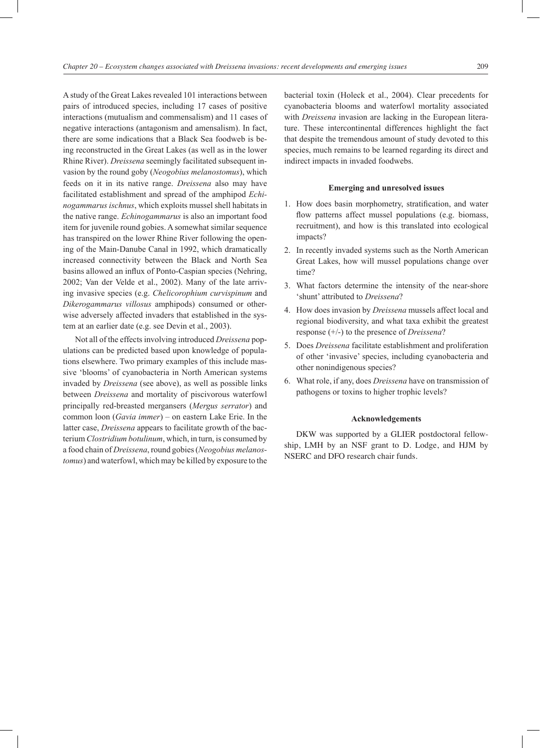A study of the Great Lakes revealed 101 interactions between pairs of introduced species, including 17 cases of positive interactions (mutualism and commensalism) and 11 cases of negative interactions (antagonism and amensalism). In fact, there are some indications that a Black Sea foodweb is being reconstructed in the Great Lakes (as well as in the lower Rhine River). *Dreissena* seemingly facilitated subsequent invasion by the round goby (*Neogobius melanostomus*), which feeds on it in its native range. *Dreissena* also may have facilitated establishment and spread of the amphipod *Echinogammarus ischnus*, which exploits mussel shell habitats in the native range. *Echinogammarus* is also an important food item for juvenile round gobies. A somewhat similar sequence has transpired on the lower Rhine River following the opening of the Main-Danube Canal in 1992, which dramatically increased connectivity between the Black and North Sea basins allowed an influx of Ponto-Caspian species (Nehring, 2002; Van der Velde et al., 2002). Many of the late arriving invasive species (e.g. *Chelicorophium curvispinum* and *Dikerogammarus villosus* amphipods) consumed or otherwise adversely affected invaders that established in the system at an earlier date (e.g. see Devin et al., 2003).

Not all of the effects involving introduced *Dreissena* populations can be predicted based upon knowledge of populations elsewhere. Two primary examples of this include massive 'blooms' of cyanobacteria in North American systems invaded by *Dreissena* (see above), as well as possible links between *Dreissena* and mortality of piscivorous waterfowl principally red-breasted mergansers (*Mergus serrator*) and common loon (*Gavia immer*) – on eastern Lake Erie. In the latter case, *Dreissena* appears to facilitate growth of the bacterium *Clostridium botulinum*, which, in turn, is consumed by a food chain of *Dreissena*, round gobies (*Neogobius melanostomus*) and waterfowl, which may be killed by exposure to the bacterial toxin (Holeck et al., 2004). Clear precedents for cyanobacteria blooms and waterfowl mortality associated with *Dreissena* invasion are lacking in the European literature. These intercontinental differences highlight the fact that despite the tremendous amount of study devoted to this species, much remains to be learned regarding its direct and indirect impacts in invaded foodwebs.

#### **Emerging and unresolved issues**

- 1. How does basin morphometry, stratification, and water flow patterns affect mussel populations (e.g. biomass, recruitment), and how is this translated into ecological impacts?
- 2. In recently invaded systems such as the North American Great Lakes, how will mussel populations change over time?
- 3. What factors determine the intensity of the near-shore 'shunt' attributed to *Dreissena*?
- 4. How does invasion by *Dreissena* mussels affect local and regional biodiversity, and what taxa exhibit the greatest response (+/-) to the presence of *Dreissena*?
- 5. Does *Dreissena* facilitate establishment and proliferation of other 'invasive' species, including cyanobacteria and other nonindigenous species?
- 6. What role, if any, does *Dreissena* have on transmission of pathogens or toxins to higher trophic levels?

#### **Acknowledgements**

DKW was supported by a GLIER postdoctoral fellowship, LMH by an NSF grant to D. Lodge, and HJM by NSERC and DFO research chair funds.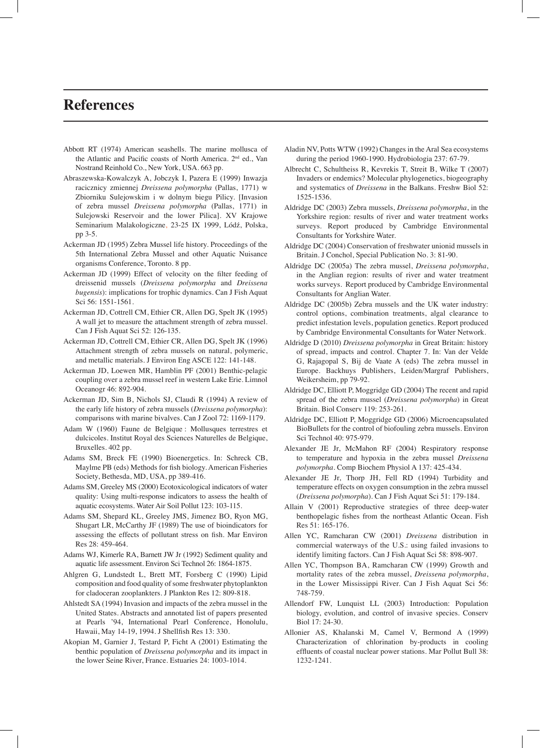## **References**

- Abbott RT (1974) American seashells. The marine mollusca of the Atlantic and Pacific coasts of North America. 2<sup>nd</sup> ed., Van Nostrand Reinhold Co., New York, USA. 663 pp.
- Abraszewska-Kowalczyk A, Jobczyk I, Pazera E (1999) Inwazja racicznicy zmiennej *Dreissena polymorpha* (Pallas, 1771) w Zbiorniku Sulejowskim i w dolnym biegu Pilicy. [Invasion of zebra mussel *Dreissena polymorpha* (Pallas, 1771) in Sulejowski Reservoir and the lower Pilica]. XV Krajowe Seminarium Malakologiczne, 23-25 IX 1999, Lódź, Polska, pp 3-5.
- Ackerman JD (1995) Zebra Mussel life history. Proceedings of the 5th International Zebra Mussel and other Aquatic Nuisance organisms Conference, Toronto. 8 pp.
- Ackerman JD (1999) Effect of velocity on the filter feeding of dreissenid mussels (*Dreissena polymorpha* and *Dreissena bugensis*): implications for trophic dynamics. Can J Fish Aquat Sci 56: 1551-1561.
- Ackerman JD, Cottrell CM, Ethier CR, Allen DG, Spelt JK (1995) A wall jet to measure the attachment strength of zebra mussel. Can J Fish Aquat Sci 52: 126-135.
- Ackerman JD, Cottrell CM, Ethier CR, Allen DG, Spelt JK (1996) Attachment strength of zebra mussels on natural, polymeric, and metallic materials. J Environ Eng ASCE 122: 141-148.
- Ackerman JD, Loewen MR, Hamblin PF (2001) Benthic-pelagic coupling over a zebra mussel reef in western Lake Erie. Limnol Oceanogr 46: 892-904.
- Ackerman JD, Sim B, Nichols SJ, Claudi R (1994) A review of the early life history of zebra mussels (*Dreissena polymorpha*): comparisons with marine bivalves. Can J Zool 72: 1169-1179.
- Adam W (1960) Faune de Belgique : Mollusques terrestres et dulcicoles. Institut Royal des Sciences Naturelles de Belgique, Bruxelles. 402 pp.
- Adams SM, Breck FE (1990) Bioenergetics. In: Schreck CB, Maylme PB (eds) Methods for fish biology. American Fisheries Society, Bethesda, MD, USA, pp 389-416.
- Adams SM, Greeley MS (2000) Ecotoxicological indicators of water quality: Using multi-response indicators to assess the health of aquatic ecosystems. Water Air Soil Pollut 123: 103-115.
- Adams SM, Shepard KL, Greeley JMS, Jimenez BO, Ryon MG, Shugart LR, McCarthy JF (1989) The use of bioindicators for assessing the effects of pollutant stress on fish. Mar Environ Res 28: 459-464.
- Adams WJ, Kimerle RA, Barnett JW Jr (1992) Sediment quality and aquatic life assessment. Environ Sci Technol 26: 1864-1875.
- Ahlgren G, Lundstedt L, Brett MT, Forsberg C (1990) Lipid composition and food quality of some freshwater phytoplankton for cladoceran zooplankters. J Plankton Res 12: 809-818.
- Ahlstedt SA (1994) Invasion and impacts of the zebra mussel in the United States. Abstracts and annotated list of papers presented at Pearls '94, International Pearl Conference, Honolulu, Hawaii, May 14-19, 1994. J Shellfish Res 13: 330.
- Akopian M, Garnier J, Testard P, Ficht A (2001) Estimating the benthic population of *Dreissena polymorpha* and its impact in the lower Seine River, France. Estuaries 24: 1003-1014.
- Aladin NV, Potts WTW (1992) Changes in the Aral Sea ecosystems during the period 1960-1990. Hydrobiologia 237: 67-79.
- Albrecht C, Schultheiss R, Kevrekis T, Streit B, Wilke T (2007) Invaders or endemics? Molecular phylogenetics, biogeography and systematics of *Dreissena* in the Balkans. Freshw Biol 52: 1525-1536.
- Aldridge DC (2003) Zebra mussels, *Dreissena polymorpha*, in the Yorkshire region: results of river and water treatment works surveys. Report produced by Cambridge Environmental Consultants for Yorkshire Water.
- Aldridge DC (2004) Conservation of freshwater unionid mussels in Britain. J Conchol, Special Publication No. 3: 81-90.
- Aldridge DC (2005a) The zebra mussel, *Dreissena polymorpha*, in the Anglian region: results of river and water treatment works surveys. Report produced by Cambridge Environmental Consultants for Anglian Water.
- Aldridge DC (2005b) Zebra mussels and the UK water industry: control options, combination treatments, algal clearance to predict infestation levels, population genetics. Report produced by Cambridge Environmental Consultants for Water Network.
- Aldridge D (2010) *Dreissena polymorpha* in Great Britain: history of spread, impacts and control. Chapter 7. In: Van der Velde G, Rajagopal S, Bij de Vaate A (eds) The zebra mussel in Europe. Backhuys Publishers, Leiden/Margraf Publishers, Weikersheim, pp 79-92.
- Aldridge DC, Elliott P, Moggridge GD (2004) The recent and rapid spread of the zebra mussel (*Dreissena polymorpha*) in Great Britain. Biol Conserv 119: 253-261.
- Aldridge DC, Elliott P, Moggridge GD (2006) Microencapsulated BioBullets for the control of biofouling zebra mussels. Environ Sci Technol 40: 975-979.
- Alexander JE Jr, McMahon RF (2004) Respiratory response to temperature and hypoxia in the zebra mussel *Dreissena polymorpha*. Comp Biochem Physiol A 137: 425-434.
- Alexander JE Jr, Thorp JH, Fell RD (1994) Turbidity and temperature effects on oxygen consumption in the zebra mussel (*Dreissena polymorpha*). Can J Fish Aquat Sci 51: 179-184.
- Allain V (2001) Reproductive strategies of three deep-water benthopelagic fishes from the northeast Atlantic Ocean. Fish Res 51: 165-176.
- Allen YC, Ramcharan CW (2001) *Dreissena* distribution in commercial waterways of the U.S.: using failed invasions to identify limiting factors. Can J Fish Aquat Sci 58: 898-907.
- Allen YC, Thompson BA, Ramcharan CW (1999) Growth and mortality rates of the zebra mussel, *Dreissena polymorpha*, in the Lower Mississippi River. Can J Fish Aquat Sci 56: 748-759.
- Allendorf FW, Lunquist LL (2003) Introduction: Population biology, evolution, and control of invasive species. Conserv Biol 17: 24-30.
- Allonier AS, Khalanski M, Camel V, Bermond A (1999) Characterization of chlorination by-products in cooling effluents of coastal nuclear power stations. Mar Pollut Bull 38: 1232-1241.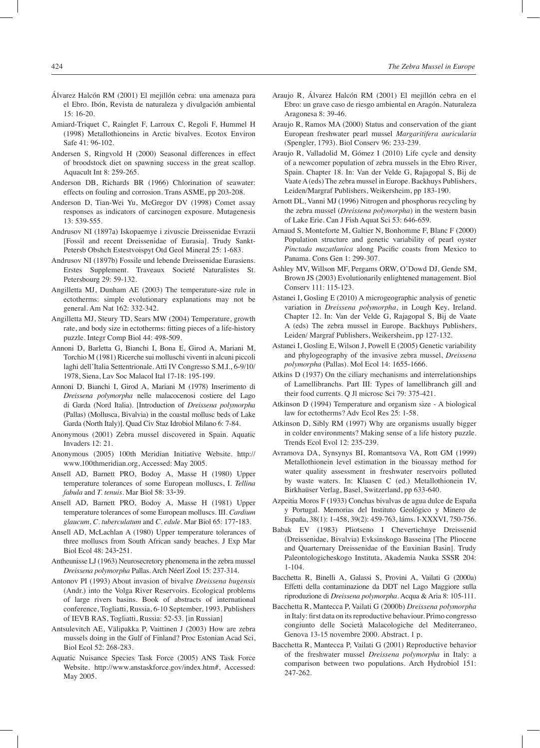- Álvarez Halcón RM (2001) El mejillón cebra: una amenaza para el Ebro. Ibón, Revista de naturaleza y divulgación ambiental 15: 16-20.
- Amiard-Triquet C, Rainglet F, Larroux C, Regoli F, Hummel H (1998) Metallothioneins in Arctic bivalves. Ecotox Environ Safe 41: 96-102.
- Andersen S, Ringvold H (2000) Seasonal differences in effect of broodstock diet on spawning success in the great scallop. Aquacult Int 8: 259-265.
- Anderson DB, Richards BR (1966) Chlorination of seawater: effects on fouling and corrosion. Trans ASME, pp 203-208.
- Anderson D, Tian-Wei Yu, McGregor DV (1998) Comet assay responses as indicators of carcinogen exposure. Mutagenesis 13: 539-555.
- Andrusov NI (1897a) Iskopaemye i zivuscie Dreissenidae Evrazii [Fossil and recent Dreissenidae of Eurasia]. Trudy Sankt-Petersb Obshch Estestvoispyt Otd Geol Mineral 25: 1-683.
- Andrusov NI (1897b) Fossile und lebende Dreissenidae Eurasiens. Erstes Supplement. Traveaux Societé Naturalistes St. Petersbourg 29: 59-132.
- Angilletta MJ, Dunham AE (2003) The temperature-size rule in ectotherms: simple evolutionary explanations may not be general. Am Nat 162: 332-342.
- Angilletta MJ, Steury TD, Sears MW (2004) Temperature, growth rate, and body size in ectotherms: fitting pieces of a life-history puzzle. Integr Comp Biol 44: 498-509.
- Annoni D, Barletta G, Bianchi I, Bona E, Girod A, Mariani M, Torchio M (1981) Ricerche sui molluschi viventi in alcuni piccoli laghi dell'Italia Settentrionale. Atti IV Congresso S.M.I., 6-9/10/ 1978, Siena, Lav Soc Malacol Ital 17-18: 195-199.
- Annoni D, Bianchi I, Girod A, Mariani M (1978) Inserimento di *Dreissena polymorpha* nelle malacocenosi costiere del Lago di Garda (Nord Italia). [Introduction of *Dreissena polymorpha* (Pallas) (Mollusca, Bivalvia) in the coastal mollusc beds of Lake Garda (North Italy)]. Quad Civ Staz Idrobiol Milano 6: 7-84.
- Anonymous (2001) Zebra mussel discovered in Spain. Aquatic Invaders 12: 21.
- Anonymous (2005) 100th Meridian Initiative Website. http:// www.100thmeridian.org, Accessed: May 2005.
- Ansell AD, Barnett PRO, Bodoy A, Masse H (1980) Upper temperature tolerances of some European molluscs, I. *Tellina fabula* and *T. tenuis*. Mar Biol 58: 33‑39.
- Ansell AD, Barnett PRO, Bodoy A, Masse H (1981) Upper temperature tolerances of some European molluscs. III. *Cardium glaucum*, *C. tuberculatum* and *C. edule*. Mar Biol 65: 177‑183.
- Ansell AD, McLachlan A (1980) Upper temperature tolerances of three molluscs from South African sandy beaches. J Exp Mar Biol Ecol 48: 243‑251.
- Antheunisse LJ (1963) Neurosecretory phenomena in the zebra mussel *Dreissena polymorpha* Pallas. Arch Néerl Zool 15: 237-314.
- Antonov PI (1993) About invasion of bivalve *Dreissena bugensis* (Andr.) into the Volga River Reservoirs. Ecological problems of large rivers basins. Book of abstracts of international conference, Togliatti, Russia, 6-10 September, 1993. Publishers of IEVB RAS, Togliatti, Russia: 52-53. [in Russian]
- Antsulevitch AE, Välipakka P, Vaittinen J (2003) How are zebra mussels doing in the Gulf of Finland? Proc Estonian Acad Sci, Biol Ecol 52: 268-283.
- Aquatic Nuisance Species Task Force (2005) ANS Task Force Website. http://www.anstaskforce.gov/index.htm#, Accessed: May 2005.
- Araujo R, Álvarez Halcón RM (2001) El mejillón cebra en el Ebro: un grave caso de riesgo ambiental en Aragón. Naturaleza Aragonesa 8: 39-46.
- Araujo R, Ramos MA (2000) Status and conservation of the giant European freshwater pearl mussel *Margaritifera auricularia* (Spengler, 1793). Biol Conserv 96: 233-239.
- Araujo R, Valladolid M, Gómez I (2010) Life cycle and density of a newcomer population of zebra mussels in the Ebro River, Spain. Chapter 18. In: Van der Velde G, Rajagopal S, Bij de Vaate A (eds) The zebra mussel in Europe. Backhuys Publishers, Leiden/Margraf Publishers, Weikersheim, pp 183-190.
- Arnott DL, Vanni MJ (1996) Nitrogen and phosphorus recycling by the zebra mussel (*Dreissena polymorpha*) in the western basin of Lake Erie. Can J Fish Aquat Sci 53: 646-659.
- Arnaud S, Monteforte M, Galtier N, Bonhomme F, Blanc F (2000) Population structure and genetic variability of pearl oyster *Pinctada mazatlanica* along Pacific coasts from Mexico to Panama. Cons Gen 1: 299-307.
- Ashley MV, Willson MF, Pergams ORW, O'Dowd DJ, Gende SM, Brown JS (2003) Evolutionarily enlightened management. Biol Conserv 111: 115-123.
- Astanei I, Gosling E (2010) A microgeographic analysis of genetic variation in *Dreissena polymorpha*, in Lough Key, Ireland. Chapter 12. In: Van der Velde G, Rajagopal S, Bij de Vaate A (eds) The zebra mussel in Europe. Backhuys Publishers, Leiden/ Margraf Publishers, Weikersheim, pp 127-132.
- Astanei I, Gosling E, Wilson J, Powell E (2005) Genetic variability and phylogeography of the invasive zebra mussel, *Dreissena polymorpha* (Pallas). Mol Ecol 14: 1655-1666.
- Atkins D (1937) On the ciliary mechanisms and interrelationships of Lamellibranchs. Part III: Types of lamellibranch gill and their food currents. Q Jl microsc Sci 79: 375-421.
- Atkinson D (1994) Temperature and organism size A biological law for ectotherms? Adv Ecol Res 25: 1-58.
- Atkinson D, Sibly RM (1997) Why are organisms usually bigger in colder environments? Making sense of a life history puzzle. Trends Ecol Evol 12: 235-239.
- Avramova DA, Synsynys BI, Romantsova VA, Rott GM (1999) Metallothionein level estimation in the bioassay method for water quality assessment in freshwater reservoirs polluted by waste waters. In: Klaasen C (ed.) Metallothionein IV, Birkhaüser Verlag, Basel, Switzerland, pp 633-640.
- Azpeitia Moros F (1933) Conchas bivalvas de agua dulce de España y Portugal. Memorias del Instituto Geológico y Minero de España, 38(1): 1-458, 39(2): 459-763, láms. I-XXXVI, 750-756.
- Babak EV (1983) Pliotseno I Chevertichnye Dreissenid (Dreissenidae, Bivalvia) Evksinskogo Basseina [The Pliocene and Quarternary Dreissenidae of the Euxinian Basin]. Trudy Paleontologicheskogo Instituta, Akademia Nauka SSSR 204: 1-104.
- Bacchetta R, Binelli A, Galassi S, Provini A, Vailati G (2000a) Effetti della contaminazione da DDT nel Lago Maggiore sulla riproduzione di *Dreissena polymorpha*. Acqua & Aria 8: 105-111.
- Bacchetta R, Mantecca P, Vailati G (2000b) *Dreissena polymorpha* in Italy: first data on its reproductive behaviour. Primo congresso congiunto delle Società Malacologiche del Mediterraneo, Genova 13-15 novembre 2000. Abstract. 1 p.
- Bacchetta R, Mantecca P, Vailati G (2001) Reproductive behavior of the freshwater mussel *Dreissena polymorpha* in Italy: a comparison between two populations. Arch Hydrobiol 151: 247-262.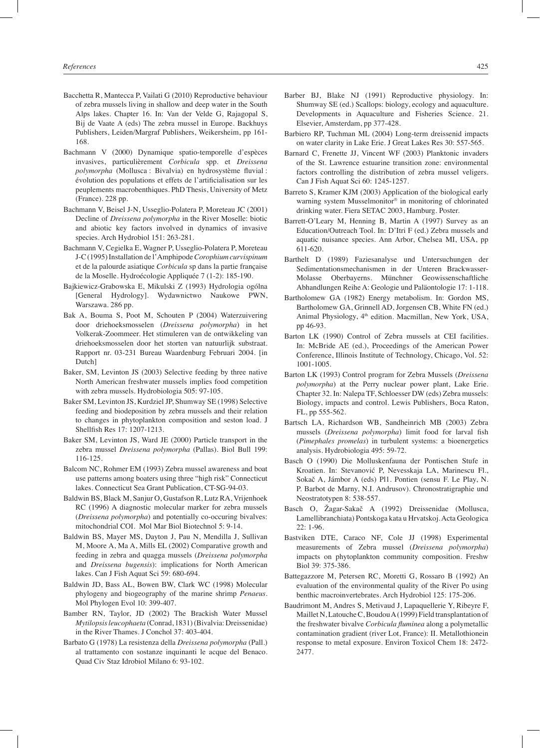- Bacchetta R, Mantecca P, Vailati G (2010) Reproductive behaviour of zebra mussels living in shallow and deep water in the South Alps lakes. Chapter 16. In: Van der Velde G, Rajagopal S, Bij de Vaate A (eds) The zebra mussel in Europe. Backhuys Publishers, Leiden/Margraf Publishers, Weikersheim, pp 161- 168.
- Bachmann V (2000) Dynamique spatio-temporelle d'espèces invasives, particulièrement *Corbicula* spp. et *Dreissena polymorpha* (Mollusca : Bivalvia) en hydrosystème fluvial : évolution des populations et effets de l'artificialisation sur les peuplements macrobenthiques. PhD Thesis, University of Metz (France). 228 pp.
- Bachmann V, Beisel J-N, Usseglio-Polatera P, Moreteau JC (2001) Decline of *Dreissena polymorpha* in the River Moselle: biotic and abiotic key factors involved in dynamics of invasive species. Arch Hydrobiol 151: 263-281.
- Bachmann V, Cegielka E, Wagner P, Usseglio-Polatera P, Moreteau J-C (1995) Installation de l'Amphipode *Corophium curvispinum* et de la palourde asiatique *Corbicula* sp dans la partie française de la Moselle. Hydroécologie Appliquée 7 (1-2): 185-190.
- Bajkiewicz-Grabowska E, Mikulski Z (1993) Hydrologia ogólna [General Hydrology]. Wydawnictwo Naukowe PWN, Warszawa. 286 pp.
- Bak A, Bouma S, Poot M, Schouten P (2004) Waterzuivering door driehoeksmosselen (*Dreissena polymorpha*) in het Volkerak-Zoommeer. Het stimuleren van de ontwikkeling van driehoeksmosselen door het storten van natuurlijk substraat. Rapport nr. 03-231 Bureau Waardenburg Februari 2004. [in Dutch]
- Baker, SM, Levinton JS (2003) Selective feeding by three native North American freshwater mussels implies food competition with zebra mussels. Hydrobiologia 505: 97-105.
- Baker SM, Levinton JS, Kurdziel JP, Shumway SE (1998) Selective feeding and biodeposition by zebra mussels and their relation to changes in phytoplankton composition and seston load. J Shellfish Res 17: 1207-1213.
- Baker SM, Levinton JS, Ward JE (2000) Particle transport in the zebra mussel *Dreissena polymorpha* (Pallas). Biol Bull 199: 116-125.
- Balcom NC, Rohmer EM (1993) Zebra mussel awareness and boat use patterns among boaters using three "high risk" Connecticut lakes. Connecticut Sea Grant Publication, CT-SG-94-03.
- Baldwin BS, Black M, Sanjur O, Gustafson R, Lutz RA, Vrijenhoek RC (1996) A diagnostic molecular marker for zebra mussels (*Dreissena polymorpha*) and potentially co-occuring bivalves: mitochondrial COI. Mol Mar Biol Biotechnol 5: 9-14.
- Baldwin BS, Mayer MS, Dayton J, Pau N, Mendilla J, Sullivan M, Moore A, Ma A, Mills EL (2002) Comparative growth and feeding in zebra and quagga mussels (*Dreissena polymorpha* and *Dreissena bugensis*): implications for North American lakes. Can J Fish Aquat Sci 59: 680-694.
- Baldwin JD, Bass AL, Bowen BW, Clark WC (1998) Molecular phylogeny and biogeography of the marine shrimp *Penaeus*. Mol Phylogen Evol 10: 399-407.
- Bamber RN, Taylor, JD (2002) The Brackish Water Mussel *Mytilopsis leucophaeta* (Conrad, 1831) (Bivalvia: Dreissenidae) in the River Thames. J Conchol 37: 403-404.
- Barbato G (1978) La resistenza della *Dreissena polymorpha* (Pall.) al trattamento con sostanze inquinanti le acque del Benaco. Quad Civ Staz Idrobiol Milano 6: 93-102.
- Barber BJ, Blake NJ (1991) Reproductive physiology. In: Shumway SE (ed.) Scallops: biology, ecology and aquaculture. Developments in Aquaculture and Fisheries Science. 21. Elsevier, Amsterdam, pp 377-428.
- Barbiero RP, Tuchman ML (2004) Long-term dreissenid impacts on water clarity in Lake Erie. J Great Lakes Res 30: 557-565.
- Barnard C, Frenette JJ, Vincent WF (2003) Planktonic invaders of the St. Lawrence estuarine transition zone: environmental factors controlling the distribution of zebra mussel veligers. Can J Fish Aquat Sci 60: 1245-1257.
- Barreto S, Kramer KJM (2003) Application of the biological early warning system Musselmonitor<sup>®</sup> in monitoring of chlorinated drinking water. Fiera SETAC 2003, Hamburg. Poster.
- Barrett-O'Leary M, Henning B, Martin A (1997) Survey as an Education/Outreach Tool. In: D'Itri F (ed.) Zebra mussels and aquatic nuisance species. Ann Arbor, Chelsea MI, USA, pp 611-620.
- Barthelt D (1989) Faziesanalyse und Untersuchungen der Sedimentationsmechanismen in der Unteren Brackwasser-Molasse Oberbayerns. Münchner Geowissenschaftliche Abhandlungen Reihe A: Geologie und Paläontologie 17: 1-118.
- Bartholomew GA (1982) Energy metabolism. In: Gordon MS, Bartholomew GA, Grinnell AD, Jorgensen CB, White FN (ed.) Animal Physiology, 4th edition. Macmillan, New York, USA, pp 46-93.
- Barton LK (1990) Control of Zebra mussels at CEI facilities. In: McBride AE (ed.), Proceedings of the American Power Conference, Illinois Institute of Technology, Chicago, Vol. 52: 1001-1005.
- Barton LK (1993) Control program for Zebra Mussels (*Dreissena polymorpha*) at the Perry nuclear power plant, Lake Erie. Chapter 32. In: Nalepa TF, Schloesser DW (eds) Zebra mussels: Biology, impacts and control. Lewis Publishers, Boca Raton, FL, pp 555-562.
- Bartsch LA, Richardson WB, Sandheinrich MB (2003) Zebra mussels (*Dreissena polymorpha*) limit food for larval fish (*Pimephales promelas*) in turbulent systems: a bioenergetics analysis. Hydrobiologia 495: 59-72.
- Basch O (1990) Die Molluskenfauna der Pontischen Stufe in Kroatien. In: Stevanović P, Nevesskaja LA, Marinescu Fl., Sokač A, Jámbor A (eds) Pl1. Pontien (sensu F. Le Play, N. P. Barbot de Marny, N.I. Andrusov). Chronostratigraphie und Neostratotypen 8: 538-557.
- Basch O, Žagar-Sakač A (1992) Dreissenidae (Mollusca, Lamellibranchiata) Pontskoga kata u Hrvatskoj. Acta Geologica  $22: 1-96.$
- Bastviken DTE, Caraco NF, Cole JJ (1998) Experimental measurements of Zebra mussel (*Dreissena polymorpha*) impacts on phytoplankton community composition. Freshw Biol 39: 375-386.
- Battegazzore M, Petersen RC, Moretti G, Rossaro B (1992) An evaluation of the environmental quality of the River Po using benthic macroinvertebrates. Arch Hydrobiol 125: 175-206.
- Baudrimont M, Andres S, Metivaud J, Lapaquellerie Y, Ribeyre F, Maillet N, Latouche C, Boudou A (1999) Field transplantation of the freshwater bivalve *Corbicula fluminea* along a polymetallic contamination gradient (river Lot, France): II. Metallothionein response to metal exposure. Environ Toxicol Chem 18: 2472- 2477.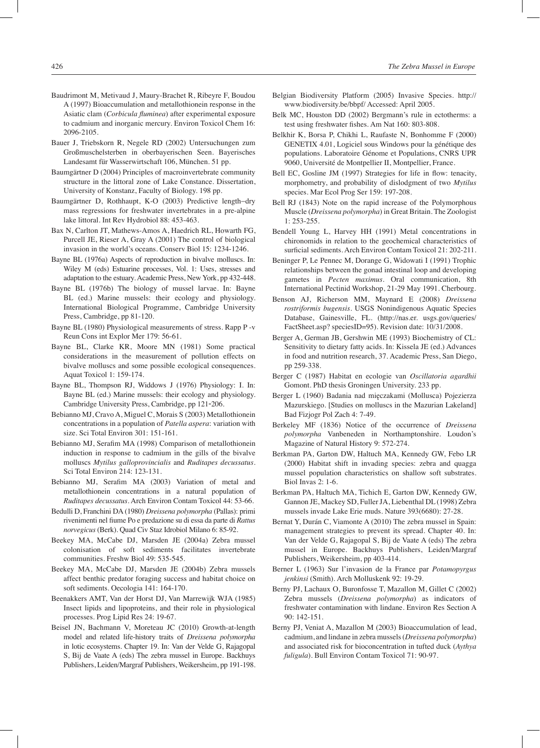- Baudrimont M, Metivaud J, Maury-Brachet R, Ribeyre F, Boudou A (1997) Bioaccumulation and metallothionein response in the Asiatic clam (*Corbicula fluminea*) after experimental exposure to cadmium and inorganic mercury. Environ Toxicol Chem 16: 2096-2105.
- Bauer J, Triebskorn R, Negele RD (2002) Untersuchungen zum Großmuschelsterben in oberbayerischen Seen. Bayerisches Landesamt für Wasserwirtschaft 106, München. 51 pp.
- Baumgärtner D (2004) Principles of macroinvertebrate community structure in the littoral zone of Lake Constance. Dissertation, University of Konstanz, Faculty of Biology. 198 pp.
- Baumgärtner D, Rothhaupt, K-O (2003) Predictive length−dry mass regressions for freshwater invertebrates in a pre-alpine lake littoral. Int Rev Hydrobiol 88: 453-463.
- Bax N, Carlton JT, Mathews-Amos A, Haedrich RL, Howarth FG, Purcell JE, Rieser A, Gray A (2001) The control of biological invasion in the world's oceans. Conserv Biol 15: 1234-1246.
- Bayne BL (1976a) Aspects of reproduction in bivalve molluscs. In: Wiley M (eds) Estuarine processes, Vol. 1: Uses, stresses and adaptation to the estuary. Academic Press, New York, pp 432-448.
- Bayne BL (1976b) The biology of mussel larvae. In: Bayne BL (ed.) Marine mussels: their ecology and physiology. International Biological Programme, Cambridge University Press, Cambridge, pp 81-120.
- Bayne BL (1980) Physiological measurements of stress. Rapp P -v Reun Cons int Explor Mer 179: 56-61.
- Bayne BL, Clarke KR, Moore MN (1981) Some practical considerations in the measurement of pollution effects on bivalve molluscs and some possible ecological consequences. Aquat Toxicol 1: 159-174.
- Bayne BL, Thompson RJ, Widdows J (1976) Physiology: I. In: Bayne BL (ed.) Marine mussels: their ecology and physiology. Cambridge University Press, Cambridge, pp 121‑206.
- Bebianno MJ, Cravo A, Miguel C, Morais S (2003) Metallothionein concentrations in a population of *Patella aspera*: variation with size. Sci Total Environ 301: 151-161.
- Bebianno MJ, Serafim MA (1998) Comparison of metallothionein induction in response to cadmium in the gills of the bivalve molluscs *Mytilus galloprovincialis* and *Ruditapes decussatus*. Sci Total Environ 214: 123-131.
- Bebianno MJ, Serafim MA (2003) Variation of metal and metallothionein concentrations in a natural population of *Ruditapes decussatus*. Arch Environ Contam Toxicol 44: 53-66.
- Bedulli D, Franchini DA (1980) *Dreissena polymorpha* (Pallas): primi rivenimenti nel fiume Po e predazione su di essa da parte di *Rattus norvegicus* (Berk). Quad Civ Staz Idrobiol Milano 6: 85-92.
- Beekey MA, McCabe DJ, Marsden JE (2004a) Zebra mussel colonisation of soft sediments facilitates invertebrate communities. Freshw Biol 49: 535-545.
- Beekey MA, McCabe DJ, Marsden JE (2004b) Zebra mussels affect benthic predator foraging success and habitat choice on soft sediments. Oecologia 141: 164-170.
- Beenakkers AMT, Van der Horst DJ, Van Marrewijk WJA (1985) Insect lipids and lipoproteins, and their role in physiological processes. Prog Lipid Res 24: 19-67.
- Beisel JN, Bachmann V, Moreteau JC (2010) Growth-at-length model and related life-history traits of *Dreissena polymorpha* in lotic ecosystems. Chapter 19. In: Van der Velde G, Rajagopal S, Bij de Vaate A (eds) The zebra mussel in Europe. Backhuys Publishers, Leiden/Margraf Publishers, Weikersheim, pp 191-198.
- Belgian Biodiversity Platform (2005) Invasive Species. http:// www.biodiversity.be/bbpf/ Accessed: April 2005.
- Belk MC, Houston DD (2002) Bergmann's rule in ectotherms: a test using freshwater fishes. Am Nat 160: 803-808.
- Belkhir K, Borsa P, Chikhi L, Raufaste N, Bonhomme F (2000) GENETIX 4.01, Logiciel sous Windows pour la génétique des populations. Laboratoire Génome et Populations, CNRS UPR 9060, Université de Montpellier II, Montpellier, France.
- Bell EC, Gosline JM (1997) Strategies for life in flow: tenacity, morphometry, and probability of dislodgment of two *Mytilus* species. Mar Ecol Prog Ser 159: 197-208.
- Bell RJ (1843) Note on the rapid increase of the Polymorphous Muscle (*Dreissena polymorpha*) in Great Britain. The Zoologist 1: 253-255.
- Bendell Young L, Harvey HH (1991) Metal concentrations in chironomids in relation to the geochemical characteristics of surficial sediments. Arch Environ Contam Toxicol 21: 202-211.
- Beninger P, Le Pennec M, Dorange G, Widowati I (1991) Trophic relationships between the gonad intestinal loop and developing gametes in *Pecten maximus*. Oral communication, 8th International Pectinid Workshop, 21-29 May 1991. Cherbourg.
- Benson AJ, Richerson MM, Maynard E (2008) *Dreissena rostriformis bugensis*. USGS Nonindigenous Aquatic Species Database, Gainesville, FL. (http://nas.er. usgs.gov/queries/ FactSheet.asp? speciesID=95). Revision date: 10/31/2008.
- Berger A, German JB, Gershwin ME (1993) Biochemistry of CL: Sensitivity to dietary fatty acids. In: Kissela JE (ed.) Advances in food and nutrition research, 37. Academic Press, San Diego, pp 259-338.
- Berger C (1987) Habitat en ecologie van *Oscillatoria agardhii* Gomont. PhD thesis Groningen University. 233 pp.
- Berger L (1960) Badania nad mięczakami (Mollusca) Pojezierza Mazurskiego. [Studies on molluscs in the Mazurian Lakeland] Bad Fizjogr Pol Zach 4: 7-49.
- Berkeley MF (1836) Notice of the occurrence of *Dreissena polymorpha* Vanbeneden in Northamptonshire. Loudon's Magazine of Natural History 9: 572-274.
- Berkman PA, Garton DW, Haltuch MA, Kennedy GW, Febo LR (2000) Habitat shift in invading species: zebra and quagga mussel population characteristics on shallow soft substrates. Biol Invas 2: 1-6.
- Berkman PA, Haltuch MA, Tichich E, Garton DW, Kennedy GW, Gannon JE, Mackey SD, Fuller JA, Liebenthal DL (1998) Zebra mussels invade Lake Erie muds. Nature 393(6680): 27-28.
- Bernat Y, Durán C, Viamonte A (2010) The zebra mussel in Spain: management strategies to prevent its spread. Chapter 40. In: Van der Velde G, Rajagopal S, Bij de Vaate A (eds) The zebra mussel in Europe. Backhuys Publishers, Leiden/Margraf Publishers, Weikersheim, pp 403-414.
- Berner L (1963) Sur l'invasion de la France par *Potamopyrgus jenkinsi* (Smith). Arch Molluskenk 92: 19-29.
- Berny PJ, Lachaux O, Buronfosse T, Mazallon M, Gillet C (2002) Zebra mussels (*Dreissena polymorpha*) as indicators of freshwater contamination with lindane. Environ Res Section A 90: 142-151.
- Berny PJ, Veniat A, Mazallon M (2003) Bioaccumulation of lead, cadmium, and lindane in zebra mussels (*Dreissena polymorpha*) and associated risk for bioconcentration in tufted duck (*Aythya fuligula*). Bull Environ Contam Toxicol 71: 90-97.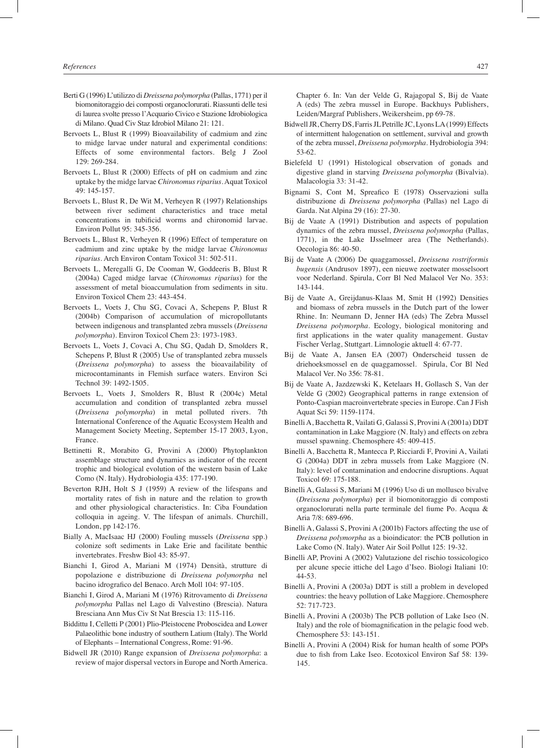- Berti G (1996) L'utilizzo di *Dreissena polymorpha* (Pallas, 1771) per il biomonitoraggio dei composti organoclorurati. Riassunti delle tesi di laurea svolte presso l'Acquario Civico e Stazione Idrobiologica di Milano. Quad Civ Staz Idrobiol Milano 21: 121.
- Bervoets L, Blust R (1999) Bioavailability of cadmium and zinc to midge larvae under natural and experimental conditions: Effects of some environmental factors. Belg J Zool 129: 269-284.
- Bervoets L, Blust R (2000) Effects of pH on cadmium and zinc uptake by the midge larvae *Chironomus riparius*. Aquat Toxicol 49: 145-157.
- Bervoets L, Blust R, De Wit M, Verheyen R (1997) Relationships between river sediment characteristics and trace metal concentrations in tubificid worms and chironomid larvae. Environ Pollut 95: 345-356.
- Bervoets L, Blust R, Verheyen R (1996) Effect of temperature on cadmium and zinc uptake by the midge larvae *Chironomus riparius*. Arch Environ Contam Toxicol 31: 502-511.
- Bervoets L, Meregalli G, De Cooman W, Goddeeris B, Blust R (2004a) Caged midge larvae (*Chironomus riparius*) for the assessment of metal bioaccumulation from sediments in situ. Environ Toxicol Chem 23: 443-454.
- Bervoets L, Voets J, Chu SG, Covaci A, Schepens P, Blust R (2004b) Comparison of accumulation of micropollutants between indigenous and transplanted zebra mussels (*Dreissena polymorpha*). Environ Toxicol Chem 23: 1973-1983.
- Bervoets L, Voets J, Covaci A, Chu SG, Qadah D, Smolders R, Schepens P, Blust R (2005) Use of transplanted zebra mussels (*Dreissena polymorpha*) to assess the bioavailability of microcontaminants in Flemish surface waters. Environ Sci Technol 39: 1492-1505.
- Bervoets L, Voets J, Smolders R, Blust R (2004c) Metal accumulation and condition of transplanted zebra mussel (*Dreissena polymorpha*) in metal polluted rivers. 7th International Conference of the Aquatic Ecosystem Health and Management Society Meeting, September 15-17 2003, Lyon, France.
- Bettinetti R, Morabito G, Provini A (2000) Phytoplankton assemblage structure and dynamics as indicator of the recent trophic and biological evolution of the western basin of Lake Como (N. Italy). Hydrobiologia 435: 177-190.
- Beverton RJH, Holt S J (1959) A review of the lifespans and mortality rates of fish in nature and the relation to growth and other physiological characteristics. In: Ciba Foundation colloquia in ageing. V. The lifespan of animals. Churchill, London, pp 142-176.
- Bially A, MacIsaac HJ (2000) Fouling mussels (*Dreissena* spp.) colonize soft sediments in Lake Erie and facilitate benthic invertebrates. Freshw Biol 43: 85-97.
- Bianchi I, Girod A, Mariani M (1974) Densità, strutture di popolazione e distribuzione di *Dreissena polymorpha* nel bacino idrografico del Benaco. Arch Moll 104: 97-105.
- Bianchi I, Girod A, Mariani M (1976) Ritrovamento di *Dreissena polymorpha* Pallas nel Lago di Valvestino (Brescia). Natura Bresciana Ann Mus Civ St Nat Brescia 13: 115-116.
- Biddittu I, Celletti P (2001) Plio-Pleistocene Proboscidea and Lower Palaeolithic bone industry of southern Latium (Italy). The World of Elephants – International Congress, Rome: 91-96.
- Bidwell JR (2010) Range expansion of *Dreissena polymorpha*: a review of major dispersal vectors in Europe and North America.

Chapter 6. In: Van der Velde G, Rajagopal S, Bij de Vaate A (eds) The zebra mussel in Europe. Backhuys Publishers, Leiden/Margraf Publishers, Weikersheim, pp 69-78.

- Bidwell JR, Cherry DS, Farris JL Petrille JC, Lyons LA (1999) Effects of intermittent halogenation on settlement, survival and growth of the zebra mussel, *Dreissena polymorpha*. Hydrobiologia 394: 53-62.
- Bielefeld U (1991) Histological observation of gonads and digestive gland in starving *Dreissena polymorpha* (Bivalvia). Malacologia 33: 31-42.
- Bignami S, Cont M, Spreafico E (1978) Osservazioni sulla distribuzione di *Dreissena polymorpha* (Pallas) nel Lago di Garda. Nat Alpina 29 (16): 27-30.
- Bij de Vaate A (1991) Distribution and aspects of population dynamics of the zebra mussel, *Dreissena polymorpha* (Pallas, 1771), in the Lake IJsselmeer area (The Netherlands). Oecologia 86: 40-50.
- Bij de Vaate A (2006) De quaggamossel, *Dreissena rostriformis bugensis* (Andrusov 1897), een nieuwe zoetwater mosselsoort voor Nederland. Spirula, Corr Bl Ned Malacol Ver No. 353: 143-144.
- Bij de Vaate A, Greijdanus-Klaas M, Smit H (1992) Densities and biomass of zebra mussels in the Dutch part of the lower Rhine. In: Neumann D, Jenner HA (eds) The Zebra Mussel *Dreissena polymorpha*. Ecology, biological monitoring and first applications in the water quality management. Gustav Fischer Verlag, Stuttgart. Limnologie aktuell 4: 67-77.
- Bij de Vaate A, Jansen EA (2007) Onderscheid tussen de driehoeksmossel en de quaggamossel. Spirula, Cor Bl Ned Malacol Ver. No 356: 78-81.
- Bij de Vaate A, Jazdzewski K, Ketelaars H, Gollasch S, Van der Velde G (2002) Geographical patterns in range extension of Ponto-Caspian macroinvertebrate species in Europe. Can J Fish Aquat Sci 59: 1159-1174.
- Binelli A, Bacchetta R, Vailati G, Galassi S, Provini A (2001a) DDT contamination in Lake Maggiore (N. Italy) and effects on zebra mussel spawning. Chemosphere 45: 409-415.
- Binelli A, Bacchetta R, Mantecca P, Ricciardi F, Provini A, Vailati G (2004a) DDT in zebra mussels from Lake Maggiore (N. Italy): level of contamination and endocrine disruptions. Aquat Toxicol 69: 175-188.
- Binelli A, Galassi S, Mariani M (1996) Uso di un mollusco bivalve (*Dreissena polymorpha*) per il biomonitoraggio di composti organoclorurati nella parte terminale del fiume Po. Acqua & Aria 7/8: 689-696.
- Binelli A, Galassi S, Provini A (2001b) Factors affecting the use of *Dreissena polymorpha* as a bioindicator: the PCB pollution in Lake Como (N. Italy). Water Air Soil Pollut 125: 19-32.
- Binelli AP, Provini A (2002) Valutazione del rischio tossicologico per alcune specie ittiche del Lago d'Iseo. Biologi Italiani 10: 44-53.
- Binelli A, Provini A (2003a) DDT is still a problem in developed countries: the heavy pollution of Lake Maggiore. Chemosphere 52: 717-723.
- Binelli A, Provini A (2003b) The PCB pollution of Lake Iseo (N. Italy) and the role of biomagnification in the pelagic food web. Chemosphere 53: 143-151.
- Binelli A, Provini A (2004) Risk for human health of some POPs due to fish from Lake Iseo. Ecotoxicol Environ Saf 58: 139- 145.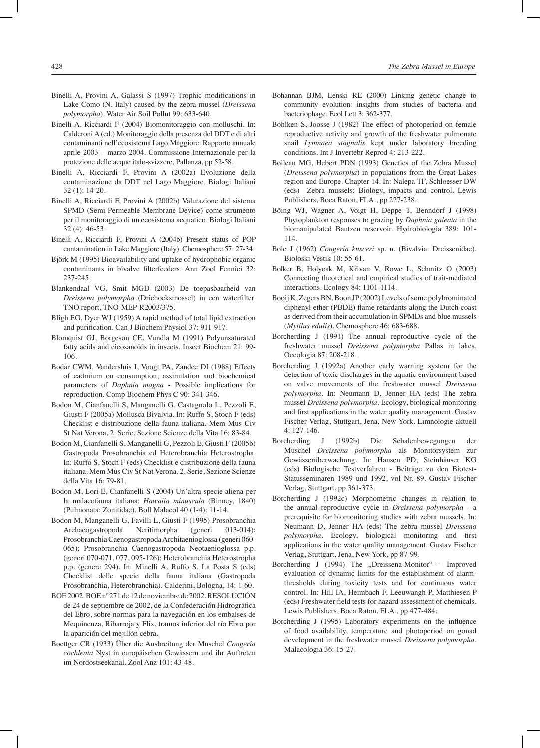- Binelli A, Provini A, Galassi S (1997) Trophic modifications in Lake Como (N. Italy) caused by the zebra mussel (*Dreissena polymorpha*). Water Air Soil Pollut 99: 633-640.
- Binelli A, Ricciardi F (2004) Biomonitoraggio con molluschi. In: Calderoni A (ed.) Monitoraggio della presenza del DDT e di altri contaminanti nell'ecosistema Lago Maggiore. Rapporto annuale aprile 2003 – marzo 2004. Commissione Internazionale per la protezione delle acque italo-svizzere, Pallanza, pp 52-58.
- Binelli A, Ricciardi F, Provini A (2002a) Evoluzione della contaminazione da DDT nel Lago Maggiore. Biologi Italiani 32 (1): 14-20.
- Binelli A, Ricciardi F, Provini A (2002b) Valutazione del sistema SPMD (Semi-Permeable Membrane Device) come strumento per il monitoraggio di un ecosistema acquatico. Biologi Italiani 32 (4): 46-53.
- Binelli A, Ricciardi F, Provini A (2004b) Present status of POP contamination in Lake Maggiore (Italy). Chemosphere 57: 27-34.
- Björk M (1995) Bioavailability and uptake of hydrophobic organic contaminants in bivalve filterfeeders. Ann Zool Fennici 32: 237-245.
- Blankendaal VG, Smit MGD (2003) De toepasbaarheid van *Dreissena polymorpha* (Driehoeksmossel) in een waterfilter. TNO report, TNO-MEP-R2003/375.
- Bligh EG, Dyer WJ (1959) A rapid method of total lipid extraction and purification. Can J Biochem Physiol 37: 911-917.
- Blomquist GJ, Borgeson CE, Vundla M (1991) Polyunsaturated fatty acids and eicosanoids in insects. Insect Biochem 21: 99- 106.
- Bodar CWM, Vandersluis I, Voogt PA, Zandee DI (1988) Effects of cadmium on consumption, assimilation and biochemical parameters of *Daphnia magna* - Possible implications for reproduction. Comp Biochem Phys C 90: 341-346.
- Bodon M, Cianfanelli S, Manganelli G, Castagnolo L, Pezzoli E, Giusti F (2005a) Mollusca Bivalvia. In: Ruffo S, Stoch F (eds) Checklist e distribuzione della fauna italiana. Mem Mus Civ St Nat Verona, 2. Serie, Sezione Scienze della Vita 16: 83-84.
- Bodon M, Cianfanelli S, Manganelli G, Pezzoli E, Giusti F (2005b) Gastropoda Prosobranchia ed Heterobranchia Heterostropha. In: Ruffo S, Stoch F (eds) Checklist e distribuzione della fauna italiana. Mem Mus Civ St Nat Verona, 2. Serie, Sezione Scienze della Vita 16: 79-81.
- Bodon M, Lori E, Cianfanelli S (2004) Un'altra specie aliena per la malacofauna italiana: *Hawaiia minuscula* (Binney, 1840) (Pulmonata: Zonitidae). Boll Malacol 40 (1-4): 11-14.
- Bodon M, Manganelli G, Favilli L, Giusti F (1995) Prosobranchia Archaeogastropoda Neritimorpha (generi 013-014); Prosobranchia Caenogastropoda Architaenioglossa (generi 060- 065); Prosobranchia Caenogastropoda Neotaenioglossa p.p. (generi 070-071, 077, 095-126); Heterobranchia Heterostropha p.p. (genere 294). In: Minelli A, Ruffo S, La Posta S (eds) Checklist delle specie della fauna italiana (Gastropoda Prosobranchia, Heterobranchia). Calderini, Bologna, 14: 1-60.
- BOE 2002. BOE nº 271 de 12 de noviembre de 2002. RESOLUCIÓN de 24 de septiembre de 2002, de la Confederación Hidrográfica del Ebro, sobre normas para la navegación en los embalses de Mequinenza, Ribarroja y Flix, tramos inferior del río Ebro por la aparición del mejillón cebra.
- Boettger CR (1933) Über die Ausbreitung der Muschel *Congeria cochleata* Nyst in europäischen Gewässern und ihr Auftreten im Nordostseekanal. Zool Anz 101: 43-48.
- Bohannan BJM, Lenski RE (2000) Linking genetic change to community evolution: insights from studies of bacteria and bacteriophage. Ecol Lett 3: 362-377.
- Bohlken S, Joosse J (1982) The effect of photoperiod on female reproductive activity and growth of the freshwater pulmonate snail *Lymnaea stagnalis* kept under laboratory breeding conditions. Int J Invertebr Reprod 4: 213-222.
- Boileau MG, Hebert PDN (1993) Genetics of the Zebra Mussel (*Dreissena polymorpha*) in populations from the Great Lakes region and Europe. Chapter 14. In: Nalepa TF, Schloesser DW (eds) Zebra mussels: Biology, impacts and control. Lewis Publishers, Boca Raton, FLA., pp 227-238.
- Böing WJ, Wagner A, Voigt H, Deppe T, Benndorf J (1998) Phytoplankton responses to grazing by *Daphnia galeata* in the biomanipulated Bautzen reservoir. Hydrobiologia 389: 101- 114.
- Bole J (1962) *Congeria kusceri* sp. n. (Bivalvia: Dreissenidae). Bioloski Vestik 10: 55-61.
- Bolker B, Holyoak M, Křivan V, Rowe L, Schmitz O (2003) Connecting theoretical and empirical studies of trait-mediated interactions. Ecology 84: 1101-1114.
- Booij K, Zegers BN, Boon JP (2002) Levels of some polybrominated diphenyl ether (PBDE) flame retardants along the Dutch coast as derived from their accumulation in SPMDs and blue mussels (*Mytilus edulis*). Chemosphere 46: 683-688.
- Borcherding J (1991) The annual reproductive cycle of the freshwater mussel *Dreissena polymorpha* Pallas in lakes. Oecologia 87: 208-218.
- Borcherding J (1992a) Another early warning system for the detection of toxic discharges in the aquatic environment based on valve movements of the freshwater mussel *Dreissena polymorpha*. In: Neumann D, Jenner HA (eds) The zebra mussel *Dreissena polymorpha*. Ecology, biological monitoring and first applications in the water quality management. Gustav Fischer Verlag, Stuttgart, Jena, New York. Limnologie aktuell 4: 127-146.
- Borcherding J (1992b) Die Schalenbewegungen der Muschel *Dreissena polymorpha* als Monitorsystem zur Gewässerüberwachung. In: Hansen PD, Steinhäuser KG (eds) Biologische Testverfahren - Beiträge zu den Biotest-Statusseminaren 1989 und 1992, vol Nr. 89. Gustav Fischer Verlag, Stuttgart, pp 361-373.
- Borcherding J (1992c) Morphometric changes in relation to the annual reproductive cycle in *Dreissena polymorpha* - a prerequisite for biomonitoring studies with zebra mussels. In: Neumann D, Jenner HA (eds) The zebra mussel *Dreissena polymorpha.* Ecology, biological monitoring and first applications in the water quality management. Gustav Fischer Verlag, Stuttgart, Jena, New York, pp 87-99.
- Borcherding J (1994) The "Dreissena-Monitor" Improved evaluation of dynamic limits for the establishment of alarmthresholds during toxicity tests and for continuous water control. In: Hill IA, Heimbach F, Leeuwangh P, Matthiesen P (eds) Freshwater field tests for hazard assessment of chemicals. Lewis Publishers, Boca Raton, FLA., pp 477-484.
- Borcherding J (1995) Laboratory experiments on the influence of food availability, temperature and photoperiod on gonad development in the freshwater mussel *Dreissena polymorpha*. Malacologia 36: 15-27.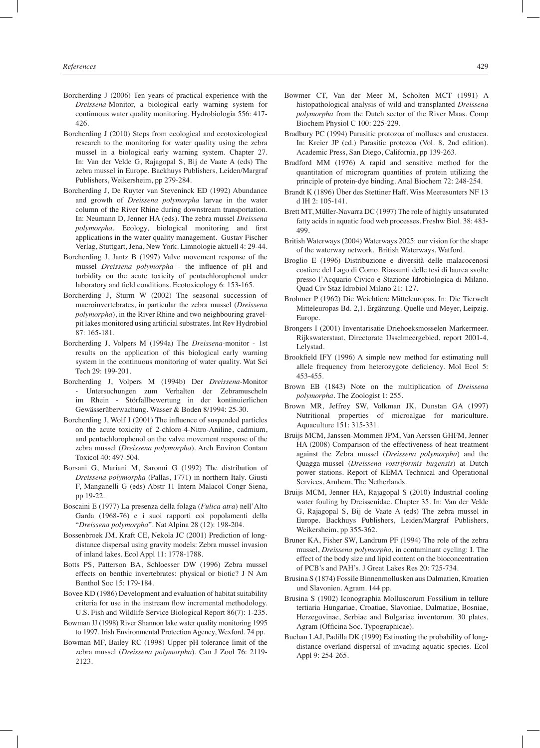- Borcherding J (2006) Ten years of practical experience with the *Dreissena*-Monitor, a biological early warning system for continuous water quality monitoring. Hydrobiologia 556: 417- 426.
- Borcherding J (2010) Steps from ecological and ecotoxicological research to the monitoring for water quality using the zebra mussel in a biological early warning system. Chapter 27. In: Van der Velde G, Rajagopal S, Bij de Vaate A (eds) The zebra mussel in Europe. Backhuys Publishers, Leiden/Margraf Publishers, Weikersheim, pp 279-284.
- Borcherding J, De Ruyter van Steveninck ED (1992) Abundance and growth of *Dreissena polymorpha* larvae in the water column of the River Rhine during downstream transportation. In: Neumann D, Jenner HA (eds). The zebra mussel *Dreissena polymorpha*. Ecology, biological monitoring and first applications in the water quality management. Gustav Fischer Verlag, Stuttgart, Jena, New York. Limnologie aktuell 4: 29-44.
- Borcherding J, Jantz B (1997) Valve movement response of the mussel *Dreissena polymorpha* - the influence of pH and turbidity on the acute toxicity of pentachlorophenol under laboratory and field conditions. Ecotoxicology 6: 153-165.
- Borcherding J, Sturm W (2002) The seasonal succession of macroinvertebrates, in particular the zebra mussel (*Dreissena polymorpha*), in the River Rhine and two neighbouring gravelpit lakes monitored using artificial substrates. Int Rev Hydrobiol 87: 165-181.
- Borcherding J, Volpers M (1994a) The *Dreissena*-monitor 1st results on the application of this biological early warning system in the continuous monitoring of water quality. Wat Sci Tech 29: 199-201.
- Borcherding J, Volpers M (1994b) Der *Dreissena*-Monitor - Untersuchungen zum Verhalten der Zebramuscheln im Rhein - Störfallbewertung in der kontinuierlichen Gewässerüberwachung. Wasser & Boden 8/1994: 25-30.
- Borcherding J, Wolf J (2001) The influence of suspended particles on the acute toxicity of 2-chloro-4-Nitro-Aniline, cadmium, and pentachlorophenol on the valve movement response of the zebra mussel (*Dreissena polymorpha*). Arch Environ Contam Toxicol 40: 497-504.
- Borsani G, Mariani M, Saronni G (1992) The distribution of *Dreissena polymorpha* (Pallas, 1771) in northern Italy. Giusti F, Manganelli G (eds) Abstr 11 Intern Malacol Congr Siena, pp 19-22.
- Boscaini E (1977) La presenza della folaga (*Fulica atra*) nell'Alto Garda (1968-76) e i suoi rapporti coi popolamenti della "*Dreissena polymorpha*". Nat Alpina 28 (12): 198-204.
- Bossenbroek JM, Kraft CE, Nekola JC (2001) Prediction of longdistance dispersal using gravity models: Zebra mussel invasion of inland lakes. Ecol Appl 11: 1778-1788.
- Botts PS, Patterson BA, Schloesser DW (1996) Zebra mussel effects on benthic invertebrates: physical or biotic? J N Am Benthol Soc 15: 179-184.
- Bovee KD (1986) Development and evaluation of habitat suitability criteria for use in the instream flow incremental methodology. U.S. Fish and Wildlife Service Biological Report 86(7): 1-235.
- Bowman JJ (1998) River Shannon lake water quality monitoring 1995 to 1997. Irish Environmental Protection Agency, Wexford. 74 pp.
- Bowman MF, Bailey RC (1998) Upper pH tolerance limit of the zebra mussel (*Dreissena polymorpha*). Can J Zool 76: 2119- 2123.
- Bowmer CT, Van der Meer M, Scholten MCT (1991) A histopathological analysis of wild and transplanted *Dreissena polymorpha* from the Dutch sector of the River Maas. Comp Biochem Physiol C 100: 225-229.
- Bradbury PC (1994) Parasitic protozoa of molluscs and crustacea. In: Kreier JP (ed.) Parasitic protozoa (Vol. 8, 2nd edition). Academic Press, San Diego, California, pp 139-263.
- Bradford MM (1976) A rapid and sensitive method for the quantitation of microgram quantities of protein utilizing the principle of protein-dye binding. Anal Biochem 72: 248-254.
- Brandt K (1896) Über des Stettiner Haff. Wiss Meeresunters NF 13 d IH 2: 105-141.
- Brett MT, Müller-Navarra DC (1997) The role of highly unsaturated fatty acids in aquatic food web processes. Freshw Biol. 38: 483- 499.
- British Waterways (2004) Waterways 2025: our vision for the shape of the waterway network. British Waterways, Watford.
- Broglio E (1996) Distribuzione e diversità delle malacocenosi costiere del Lago di Como. Riassunti delle tesi di laurea svolte presso l'Acquario Civico e Stazione Idrobiologica di Milano. Quad Civ Staz Idrobiol Milano 21: 127.
- Brohmer P (1962) Die Weichtiere Mitteleuropas. In: Die Tierwelt Mitteleuropas Bd. 2,1. Ergänzung. Quelle und Meyer, Leipzig. Europe.
- Brongers I (2001) Inventarisatie Driehoeksmosselen Markermeer. Rijkswaterstaat, Directorate IJsselmeergebied, report 2001-4, Lelystad.
- Brookfield IFY (1996) A simple new method for estimating null allele frequency from heterozygote deficiency. Mol Ecol 5: 453-455.
- Brown EB (1843) Note on the multiplication of *Dreissena polymorpha*. The Zoologist 1: 255.
- Brown MR, Jeffrey SW, Volkman JK, Dunstan GA (1997) Nutritional properties of microalgae for mariculture. Aquaculture 151: 315-331.
- Bruijs MCM, Janssen-Mommen JPM, Van Aerssen GHFM, Jenner HA (2008) Comparison of the effectiveness of heat treatment against the Zebra mussel (*Dreissena polymorpha*) and the Quagga-mussel (*Dreissena rostriformis bugensis*) at Dutch power stations. Report of KEMA Technical and Operational Services, Arnhem, The Netherlands.
- Bruijs MCM, Jenner HA, Rajagopal S (2010) Industrial cooling water fouling by Dreissenidae. Chapter 35. In: Van der Velde G, Rajagopal S, Bij de Vaate A (eds) The zebra mussel in Europe. Backhuys Publishers, Leiden/Margraf Publishers, Weikersheim, pp 355-362.
- Bruner KA, Fisher SW, Landrum PF (1994) The role of the zebra mussel, *Dreissena polymorpha*, in contaminant cycling: I. The effect of the body size and lipid content on the bioconcentration of PCB's and PAH's. J Great Lakes Res 20: 725-734.
- Brusina S (1874) Fossile Binnenmollusken aus Dalmatien, Kroatien und Slavonien. Agram. 144 pp.
- Brusina S (1902) Iconographia Molluscorum Fossilium in tellure tertiaria Hungariae, Croatiae, Slavoniae, Dalmatiae, Bosniae, Herzegovinae, Serbiae and Bulgariae inventorum. 30 plates, Agram (Officina Soc. Typographicae).
- Buchan LAJ, Padilla DK (1999) Estimating the probability of longdistance overland dispersal of invading aquatic species. Ecol Appl 9: 254-265.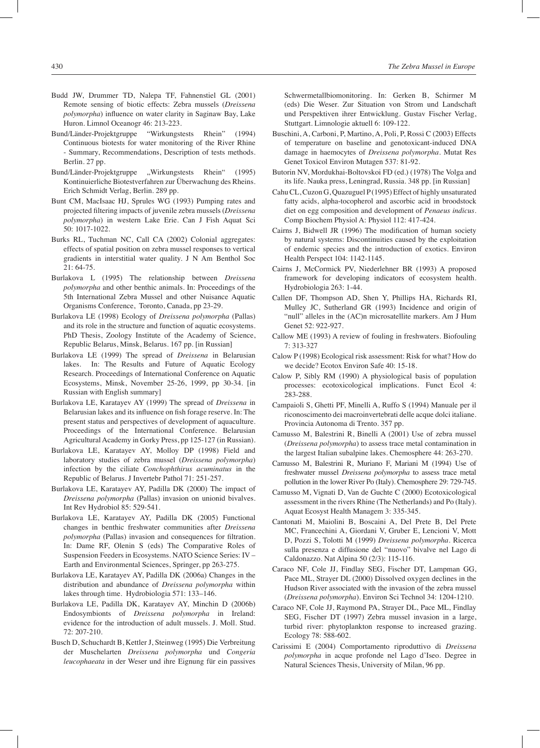- Budd JW, Drummer TD, Nalepa TF, Fahnenstiel GL (2001) Remote sensing of biotic effects: Zebra mussels (*Dreissena polymorpha*) influence on water clarity in Saginaw Bay, Lake Huron. Limnol Oceanogr 46: 213-223.
- Bund/Länder-Projektgruppe "Wirkungstests Rhein" (1994) Continuous biotests for water monitoring of the River Rhine - Summary, Recommendations, Description of tests methods. Berlin. 27 pp.
- Bund/Länder-Projektgruppe .Wirkungstests Rhein" (1995) Kontinuierliche Biotestverfahren zur Überwachung des Rheins. Erich Schmidt Verlag, Berlin. 289 pp.
- Bunt CM, MacIsaac HJ, Sprules WG (1993) Pumping rates and projected filtering impacts of juvenile zebra mussels (*Dreissena polymorpha*) in western Lake Erie. Can J Fish Aquat Sci 50: 1017-1022.
- Burks RL, Tuchman NC, Call CA (2002) Colonial aggregates: effects of spatial position on zebra mussel responses to vertical gradients in interstitial water quality. J N Am Benthol Soc 21: 64-75.
- Burlakova L (1995) The relationship between *Dreissena polymorpha* and other benthic animals. In: Proceedings of the 5th International Zebra Mussel and other Nuisance Aquatic Organisms Conference, Toronto, Canada, pp 23-29.
- Burlakova LE (1998) Ecology of *Dreissena polymorpha* (Pallas) and its role in the structure and function of aquatic ecosystems. PhD Thesis, Zoology Institute of the Academy of Science, Republic Belarus, Minsk, Belarus. 167 pp. [in Russian]
- Burlakova LE (1999) The spread of *Dreissena* in Belarusian lakes. In: The Results and Future of Aquatic Ecology Research. Proceedings of International Conference on Aquatic Ecosystems, Minsk, November 25-26, 1999, pp 30-34. [in Russian with English summary]
- Burlakova LE, Karatayev AY (1999) The spread of *Dreissena* in Belarusian lakes and its influence on fish forage reserve. In: The present status and perspectives of development of aquaculture. Proceedings of the International Conference. Belarusian Agricultural Academy in Gorky Press, pp 125-127 (in Russian).
- Burlakova LE, Karatayev AY, Molloy DP (1998) Field and laboratory studies of zebra mussel (*Dreissena polymorpha*) infection by the ciliate *Conchophthirus acuminatus* in the Republic of Belarus. J Invertebr Pathol 71: 251-257.
- Burlakova LE, Karatayev AY, Padilla DK (2000) The impact of *Dreissena polymorpha* (Pallas) invasion on unionid bivalves. Int Rev Hydrobiol 85: 529-541.
- Burlakova LE, Karatayev AY, Padilla DK (2005) Functional changes in benthic freshwater communities after *Dreissena polymorpha* (Pallas) invasion and consequences for filtration. In: Dame RF, Olenin S (eds) The Comparative Roles of Suspension Feeders in Ecosystems. NATO Science Series: IV – Earth and Environmental Sciences, Springer, pp 263-275.
- Burlakova LE, Karatayev AY, Padilla DK (2006a) Changes in the distribution and abundance of *Dreissena polymorpha* within lakes through time. Hydrobiologia 571: 133–146.
- Burlakova LE, Padilla DK, Karatayev AY, Minchin D (2006b) Endosymbionts of *Dreissena polymorpha* in Ireland: evidence for the introduction of adult mussels. J. Moll. Stud. 72: 207-210.
- Busch D, Schuchardt B, Kettler J, Steinweg (1995) Die Verbreitung der Muschelarten *Dreissena polymorpha* und *Congeria leucophaeata* in der Weser und ihre Eignung für ein passives

Schwermetallbiomonitoring. In: Gerken B, Schirmer M (eds) Die Weser. Zur Situation von Strom und Landschaft und Perspektiven ihrer Entwicklung. Gustav Fischer Verlag, Stuttgart. Limnologie aktuell 6: 109-122.

- Buschini, A, Carboni, P, Martino, A, Poli, P, Rossi C (2003) Effects of temperature on baseline and genotoxicant-induced DNA damage in haemocytes of *Dreissena polymorpha*. Mutat Res Genet Toxicol Environ Mutagen 537: 81-92.
- Butorin NV, Mordukhai-Boltovskoi FD (ed.) (1978) The Volga and its life. Nauka press, Leningrad, Russia. 348 pp. [in Russian]
- Cahu CL, Cuzon G, Quazuguel P (1995) Effect of highly unsaturated fatty acids, alpha-tocopherol and ascorbic acid in broodstock diet on egg composition and development of *Penaeus indicus*. Comp Biochem Physiol A: Physiol 112: 417-424.
- Cairns J, Bidwell JR (1996) The modification of human society by natural systems: Discontinuities caused by the exploitation of endemic species and the introduction of exotics. Environ Health Perspect 104: 1142-1145.
- Cairns J, McCormick PV, Niederlehner BR (1993) A proposed framework for developing indicators of ecosystem health. Hydrobiologia 263: 1-44.
- Callen DF, Thompson AD, Shen Y, Phillips HA, Richards RI, Mulley JC, Sutherland GR (1993) Incidence and origin of "null" alleles in the (AC)n microsatellite markers. Am J Hum Genet 52: 922-927.
- Callow ME (1993) A review of fouling in freshwaters. Biofouling 7: 313-327
- Calow P (1998) Ecological risk assessment: Risk for what? How do we decide? Ecotox Environ Safe 40: 15-18.
- Calow P, Sibly RM (1990) A physiological basis of population processes: ecotoxicological implications. Funct Ecol 4: 283-288.
- Campaioli S, Ghetti PF, Minelli A, Ruffo S (1994) Manuale per il riconoscimento dei macroinvertebrati delle acque dolci italiane. Provincia Autonoma di Trento. 357 pp.
- Camusso M, Balestrini R, Binelli A (2001) Use of zebra mussel (*Dreissena polymorpha*) to assess trace metal contamination in the largest Italian subalpine lakes. Chemosphere 44: 263-270.
- Camusso M, Balestrini R, Muriano F, Mariani M (1994) Use of freshwater mussel *Dreissena polymorpha* to assess trace metal pollution in the lower River Po (Italy). Chemosphere 29: 729-745.
- Camusso M, Vignati D, Van de Guchte C (2000) Ecotoxicological assessment in the rivers Rhine (The Netherlands) and Po (Italy). Aquat Ecosyst Health Managem 3: 335-345.
- Cantonati M, Maiolini B, Boscaini A, Del Prete B, Del Prete MC, Francechini A, Giordani V, Gruber E, Lencioni V, Mott D, Pozzi S, Tolotti M (1999) *Dreissena polymorpha*. Ricerca sulla presenza e diffusione del "nuovo" bivalve nel Lago di Caldonazzo. Nat Alpina 50 (2/3): 115-116.
- Caraco NF, Cole JJ, Findlay SEG, Fischer DT, Lampman GG, Pace ML, Strayer DL (2000) Dissolved oxygen declines in the Hudson River associated with the invasion of the zebra mussel (*Dreissena polymorpha*). Environ Sci Technol 34: 1204-1210.
- Caraco NF, Cole JJ, Raymond PA, Strayer DL, Pace ML, Findlay SEG, Fischer DT (1997) Zebra mussel invasion in a large, turbid river: phytoplankton response to increased grazing. Ecology 78: 588-602.
- Carissimi E (2004) Comportamento riproduttivo di *Dreissena polymorpha* in acque profonde nel Lago d'Iseo. Degree in Natural Sciences Thesis, University of Milan, 96 pp.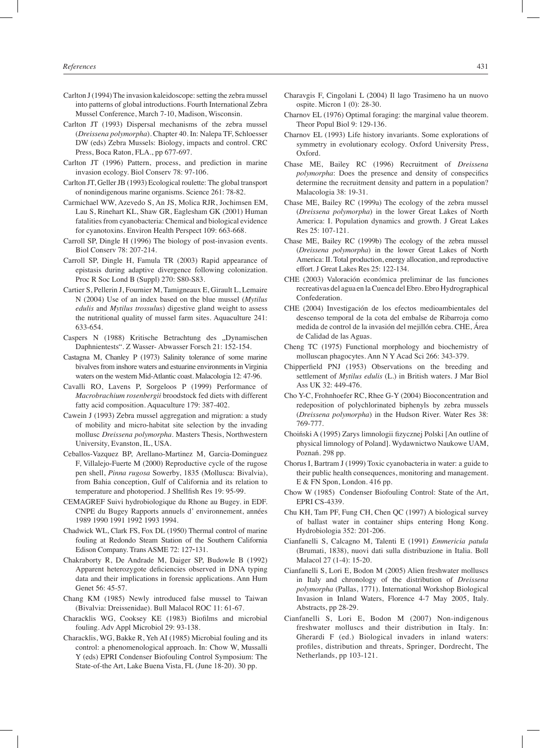- Carlton J (1994) The invasion kaleidoscope: setting the zebra mussel into patterns of global introductions. Fourth International Zebra Mussel Conference, March 7-10, Madison, Wisconsin.
- Carlton JT (1993) Dispersal mechanisms of the zebra mussel (*Dreissena polymorpha*). Chapter 40. In: Nalepa TF, Schloesser DW (eds) Zebra Mussels: Biology, impacts and control. CRC Press, Boca Raton, FLA., pp 677-697.
- Carlton JT (1996) Pattern, process, and prediction in marine invasion ecology. Biol Conserv 78: 97-106.
- Carlton JT, Geller JB (1993) Ecological roulette: The global transport of nonindigenous marine organisms. Science 261: 78-82.
- Carmichael WW, Azevedo S, An JS, Molica RJR, Jochimsen EM, Lau S, Rinehart KL, Shaw GR, Eaglesham GK (2001) Human fatalities from cyanobacteria: Chemical and biological evidence for cyanotoxins. Environ Health Perspect 109: 663-668.
- Carroll SP, Dingle H (1996) The biology of post-invasion events. Biol Conserv 78: 207-214.
- Carroll SP, Dingle H, Famula TR (2003) Rapid appearance of epistasis during adaptive divergence following colonization. Proc R Soc Lond B (Suppl) 270: S80-S83.
- Cartier S, Pellerin J, Fournier M, Tamigneaux E, Girault L, Lemaire N (2004) Use of an index based on the blue mussel (*Mytilus edulis* and *Mytilus trossulus*) digestive gland weight to assess the nutritional quality of mussel farm sites. Aquaculture 241: 633-654.
- Caspers N (1988) Kritische Betrachtung des "Dynamischen Daphnientests". Z Wasser- Abwasser Forsch 21: 152-154.
- Castagna M, Chanley P (1973) Salinity tolerance of some marine bivalves from inshore waters and estuarine environments in Virginia waters on the western Mid-Atlantic coast. Malacologia 12: 47-96.
- Cavalli RO, Lavens P, Sorgeloos P (1999) Performance of *Macrobrachium rosenbergii* broodstock fed diets with different fatty acid composition. Aquaculture 179: 387-402.
- Cawein J (1993) Zebra mussel aggregation and migration: a study of mobility and micro-habitat site selection by the invading mollusc *Dreissena polymorpha*. Masters Thesis, Northwestern University, Evanston, IL, USA.
- Ceballos-Vazquez BP, Arellano-Martinez M, Garcia-Dominguez F, Villalejo-Fuerte M (2000) Reproductive cycle of the rugose pen shell, *Pinna rugosa* Sowerby, 1835 (Mollusca: Bivalvia), from Bahia conception, Gulf of California and its relation to temperature and photoperiod. J Shellfish Res 19: 95-99.
- CEMAGREF Suivi hydrobiologique du Rhone au Bugey. in EDF. CNPE du Bugey Rapports annuels d' environnement, années 1989 1990 1991 1992 1993 1994.
- Chadwick WL, Clark FS, Fox DL (1950) Thermal control of marine fouling at Redondo Steam Station of the Southern California Edison Company. Trans ASME 72: 127‑131.
- Chakraborty R, De Andrade M, Daiger SP, Budowle B (1992) Apparent heterozygote deficiencies observed in DNA typing data and their implications in forensic applications. Ann Hum Genet 56: 45-57.
- Chang KM (1985) Newly introduced false mussel to Taiwan (Bivalvia: Dreissenidae). Bull Malacol ROC 11: 61-67.
- Characklis WG, Cooksey KE (1983) Biofilms and microbial fouling. Adv Appl Microbiol 29: 93-138.
- Characklis, WG, Bakke R, Yeh AI (1985) Microbial fouling and its control: a phenomenological approach. In: Chow W, Mussalli Y (eds) EPRI Condenser Biofouling Control Symposium: The State-of-the Art, Lake Buena Vista, FL (June 18-20). 30 pp.
- Charavgis F, Cingolani L (2004) Il lago Trasimeno ha un nuovo ospite. Micron 1 (0): 28-30.
- Charnov EL (1976) Optimal foraging: the marginal value theorem. Theor Popul Biol 9: 129-136.
- Charnov EL (1993) Life history invariants. Some explorations of symmetry in evolutionary ecology. Oxford University Press, Oxford.
- Chase ME, Bailey RC (1996) Recruitment of *Dreissena polymorpha*: Does the presence and density of conspecifics determine the recruitment density and pattern in a population? Malacologia 38: 19-31.
- Chase ME, Bailey RC (1999a) The ecology of the zebra mussel (*Dreissena polymorpha*) in the lower Great Lakes of North America: I. Population dynamics and growth. J Great Lakes Res 25: 107-121.
- Chase ME, Bailey RC (1999b) The ecology of the zebra mussel (*Dreissena polymorpha*) in the lower Great Lakes of North America: II. Total production, energy allocation, and reproductive effort. J Great Lakes Res 25: 122-134.
- CHE (2003) Valoración económica preliminar de las funciones recreativas del agua en la Cuenca del Ebro. Ebro Hydrographical Confederation.
- CHE (2004) Investigación de los efectos medioambientales del descenso temporal de la cota del embalse de Ribarroja como medida de control de la invasión del mejillón cebra. CHE, Área de Calidad de las Aguas.
- Cheng TC (1975) Functional morphology and biochemistry of molluscan phagocytes. Ann N Y Acad Sci 266: 343-379.
- Chipperfield PNJ (1953) Observations on the breeding and settlement of *Mytilus edulis* (L.) in British waters. J Mar Biol Ass UK 32: 449-476.
- Cho Y-C, Frohnhoefer RC, Rhee G-Y (2004) Bioconcentration and redeposition of polychlorinated biphenyls by zebra mussels (*Dreissena polymorpha*) in the Hudson River. Water Res 38: 769-777.
- Choiński A (1995) Zarys limnologii fizycznej Polski [An outline of physical limnology of Poland]. Wydawnictwo Naukowe UAM, Poznań. 298 pp.
- Chorus I, Bartram J (1999) Toxic cyanobacteria in water: a guide to their public health consequences, monitoring and management. E & FN Spon, London. 416 pp.
- Chow W (1985) Condenser Biofouling Control: State of the Art, EPRI CS-4339.
- Chu KH, Tam PF, Fung CH, Chen QC (1997) A biological survey of ballast water in container ships entering Hong Kong. Hydrobiologia 352: 201-206.
- Cianfanelli S, Calcagno M, Talenti E (1991) *Emmericia patula* (Brumati, 1838), nuovi dati sulla distribuzione in Italia. Boll Malacol 27 (1-4): 15-20.
- Cianfanelli S, Lori E, Bodon M (2005) Alien freshwater molluscs in Italy and chronology of the distribution of *Dreissena polymorpha* (Pallas, 1771). International Workshop Biological Invasion in Inland Waters, Florence 4-7 May 2005, Italy. Abstracts, pp 28-29.
- Cianfanelli S, Lori E, Bodon M (2007) Non-indigenous freshwater molluscs and their distribution in Italy. In: Gherardi F (ed.) Biological invaders in inland waters: profiles, distribution and threats, Springer, Dordrecht, The Netherlands, pp 103-121.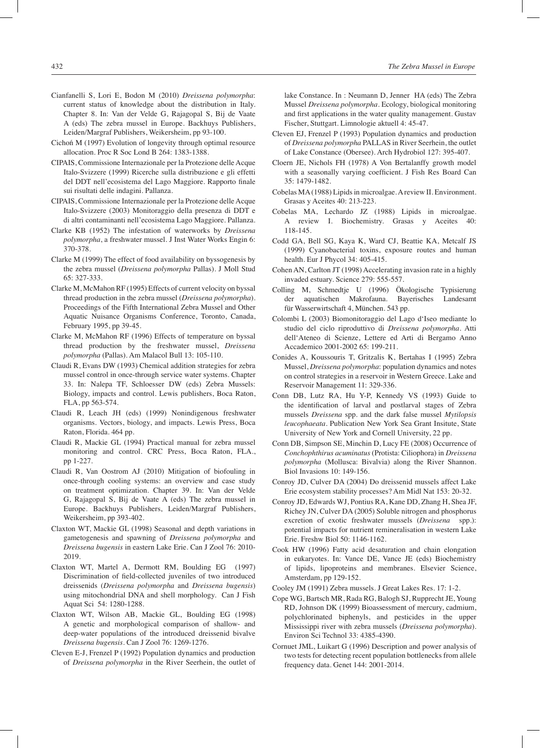- Cianfanelli S, Lori E, Bodon M (2010) *Dreissena polymorpha*: current status of knowledge about the distribution in Italy. Chapter 8. In: Van der Velde G, Rajagopal S, Bij de Vaate A (eds) The zebra mussel in Europe. Backhuys Publishers, Leiden/Margraf Publishers, Weikersheim, pp 93-100.
- Cichoń M (1997) Evolution of longevity through optimal resource allocation. Proc R Soc Lond B 264: 1383-1388.
- CIPAIS, Commissione Internazionale per la Protezione delle Acque Italo-Svizzere (1999) Ricerche sulla distribuzione e gli effetti del DDT nell'ecosistema del Lago Maggiore. Rapporto finale sui risultati delle indagini. Pallanza.
- CIPAIS, Commissione Internazionale per la Protezione delle Acque Italo-Svizzere (2003) Monitoraggio della presenza di DDT e di altri contaminanti nell'ecosistema Lago Maggiore. Pallanza.
- Clarke KB (1952) The infestation of waterworks by *Dreissena polymorpha*, a freshwater mussel. J Inst Water Works Engin 6: 370-378.
- Clarke M (1999) The effect of food availability on byssogenesis by the zebra mussel (*Dreissena polymorpha* Pallas). J Moll Stud 65: 327-333.
- Clarke M, McMahon RF (1995) Effects of current velocity on byssal thread production in the zebra mussel (*Dreissena polymorpha*). Proceedings of the Fifth International Zebra Mussel and Other Aquatic Nuisance Organisms Conference, Toronto, Canada, February 1995, pp 39-45.
- Clarke M, McMahon RF (1996) Effects of temperature on byssal thread production by the freshwater mussel, *Dreissena polymorpha* (Pallas). Am Malacol Bull 13: 105-110.
- Claudi R, Evans DW (1993) Chemical addition strategies for zebra mussel control in once-through service water systems. Chapter 33. In: Nalepa TF, Schloesser DW (eds) Zebra Mussels: Biology, impacts and control. Lewis publishers, Boca Raton, FLA, pp 563-574.
- Claudi R, Leach JH (eds) (1999) Nonindigenous freshwater organisms. Vectors, biology, and impacts. Lewis Press, Boca Raton, Florida. 464 pp.
- Claudi R, Mackie GL (1994) Practical manual for zebra mussel monitoring and control. CRC Press, Boca Raton, FLA., pp 1-227.
- Claudi R, Van Oostrom AJ (2010) Mitigation of biofouling in once-through cooling systems: an overview and case study on treatment optimization. Chapter 39. In: Van der Velde G, Rajagopal S, Bij de Vaate A (eds) The zebra mussel in Europe. Backhuys Publishers, Leiden/Margraf Publishers, Weikersheim, pp 393-402.
- Claxton WT, Mackie GL (1998) Seasonal and depth variations in gametogenesis and spawning of *Dreissena polymorpha* and *Dreissena bugensis* in eastern Lake Erie. Can J Zool 76: 2010- 2019.
- Claxton WT, Martel A, Dermott RM, Boulding EG (1997) Discrimination of field-collected juveniles of two introduced dreissenids (*Dreissena polymorpha* and *Dreissena bugensis*) using mitochondrial DNA and shell morphology. Can J Fish Aquat Sci 54: 1280-1288.
- Claxton WT, Wilson AB, Mackie GL, Boulding EG (1998) A genetic and morphological comparison of shallow- and deep-water populations of the introduced dreissenid bivalve *Dreissena bugensis*. Can J Zool 76: 1269-1276.
- Cleven E-J, Frenzel P (1992) Population dynamics and production of *Dreissena polymorpha* in the River Seerhein, the outlet of

lake Constance. In : Neumann D, Jenner HA (eds) The Zebra Mussel *Dreissena polymorpha*. Ecology, biological monitoring and first applications in the water quality management. Gustav Fischer, Stuttgart. Limnologie aktuell 4: 45-47.

- Cleven EJ, Frenzel P (1993) Population dynamics and production of *Dreissena polymorpha* PALLAS in River Seerhein, the outlet of Lake Constance (Obersee). Arch Hydrobiol 127: 395-407.
- Cloern JE, Nichols FH (1978) A Von Bertalanffy growth model with a seasonally varying coefficient. J Fish Res Board Can 35: 1479-1482.
- Cobelas MA (1988) Lipids in microalgae. A review II. Environment. Grasas y Aceites 40: 213-223.
- Cobelas MA, Lechardo JZ (1988) Lipids in microalgae. A review I. Biochemistry. Grasas y Aceites 40: 118-145.
- Codd GA, Bell SG, Kaya K, Ward CJ, Beattie KA, Metcalf JS (1999) Cyanobacterial toxins, exposure routes and human health. Eur J Phycol 34: 405-415.
- Cohen AN, Carlton JT (1998) Accelerating invasion rate in a highly invaded estuary. Science 279: 555-557.
- Colling M, Schmedtje U (1996) Ökologische Typisierung der aquatischen Makrofauna. Bayerisches Landesamt für Wasserwirtschaft 4, München. 543 pp.
- Colombi L (2003) Biomonitoraggio del Lago d'Iseo mediante lo studio del ciclo riproduttivo di *Dreissena polymorpha*. Atti dell'Ateneo di Scienze, Lettere ed Arti di Bergamo Anno Accademico 2001-2002 65: 199-211.
- Conides A, Koussouris T, Gritzalis K, Bertahas I (1995) Zebra Mussel, *Dreissena polymorpha*: population dynamics and notes on control strategies in a reservoir in Western Greece. Lake and Reservoir Management 11: 329-336.
- Conn DB, Lutz RA, Hu Y-P, Kennedy VS (1993) Guide to the identification of larval and postlarval stages of Zebra mussels *Dreissena* spp. and the dark false mussel *Mytilopsis leucophaeata*. Publication New York Sea Grant Insitute, State University of New York and Cornell University, 22 pp.
- Conn DB, Simpson SE, Minchin D, Lucy FE (2008) Occurrence of *Conchophthirus acuminatus* (Protista: Ciliophora) in *Dreissena polymorpha* (Mollusca: Bivalvia) along the River Shannon. Biol Invasions 10: 149-156.
- Conroy JD, Culver DA (2004) Do dreissenid mussels affect Lake Erie ecosystem stability processes? Am Midl Nat 153: 20-32.
- Conroy JD, Edwards WJ, Pontius RA, Kane DD, Zhang H, Shea JF, Richey JN, Culver DA (2005) Soluble nitrogen and phosphorus excretion of exotic freshwater mussels (*Dreissena* spp.): potential impacts for nutrient remineralisation in western Lake Erie. Freshw Biol 50: 1146-1162.
- Cook HW (1996) Fatty acid desaturation and chain elongation in eukaryotes. In: Vance DE, Vance JE (eds) Biochemistry of lipids, lipoproteins and membranes. Elsevier Science, Amsterdam, pp 129-152.

Cooley JM (1991) Zebra mussels. J Great Lakes Res. 17: 1-2.

- Cope WG, Bartsch MR, Rada RG, Balogh SJ, Rupprecht JE, Young RD, Johnson DK (1999) Bioassessment of mercury, cadmium, polychlorinated biphenyls, and pesticides in the upper Mississippi river with zebra mussels (*Dreissena polymorpha*). Environ Sci Technol 33: 4385-4390.
- Cornuet JML, Luikart G (1996) Description and power analysis of two tests for detecting recent population bottlenecks from allele frequency data. Genet 144: 2001-2014.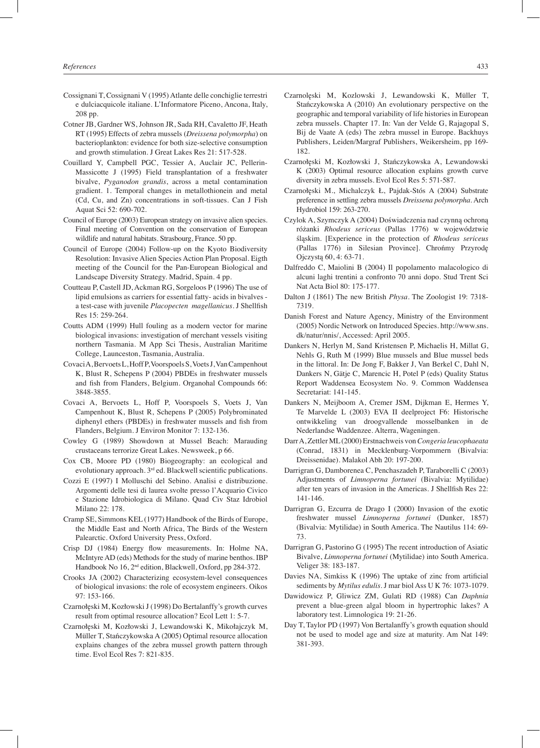- Cossignani T, Cossignani V (1995) Atlante delle conchiglie terrestri e dulciacquicole italiane. L'Informatore Piceno, Ancona, Italy, 208 pp.
- Cotner JB, Gardner WS, Johnson JR, Sada RH, Cavaletto JF, Heath RT (1995) Effects of zebra mussels (*Dreissena polymorpha*) on bacterioplankton: evidence for both size-selective consumption and growth stimulation. J Great Lakes Res 21: 517-528.
- Couillard Y, Campbell PGC, Tessier A, Auclair JC, Pellerin-Massicotte J (1995) Field transplantation of a freshwater bivalve, *Pyganodon grandis*, across a metal contamination gradient. 1. Temporal changes in metallothionein and metal (Cd, Cu, and Zn) concentrations in soft-tissues. Can J Fish Aquat Sci 52: 690-702.
- Council of Europe (2003) European strategy on invasive alien species. Final meeting of Convention on the conservation of European wildlife and natural habitats. Strasbourg, France. 50 pp.
- Council of Europe (2004) Follow-up on the Kyoto Biodiversity Resolution: Invasive Alien Species Action Plan Proposal. Eigth meeting of the Council for the Pan-European Biological and Landscape Diversity Strategy. Madrid, Spain. 4 pp.
- Coutteau P, Castell JD, Ackman RG, Sorgeloos P (1996) The use of lipid emulsions as carriers for essential fatty- acids in bivalves a test-case with juvenile *Placopecten magellanicus*. J Shellfish Res 15: 259-264.
- Coutts ADM (1999) Hull fouling as a modern vector for marine biological invasions: investigation of merchant vessels visiting northern Tasmania. M App Sci Thesis, Australian Maritime College, Launceston, Tasmania, Australia.
- Covaci A, Bervoets L, Hoff P, Voorspoels S, Voets J, Van Campenhout K, Blust R, Schepens P (2004) PBDEs in freshwater mussels and fish from Flanders, Belgium. Organohal Compounds 66: 3848-3855.
- Covaci A, Bervoets L, Hoff P, Voorspoels S, Voets J, Van Campenhout K, Blust R, Schepens P (2005) Polybrominated diphenyl ethers (PBDEs) in freshwater mussels and fish from Flanders, Belgium. J Environ Monitor 7: 132-136.
- Cowley G (1989) Showdown at Mussel Beach: Marauding crustaceans terrorize Great Lakes. Newsweek, p 66.
- Cox CB, Moore PD (1980) Biogeography: an ecological and evolutionary approach. 3<sup>rd</sup> ed. Blackwell scientific publications.
- Cozzi E (1997) I Molluschi del Sebino. Analisi e distribuzione. Argomenti delle tesi di laurea svolte presso l'Acquario Civico e Stazione Idrobiologica di Milano. Quad Civ Staz Idrobiol Milano 22: 178.
- Cramp SE, Simmons KEL (1977) Handbook of the Birds of Europe, the Middle East and North Africa, The Birds of the Western Palearctic. Oxford University Press, Oxford.
- Crisp DJ (1984) Energy flow measurements. In: Holme NA, McIntyre AD (eds) Methods for the study of marine benthos. IBP Handbook No 16, 2nd edition, Blackwell, Oxford, pp 284-372.
- Crooks JA (2002) Characterizing ecosystem-level consequences of biological invasions: the role of ecosystem engineers. Oikos 97: 153-166.
- Czarnołęski M, Kozłowski J (1998) Do Bertalanffy's growth curves result from optimal resource allocation? Ecol Lett 1: 5-7.
- Czarnołęski M, Kozłowski J, Lewandowski K, Mikołajczyk M, Müller T, Stańczykowska A (2005) Optimal resource allocation explains changes of the zebra mussel growth pattern through time. Evol Ecol Res 7: 821-835.
- Czarnolęski M, Kozlowski J, Lewandowski K, Müller T, Stańczykowska A (2010) An evolutionary perspective on the geographic and temporal variability of life histories in European zebra mussels. Chapter 17. In: Van der Velde G, Rajagopal S, Bij de Vaate A (eds) The zebra mussel in Europe. Backhuys Publishers, Leiden/Margraf Publishers, Weikersheim, pp 169- 182.
- Czarnołęski M, Kozłowski J, Stańczykowska A, Lewandowski K (2003) Optimal resource allocation explains growth curve diversity in zebra mussels. Evol Ecol Res 5: 571-587.
- Czarnołęski M., Michalczyk Ł, Pajdak-Stós A (2004) Substrate preference in settling zebra mussels *Dreissena polymorpha*. Arch Hydrobiol 159: 263-270.
- Czylok A, Szymczyk A (2004) Doświadczenia nad czynną ochroną różanki *Rhodeus sericeus* (Pallas 1776) w województwie śląskim. [Experience in the protection of *Rhodeus sericeus* (Pallas 1776) in Silesian Province]. Chrońmy Przyrodę Ojczystą 60, 4: 63-71.
- Dalfreddo C, Maiolini B (2004) Il popolamento malacologico di alcuni laghi trentini a confronto 70 anni dopo. Stud Trent Sci Nat Acta Biol 80: 175-177.
- Dalton J (1861) The new British *Physa*. The Zoologist 19: 7318- 7319.
- Danish Forest and Nature Agency, Ministry of the Environment (2005) Nordic Network on Introduced Species. http://www.sns. dk/natur/nnis/, Accessed: April 2005.
- Dankers N, Herlyn M, Sand Kristensen P, Michaelis H, Millat G, Nehls G, Ruth M (1999) Blue mussels and Blue mussel beds in the littoral. In: De Jong F, Bakker J, Van Berkel C, Dahl N, Dankers N, Gätje C, Marencic H, Potel P (eds) Quality Status Report Waddensea Ecosystem No. 9. Common Waddensea Secretariat: 141-145.
- Dankers N, Meijboom A, Cremer JSM, Dijkman E, Hermes Y, Te Marvelde L (2003) EVA II deelproject F6: Historische ontwikkeling van droogvallende mosselbanken in de Nederlandse Waddenzee. Alterra, Wageningen.
- Darr A, Zettler ML (2000) Erstnachweis von *Congeria leucophaeata* (Conrad, 1831) in Mecklenburg-Vorpommern (Bivalvia: Dreissenidae). Malakol Abh 20: 197-200.
- Darrigran G, Damborenea C, Penchaszadeh P, Taraborelli C (2003) Adjustments of *Limnoperna fortunei* (Bivalvia: Mytilidae) after ten years of invasion in the Americas. J Shellfish Res 22: 141-146.
- Darrigran G, Ezcurra de Drago I (2000) Invasion of the exotic freshwater mussel *Limnoperna fortunei* (Dunker, 1857) (Bivalvia: Mytilidae) in South America. The Nautilus 114: 69- 73.
- Darrigran G, Pastorino G (1995) The recent introduction of Asiatic Bivalve, *Limnoperna fortunei* (Mytilidae) into South America. Veliger 38: 183-187.
- Davies NA, Simkiss K (1996) The uptake of zinc from artificial sediments by *Mytilus edulis*. J mar biol Ass U K 76: 1073-1079.
- Dawidowicz P, Gliwicz ZM, Gulati RD (1988) Can *Daphnia* prevent a blue-green algal bloom in hypertrophic lakes? A laboratory test. Limnologica 19: 21-26.
- Day T, Taylor PD (1997) Von Bertalanffy's growth equation should not be used to model age and size at maturity. Am Nat 149: 381-393.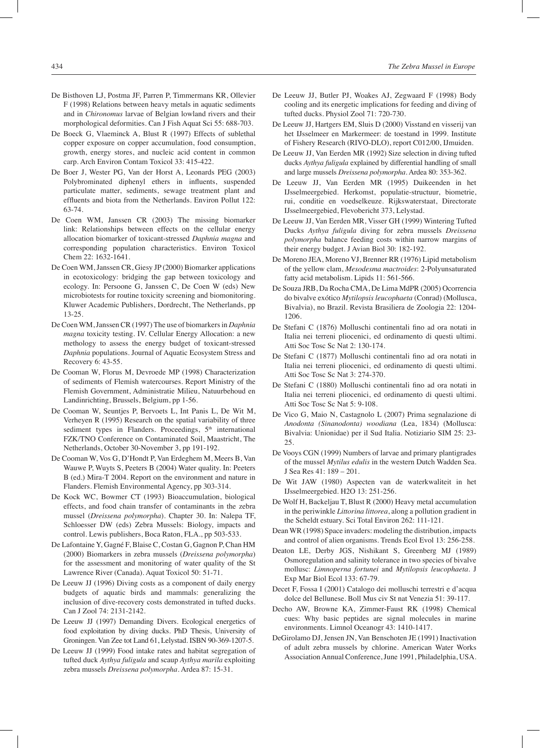- De Bisthoven LJ, Postma JF, Parren P, Timmermans KR, Ollevier F (1998) Relations between heavy metals in aquatic sediments and in *Chironomus* larvae of Belgian lowland rivers and their morphological deformities. Can J Fish Aquat Sci 55: 688-703.
- De Boeck G, Vlaeminck A, Blust R (1997) Effects of sublethal copper exposure on copper accumulation, food consumption, growth, energy stores, and nucleic acid content in common carp. Arch Environ Contam Toxicol 33: 415-422.
- De Boer J, Wester PG, Van der Horst A, Leonards PEG (2003) Polybrominated diphenyl ethers in influents, suspended particulate matter, sediments, sewage treatment plant and effluents and biota from the Netherlands. Environ Pollut 122: 63-74.
- De Coen WM, Janssen CR (2003) The missing biomarker link: Relationships between effects on the cellular energy allocation biomarker of toxicant-stressed *Daphnia magna* and corresponding population characteristics. Environ Toxicol Chem 22: 1632-1641.
- De Coen WM, Janssen CR, Giesy JP (2000) Biomarker applications in ecotoxicology: bridging the gap between toxicology and ecology. In: Persoone G, Janssen C, De Coen W (eds) New microbiotests for routine toxicity screening and biomonitoring. Kluwer Academic Publishers, Dordrecht, The Netherlands, pp 13-25.
- De Coen WM, Janssen CR (1997) The use of biomarkers in *Daphnia magna* toxicity testing. IV. Cellular Energy Allocation: a new methology to assess the energy budget of toxicant-stressed *Daphnia* populations. Journal of Aquatic Ecosystem Stress and Recovery 6: 43-55.
- De Cooman W, Florus M, Devroede MP (1998) Characterization of sediments of Flemish watercourses. Report Ministry of the Flemish Government, Administratie Milieu, Natuurbehoud en Landinrichting, Brussels, Belgium, pp 1-56.
- De Cooman W, Seuntjes P, Bervoets L, Int Panis L, De Wit M, Verheyen R (1995) Research on the spatial variability of three sediment types in Flanders. Proceedings, 5<sup>th</sup> international FZK/TNO Conference on Contaminated Soil, Maastricht, The Netherlands, October 30-November 3, pp 191-192.
- De Cooman W, Vos G, D'Hondt P, Van Erdeghem M, Meers B, Van Wauwe P, Wuyts S, Peeters B (2004) Water quality. In: Peeters B (ed.) Mira-T 2004. Report on the environment and nature in Flanders. Flemish Environmental Agency, pp 303-314.
- De Kock WC, Bowmer CT (1993) Bioaccumulation, biological effects, and food chain transfer of contaminants in the zebra mussel (*Dreissena polymorpha*). Chapter 30. In: Nalepa TF, Schloesser DW (eds) Zebra Mussels: Biology, impacts and control. Lewis publishers, Boca Raton, FLA., pp 503-533.
- De Lafontaine Y, Gagné F, Blaise C, Costan G, Gagnon P, Chan HM (2000) Biomarkers in zebra mussels (*Dreissena polymorpha*) for the assessment and monitoring of water quality of the St Lawrence River (Canada). Aquat Toxicol 50: 51-71.
- De Leeuw JJ (1996) Diving costs as a component of daily energy budgets of aquatic birds and mammals: generalizing the inclusion of dive-recovery costs demonstrated in tufted ducks. Can J Zool 74: 2131-2142.
- De Leeuw JJ (1997) Demanding Divers. Ecological energetics of food exploitation by diving ducks. PhD Thesis, University of Groningen. Van Zee tot Land 61, Lelystad. ISBN 90-369-1207-5.
- De Leeuw JJ (1999) Food intake rates and habitat segregation of tufted duck *Aythya fuligula* and scaup *Aythya marila* exploiting zebra mussels *Dreissena polymorpha*. Ardea 87: 15-31.
- De Leeuw JJ, Butler PJ, Woakes AJ, Zegwaard F (1998) Body cooling and its energetic implications for feeding and diving of tufted ducks. Physiol Zool 71: 720-730.
- De Leeuw JJ, Hartgers EM, Sluis D (2000) Visstand en visserij van het IJsselmeer en Markermeer: de toestand in 1999. Institute of Fishery Research (RIVO-DLO), report C012/00, IJmuiden.
- De Leeuw JJ, Van Eerden MR (1992) Size selection in diving tufted ducks *Aythya fuligula* explained by differential handling of small and large mussels *Dreissena polymorpha*. Ardea 80: 353-362.
- De Leeuw JJ, Van Eerden MR (1995) Duikeenden in het IJsselmeergebied. Herkomst, populatie-structuur, biometrie, rui, conditie en voedselkeuze. Rijkswaterstaat, Directorate IJsselmeergebied, Flevobericht 373, Lelystad.
- De Leeuw JJ, Van Eerden MR, Visser GH (1999) Wintering Tufted Ducks *Aythya fuligula* diving for zebra mussels *Dreissena polymorpha* balance feeding costs within narrow margins of their energy budget. J Avian Biol 30: 182-192.
- De Moreno JEA, Moreno VJ, Brenner RR (1976) Lipid metabolism of the yellow clam, *Mesodesma mactroides*: 2-Polyunsaturated fatty acid metabolism. Lipids 11: 561-566.
- De Souza JRB, Da Rocha CMA, De Lima MdPR (2005) Ocorrencia do bivalve exótico *Mytilopsis leucophaeta* (Conrad) (Mollusca, Bivalvia), no Brazil. Revista Brasiliera de Zoologia 22: 1204- 1206.
- De Stefani C (1876) Molluschi continentali fino ad ora notati in Italia nei terreni pliocenici, ed ordinamento di questi ultimi. Atti Soc Tosc Sc Nat 2: 130-174.
- De Stefani C (1877) Molluschi continentali fino ad ora notati in Italia nei terreni pliocenici, ed ordinamento di questi ultimi. Atti Soc Tosc Sc Nat 3: 274-370.
- De Stefani C (1880) Molluschi continentali fino ad ora notati in Italia nei terreni pliocenici, ed ordinamento di questi ultimi. Atti Soc Tosc Sc Nat 5: 9-108.
- De Vico G, Maio N, Castagnolo L (2007) Prima segnalazione di *Anodonta (Sinanodonta) woodiana* (Lea, 1834) (Mollusca: Bivalvia: Unionidae) per il Sud Italia. Notiziario SIM 25: 23- 25.
- De Vooys CGN (1999) Numbers of larvae and primary plantigrades of the mussel *Mytilus edulis* in the western Dutch Wadden Sea. J Sea Res 41: 189 – 201.
- De Wit JAW (1980) Aspecten van de waterkwaliteit in het IJsselmeergebied. H2O 13: 251-256.
- De Wolf H, Backeljau T, Blust R (2000) Heavy metal accumulation in the periwinkle *Littorina littorea*, along a pollution gradient in the Scheldt estuary. Sci Total Environ 262: 111-121.
- Dean WR (1998) Space invaders: modeling the distribution, impacts and control of alien organisms. Trends Ecol Evol 13: 256-258.
- Deaton LE, Derby JGS, Nishikant S, Greenberg MJ (1989) Osmoregulation and salinity tolerance in two species of bivalve mollusc: *Limnoperna fortunei* and *Mytilopsis leucophaeta*. J Exp Mar Biol Ecol 133: 67-79.
- Decet F, Fossa I (2001) Catalogo dei molluschi terrestri e d'acqua dolce del Bellunese. Boll Mus civ St nat Venezia 51: 39-117.
- Decho AW, Browne KA, Zimmer-Faust RK (1998) Chemical cues: Why basic peptides are signal molecules in marine environments. Limnol Oceanogr 43: 1410-1417.
- DeGirolamo DJ, Jensen JN, Van Benschoten JE (1991) Inactivation of adult zebra mussels by chlorine. American Water Works Association Annual Conference, June 1991, Philadelphia, USA.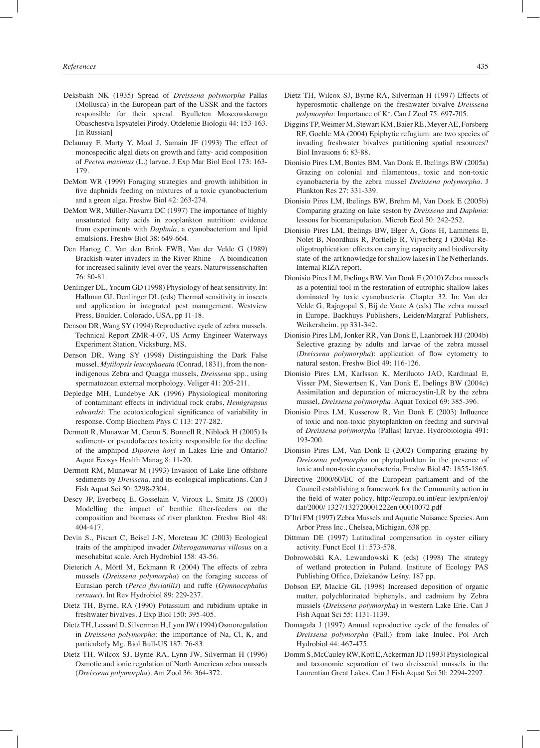- Deksbakh NK (1935) Spread of *Dreissena polymorpha* Pallas (Mollusca) in the European part of the USSR and the factors responsible for their spread. Byulleten Moscowskowgo Obaschestva Ispyatelei Pirody. Otdelenie Biologii 44: 153-163. [in Russian]
- Delaunay F, Marty Y, Moal J, Samain JF (1993) The effect of monospecific algal diets on growth and fatty- acid composition of *Pecten maximus* (L.) larvae. J Exp Mar Biol Ecol 173: 163- 179.
- DeMott WR (1999) Foraging strategies and growth inhibition in five daphnids feeding on mixtures of a toxic cyanobacterium and a green alga. Freshw Biol 42: 263-274.
- DeMott WR, Müller-Navarra DC (1997) The importance of highly unsaturated fatty acids in zooplankton nutrition: evidence from experiments with *Daphnia*, a cyanobacterium and lipid emulsions. Freshw Biol 38: 649-664.
- Den Hartog C, Van den Brink FWB, Van der Velde G (1989) Brackish-water invaders in the River Rhine – A bioindication for increased salinity level over the years. Naturwissenschaften 76: 80-81.
- Denlinger DL, Yocum GD (1998) Physiology of heat sensitivity. In: Hallman GJ, Denlinger DL (eds) Thermal sensitivity in insects and application in integrated pest management. Westview Press, Boulder, Colorado, USA, pp 11-18.
- Denson DR, Wang SY (1994) Reproductive cycle of zebra mussels. Technical Report ZMR-4-07, US Army Engineer Waterways Experiment Station, Vicksburg, MS.
- Denson DR, Wang SY (1998) Distinguishing the Dark False mussel, *Mytilopsis leucophaeata* (Conrad, 1831), from the nonindigenous Zebra and Quagga mussels, *Dreissena* spp., using spermatozoan external morphology. Veliger 41: 205-211.
- Depledge MH, Lundebye AK (1996) Physiological monitoring of contaminant effects in individual rock crabs, *Hemigrapsus edwardsi*: The ecotoxicological significance of variability in response. Comp Biochem Phys C 113: 277-282.
- Dermott R, Munawar M, Carou S, Bonnell R, Niblock H (2005) Is sediment- or pseudofaeces toxicity responsible for the decline of the amphipod *Diporeia hoyi* in Lakes Erie and Ontario? Aquat Ecosys Health Manag 8: 11-20.
- Dermott RM, Munawar M (1993) Invasion of Lake Erie offshore sediments by *Dreissena*, and its ecological implications. Can J Fish Aquat Sci 50: 2298-2304.
- Descy JP, Everbecq E, Gosselain V, Viroux L, Smitz JS (2003) Modelling the impact of benthic filter-feeders on the composition and biomass of river plankton. Freshw Biol 48: 404-417.
- Devin S., Piscart C, Beisel J-N, Moreteau JC (2003) Ecological traits of the amphipod invader *Dikerogammarus villosus* on a mesohabitat scale. Arch Hydrobiol 158: 43-56.
- Dieterich A, Mörtl M, Eckmann R (2004) The effects of zebra mussels (*Dreissena polymorpha*) on the foraging success of Eurasian perch (*Perca fluviatilis*) and ruffe (*Gymnocephalus cernuus*). Int Rev Hydrobiol 89: 229-237.
- Dietz TH, Byrne, RA (1990) Potassium and rubidium uptake in freshwater bivalves. J Exp Biol 150: 395-405.
- Dietz TH, Lessard D, Silverman H, Lynn JW (1994) Osmoregulation in *Dreissena polymorpha*: the importance of Na, Cl, K, and particularly Mg. Biol Bull-US 187: 76-83.
- Dietz TH, Wilcox SJ, Byrne RA, Lynn JW, Silverman H (1996) Osmotic and ionic regulation of North American zebra mussels (*Dreissena polymorpha*). Am Zool 36: 364-372.
- Dietz TH, Wilcox SJ, Byrne RA, Silverman H (1997) Effects of hyperosmotic challenge on the freshwater bivalve *Dreissena polymorpha*: Importance of K+ . Can J Zool 75: 697-705.
- Diggins TP, Weimer M, Stewart KM, Baier RE, Meyer AE, Forsberg RF, Goehle MA (2004) Epiphytic refugium: are two species of invading freshwater bivalves partitioning spatial resources? Biol Invasions 6: 83-88.
- Dionisio Pires LM, Bontes BM, Van Donk E, Ibelings BW (2005a) Grazing on colonial and filamentous, toxic and non-toxic cyanobacteria by the zebra mussel *Dreissena polymorpha*. J Plankton Res 27: 331-339.
- Dionisio Pires LM, Ibelings BW, Brehm M, Van Donk E (2005b) Comparing grazing on lake seston by *Dreissena* and *Daphnia*: lessons for biomanipulation. Microb Ecol 50: 242-252.
- Dionisio Pires LM, Ibelings BW, Elger A, Gons H, Lammens E, Nolet B, Noordhuis R, Portielje R, Vijverberg J (2004a) Reoligotrophication: effects on carrying capacity and biodiversity state-of-the-art knowledge for shallow lakes in The Netherlands. Internal RIZA report.
- Dionisio Pires LM, Ibelings BW, Van Donk E (2010) Zebra mussels as a potential tool in the restoration of eutrophic shallow lakes dominated by toxic cyanobacteria. Chapter 32. In: Van der Velde G, Rajagopal S, Bij de Vaate A (eds) The zebra mussel in Europe. Backhuys Publishers, Leiden/Margraf Publishers, Weikersheim, pp 331-342.
- Dionisio Pires LM, Jonker RR, Van Donk E, Laanbroek HJ (2004b) Selective grazing by adults and larvae of the zebra mussel (*Dreissena polymorpha*): application of flow cytometry to natural seston. Freshw Biol 49: 116-126.
- Dionisio Pires LM, Karlsson K, Meriluoto JAO, Kardinaal E, Visser PM, Siewertsen K, Van Donk E, Ibelings BW (2004c) Assimilation and depuration of microcystin-LR by the zebra mussel, *Dreissena polymorpha*. Aquat Toxicol 69: 385-396.
- Dionisio Pires LM, Kusserow R, Van Donk E (2003) Influence of toxic and non-toxic phytoplankton on feeding and survival of *Dreissena polymorpha* (Pallas) larvae. Hydrobiologia 491: 193-200.
- Dionisio Pires LM, Van Donk E (2002) Comparing grazing by *Dreissena polymorpha* on phytoplankton in the presence of toxic and non-toxic cyanobacteria. Freshw Biol 47: 1855-1865.
- Directive 2000/60/EC of the European parliament and of the Council establishing a framework for the Community action in the field of water policy. http://europa.eu.int/eur-lex/pri/en/oj/ dat/2000/ 1327/132720001222en 00010072.pdf
- D'Itri FM (1997) Zebra Mussels and Aquatic Nuisance Species. Ann Arbor Press Inc., Chelsea, Michigan, 638 pp.
- Dittman DE (1997) Latitudinal compensation in oyster ciliary activity. Funct Ecol 11: 573-578.
- Dobrowolski KA, Lewandowski K (eds) (1998) The strategy of wetland protection in Poland. Institute of Ecology PAS Publishing Office, Dziekanów Leśny. 187 pp.
- Dobson EP, Mackie GL (1998) Increased deposition of organic matter, polychlorinated biphenyls, and cadmium by Zebra mussels (*Dreissena polymorpha*) in western Lake Erie. Can J Fish Aquat Sci 55: 1131-1139.
- Domagała J (1997) Annual reproductive cycle of the females of *Dreissena polymorpha* (Pall.) from lake Inulec. Pol Arch Hydrobiol 44: 467-475.
- Domm S, McCauley RW, Kott E, Ackerman JD (1993) Physiological and taxonomic separation of two dreissenid mussels in the Laurentian Great Lakes. Can J Fish Aquat Sci 50: 2294-2297.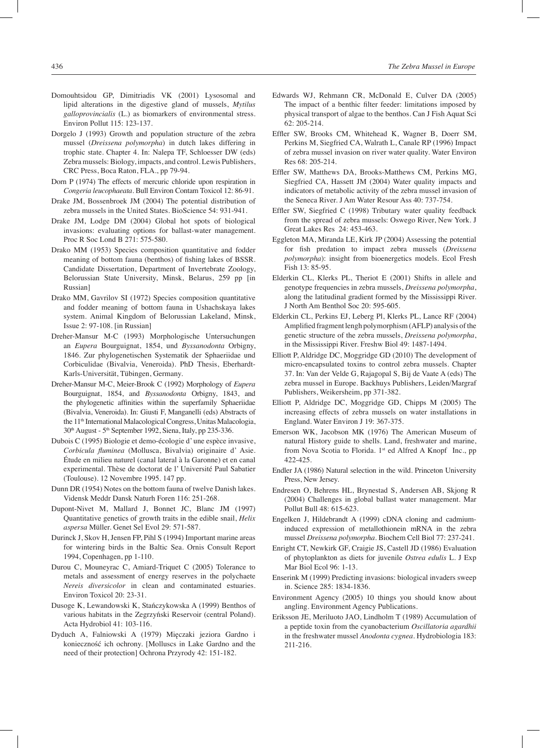- Domouhtsidou GP, Dimitriadis VK (2001) Lysosomal and lipid alterations in the digestive gland of mussels, *Mytilus galloprovincialis* (L.) as biomarkers of environmental stress. Environ Pollut 115: 123-137.
- Dorgelo J (1993) Growth and population structure of the zebra mussel (*Dreissena polymorpha*) in dutch lakes differing in trophic state. Chapter 4. In: Nalepa TF, Schloesser DW (eds) Zebra mussels: Biology, impacts, and control. Lewis Publishers, CRC Press, Boca Raton, FLA., pp 79-94.
- Dorn P (1974) The effects of mercuric chloride upon respiration in *Congeria leucophaeata*. Bull Environ Contam Toxicol 12: 86-91.
- Drake JM, Bossenbroek JM (2004) The potential distribution of zebra mussels in the United States. BioScience 54: 931-941.
- Drake JM, Lodge DM (2004) Global hot spots of biological invasions: evaluating options for ballast-water management. Proc R Soc Lond B 271: 575-580.
- Drako MM (1953) Species composition quantitative and fodder meaning of bottom fauna (benthos) of fishing lakes of BSSR. Candidate Dissertation, Department of Invertebrate Zoology, Belorussian State University, Minsk, Belarus, 259 pp [in Russian]
- Drako MM, Gavrilov SI (1972) Species composition quantitative and fodder meaning of bottom fauna in Ushachskaya lakes system. Animal Kingdom of Belorussian Lakeland, Minsk, Issue 2: 97-108. [in Russian]
- Dreher-Mansur M-C (1993) Morphologische Untersuchungen an *Eupera* Bourguignat, 1854, und *Byssanodonta* Orbigny, 1846. Zur phylogenetischen Systematik der Sphaeriidae und Corbiculidae (Bivalvia, Veneroida). PhD Thesis, Eberhardt-Karls-Universität, Tübingen, Germany.
- Dreher-Mansur M-C, Meier-Brook C (1992) Morphology of *Eupera*  Bourguignat, 1854, and *Byssanodonta* Orbigny, 1843, and the phylogenetic affinities within the superfamily Sphaeriidae (Bivalvia, Veneroida). In: Giusti F, Manganelli (eds) Abstracts of the 11th International Malacological Congress, Unitas Malacologia, 30th August - 5th September 1992, Siena, Italy, pp 235-336.
- Dubois C (1995) Biologie et demo-écologie d' une espèce invasive, *Corbicula fluminea* (Mollusca, Bivalvia) originaire d' Asie. Étude en milieu naturel (canal lateral à la Garonne) et en canal experimental. Thèse de doctorat de l' Université Paul Sabatier (Toulouse). 12 Novembre 1995. 147 pp.
- Dunn DR (1954) Notes on the bottom fauna of twelve Danish lakes. Vidensk Meddr Dansk Naturh Foren 116: 251-268.
- Dupont-Nivet M, Mallard J, Bonnet JC, Blanc JM (1997) Quantitative genetics of growth traits in the edible snail, *Helix aspersa* Müller. Genet Sel Evol 29: 571-587.
- Durinck J, Skov H, Jensen FP, Pihl S (1994) Important marine areas for wintering birds in the Baltic Sea. Ornis Consult Report 1994, Copenhagen, pp 1-110.
- Durou C, Mouneyrac C, Amiard-Triquet C (2005) Tolerance to metals and assessment of energy reserves in the polychaete *Nereis diversicolor* in clean and contaminated estuaries. Environ Toxicol 20: 23-31.
- Dusoge K, Lewandowski K, Stańczykowska A (1999) Benthos of various habitats in the Zegrzyński Reservoir (central Poland). Acta Hydrobiol 41: 103-116.
- Dyduch A, Falniowski A (1979) Mięczaki jeziora Gardno i konieczność ich ochrony. [Molluscs in Lake Gardno and the need of their protection] Ochrona Przyrody 42: 151-182.
- Edwards WJ, Rehmann CR, McDonald E, Culver DA (2005) The impact of a benthic filter feeder: limitations imposed by physical transport of algae to the benthos. Can J Fish Aquat Sci 62: 205-214.
- Effler SW, Brooks CM, Whitehead K, Wagner B, Doerr SM, Perkins M, Siegfried CA, Walrath L, Canale RP (1996) Impact of zebra mussel invasion on river water quality. Water Environ Res 68: 205-214.
- Effler SW, Matthews DA, Brooks-Matthews CM, Perkins MG, Siegfried CA, Hassett JM (2004) Water quality impacts and indicators of metabolic activity of the zebra mussel invasion of the Seneca River. J Am Water Resour Ass 40: 737-754.
- Effler SW, Siegfried C (1998) Tributary water quality feedback from the spread of zebra mussels: Oswego River, New York. J Great Lakes Res 24: 453-463.
- Eggleton MA, Miranda LE, Kirk JP (2004) Assessing the potential for fish predation to impact zebra mussels (*Dreissena polymorpha*): insight from bioenergetics models. Ecol Fresh Fish 13: 85-95.
- Elderkin CL, Klerks PL, Theriot E (2001) Shifts in allele and genotype frequencies in zebra mussels, *Dreissena polymorpha*, along the latitudinal gradient formed by the Mississippi River. J North Am Benthol Soc 20: 595-605.
- Elderkin CL, Perkins EJ, Leberg Pl, Klerks PL, Lance RF (2004) Amplified fragment lengh polymorphism (AFLP) analysis of the genetic structure of the zebra mussels, *Dreissena polymorpha*, in the Mississippi River. Freshw Biol 49: 1487-1494.
- Elliott P, Aldridge DC, Moggridge GD (2010) The development of micro-encapsulated toxins to control zebra mussels. Chapter 37. In: Van der Velde G, Rajagopal S, Bij de Vaate A (eds) The zebra mussel in Europe. Backhuys Publishers, Leiden/Margraf Publishers, Weikersheim, pp 371-382.
- Elliott P, Aldridge DC, Moggridge GD, Chipps M (2005) The increasing effects of zebra mussels on water installations in England. Water Environ J 19: 367-375.
- Emerson WK, Jacobson MK (1976) The American Museum of natural History guide to shells. Land, freshwater and marine, from Nova Scotia to Florida. 1<sup>st</sup> ed Alfred A Knopf Inc., pp 422-425.
- Endler JA (1986) Natural selection in the wild. Princeton University Press, New Jersey.
- Endresen O, Behrens HL, Brynestad S, Andersen AB, Skjong R (2004) Challenges in global ballast water management. Mar Pollut Bull 48: 615-623.
- Engelken J, Hildebrandt A (1999) cDNA cloning and cadmiuminduced expression of metallothionein mRNA in the zebra mussel *Dreissena polymorpha*. Biochem Cell Biol 77: 237-241.
- Enright CT, Newkirk GF, Craigie JS, Castell JD (1986) Evaluation of phytoplankton as diets for juvenile *Ostrea edulis* L. J Exp Mar Biol Ecol 96: 1-13.
- Enserink M (1999) Predicting invasions: biological invaders sweep in. Science 285: 1834-1836.
- Environment Agency (2005) 10 things you should know about angling. Environment Agency Publications.
- Eriksson JE, Meriluoto JAO, Lindholm T (1989) Accumulation of a peptide toxin from the cyanobacterium *Oscillatoria agardhii* in the freshwater mussel *Anodonta cygnea*. Hydrobiologia 183: 211-216.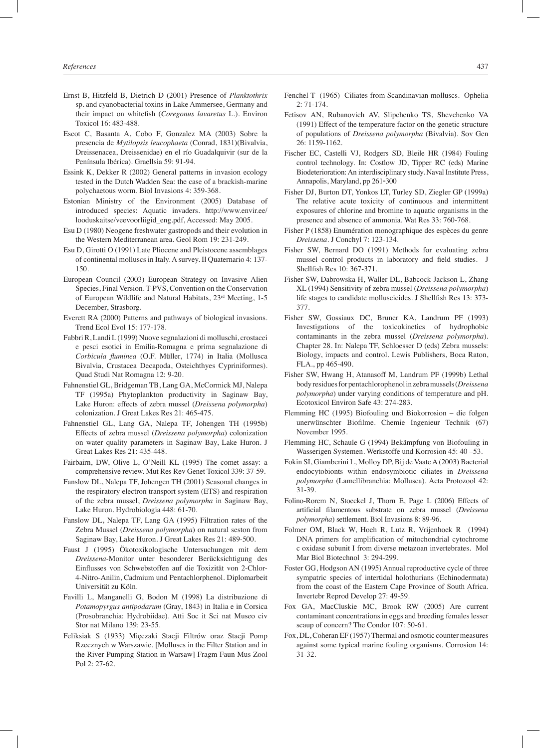- Ernst B, Hitzfeld B, Dietrich D (2001) Presence of *Planktothrix* sp. and cyanobacterial toxins in Lake Ammersee, Germany and their impact on whitefish (*Coregonus lavaretus* L.). Environ Toxicol 16: 483-488.
- Escot C, Basanta A, Cobo F, Gonzalez MA (2003) Sobre la presencia de *Mytilopsis leucophaeta* (Conrad, 1831)(Bivalvia, Dreissenacea, Dreissenidae) en el río Guadalquivir (sur de la Península Ibérica). Graellsia 59: 91-94.
- Essink K, Dekker R (2002) General patterns in invasion ecology tested in the Dutch Wadden Sea: the case of a brackish-marine polychaetous worm. Biol Invasions 4: 359-368.
- Estonian Ministry of the Environment (2005) Database of introduced species: Aquatic invaders. http://www.envir.ee/ looduskaitse/veevoorliigid\_eng.pdf, Accessed: May 2005.
- Esu D (1980) Neogene freshwater gastropods and their evolution in the Western Mediterranean area. Geol Rom 19: 231-249.
- Esu D, Girotti O (1991) Late Pliocene and Pleistocene assemblages of continental molluscs in Italy. A survey. Il Quaternario 4: 137- 150.
- European Council (2003) European Strategy on Invasive Alien Species, Final Version. T-PVS, Convention on the Conservation of European Wildlife and Natural Habitats, 23rd Meeting, 1-5 December, Strasborg.
- Everett RA (2000) Patterns and pathways of biological invasions. Trend Ecol Evol 15: 177-178.
- Fabbri R, Landi L (1999) Nuove segnalazioni di molluschi, crostacei e pesci esotici in Emilia-Romagna e prima segnalazione di *Corbicula fluminea* (O.F. Müller, 1774) in Italia (Mollusca Bivalvia, Crustacea Decapoda, Osteichthyes Cypriniformes). Quad Studi Nat Romagna 12: 9-20.
- Fahnenstiel GL, Bridgeman TB, Lang GA, McCormick MJ, Nalepa TF (1995a) Phytoplankton productivity in Saginaw Bay, Lake Huron: effects of zebra mussel (*Dreissena polymorpha*) colonization. J Great Lakes Res 21: 465-475.
- Fahnenstiel GL, Lang GA, Nalepa TF, Johengen TH (1995b) Effects of zebra mussel (*Dreissena polymorpha*) colonization on water quality parameters in Saginaw Bay, Lake Huron. J Great Lakes Res 21: 435-448.
- Fairbairn, DW, Olive L, O'Neill KL (1995) The comet assay: a comprehensive review. Mut Res Rev Genet Toxicol 339: 37-59.
- Fanslow DL, Nalepa TF, Johengen TH (2001) Seasonal changes in the respiratory electron transport system (ETS) and respiration of the zebra mussel, *Dreissena polymorpha* in Saginaw Bay, Lake Huron. Hydrobiologia 448: 61-70.
- Fanslow DL, Nalepa TF, Lang GA (1995) Filtration rates of the Zebra Mussel (*Dreissena polymorpha*) on natural seston from Saginaw Bay, Lake Huron. J Great Lakes Res 21: 489-500.
- Faust J (1995) Ökotoxikologische Untersuchungen mit dem *Dreissena*-Monitor unter besonderer Berücksichtigung des Einflusses von Schwebstoffen auf die Toxizität von 2-Chlor-4-Nitro-Anilin, Cadmium und Pentachlorphenol. Diplomarbeit Universität zu Köln.
- Favilli L, Manganelli G, Bodon M (1998) La distribuzione di *Potamopyrgus antipodarum* (Gray, 1843) in Italia e in Corsica (Prosobranchia: Hydrobiidae). Atti Soc it Sci nat Museo civ Stor nat Milano 139: 23-55.
- Feliksiak S (1933) Mięczaki Stacji Filtrów oraz Stacji Pomp Rzecznych w Warszawie. [Molluscs in the Filter Station and in the River Pumping Station in Warsaw] Fragm Faun Mus Zool Pol 2: 27-62.
- Fenchel T (1965) Ciliates from Scandinavian molluscs. Ophelia 2: 71-174.
- Fetisov AN, Rubanovich AV, Slipchenko TS, Shevchenko VA (1991) Effect of the temperature factor on the genetic structure of populations of *Dreissena polymorpha* (Bivalvia). Sov Gen 26: 1159-1162.
- Fischer EC, Castelli VJ, Rodgers SD, Bleile HR (1984) Fouling control technology. In: Costlow JD, Tipper RC (eds) Marine Biodeterioration: An interdisciplinary study. Naval Institute Press, Annapolis, Maryland, pp 261‑300
- Fisher DJ, Burton DT, Yonkos LT, Turley SD, Ziegler GP (1999a) The relative acute toxicity of continuous and intermittent exposures of chlorine and bromine to aquatic organisms in the presence and absence of ammonia. Wat Res 33: 760-768.
- Fisher P (1858) Enumération monographique des espèces du genre *Dreissena*. J Conchyl 7: 123-134.
- Fisher SW, Bernard DO (1991) Methods for evaluating zebra mussel control products in laboratory and field studies. J Shellfish Res 10: 367-371.
- Fisher SW, Dabrowska H, Waller DL, Babcock-Jackson L, Zhang XL (1994) Sensitivity of zebra mussel (*Dreissena polymorpha*) life stages to candidate molluscicides. J Shellfish Res 13: 373- 377.
- Fisher SW, Gossiaux DC, Bruner KA, Landrum PF (1993) Investigations of the toxicokinetics of hydrophobic contaminants in the zebra mussel (*Dreissena polymorpha*). Chapter 28. In: Nalepa TF, Schloesser D (eds) Zebra mussels: Biology, impacts and control. Lewis Publishers, Boca Raton, FLA., pp 465-490.
- Fisher SW, Hwang H, Atanasoff M, Landrum PF (1999b) Lethal body residues for pentachlorophenol in zebra mussels (*Dreissena polymorpha*) under varying conditions of temperature and pH. Ecotoxicol Environ Safe 43: 274-283.
- Flemming HC (1995) Biofouling und Biokorrosion die folgen unerwünschter Biofilme. Chemie Ingenieur Technik (67) November 1995.
- Flemming HC, Schaule G (1994) Bekämpfung von Biofouling in Wasserigen Systemen. Werkstoffe und Korrosion 45: 40 –53.
- Fokin SI, Giamberini L, Molloy DP, Bij de Vaate A (2003) Bacterial endocytobionts within endosymbiotic ciliates in *Dreissena polymorpha* (Lamellibranchia: Mollusca). Acta Protozool 42: 31-39.
- Folino-Rorem N, Stoeckel J, Thorn E, Page L (2006) Effects of artificial filamentous substrate on zebra mussel (*Dreissena polymorpha*) settlement. Biol Invasions 8: 89-96.
- Folmer OM, Black W, Hoeh R, Lutz R, Vrijenhoek R (1994) DNA primers for amplification of mitochondrial cytochrome c oxidase subunit I from diverse metazoan invertebrates. Mol Mar Biol Biotechnol 3: 294-299.
- Foster GG, Hodgson AN (1995) Annual reproductive cycle of three sympatric species of intertidal holothurians (Echinodermata) from the coast of the Eastern Cape Province of South Africa. Invertebr Reprod Develop 27: 49-59.
- Fox GA, MacCluskie MC, Brook RW (2005) Are current contaminant concentrations in eggs and breeding females lesser scaup of concern? The Condor 107: 50-61.
- Fox, DL, Coheran EF (1957) Thermal and osmotic counter measures against some typical marine fouling organisms. Corrosion 14: 31-32.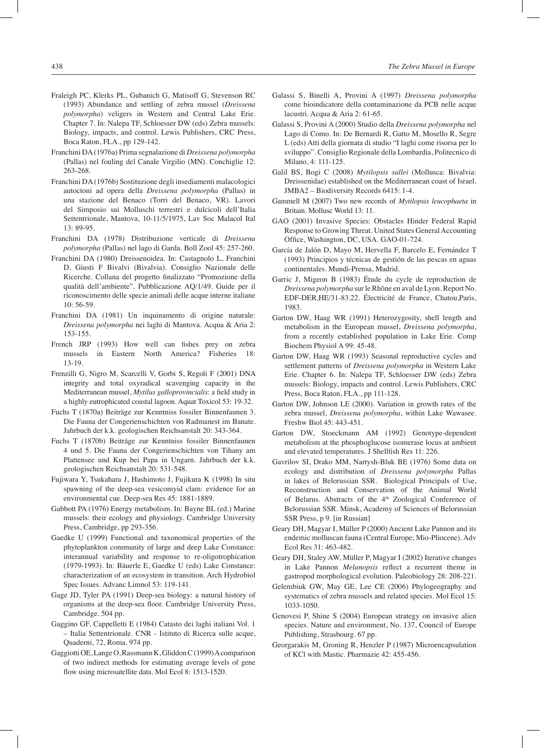- Fraleigh PC, Klerks PL, Gubanich G, Matisoff G, Stevenson RC (1993) Abundance and settling of zebra mussel (*Dreissena polymorpha*) veligers in Western and Central Lake Erie. Chapter 7. In: Nalepa TF, Schloesser DW (eds) Zebra mussels: Biology, impacts, and control. Lewis Publishers, CRC Press, Boca Raton, FLA., pp 129-142.
- Franchini DA (1976a) Prima segnalazione di *Dreissena polymorpha* (Pallas) nel fouling del Canale Virgilio (MN). Conchiglie 12: 263-268.
- Franchini DA (1976b) Sostituzione degli insediamenti malacologici autoctoni ad opera della *Dreissena polymorpha* (Pallas) in una stazione del Benaco (Torri del Benaco, VR). Lavori del Simposio sui Molluschi terrestri e dulcicoli dell'Italia Settentrionale, Mantova, 10-11/5/1975, Lav Soc Malacol Ital 13: 89-95.
- Franchini DA (1978) Distribuzione verticale di *Dreissena polymorpha* (Pallas) nel lago di Garda. Boll Zool 45: 257-260.
- Franchini DA (1980) Dreissenoidea. In: Castagnolo L, Franchini D, Giusti F Bivalvi (Bivalvia). Consiglio Nazionale delle Ricerche. Collana del progetto finalizzato "Promozione della qualità dell'ambiente". Pubblicazione AQ/1/49. Guide per il riconoscimento delle specie animali delle acque interne italiane 10: 56-59.
- Franchini DA (1981) Un inquinamento di origine naturale: *Dreissena polymorpha* nei laghi di Mantova. Acqua & Aria 2: 153-155.
- French JRP (1993) How well can fishes prey on zebra mussels in Eastern North America? Fisheries 18: 13-19.
- Frenzilli G, Nigro M, Scarcelli V, Gorbi S, Regoli F (2001) DNA integrity and total oxyradical scavenging capacity in the Mediterranean mussel, *Mytilus galloprovincialis*: a field study in a highly eutrophicated coastal lagoon. Aquat Toxicol 53: 19-32.
- Fuchs T (1870a) Beiträge zur Kenntniss fossiler Binnenfaunen 3. Die Fauna der Congerienschichten von Radmanest im Banate. Jahrbuch der k.k. geologischen Reichsanstalt 20: 343-364.
- Fuchs T (1870b) Beiträge zur Kenntniss fossiler Binnenfaunen 4 und 5. Die Fauna der Congerienschichten von Tihany am Plattensee und Kup bei Papa in Ungarn. Jahrbuch der k.k. geologischen Reichsanstalt 20: 531-548.
- Fujiwara Y, Tsukahara J, Hashimoto J, Fujikura K (1998) In situ spawning of the deep-sea vesicomyid clam: evidence for an environmental cue. Deep-sea Res 45: 1881-1889.
- Gabbott PA (1976) Energy metabolism. In: Bayne BL (ed.) Marine mussels: their ecology and physiology. Cambridge University Press, Cambridge, pp 293-356.
- Gaedke U (1999) Functional and taxonomical properties of the phytoplankton community of large and deep Lake Constance: interannual variability and response to re-oligotrophication (1979-1993). In: Bäuerle E, Gaedke U (eds) Lake Constance: characterization of an ecosystem in transition. Arch Hydrobiol Spec Issues. Advanc Limnol 53: 119-141.
- Gage JD, Tyler PA (1991) Deep-sea biology: a natural history of organisms at the deep-sea floor. Cambridge University Press, Cambridge. 504 pp.
- Gaggino GF, Cappelletti E (1984) Catasto dei laghi italiani Vol. 1 – Italia Settentrionale. CNR - Istituto di Ricerca sulle acque, Quaderni, 72, Roma. 974 pp.
- Gaggiotti OE, Lange O, Rassmann K, Gliddon C (1999) A comparison of two indirect methods for estimating average levels of gene flow using microsatellite data. Mol Ecol 8: 1513-1520.
- Galassi S, Binelli A, Provini A (1997) *Dreissena polymorpha* come bioindicatore della contaminazione da PCB nelle acque lacustri. Acqua & Aria 2: 61-65.
- Galassi S, Provini A (2000) Studio della *Dreissena polymorpha* nel Lago di Como. In: De Bernardi R, Gatto M, Mosello R, Segre L (eds) Atti della giornata di studio "I laghi come risorsa per lo sviluppo". Consiglio Regionale della Lombardia, Politecnico di Milano, 4: 111-125.
- Galil BS, Bogi C (2008) *Mytilopsis sallei* (Mollusca: Bivalvia: Dreissenidae) established on the Mediterranean coast of Israel. JMBA2 – Biodiversity Records 6415: 1-4.
- Gammell M (2007) Two new records of *Mytilopsis leucophaeta* in Britain. Mollusc World 13: 11.
- GAO (2001) Invasive Species: Obstacles Hinder Federal Rapid Response to Growing Threat. United States General Accounting Office, Washington, DC, USA. GAO-01-724.
- García de Jalón D, Mayo M, Hervella F, Barcelo E, Fernández T (1993) Principios y técnicas de gestión de las pescas en aguas continentales. Mundi-Prensa, Madrid.
- Garric J, Migeon B (1983) Étude du cycle de reproduction de *Dreissena polymorpha* sur le Rhône en aval de Lyon. Report No. EDF-DER,HE/31-83.22. Électricité de France, Chatou,Paris, 1983.
- Garton DW, Haag WR (1991) Heterozygosity, shell length and metabolism in the European mussel, *Dreissena polymorpha*, from a recently established population in Lake Erie. Comp Biochem Physiol A 99: 45-48.
- Garton DW, Haag WR (1993) Seasonal reproductive cycles and settlement patterns of *Dreissena polymorpha* in Western Lake Erie. Chapter 6. In: Nalepa TF, Schloesser DW (eds) Zebra mussels: Biology, impacts and control. Lewis Publishers, CRC Press, Boca Raton, FLA., pp 111-128.
- Garton DW, Johnson LE (2000). Variation in growth rates of the zebra mussel, *Dreissena polymorpha*, within Lake Wawasee. Freshw Biol 45: 443-451.
- Garton DW, Stoeckmann AM (1992) Genotype-dependent metabolism at the phosphoglucose isomerase locus at ambient and elevated temperatures. J Shellfish Res 11: 226.
- Gavrilov SI, Drako MM, Nartysh-Bluk BE (1976) Some data on ecology and distribution of *Dreissena polymorpha* Pallas in lakes of Belorussian SSR. Biological Principals of Use, Reconstruction and Conservation of the Animal World of Belarus. Abstracts of the 4<sup>th</sup> Zoological Conference of Belorussian SSR. Minsk, Academy of Sciences of Belorussian SSR Press, p 9. [in Russian]
- Geary DH, Magyar I, Müller P (2000) Ancient Lake Pannon and its endemic molluscan fauna (Central Europe; Mio-Pliocene). Adv Ecol Res 31: 463-482.
- Geary DH, Staley AW, Müller P, Magyar I (2002) Iterative changes in Lake Pannon *Melanopsis* reflect a recurrent theme in gastropod morphological evolution. Paleobiology 28: 208-221.
- Gelembiuk GW, May GE, Lee CE (2006) Phylogeography and systematics of zebra mussels and related species. Mol Ecol 15: 1033-1050.
- Genovesi P, Shine S (2004) European strategy on invasive alien species. Nature and environment, No. 137, Council of Europe Publishing, Strasbourg. 67 pp.
- Georgarakis M, Groning R, Henzler P (1987) Microencapsulation of KCl with Mastic. Pharmazie 42: 455-456.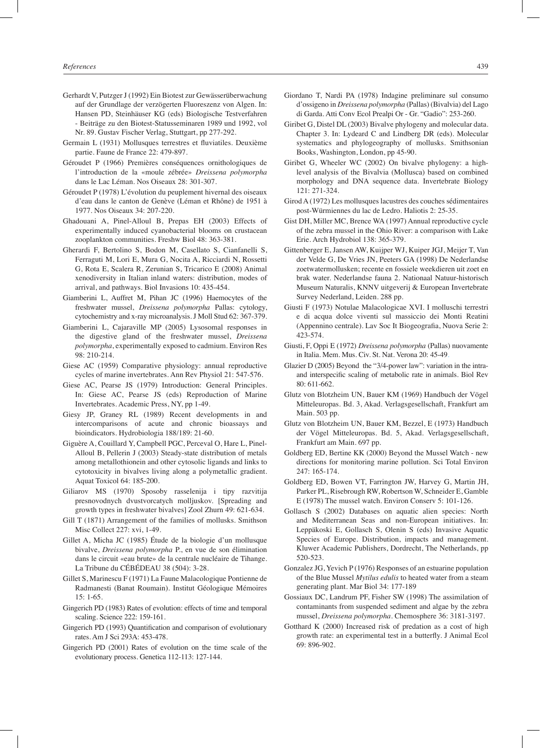- Gerhardt V, Putzger J (1992) Ein Biotest zur Gewässerüberwachung auf der Grundlage der verzögerten Fluoreszenz von Algen. In: Hansen PD, Steinhäuser KG (eds) Biologische Testverfahren - Beiträge zu den Biotest-Statusseminaren 1989 und 1992, vol Nr. 89. Gustav Fischer Verlag, Stuttgart, pp 277-292.
- Germain L (1931) Mollusques terrestres et fluviatiles. Deuxième partie. Faune de France 22: 479-897.
- Géroudet P (1966) Premières conséquences ornithologiques de l'introduction de la «moule zébrée» *Dreissena polymorpha* dans le Lac Léman. Nos Oiseaux 28: 301-307.
- Géroudet P (1978) L'évolution du peuplement hivernal des oiseaux d'eau dans le canton de Genève (Léman et Rhône) de 1951 à 1977. Nos Oiseaux 34: 207-220.
- Ghadouani A, Pinel-Alloul B, Prepas EH (2003) Effects of experimentally induced cyanobacterial blooms on crustacean zooplankton communities. Freshw Biol 48: 363-381.
- Gherardi F, Bertolino S, Bodon M, Casellato S, Cianfanelli S, Ferraguti M, Lori E, Mura G, Nocita A, Ricciardi N, Rossetti G, Rota E, Scalera R, Zerunian S, Tricarico E (2008) Animal xenodiversity in Italian inland waters: distribution, modes of arrival, and pathways. Biol Invasions 10: 435-454.
- Giamberini L, Auffret M, Pihan JC (1996) Haemocytes of the freshwater mussel, *Dreissena polymorpha* Pallas: cytology, cytochemistry and x-ray microanalysis. J Moll Stud 62: 367-379.
- Giamberini L, Cajaraville MP (2005) Lysosomal responses in the digestive gland of the freshwater mussel, *Dreissena polymorpha*, experimentally exposed to cadmium. Environ Res 98: 210-214.
- Giese AC (1959) Comparative physiology: annual reproductive cycles of marine invertebrates. Ann Rev Physiol 21: 547-576.
- Giese AC, Pearse JS (1979) Introduction: General Principles. In: Giese AC, Pearse JS (eds) Reproduction of Marine Invertebrates. Academic Press, NY, pp 1-49.
- Giesy JP, Graney RL (1989) Recent developments in and intercomparisons of acute and chronic bioassays and bioindicators. Hydrobiologia 188/189: 21-60.
- Giguère A, Couillard Y, Campbell PGC, Perceval O, Hare L, Pinel-Alloul B, Pellerin J (2003) Steady-state distribution of metals among metallothionein and other cytosolic ligands and links to cytotoxicity in bivalves living along a polymetallic gradient. Aquat Toxicol 64: 185-200.
- Giliarov MS (1970) Sposoby rasselenija i tipy razvitija presnovodnych dvustvorcatych molljuskov. [Spreading and growth types in freshwater bivalves] Zool Zhurn 49: 621-634.
- Gill T (1871) Arrangement of the families of mollusks. Smithson Misc Collect 227: xvi, 1-49.
- Gillet A, Micha JC (1985) Étude de la biologie d'un mollusque bivalve, *Dreissena polymorpha* P., en vue de son élimination dans le circuit «eau brute» de la centrale nucléaire de Tihange. La Tribune du CÉBÉDEAU 38 (504): 3-28.
- Gillet S, Marinescu F (1971) La Faune Malacologique Pontienne de Radmanesti (Banat Roumain). Institut Géologique Mémoires 15: 1-65.
- Gingerich PD (1983) Rates of evolution: effects of time and temporal scaling. Science 222: 159-161.
- Gingerich PD (1993) Quantification and comparison of evolutionary rates. Am J Sci 293A: 453-478.
- Gingerich PD (2001) Rates of evolution on the time scale of the evolutionary process. Genetica 112-113: 127-144.
- Giordano T, Nardi PA (1978) Indagine preliminare sul consumo d'ossigeno in *Dreissena polymorpha* (Pallas) (Bivalvia) del Lago di Garda. Atti Conv Ecol Prealpi Or - Gr. "Gadio": 253-260.
- Giribet G, Distel DL (2003) Bivalve phylogeny and molecular data. Chapter 3. In: Lydeard C and Lindberg DR (eds). Molecular systematics and phylogeography of mollusks. Smithsonian Books, Washington, London, pp 45-90.
- Giribet G, Wheeler WC (2002) On bivalve phylogeny: a highlevel analysis of the Bivalvia (Mollusca) based on combined morphology and DNA sequence data. Invertebrate Biology 121: 271-324.
- Girod A (1972) Les mollusques lacustres des couches sédimentaires post-Würmiennes du lac de Ledro. Haliotis 2: 25-35.
- Gist DH, Miller MC, Brence WA (1997) Annual reproductive cycle of the zebra mussel in the Ohio River: a comparison with Lake Erie. Arch Hydrobiol 138: 365-379.
- Gittenberger E, Jansen AW, Kuijper WJ, Kuiper JGJ, Meijer T, Van der Velde G, De Vries JN, Peeters GA (1998) De Nederlandse zoetwatermollusken; recente en fossiele weekdieren uit zoet en brak water. Nederlandse fauna 2. Nationaal Natuur-historisch Museum Naturalis, KNNV uitgeverij & European Invertebrate Survey Nederland, Leiden. 288 pp.
- Giusti F (1973) Notulae Malacologicae XVI. I molluschi terrestri e di acqua dolce viventi sul massiccio dei Monti Reatini (Appennino centrale). Lav Soc It Biogeografia, Nuova Serie 2: 423-574.
- Giusti, F, Oppi E (1972) *Dreissena polymorpha* (Pallas) nuovamente in Italia. Mem. Mus. Civ. St. Nat. Verona 20: 45-49.
- Glazier D (2005) Beyond the "3/4-power law": variation in the intraand interspecific scaling of metabolic rate in animals. Biol Rev 80: 611-662.
- Glutz von Blotzheim UN, Bauer KM (1969) Handbuch der Vögel Mitteleuropas. Bd. 3, Akad. Verlagsgesellschaft, Frankfurt am Main. 503 pp.
- Glutz von Blotzheim UN, Bauer KM, Bezzel, E (1973) Handbuch der Vögel Mitteleuropas. Bd. 5, Akad. Verlagsgesellschaft, Frankfurt am Main. 697 pp.
- Goldberg ED, Bertine KK (2000) Beyond the Mussel Watch new directions for monitoring marine pollution. Sci Total Environ 247: 165-174.
- Goldberg ED, Bowen VT, Farrington JW, Harvey G, Martin JH, Parker PL, Risebrough RW, Robertson W, Schneider E, Gamble E (1978) The mussel watch. Environ Conserv 5: 101-126.
- Gollasch S (2002) Databases on aquatic alien species: North and Mediterranean Seas and non-European initiatives. In: Leppäkoski E, Gollasch S, Olenin S (eds) Invasive Aquatic Species of Europe. Distribution, impacts and management. Kluwer Academic Publishers, Dordrecht, The Netherlands, pp 520-523.
- Gonzalez JG, Yevich P (1976) Responses of an estuarine population of the Blue Mussel *Mytilus edulis* to heated water from a steam generating plant. Mar Biol 34: 177-189
- Gossiaux DC, Landrum PF, Fisher SW (1998) The assimilation of contaminants from suspended sediment and algae by the zebra mussel, *Dreissena polymorpha*. Chemosphere 36: 3181-3197.
- Gotthard K (2000) Increased risk of predation as a cost of high growth rate: an experimental test in a butterfly. J Animal Ecol 69: 896-902.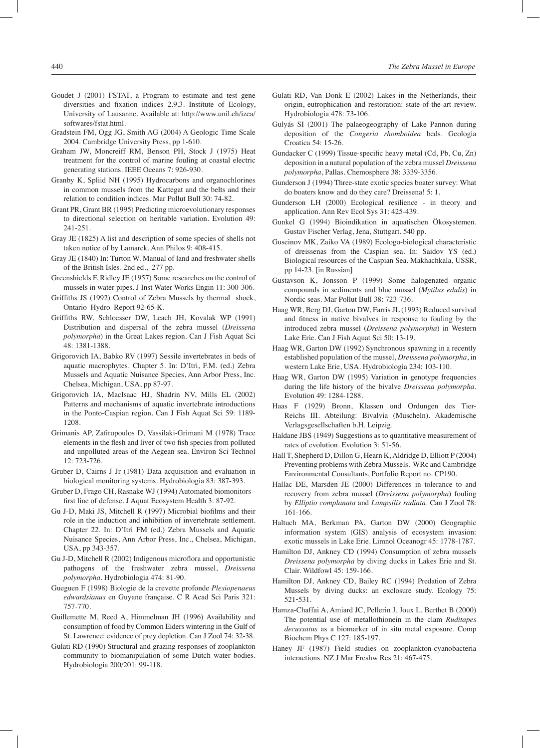- Goudet J (2001) FSTAT, a Program to estimate and test gene diversities and fixation indices 2.9.3. Institute of Ecology, University of Lausanne. Available at: http://www.unil.ch/izea/ softwares/fstat.html.
- Gradstein FM, Ogg JG, Smith AG (2004) A Geologic Time Scale 2004. Cambridge University Press, pp 1-610.
- Graham JW, Moncreiff RM, Benson PH, Stock J (1975) Heat treatment for the control of marine fouling at coastal electric generating stations. IEEE Oceans 7: 926-930.
- Granby K, Spliid NH (1995) Hydrocarbons and organochlorines in common mussels from the Kattegat and the belts and their relation to condition indices. Mar Pollut Bull 30: 74-82.
- Grant PR, Grant BR (1995) Predicting microevolutionary responses to directional selection on heritable variation. Evolution 49: 241-251.
- Gray JE (1825) A list and description of some species of shells not taken notice of by Lamarck. Ann Philos 9: 408-415.
- Gray JE (1840) In: Turton W. Manual of land and freshwater shells of the British Isles. 2nd ed., 277 pp.
- Greenshields F, Ridley JE (1957) Some researches on the control of mussels in water pipes. J Inst Water Works Engin 11: 300-306.
- Griffiths JS (1992) Control of Zebra Mussels by thermal shock, Ontario Hydro Report 92-65-K.
- Griffiths RW, Schloesser DW, Leach JH, Kovalak WP (1991) Distribution and dispersal of the zebra mussel (*Dreissena polymorpha*) in the Great Lakes region. Can J Fish Aquat Sci 48: 1381-1388.
- Grigorovich IA, Babko RV (1997) Sessile invertebrates in beds of aquatic macrophytes. Chapter 5. In: D'Itri, F.M. (ed.) Zebra Mussels and Aquatic Nuisance Species, Ann Arbor Press, Inc. Chelsea, Michigan, USA, pp 87-97.
- Grigorovich IA, MacIsaac HJ, Shadrin NV, Mills EL (2002) Patterns and mechanisms of aquatic invertebrate introductions in the Ponto-Caspian region. Can J Fish Aquat Sci 59: 1189- 1208.
- Grimanis AP, Zafiropoulos D, Vassilaki-Grimani M (1978) Trace elements in the flesh and liver of two fish species from polluted and unpolluted areas of the Aegean sea. Environ Sci Technol 12: 723-726.
- Gruber D, Cairns J Jr (1981) Data acquisition and evaluation in biological monitoring systems. Hydrobiologia 83: 387-393.
- Gruber D, Frago CH, Rasnake WJ (1994) Automated biomonitors first line of defense. J Aquat Ecosystem Health 3: 87-92.
- Gu J-D, Maki JS, Mitchell R (1997) Microbial biofilms and their role in the induction and inhibition of invertebrate settlement. Chapter 22. In: D'Itri FM (ed.) Zebra Mussels and Aquatic Nuisance Species, Ann Arbor Press, Inc., Chelsea, Michigan, USA, pp 343-357.
- Gu J-D, Mitchell R (2002) Indigenous microflora and opportunistic pathogens of the freshwater zebra mussel, *Dreissena polymorpha*. Hydrobiologia 474: 81-90.
- Gueguen F (1998) Biologie de la crevette profonde *Plesiopenaeus edwardsianus* en Guyane française. C R Acad Sci Paris 321: 757-770.
- Guillemette M, Reed A, Himmelman JH (1996) Availability and consumption of food by Common Eiders wintering in the Gulf of St. Lawrence: evidence of prey depletion. Can J Zool 74: 32-38.
- Gulati RD (1990) Structural and grazing responses of zooplankton community to biomanipulation of some Dutch water bodies. Hydrobiologia 200/201: 99-118.
- Gulati RD, Van Donk E (2002) Lakes in the Netherlands, their origin, eutrophication and restoration: state-of-the-art review. Hydrobiologia 478: 73-106.
- Gulyás SI (2001) The palaeogeography of Lake Pannon during deposition of the *Congeria rhomboidea* beds. Geologia Croatica 54: 15-26.
- Gundacker C (1999) Tissue-specific heavy metal (Cd, Pb, Cu, Zn) deposition in a natural population of the zebra mussel *Dreissena polymorpha*, Pallas. Chemosphere 38: 3339-3356.
- Gunderson J (1994) Three-state exotic species boater survey: What do boaters know and do they care? Dreissena! 5: 1.
- Gunderson LH (2000) Ecological resilience in theory and application. Ann Rev Ecol Sys 31: 425-439.
- Gunkel G (1994) Bioindikation in aquatischen Ökosystemen. Gustav Fischer Verlag, Jena, Stuttgart. 540 pp.
- Guseinov MK, Zaiko VA (1989) Ecologo-biological characteristic of dreissenas from the Caspian sea. In: Saidov YS (ed.) Biological resources of the Caspian Sea. Makhachkala, USSR, pp 14-23. [in Russian]
- Gustavson K, Jonsson P (1999) Some halogenated organic compounds in sediments and blue mussel (*Mytilus edulis*) in Nordic seas. Mar Pollut Bull 38: 723-736.
- Haag WR, Berg DJ, Garton DW, Farris JL (1993) Reduced survival and fitness in native bivalves in response to fouling by the introduced zebra mussel (*Dreissena polymorpha*) in Western Lake Erie. Can J Fish Aquat Sci 50: 13-19.
- Haag WR, Garton DW (1992) Synchronous spawning in a recently established population of the mussel, *Dreissena polymorpha*, in western Lake Erie, USA. Hydrobiologia 234: 103-110.
- Haag WR, Garton DW (1995) Variation in genotype frequencies during the life history of the bivalve *Dreissena polymorpha*. Evolution 49: 1284-1288.
- Haas F (1929) Bronn, Klassen und Ordungen des Tier-Reichs III. Abteilung: Bivalvia (Muscheln). Akademische Verlagsgesellschaften b.H. Leipzig.
- Haldane JBS (1949) Suggestions as to quantitative measurement of rates of evolution. Evolution 3: 51-56.
- Hall T, Shepherd D, Dillon G, Hearn K, Aldridge D, Elliott P (2004) Preventing problems with Zebra Mussels. WRc and Cambridge Environmental Consultants, Portfolio Report no. CP190.
- Hallac DE, Marsden JE (2000) Differences in tolerance to and recovery from zebra mussel (*Dreissena polymorpha*) fouling by *Elliptio complanata* and *Lampsilis radiata*. Can J Zool 78: 161-166.
- Haltuch MA, Berkman PA, Garton DW (2000) Geographic information system (GIS) analysis of ecosystem invasion: exotic mussels in Lake Erie. Limnol Oceanogr 45: 1778-1787.
- Hamilton DJ, Ankney CD (1994) Consumption of zebra mussels *Dreissena polymorpha* by diving ducks in Lakes Erie and St. Clair. Wildfowl 45: 159-166.
- Hamilton DJ, Ankney CD, Bailey RC (1994) Predation of Zebra Mussels by diving ducks: an exclosure study. Ecology 75: 521‑531.
- Hamza-Chaffai A, Amiard JC, Pellerin J, Joux L, Berthet B (2000) The potential use of metallothionein in the clam *Ruditapes decussatus* as a biomarker of in situ metal exposure. Comp Biochem Phys C 127: 185-197.
- Haney JF (1987) Field studies on zooplankton-cyanobacteria interactions. NZ J Mar Freshw Res 21: 467-475.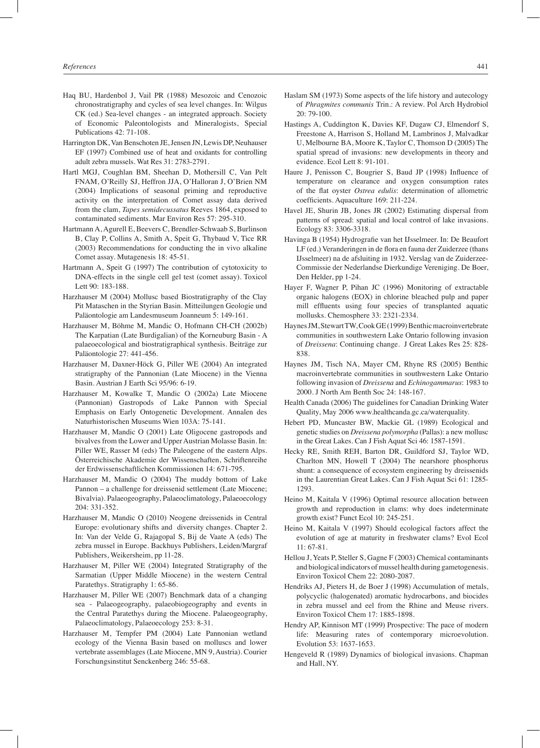- Haq BU, Hardenbol J, Vail PR (1988) Mesozoic and Cenozoic chronostratigraphy and cycles of sea level changes. In: Wilgus CK (ed.) Sea-level changes - an integrated approach. Society of Economic Paleontologists and Mineralogists, Special Publications 42: 71-108.
- Harrington DK, Van Benschoten JE, Jensen JN, Lewis DP, Neuhauser EF (1997) Combined use of heat and oxidants for controlling adult zebra mussels. Wat Res 31: 2783-2791.
- Hartl MGJ, Coughlan BM, Sheehan D, Mothersill C, Van Pelt FNAM, O'Reilly SJ, Heffron JJA, O'Halloran J, O'Brien NM (2004) Implications of seasonal priming and reproductive activity on the interpretation of Comet assay data derived from the clam, *Tapes semidecussatus* Reeves 1864, exposed to contaminated sediments. Mar Environ Res 57: 295-310.
- Hartmann A, Agurell E, Beevers C, Brendler-Schwaab S, Burlinson B, Clay P, Collins A, Smith A, Speit G, Thybaud V, Tice RR (2003) Recommendations for conducting the in vivo alkaline Comet assay. Mutagenesis 18: 45-51.
- Hartmann A, Speit G (1997) The contribution of cytotoxicity to DNA-effects in the single cell gel test (comet assay). Toxicol Lett 90: 183-188.
- Harzhauser M (2004) Mollusc based Biostratigraphy of the Clay Pit Mataschen in the Styrian Basin. Mitteilungen Geologie und Paläontologie am Landesmuseum Joanneum 5: 149-161.
- Harzhauser M, Böhme M, Mandic O, Hofmann CH-CH (2002b) The Karpatian (Late Burdigalian) of the Korneuburg Basin - A palaeoecological and biostratigraphical synthesis. Beiträge zur Paläontologie 27: 441-456.
- Harzhauser M, Daxner-Höck G, Piller WE (2004) An integrated stratigraphy of the Pannonian (Late Miocene) in the Vienna Basin. Austrian J Earth Sci 95/96: 6-19.
- Harzhauser M, Kowalke T, Mandic O (2002a) Late Miocene (Pannonian) Gastropods of Lake Pannon with Special Emphasis on Early Ontogenetic Development. Annalen des Naturhistorischen Museums Wien 103A: 75-141.
- Harzhauser M, Mandic O (2001) Late Oligocene gastropods and bivalves from the Lower and Upper Austrian Molasse Basin. In: Piller WE, Rasser M (eds) The Paleogene of the eastern Alps. Österreichische Akademie der Wissenschaften, Schriftenreihe der Erdwissenschaftlichen Kommissionen 14: 671-795.
- Harzhauser M, Mandic O (2004) The muddy bottom of Lake Pannon – a challenge for dreissenid settlement (Late Miocene; Bivalvia). Palaeogeography, Palaeoclimatology, Palaeoecology 204: 331-352.
- Harzhauser M, Mandic O (2010) Neogene dreissenids in Central Europe: evolutionary shifts and diversity changes. Chapter 2. In: Van der Velde G, Rajagopal S, Bij de Vaate A (eds) The zebra mussel in Europe. Backhuys Publishers, Leiden/Margraf Publishers, Weikersheim, pp 11-28.
- Harzhauser M, Piller WE (2004) Integrated Stratigraphy of the Sarmatian (Upper Middle Miocene) in the western Central Paratethys. Stratigraphy 1: 65-86.
- Harzhauser M, Piller WE (2007) Benchmark data of a changing sea - Palaeogeography, palaeobiogeography and events in the Central Paratethys during the Miocene. Palaeogeography, Palaeoclimatology, Palaeoecology 253: 8-31.
- Harzhauser M, Tempfer PM (2004) Late Pannonian wetland ecology of the Vienna Basin based on molluscs and lower vertebrate assemblages (Late Miocene, MN 9, Austria). Courier Forschungsinstitut Senckenberg 246: 55-68.
- Haslam SM (1973) Some aspects of the life history and autecology of *Phragmites communis* Trin.: A review. Pol Arch Hydrobiol 20: 79-100.
- Hastings A, Cuddington K, Davies KF, Dugaw CJ, Elmendorf S, Freestone A, Harrison S, Holland M, Lambrinos J, Malvadkar U, Melbourne BA, Moore K, Taylor C, Thomson D (2005) The spatial spread of invasions: new developments in theory and evidence. Ecol Lett 8: 91-101.
- Haure J, Penisson C, Bougrier S, Baud JP (1998) Influence of temperature on clearance and oxygen consumption rates of the flat oyster *Ostrea edulis*: determination of allometric coefficients. Aquaculture 169: 211-224.
- Havel JE, Shurin JB, Jones JR (2002) Estimating dispersal from patterns of spread: spatial and local control of lake invasions. Ecology 83: 3306-3318.
- Havinga B (1954) Hydrografie van het IJsselmeer. In: De Beaufort LF (ed.) Veranderingen in de flora en fauna der Zuiderzee (thans IJsselmeer) na de afsluiting in 1932. Verslag van de Zuiderzee-Commissie der Nederlandse Dierkundige Vereniging. De Boer, Den Helder, pp 1-24.
- Hayer F, Wagner P, Pihan JC (1996) Monitoring of extractable organic halogens (EOX) in chlorine bleached pulp and paper mill effluents using four species of transplanted aquatic mollusks. Chemosphere 33: 2321-2334.
- Haynes JM, Stewart TW, Cook GE (1999) Benthic macroinvertebrate communities in southwestern Lake Ontario following invasion of *Dreissena*: Continuing change. J Great Lakes Res 25: 828- 838.
- Haynes JM, Tisch NA, Mayer CM, Rhyne RS (2005) Benthic macroinvertebrate communities in southwestern Lake Ontario following invasion of *Dreissena* and *Echinogammarus*: 1983 to 2000. J North Am Benth Soc 24: 148-167.
- Health Canada (2006) The guidelines for Canadian Drinking Water Quality, May 2006 www.healthcanda.gc.ca/waterquality.
- Hebert PD, Muncaster BW, Mackie GL (1989) Ecological and genetic studies on *Dreissena polymorpha* (Pallas): a new mollusc in the Great Lakes. Can J Fish Aquat Sci 46: 1587-1591.
- Hecky RE, Smith REH, Barton DR, Guildford SJ, Taylor WD, Charlton MN, Howell T (2004) The nearshore phosphorus shunt: a consequence of ecosystem engineering by dreissenids in the Laurentian Great Lakes. Can J Fish Aquat Sci 61: 1285- 1293.
- Heino M, Kaitala V (1996) Optimal resource allocation between growth and reproduction in clams: why does indeterminate growth exist? Funct Ecol 10: 245-251.
- Heino M, Kaitala V (1997) Should ecological factors affect the evolution of age at maturity in freshwater clams? Evol Ecol 11: 67-81.
- Hellou J, Yeats P, Steller S, Gagne F (2003) Chemical contaminants and biological indicators of mussel health during gametogenesis. Environ Toxicol Chem 22: 2080-2087.
- Hendriks AJ, Pieters H, de Boer J (1998) Accumulation of metals, polycyclic (halogenated) aromatic hydrocarbons, and biocides in zebra mussel and eel from the Rhine and Meuse rivers. Environ Toxicol Chem 17: 1885-1898.
- Hendry AP, Kinnison MT (1999) Prospective: The pace of modern life: Measuring rates of contemporary microevolution. Evolution 53: 1637-1653.
- Hengeveld R (1989) Dynamics of biological invasions. Chapman and Hall, NY.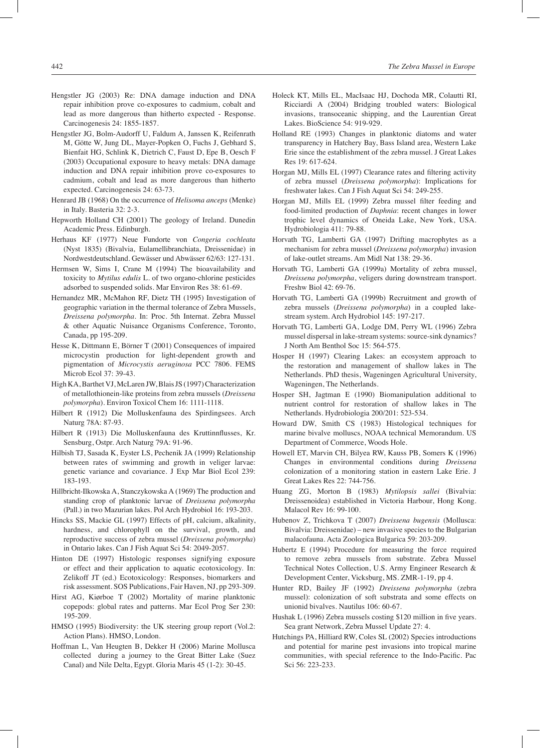- Hengstler JG (2003) Re: DNA damage induction and DNA repair inhibition prove co-exposures to cadmium, cobalt and lead as more dangerous than hitherto expected - Response. Carcinogenesis 24: 1855-1857.
- Hengstler JG, Bolm-Audorff U, Faldum A, Janssen K, Reifenrath M, Götte W, Jung DL, Mayer-Popken O, Fuchs J, Gebhard S, Bienfait HG, Schlink K, Dietrich C, Faust D, Epe B, Oesch F (2003) Occupational exposure to heavy metals: DNA damage induction and DNA repair inhibition prove co-exposures to cadmium, cobalt and lead as more dangerous than hitherto expected. Carcinogenesis 24: 63-73.
- Henrard JB (1968) On the occurrence of *Helisoma anceps* (Menke) in Italy. Basteria 32: 2-3.
- Hepworth Holland CH (2001) The geology of Ireland. Dunedin Academic Press. Edinburgh.
- Herhaus KF (1977) Neue Fundorte von *Congeria cochleata* (Nyst 1835) (Bivalvia, Eulamellibranchiata, Dreissenidae) in Nordwestdeutschland. Gewässer und Abwässer 62/63: 127-131.
- Hermsen W, Sims I, Crane M (1994) The bioavailability and toxicity to *Mytilus edulis* L. of two organo-chlorine pesticides adsorbed to suspended solids. Mar Environ Res 38: 61-69.
- Hernandez MR, McMahon RF, Dietz TH (1995) Investigation of geographic variation in the thermal tolerance of Zebra Mussels, *Dreissena polymorpha*. In: Proc. 5th Internat. Zebra Mussel & other Aquatic Nuisance Organisms Conference, Toronto, Canada, pp 195-209.
- Hesse K, Dittmann E, Börner T (2001) Consequences of impaired microcystin production for light-dependent growth and pigmentation of *Microcystis aeruginosa* PCC 7806. FEMS Microb Ecol 37: 39-43.
- High KA, Barthet VJ, McLaren JW, Blais JS (1997) Characterization of metallothionein-like proteins from zebra mussels (*Dreissena polymorpha*). Environ Toxicol Chem 16: 1111-1118.
- Hilbert R (1912) Die Molluskenfauna des Spirdingsees. Arch Naturg 78A: 87-93.
- Hilbert R (1913) Die Molluskenfauna des Kruttinnflusses, Kr. Sensburg, Ostpr. Arch Naturg 79A: 91-96.
- Hilbish TJ, Sasada K, Eyster LS, Pechenik JA (1999) Relationship between rates of swimming and growth in veliger larvae: genetic variance and covariance. J Exp Mar Biol Ecol 239: 183-193.
- Hillbricht-Ilkowska A, Stanczykowska A (1969) The production and standing crop of planktonic larvae of *Dreissena polymorpha* (Pall.) in two Mazurian lakes. Pol Arch Hydrobiol 16: 193-203.
- Hincks SS, Mackie GL (1997) Effects of pH, calcium, alkalinity, hardness, and chlorophyll on the survival, growth, and reproductive success of zebra mussel (*Dreissena polymorpha*) in Ontario lakes. Can J Fish Aquat Sci 54: 2049-2057.
- Hinton DE (1997) Histologic responses signifying exposure or effect and their application to aquatic ecotoxicology. In: Zelikoff JT (ed.) Ecotoxicology: Responses, biomarkers and risk assessment. SOS Publications, Fair Haven, NJ, pp 293-309.
- Hirst AG, Kiørboe T (2002) Mortality of marine planktonic copepods: global rates and patterns. Mar Ecol Prog Ser 230: 195-209.
- HMSO (1995) Biodiversity: the UK steering group report (Vol.2: Action Plans). HMSO, London.
- Hoffman L, Van Heugten B, Dekker H (2006) Marine Mollusca collected during a journey to the Great Bitter Lake (Suez Canal) and Nile Delta, Egypt. Gloria Maris 45 (1-2): 30-45.
- Holeck KT, Mills EL, MacIsaac HJ, Dochoda MR, Colautti RI, Ricciardi A (2004) Bridging troubled waters: Biological invasions, transoceanic shipping, and the Laurentian Great Lakes. BioScience 54: 919-929.
- Holland RE (1993) Changes in planktonic diatoms and water transparency in Hatchery Bay, Bass Island area, Western Lake Erie since the establishment of the zebra mussel. J Great Lakes Res 19: 617-624.
- Horgan MJ, Mills EL (1997) Clearance rates and filtering activity of zebra mussel (*Dreissena polymorpha*): Implications for freshwater lakes. Can J Fish Aquat Sci 54: 249-255.
- Horgan MJ, Mills EL (1999) Zebra mussel filter feeding and food-limited production of *Daphnia*: recent changes in lower trophic level dynamics of Oneida Lake, New York, USA. Hydrobiologia 411: 79-88.
- Horvath TG, Lamberti GA (1997) Drifting macrophytes as a mechanism for zebra mussel (*Dreissena polymorpha*) invasion of lake-outlet streams. Am Midl Nat 138: 29-36.
- Horvath TG, Lamberti GA (1999a) Mortality of zebra mussel, *Dreissena polymorpha*, veligers during downstream transport. Freshw Biol 42: 69-76.
- Horvath TG, Lamberti GA (1999b) Recruitment and growth of zebra mussels (*Dreissena polymorpha*) in a coupled lakestream system. Arch Hydrobiol 145: 197-217.
- Horvath TG, Lamberti GA, Lodge DM, Perry WL (1996) Zebra mussel dispersal in lake-stream systems: source-sink dynamics? J North Am Benthol Soc 15: 564-575.
- Hosper H (1997) Clearing Lakes: an ecosystem approach to the restoration and management of shallow lakes in The Netherlands. PhD thesis, Wageningen Agricultural University, Wageningen, The Netherlands.
- Hosper SH, Jagtman E (1990) Biomanipulation additional to nutrient control for restoration of shallow lakes in The Netherlands. Hydrobiologia 200/201: 523-534.
- Howard DW, Smith CS (1983) Histological techniques for marine bivalve molluscs, NOAA technical Memorandum. US Department of Commerce, Woods Hole.
- Howell ET, Marvin CH, Bilyea RW, Kauss PB, Somers K (1996) Changes in environmental conditions during *Dreissena* colonization of a monitoring station in eastern Lake Erie. J Great Lakes Res 22: 744-756.
- Huang ZG, Morton B (1983) *Mytilopsis sallei* (Bivalvia: Dreissenoidea) established in Victoria Harbour, Hong Kong. Malacol Rev 16: 99-100.
- Hubenov Z, Trichkova T (2007) *Dreissena bugensis* (Mollusca: Bivalvia: Dreissenidae) – new invasive species to the Bulgarian malacofauna. Acta Zoologica Bulgarica 59: 203-209.
- Hubertz E (1994) Procedure for measuring the force required to remove zebra mussels from substrate. Zebra Mussel Technical Notes Collection, U.S. Army Engineer Research & Development Center, Vicksburg, MS. ZMR-1-19, pp 4.
- Hunter RD, Bailey JF (1992) *Dreissena polymorpha* (zebra mussel): colonization of soft substrata and some effects on unionid bivalves. Nautilus 106: 60-67.
- Hushak L (1996) Zebra mussels costing \$120 million in five years. Sea grant Network, Zebra Mussel Update 27: 4.
- Hutchings PA, Hilliard RW, Coles SL (2002) Species introductions and potential for marine pest invasions into tropical marine communities, with special reference to the Indo-Pacific. Pac Sci 56: 223-233.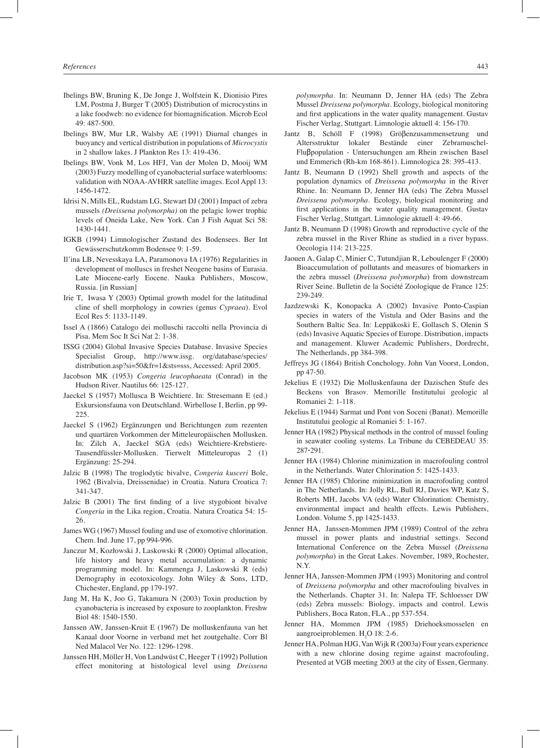- Ibelings BW, Bruning K, De Jonge J, Wolfstein K, Dionisio Pires LM, Postma J, Burger T (2005) Distribution of microcystins in a lake foodweb: no evidence for biomagnification. Microb Ecol 49: 487-500.
- Ibelings BW, Mur LR, Walsby AE (1991) Diurnal changes in buoyancy and vertical distribution in populations of *Microcystis* in 2 shallow lakes. J Plankton Res 13: 419-436.
- Ibelings BW, Vonk M, Los HFJ, Van der Molen D, Mooij WM (2003) Fuzzy modelling of cyanobacterial surface waterblooms: validation with NOAA-AVHRR satellite images. Ecol Appl 13: 1456-1472.
- Idrisi N, Mills EL, Rudstam LG, Stewart DJ (2001) Impact of zebra mussels *(Dreissena polymorpha)* on the pelagic lower trophic levels of Oneida Lake, New York. Can J Fish Aquat Sci 58: 1430-1441.
- IGKB (1994) Limnologischer Zustand des Bodensees. Ber Int Gewässerschutzkomm Bodensee 9: 1-59.
- Il'ina LB, Nevesskaya LA, Paramonova IA (1976) Regularities in development of molluscs in freshet Neogene basins of Eurasia. Late Miocene-early Eocene. Nauka Publishers, Moscow, Russia. [in Russian]
- Irie T, Iwasa Y (2003) Optimal growth model for the latitudinal cline of shell morphology in cowries (genus *Cypraea*). Evol Ecol Res 5: 1133-1149.
- Issel A (1866) Catalogo dei molluschi raccolti nella Provincia di Pisa. Mem Soc It Sci Nat 2: 1-38.
- ISSG (2004) Global Invasive Species Database. Invasive Species Specialist Group, http://www.issg. org/database/species/ distribution.asp?si=50&fr=1&sts=sss, Accessed: April 2005.
- Jacobson MK (1953) *Congeria leucophaeata* (Conrad) in the Hudson River. Nautilus 66: 125-127.
- Jaeckel S (1957) Mollusca B Weichtiere. In: Stresemann E (ed.) Exkursionsfauna von Deutschland. Wirbellose I, Berlin, pp 99- 225.
- Jaeckel S (1962) Ergänzungen und Berichtungen zum rezenten und quartären Vorkommen der Mitteleuropäischen Mollusken. In: Zilch A, Jaeckel SGA (eds) Weichtiere-Krebstiere-Tausendfüssler-Mollusken. Tierwelt Mitteleuropas 2 (1) Ergänzung: 25-294.
- Jalzic B (1998) The troglodytic bivalve, *Congeria kusceri* Bole, 1962 (Bivalvia, Dreissenidae) in Croatia. Natura Croatica 7: 341-347.
- Jalzic B (2001) The first finding of a live stygobiont bivalve *Congeria* in the Lika region, Croatia. Natura Croatica 54: 15- 26.
- James WG (1967) Mussel fouling and use of exomotive chlorination. Chem. Ind. June 17, pp 994-996.
- Janczur M, Kozłowski J, Laskowski R (2000) Optimal allocation, life history and heavy metal accumulation: a dynamic programming model. In: Kammenga J, Laskowski R (eds) Demography in ecotoxicology. John Wiley & Sons, LTD, Chichester, England, pp 179-197.
- Jang M, Ha K, Joo G, Takamura N (2003) Toxin production by cyanobacteria is increased by exposure to zooplankton. Freshw Biol 48: 1540-1550.
- Janssen AW, Janssen-Kruit E (1967) De molluskenfauna van het Kanaal door Voorne in verband met het zoutgehalte. Corr Bl Ned Malacol Ver No. 122: 1296-1298.
- Janssen HH, Möller H, Von Landwüst C, Heeger T (1992) Pollution effect monitoring at histological level using *Dreissena*

*polymorpha*. In: Neumann D, Jenner HA (eds) The Zebra Mussel *Dreissena polymorpha*. Ecology, biological monitoring and first applications in the water quality management. Gustav Fischer Verlag, Stuttgart. Limnologie aktuell 4: 156-170.

- Jantz B, Schöll F (1998) Gröβenzusammensetzung und Altersstruktur lokaler Bestände einer Zebramuschel-Fluβpopulation - Untersuchungen am Rhein zwischen Basel und Emmerich (Rh-km 168-861). Limnologica 28: 395-413.
- Jantz B, Neumann D (1992) Shell growth and aspects of the population dynamics of *Dreissena polymorpha* in the River Rhine. In: Neumann D, Jenner HA (eds) The Zebra Mussel *Dreissena polymorpha*. Ecology, biological monitoring and first applications in the water quality management. Gustav Fischer Verlag, Stuttgart. Limnologie aktuell 4: 49-66.
- Jantz B, Neumann D (1998) Growth and reproductive cycle of the zebra mussel in the River Rhine as studied in a river bypass. Oecologia 114: 213-225.
- Jaouen A, Galap C, Minier C, Tutundjian R, Leboulenger F (2000) Bioaccumulation of pollutants and measures of biomarkers in the zebra mussel (*Dreissena polymorpha*) from downstream River Seine. Bulletin de la Société Zoologique de France 125: 239-249.
- Jazdzewski K, Konopacka A (2002) Invasive Ponto-Caspian species in waters of the Vistula and Oder Basins and the Southern Baltic Sea. In: Leppäkoski E, Gollasch S, Olenin S (eds) Invasive Aquatic Species of Europe. Distribution, impacts and management. Kluwer Academic Publishers, Dordrecht, The Netherlands, pp 384-398.
- Jeffreys JG (1864) British Conchology. John Van Voorst, London, pp 47-50.
- Jekelius E (1932) Die Molluskenfauna der Dazischen Stufe des Beckens von Brasov. Memorille Institutului geologic al Romaniei 2: 1-118.
- Jekelius E (1944) Sarmat und Pont von Soceni (Banat). Memorille Institutului geologic al Romaniei 5: 1-167.
- Jenner HA (1982) Physical methods in the control of mussel fouling in seawater cooling systems. La Tribune du CEBEDEAU 35: 287‑291.
- Jenner HA (1984) Chlorine minimization in macrofouling control in the Netherlands. Water Chlorination 5: 1425-1433.
- Jenner HA (1985) Chlorine minimization in macrofouling control in The Netherlands. In: Jolly RL, Bull RJ, Davies WP, Katz S, Roberts MH, Jacobs VA (eds) Water Chlorination: Chemistry, environmental impact and health effects. Lewis Publishers, London. Volume 5, pp 1425-1433.
- Jenner HA, Janssen-Mommen JPM (1989) Control of the zebra mussel in power plants and industrial settings. Second International Conference on the Zebra Mussel (*Dreissena polymorpha*) in the Great Lakes. November, 1989, Rochester, N.Y.
- Jenner HA, Janssen-Mommen JPM (1993) Monitoring and control of *Dreissena polymorpha* and other macrofouling bivalves in the Netherlands. Chapter 31. In: Nalepa TF, Schloesser DW (eds) Zebra mussels: Biology, impacts and control. Lewis Publishers, Boca Raton, FLA., pp 537-554.
- Jenner HA, Mommen JPM (1985) Driehoeksmosselen en aangroeiproblemen. H<sub>2</sub>O 18: 2-6.
- Jenner HA, Polman HJG, Van Wijk R (2003a) Four years experience with a new chlorine dosing regime against macrofouling, Presented at VGB meeting 2003 at the city of Essen, Germany.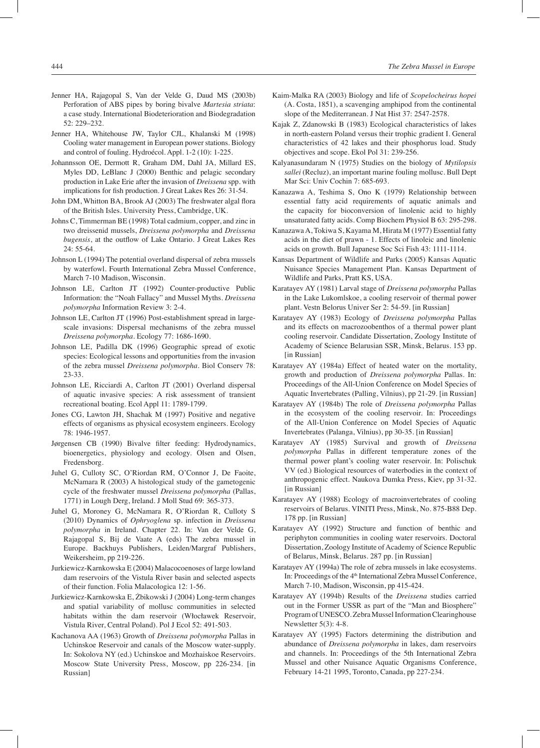- Jenner HA, Rajagopal S, Van der Velde G, Daud MS (2003b) Perforation of ABS pipes by boring bivalve *Martesia striata*: a case study. International Biodeterioration and Biodegradation 52: 229–232.
- Jenner HA, Whitehouse JW, Taylor CJL, Khalanski M (1998) Cooling water management in European power stations. Biology and control of fouling. Hydroécol. Appl. 1-2 (10): 1-225.
- Johannsson OE, Dermott R, Graham DM, Dahl JA, Millard ES, Myles DD, LeBlanc J (2000) Benthic and pelagic secondary production in Lake Erie after the invasion of *Dreissena* spp. with implications for fish production. J Great Lakes Res 26: 31-54.
- John DM, Whitton BA, Brook AJ (2003) The freshwater algal flora of the British Isles. University Press, Cambridge, UK.
- Johns C, Timmerman BE (1998) Total cadmium, copper, and zinc in two dreissenid mussels, *Dreissena polymorpha* and *Dreissena bugensis*, at the outflow of Lake Ontario. J Great Lakes Res 24: 55-64.
- Johnson L (1994) The potential overland dispersal of zebra mussels by waterfowl. Fourth International Zebra Mussel Conference, March 7-10 Madison, Wisconsin.
- Johnson LE, Carlton JT (1992) Counter-productive Public Information: the "Noah Fallacy" and Mussel Myths. *Dreissena polymorpha* Information Review 3: 2-4.
- Johnson LE, Carlton JT (1996) Post-establishment spread in largescale invasions: Dispersal mechanisms of the zebra mussel *Dreissena polymorpha*. Ecology 77: 1686-1690.
- Johnson LE, Padilla DK (1996) Geographic spread of exotic species: Ecological lessons and opportunities from the invasion of the zebra mussel *Dreissena polymorpha*. Biol Conserv 78: 23-33.
- Johnson LE, Ricciardi A, Carlton JT (2001) Overland dispersal of aquatic invasive species: A risk assessment of transient recreational boating. Ecol Appl 11: 1789-1799.
- Jones CG, Lawton JH, Shachak M (1997) Positive and negative effects of organisms as physical ecosystem engineers. Ecology 78: 1946-1957.
- Jørgensen CB (1990) Bivalve filter feeding: Hydrodynamics, bioenergetics, physiology and ecology. Olsen and Olsen, Fredensborg.
- Juhel G, Culloty SC, O'Riordan RM, O'Connor J, De Faoite, McNamara R (2003) A histological study of the gametogenic cycle of the freshwater mussel *Dreissena polymorpha* (Pallas, 1771) in Lough Derg, Ireland. J Moll Stud 69: 365-373.
- Juhel G, Moroney G, McNamara R, O'Riordan R, Culloty S (2010) Dynamics of *Ophryoglena* sp. infection in *Dreissena polymorpha* in Ireland. Chapter 22. In: Van der Velde G, Rajagopal S, Bij de Vaate A (eds) The zebra mussel in Europe. Backhuys Publishers, Leiden/Margraf Publishers, Weikersheim, pp 219-226.
- Jurkiewicz-Karnkowska E (2004) Malacocoenoses of large lowland dam reservoirs of the Vistula River basin and selected aspects of their function. Folia Malacologica 12: 1-56.
- Jurkiewicz-Karnkowska E, Żbikowski J (2004) Long-term changes and spatial variability of mollusc communities in selected habitats within the dam reservoir (Włocławek Reservoir, Vistula River, Central Poland). Pol J Ecol 52: 491-503.
- Kachanova AA (1963) Growth of *Dreissena polymorpha* Pallas in Uchinskoe Reservoir and canals of the Moscow water-supply. In: Sokolova NY (ed.) Uchinskoe and Mozhaiskoe Reservoirs. Moscow State University Press, Moscow, pp 226-234. [in Russian]
- Kaim-Malka RA (2003) Biology and life of *Scopelocheirus hopei* (A. Costa, 1851), a scavenging amphipod from the continental slope of the Mediterranean. J Nat Hist 37: 2547-2578.
- Kajak Z, Zdanowski B (1983) Ecological characteristics of lakes in north-eastern Poland versus their trophic gradient I. General characteristics of 42 lakes and their phosphorus load. Study objectives and scope. Ekol Pol 31: 239-256.
- Kalyanasundaram N (1975) Studies on the biology of *Mytilopsis sallei* (Recluz), an important marine fouling mollusc. Bull Dept Mar Sci: Univ Cochin 7: 685-693.
- Kanazawa A, Teshima S, Ono K (1979) Relationship between essential fatty acid requirements of aquatic animals and the capacity for bioconversion of linolenic acid to highly unsaturated fatty acids. Comp Biochem Physiol B 63: 295-298.
- Kanazawa A, Tokiwa S, Kayama M, Hirata M (1977) Essential fatty acids in the diet of prawn - 1. Effects of linoleic and linolenic acids on growth. Bull Japanese Soc Sci Fish 43: 1111-1114.
- Kansas Department of Wildlife and Parks (2005) Kansas Aquatic Nuisance Species Management Plan. Kansas Department of Wildlife and Parks, Pratt KS, USA.
- Karatayev AY (1981) Larval stage of *Dreissena polymorpha* Pallas in the Lake Lukomlskoe, a cooling reservoir of thermal power plant. Vestn Belorus Univer Ser 2: 54-59. [in Russian]
- Karatayev AY (1983) Ecology of *Dreissena polymorpha* Pallas and its effects on macrozoobenthos of a thermal power plant cooling reservoir. Candidate Dissertation, Zoology Institute of Academy of Science Belarusian SSR, Minsk, Belarus. 153 pp. [in Russian]
- Karatayev AY (1984a) Effect of heated water on the mortality, growth and production of *Dreissena polymorpha* Pallas. In: Proceedings of the All-Union Conference on Model Species of Aquatic Invertebrates (Palling, Vilnius), pp 21-29. [in Russian]
- Karatayev AY (1984b) The role of *Dreissena polymorpha* Pallas in the ecosystem of the cooling reservoir. In: Proceedings of the All-Union Conference on Model Species of Aquatic Invertebrates (Palanga, Vilnius), pp 30-35. [in Russian]
- Karatayev AY (1985) Survival and growth of *Dreissena polymorpha* Pallas in different temperature zones of the thermal power plant's cooling water reservoir. In: Polischuk VV (ed.) Biological resources of waterbodies in the context of anthropogenic effect. Naukova Dumka Press, Kiev, pp 31-32. [in Russian]
- Karatayev AY (1988) Ecology of macroinvertebrates of cooling reservoirs of Belarus. VINITI Press, Minsk, No. 875-B88 Dep. 178 pp. [in Russian]
- Karatayev AY (1992) Structure and function of benthic and periphyton communities in cooling water reservoirs. Doctoral Dissertation, Zoology Institute of Academy of Science Republic of Belarus, Minsk, Belarus. 287 pp. [in Russian]
- Karatayev AY (1994a) The role of zebra mussels in lake ecosystems. In: Proceedings of the 4<sup>th</sup> International Zebra Mussel Conference, March 7-10, Madison, Wisconsin, pp 415-424.
- Karatayev AY (1994b) Results of the *Dreissena* studies carried out in the Former USSR as part of the "Man and Biosphere" Program of UNESCO. Zebra Mussel Information Clearinghouse Newsletter 5(3): 4-8.
- Karatayev AY (1995) Factors determining the distribution and abundance of *Dreissena polymorpha* in lakes, dam reservoirs and channels. In: Proceedings of the 5th International Zebra Mussel and other Nuisance Aquatic Organisms Conference, February 14-21 1995, Toronto, Canada, pp 227-234.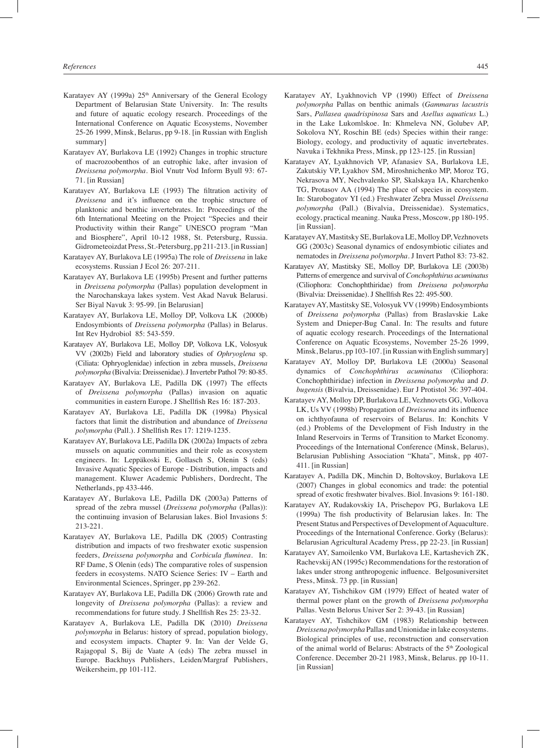- Karatayev AY (1999a) 25<sup>th</sup> Anniversary of the General Ecology Department of Belarusian State University. In: The results and future of aquatic ecology research. Proceedings of the International Conference on Aquatic Ecosystems, November 25-26 1999, Minsk, Belarus, pp 9-18. [in Russian with English summary]
- Karatayev AY, Burlakova LE (1992) Changes in trophic structure of macrozoobenthos of an eutrophic lake, after invasion of *Dreissena polymorpha.* Biol Vnutr Vod Inform Byull 93: 67- 71. [in Russian]
- Karatayev AY, Burlakova LE (1993) The filtration activity of *Dreissena* and it's influence on the trophic structure of planktonic and benthic invertebrates. In: Proceedings of the 6th International Meeting on the Project "Species and their Productivity within their Range" UNESCO program "Man and Biosphere", April 10-12 1988, St. Petersburg, Russia. Gidrometeoizdat Press, St.-Petersburg, pp 211-213. [in Russian]
- Karatayev AY, Burlakova LE (1995a) The role of *Dreissena* in lake ecosystems. Russian J Ecol 26: 207-211.
- Karatayev AY, Burlakova LE (1995b) Present and further patterns in *Dreissena polymorpha* (Pallas) population development in the Narochanskaya lakes system. Vest Akad Navuk Belarusi*.*  Ser Biyal Navuk 3: 95-99. [in Belarusian]
- Karatayev AY, Burlakova LE, Molloy DP, Volkova LK (2000b) Endosymbionts of *Dreissena polymorpha* (Pallas) in Belarus. Int Rev Hydrobiol 85: 543-559.
- Karatayev AY, Burlakova LE, Molloy DP, Volkova LK, Volosyuk VV (2002b) Field and laboratory studies of *Ophryoglena* sp. (Ciliata: Ophryoglenidae) infection in zebra mussels, *Dreissena polymorpha* (Bivalvia: Dreissenidae). J Invertebr Pathol 79: 80-85.
- Karatayev AY, Burlakova LE, Padilla DK (1997) The effects of *Dreissena polymorpha* (Pallas) invasion on aquatic communities in eastern Europe. J Shellfish Res 16: 187-203.
- Karatayev AY, Burlakova LE, Padilla DK (1998a) Physical factors that limit the distribution and abundance of *Dreissena polymorpha* (Pall.). J Shellfish Res 17: 1219-1235.
- Karatayev AY, Burlakova LE, Padilla DK (2002a) Impacts of zebra mussels on aquatic communities and their role as ecosystem engineers. In: Leppäkoski E, Gollasch S, Olenin S (eds) Invasive Aquatic Species of Europe - Distribution, impacts and management. Kluwer Academic Publishers, Dordrecht, The Netherlands, pp 433-446.
- Karatayev AY, Burlakova LE, Padilla DK (2003a) Patterns of spread of the zebra mussel (*Dreissena polymorpha* (Pallas)): the continuing invasion of Belarusian lakes. Biol Invasions 5: 213-221.
- Karatayev AY, Burlakova LE, Padilla DK (2005) Contrasting distribution and impacts of two freshwater exotic suspension feeders, *Dreissena polymorpha* and *Corbicula fluminea*. In: RF Dame, S Olenin (eds) The comparative roles of suspension feeders in ecosystems. NATO Science Series: IV – Earth and Environmental Sciences, Springer, pp 239-262.
- Karatayev AY, Burlakova LE, Padilla DK (2006) Growth rate and longevity of *Dreissena polymorpha* (Pallas): a review and recommendations for future study. J Shellfish Res 25: 23-32.
- Karatayev A, Burlakova LE, Padilla DK (2010) *Dreissena polymorpha* in Belarus: history of spread, population biology, and ecosystem impacts. Chapter 9. In: Van der Velde G, Rajagopal S, Bij de Vaate A (eds) The zebra mussel in Europe. Backhuys Publishers, Leiden/Margraf Publishers, Weikersheim, pp 101-112.
- Karatayev AY, Lyakhnovich VP (1990) Effect of *Dreissena polymorpha* Pallas on benthic animals (*Gammarus lacustris* Sars, *Pallasea quadrispinosa* Sars and *Asellus aquaticus* L.) in the Lake Lukomlskoe. In: Khmeleva NN, Golubev AP, Sokolova NY, Roschin BE (eds) Species within their range: Biology, ecology, and productivity of aquatic invertebrates. Navuka i Tekhnika Press, Minsk, pp 123-125. [in Russian]
- Karatayev AY, Lyakhnovich VP, Afanasiev SA, Burlakova LE, Zakutskiy VP, Lyakhov SM, Miroshnichenko MP, Moroz TG, Nekrasova MY, Nechvalenko SP, Skalskaya IA, Kharchenko TG, Protasov AA (1994) The place of species in ecosystem. In: Starobogatov YI (ed.) Freshwater Zebra Mussel *Dreissena polymorpha* (Pall.) (Bivalvia, Dreissenidae). Systematics, ecology, practical meaning. Nauka Press, Moscow, pp 180-195. [in Russian].
- Karatayev AY, Mastitsky SE, Burlakova LE, Molloy DP, Vezhnovets GG (2003c) Seasonal dynamics of endosymbiotic ciliates and nematodes in *Dreissena polymorpha*. J Invert Pathol 83: 73-82.
- Karatayev AY, Mastitsky SE, Molloy DP, Burlakova LE (2003b) Patterns of emergence and survival of *Conchophthirus acuminatus* (Ciliophora: Conchophthiridae) from *Dreissena polymorpha* (Bivalvia: Dreissenidae). J Shellfish Res 22: 495-500.
- Karatayev AY, Mastitsky SE, Volosyuk VV (1999b) Endosymbionts of *Dreissena polymorpha* (Pallas) from Braslavskie Lake System and Dnieper-Bug Canal. In: The results and future of aquatic ecology research. Proceedings of the International Conference on Aquatic Ecosystems, November 25-26 1999, Minsk, Belarus, pp 103-107. [in Russian with English summary]
- Karatayev AY, Molloy DP, Burlakova LE (2000a) Seasonal dynamics of *Conchophthirus acuminatus* (Ciliophora: Conchophthiridae) infection in *Dreissena polymorpha* and *D. bugensis* (Bivalvia, Dreissenidae). Eur J Protistol 36: 397-404.
- Karatayev AY, Molloy DP, Burlakova LE, Vezhnovets GG, Volkova LK, Us VV (1998b) Propagation of *Dreissena* and its influence on ichthyofauna of reservoirs of Belarus. In: Konchits V (ed.) Problems of the Development of Fish Industry in the Inland Reservoirs in Terms of Transition to Market Economy. Proceedings of the International Conference (Minsk, Belarus), Belarusian Publishing Association "Khata", Minsk, pp 407- 411. [in Russian]
- Karatayev A, Padilla DK, Minchin D, Boltovskoy, Burlakova LE (2007) Changes in global economics and trade: the potential spread of exotic freshwater bivalves. Biol. Invasions 9: 161-180.
- Karatayev AY, Rudakovskiy IA, Prischepov PG, Burlakova LE (1999a) The fish productivity of Belarusian lakes. In: The Present Status and Perspectives of Development of Aquaculture. Proceedings of the International Conference. Gorky (Belarus): Belarusian Agricultural Academy Press, pp 22-23. [in Russian]
- Karatayev AY, Samoilenko VM, Burlakova LE, Kartashevich ZK, Rachevskij AN (1995c) Recommendations for the restoration of lakes under strong anthropogenic influence. Belgosuniversitet Press, Minsk. 73 pp. [in Russian]
- Karatayev AY, Tishchikov GM (1979) Effect of heated water of thermal power plant on the growth of *Dreissena polymorpha* Pallas. Vestn Belorus Univer Ser 2: 39-43. [in Russian]
- Karatayev AY, Tishchikov GM (1983) Relationship between *Dreissena polymorpha* Pallas and Unionidae in lake ecosystems. Biological principles of use, reconstruction and conservation of the animal world of Belarus: Abstracts of the 5<sup>th</sup> Zoological Conference. December 20-21 1983, Minsk, Belarus. pp 10-11. [in Russian]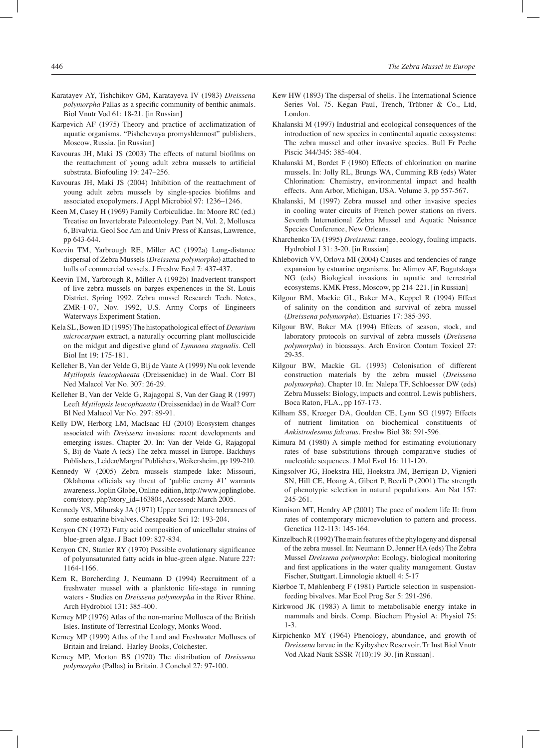- Karatayev AY, Tishchikov GM, Karatayeva IV (1983) *Dreissena polymorpha* Pallas as a specific community of benthic animals. Biol Vnutr Vod 61: 18-21. [in Russian]
- Karpevich AF (1975) Theory and practice of acclimatization of aquatic organisms. "Pishchevaya promyshlennost" publishers, Moscow, Russia. [in Russian]
- Kavouras JH, Maki JS (2003) The effects of natural biofilms on the reattachment of young adult zebra mussels to artificial substrata. Biofouling 19: 247–256.
- Kavouras JH, Maki JS (2004) Inhibition of the reattachment of young adult zebra mussels by single-species biofilms and associated exopolymers. J Appl Microbiol 97: 1236–1246.
- Keen M, Casey H (1969) Family Corbiculidae. In: Moore RC (ed.) Treatise on Invertebrate Paleontology. Part N, Vol. 2, Mollusca 6, Bivalvia. Geol Soc Am and Univ Press of Kansas, Lawrence, pp 643-644.
- Keevin TM, Yarbrough RE, Miller AC (1992a) Long-distance dispersal of Zebra Mussels (*Dreissena polymorpha*) attached to hulls of commercial vessels. J Freshw Ecol 7: 437-437.
- Keevin TM, Yarbrough R, Miller A (1992b) Inadvertent transport of live zebra mussels on barges experiences in the St. Louis District, Spring 1992. Zebra mussel Research Tech. Notes, ZMR-1-07, Nov. 1992, U.S. Army Corps of Engineers Waterways Experiment Station.
- Kela SL, Bowen ID (1995) The histopathological effect of *Detarium microcarpum* extract, a naturally occurring plant molluscicide on the midgut and digestive gland of *Lymnaea stagnalis*. Cell Biol Int 19: 175-181.
- Kelleher B, Van der Velde G, Bij de Vaate A (1999) Nu ook levende *Mytilopsis leucophaeata* (Dreissenidae) in de Waal. Corr Bl Ned Malacol Ver No. 307: 26-29.
- Kelleher B, Van der Velde G, Rajagopal S, Van der Gaag R (1997) Leeft *Mytilopsis leucophaeata* (Dreissenidae) in de Waal? Corr Bl Ned Malacol Ver No. 297: 89-91.
- Kelly DW, Herborg LM, MacIsaac HJ (2010) Ecosystem changes associated with *Dreissena* invasions: recent developments and emerging issues. Chapter 20. In: Van der Velde G, Rajagopal S, Bij de Vaate A (eds) The zebra mussel in Europe. Backhuys Publishers, Leiden/Margraf Publishers, Weikersheim, pp 199-210.
- Kennedy W (2005) Zebra mussels stampede lake: Missouri, Oklahoma officials say threat of 'public enemy #1' warrants awareness. Joplin Globe, Online edition, http://www.joplinglobe. com/story. php?story\_id=163804, Accessed: March 2005.
- Kennedy VS, Mihursky JA (1971) Upper temperature tolerances of some estuarine bivalves. Chesapeake Sci 12: 193-204.
- Kenyon CN (1972) Fatty acid composition of unicellular strains of blue-green algae. J Bact 109: 827-834.
- Kenyon CN, Stanier RY (1970) Possible evolutionary significance of polyunsaturated fatty acids in blue-green algae. Nature 227: 1164-1166.
- Kern R, Borcherding J, Neumann D (1994) Recruitment of a freshwater mussel with a planktonic life-stage in running waters - Studies on *Dreissena polymorpha* in the River Rhine. Arch Hydrobiol 131: 385-400.
- Kerney MP (1976) Atlas of the non-marine Mollusca of the British Isles. Institute of Terrestrial Ecology, Monks Wood.
- Kerney MP (1999) Atlas of the Land and Freshwater Molluscs of Britain and Ireland. Harley Books, Colchester.
- Kerney MP, Morton BS (1970) The distribution of *Dreissena polymorpha* (Pallas) in Britain. J Conchol 27: 97-100.
- Kew HW (1893) The dispersal of shells. The International Science Series Vol. 75. Kegan Paul, Trench, Trübner & Co., Ltd, London.
- Khalanski M (1997) Industrial and ecological consequences of the introduction of new species in continental aquatic ecosystems: The zebra mussel and other invasive species. Bull Fr Peche Piscic 344/345: 385-404.
- Khalanski M, Bordet F (1980) Effects of chlorination on marine mussels. In: Jolly RL, Brungs WA, Cumming RB (eds) Water Chlorination: Chemistry, environmental impact and health effects. Ann Arbor, Michigan, USA. Volume 3, pp 557-567.
- Khalanski, M (1997) Zebra mussel and other invasive species in cooling water circuits of French power stations on rivers. Seventh International Zebra Mussel and Aquatic Nuisance Species Conference, New Orleans.
- Kharchenko TA (1995) *Dreissena*: range, ecology, fouling impacts. Hydrobiol J 31: 3-20. [in Russian]
- Khlebovich VV, Orlova MI (2004) Causes and tendencies of range expansion by estuarine organisms. In: Alimov AF, Bogutskaya NG (eds) Biological invasions in aquatic and terrestrial ecosystems. KMK Press, Moscow, pp 214-221. [in Russian]
- Kilgour BM, Mackie GL, Baker MA, Keppel R (1994) Effect of salinity on the condition and survival of zebra mussel (*Dreissena polymorpha*). Estuaries 17: 385-393.
- Kilgour BW, Baker MA (1994) Effects of season, stock, and laboratory protocols on survival of zebra mussels (*Dreissena polymorpha*) in bioassays. Arch Environ Contam Toxicol 27: 29-35.
- Kilgour BW, Mackie GL (1993) Colonisation of different construction materials by the zebra mussel (*Dreissena polymorpha*). Chapter 10. In: Nalepa TF, Schloesser DW (eds) Zebra Mussels: Biology, impacts and control. Lewis publishers, Boca Raton, FLA., pp 167-173.
- Kilham SS, Kreeger DA, Goulden CE, Lynn SG (1997) Effects of nutrient limitation on biochemical constituents of *Ankistrodesmus falcatus*. Freshw Biol 38: 591-596.
- Kimura M (1980) A simple method for estimating evolutionary rates of base substitutions through comparative studies of nucleotide sequences. J Mol Evol 16: 111-120.
- Kingsolver JG, Hoekstra HE, Hoekstra JM, Berrigan D, Vignieri SN, Hill CE, Hoang A, Gibert P, Beerli P (2001) The strength of phenotypic selection in natural populations. Am Nat 157: 245-261.
- Kinnison MT, Hendry AP (2001) The pace of modern life II: from rates of contemporary microevolution to pattern and process. Genetica 112-113: 145-164.
- Kinzelbach R (1992) The main features of the phylogeny and dispersal of the zebra mussel. In: Neumann D, Jenner HA (eds) The Zebra Mussel *Dreissena polymorpha*: Ecology, biological monitoring and first applications in the water quality management. Gustav Fischer, Stuttgart. Limnologie aktuell 4: 5-17
- Kiørboe T, Møhlenberg F (1981) Particle selection in suspensionfeeding bivalves. Mar Ecol Prog Ser 5: 291-296.
- Kirkwood JK (1983) A limit to metabolisable energy intake in mammals and birds. Comp. Biochem Physiol A: Physiol 75: 1-3.
- Kirpichenko MY (1964) Phenology, abundance, and growth of *Dreissena* larvae in the Kyibyshev Reservoir. Tr Inst Biol Vnutr Vod Akad Nauk SSSR 7(10):19-30. [in Russian].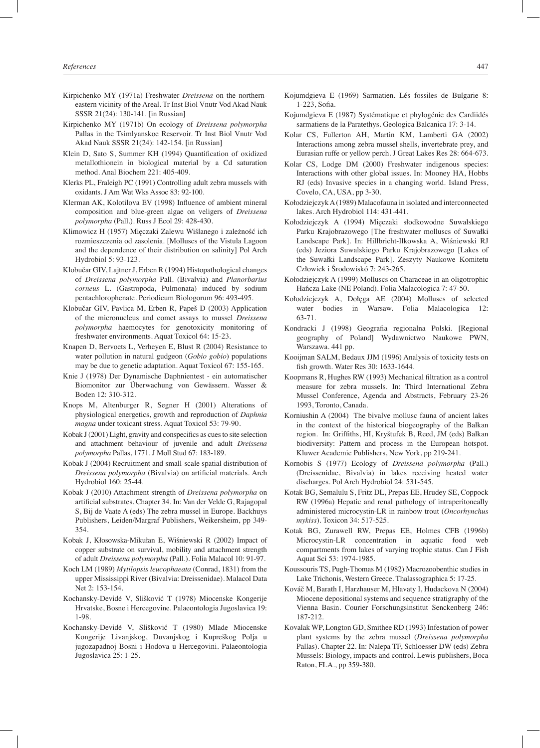- Kirpichenko MY (1971a) Freshwater *Dreissena* on the northerneastern vicinity of the Areal. Tr Inst Biol Vnutr Vod Akad Nauk SSSR 21(24): 130-141. [in Russian]
- Kirpichenko MY (1971b) On ecology of *Dreissena polymorpha*  Pallas in the Tsimlyanskoe Reservoir. Tr Inst Biol Vnutr Vod Akad Nauk SSSR 21(24): 142-154. [in Russian]
- Klein D, Sato S, Summer KH (1994) Quantification of oxidized metallothionein in biological material by a Cd saturation method. Anal Biochem 221: 405-409.
- Klerks PL, Fraleigh PC (1991) Controlling adult zebra mussels with oxidants. J Am Wat Wks Assoc 83: 92-100.
- Klerman AK, Kolotilova EV (1998) Influence of ambient mineral composition and blue-green algae on veligers of *Dreissena polymorpha* (Pall.). Russ J Ecol 29: 428-430.
- Klimowicz H (1957) Mięczaki Zalewu Wiślanego i zależność ich rozmieszczenia od zasolenia. [Molluscs of the Vistula Lagoon and the dependence of their distribution on salinity] Pol Arch Hydrobiol 5: 93-123.
- Klobučar GIV, Lajtner J, Erben R (1994) Histopathological changes of *Dreissena polymorpha* Pall. (Bivalvia) and *Planorbarius corneus* L. (Gastropoda, Pulmonata) induced by sodium pentachlorophenate. Periodicum Biologorum 96: 493-495.
- Klobučar GIV, Pavlica M, Erben R, Papeš D (2003) Application of the micronucleus and comet assays to mussel *Dreissena polymorpha* haemocytes for genotoxicity monitoring of freshwater environments. Aquat Toxicol 64: 15-23.
- Knapen D, Bervoets L, Verheyen E, Blust R (2004) Resistance to water pollution in natural gudgeon (*Gobio gobio*) populations may be due to genetic adaptation. Aquat Toxicol 67: 155-165.
- Knie J (1978) Der Dynamische Daphnientest ein automatischer Biomonitor zur Überwachung von Gewässern. Wasser & Boden 12: 310-312.
- Knops M, Altenburger R, Segner H (2001) Alterations of physiological energetics, growth and reproduction of *Daphnia magna* under toxicant stress. Aquat Toxicol 53: 79-90.
- Kobak J (2001) Light, gravity and conspecifics as cues to site selection and attachment behaviour of juvenile and adult *Dreissena polymorpha* Pallas, 1771. J Moll Stud 67: 183-189.
- Kobak J (2004) Recruitment and small-scale spatial distribution of *Dreissena polymorpha* (Bivalvia) on artificial materials. Arch Hydrobiol 160: 25-44.
- Kobak J (2010) Attachment strength of *Dreissena polymorpha* on artificial substrates. Chapter 34. In: Van der Velde G, Rajagopal S, Bij de Vaate A (eds) The zebra mussel in Europe. Backhuys Publishers, Leiden/Margraf Publishers, Weikersheim, pp 349- 354.
- Kobak J, Kłosowska-Mikułan E, Wiśniewski R (2002) Impact of copper substrate on survival, mobility and attachment strength of adult *Dreissena polymorpha* (Pall.). Folia Malacol 10: 91-97.
- Koch LM (1989) *Mytilopsis leucophaeata* (Conrad, 1831) from the upper Mississippi River (Bivalvia: Dreissenidae). Malacol Data Net 2: 153-154.
- Kochansky-Devidé V, Slišković T (1978) Miocenske Kongerije Hrvatske, Bosne i Hercegovine. Palaeontologia Jugoslavica 19: 1-98.
- Kochansky-Devidé V, Slišković T (1980) Mlade Miocenske Kongerije Livanjskog, Duvanjskog i Kupreškog Polja u jugozapadnoj Bosni i Hodova u Hercegovini. Palaeontologia Jugoslavica 25: 1-25.
- Kojumdgieva E (1969) Sarmatien. Lés fossiles de Bulgarie 8: 1-223, Sofia.
- Kojumdgieva E (1987) Systématique et phylogénie des Cardiidés sarmatiens de la Paratethys. Geologica Balcanica 17: 3-14.
- Kolar CS, Fullerton AH, Martin KM, Lamberti GA (2002) Interactions among zebra mussel shells, invertebrate prey, and Eurasian ruffe or yellow perch. J Great Lakes Res 28: 664-673.
- Kolar CS, Lodge DM (2000) Freshwater indigenous species: Interactions with other global issues. In: Mooney HA, Hobbs RJ (eds) Invasive species in a changing world. Island Press, Covelo, CA, USA, pp 3-30.
- Kołodziejczyk A (1989) Malacofauna in isolated and interconnected lakes. Arch Hydrobiol 114: 431-441.
- Kołodziejczyk A (1994) Mięczaki słodkowodne Suwalskiego Parku Krajobrazowego [The freshwater molluscs of Suwałki Landscape Park]. In: Hillbricht-Ilkowska A, Wiśniewski RJ (eds) Jeziora Suwalskiego Parku Krajobrazowego [Lakes of the Suwałki Landscape Park]. Zeszyty Naukowe Komitetu Człowiek i Środowiskó 7: 243-265.
- Kołodziejczyk A (1999) Molluscs on Characeae in an oligotrophic Hańcza Lake (NE Poland). Folia Malacologica 7: 47-50.
- Kołodziejczyk A, Dołęga AE (2004) Molluscs of selected water bodies in Warsaw. Folia Malacologica 12: 63-71.
- Kondracki J (1998) Geografia regionalna Polski. [Regional geography of Poland] Wydawnictwo Naukowe PWN, Warszawa. 441 pp.
- Kooijman SALM, Bedaux JJM (1996) Analysis of toxicity tests on fish growth. Water Res 30: 1633-1644.
- Koopmans R, Hughes RW (1993) Mechanical filtration as a control measure for zebra mussels. In: Third International Zebra Mussel Conference, Agenda and Abstracts, February 23-26 1993, Toronto, Canada.
- Korniushin A (2004) The bivalve mollusc fauna of ancient lakes in the context of the historical biogeography of the Balkan region. In: Griffiths, HI, Kryštufek B, Reed, JM (eds) Balkan biodiversity: Pattern and process in the European hotspot. Kluwer Academic Publishers, New York, pp 219-241.
- Kornobis S (1977) Ecology of *Dreissena polymorpha* (Pall.) (Dreissenidae, Bivalvia) in lakes receiving heated water discharges. Pol Arch Hydrobiol 24: 531-545.
- Kotak BG, Semalulu S, Fritz DL, Prepas EE, Hrudey SE, Coppock RW (1996a) Hepatic and renal pathology of intraperitoneally administered microcystin-LR in rainbow trout (*Oncorhynchus mykiss*). Toxicon 34: 517-525.
- Kotak BG, Zurawell RW, Prepas EE, Holmes CFB (1996b) Microcystin-LR concentration in aquatic food web compartments from lakes of varying trophic status. Can J Fish Aquat Sci 53: 1974-1985.
- Koussouris TS, Pugh-Thomas M (1982) Macrozoobenthic studies in Lake Trichonis, Western Greece. Thalassographica 5: 17-25.
- Kováč M, Barath I, Harzhauser M, Hlavaty I, Hudackova N (2004) Miocene depositional systems and sequence stratigraphy of the Vienna Basin. Courier Forschungsinstitut Senckenberg 246: 187-212.
- Kovalak WP, Longton GD, Smithee RD (1993) Infestation of power plant systems by the zebra mussel (*Dreissena polymorpha* Pallas). Chapter 22. In: Nalepa TF, Schloesser DW (eds) Zebra Mussels: Biology, impacts and control. Lewis publishers, Boca Raton, FLA., pp 359-380.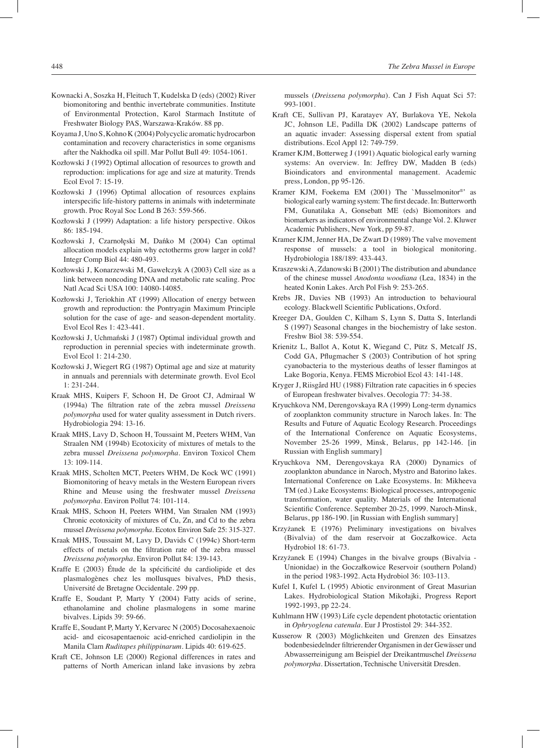- Kownacki A, Soszka H, Fleituch T, Kudelska D (eds) (2002) River biomonitoring and benthic invertebrate communities. Institute of Environmental Protection, Karol Starmach Institute of Freshwater Biology PAS, Warszawa-Kraków. 88 pp.
- Koyama J, Uno S, Kohno K (2004) Polycyclic aromatic hydrocarbon contamination and recovery characteristics in some organisms after the Nakhodka oil spill. Mar Pollut Bull 49: 1054-1061.
- Kozłowski J (1992) Optimal allocation of resources to growth and reproduction: implications for age and size at maturity. Trends Ecol Evol 7: 15-19.
- Kozłowski J (1996) Optimal allocation of resources explains interspecific life-history patterns in animals with indeterminate growth. Proc Royal Soc Lond B 263: 559-566.
- Kozłowski J (1999) Adaptation: a life history perspective. Oikos 86: 185-194.
- Kozłowski J, Czarnołęski M, Dańko M (2004) Can optimal allocation models explain why ectotherms grow larger in cold? Integr Comp Biol 44: 480-493.
- Kozłowski J, Konarzewski M, Gawełczyk A (2003) Cell size as a link between noncoding DNA and metabolic rate scaling. Proc Natl Acad Sci USA 100: 14080-14085.
- Kozłowski J, Teriokhin AT (1999) Allocation of energy between growth and reproduction: the Pontryagin Maximum Principle solution for the case of age- and season-dependent mortality. Evol Ecol Res 1: 423-441.
- Kozłowski J, Uchmański J (1987) Optimal individual growth and reproduction in perennial species with indeterminate growth. Evol Ecol 1: 214-230.
- Kozłowski J, Wiegert RG (1987) Optimal age and size at maturity in annuals and perennials with determinate growth. Evol Ecol 1: 231-244.
- Kraak MHS, Kuipers F, Schoon H, De Groot CJ, Admiraal W (1994a) The filtration rate of the zebra mussel *Dreissena polymorpha* used for water quality assessment in Dutch rivers. Hydrobiologia 294: 13-16.
- Kraak MHS, Lavy D, Schoon H, Toussaint M, Peeters WHM, Van Straalen NM (1994b) Ecotoxicity of mixtures of metals to the zebra mussel *Dreissena polymorpha*. Environ Toxicol Chem 13: 109-114.
- Kraak MHS, Scholten MCT, Peeters WHM, De Kock WC (1991) Biomonitoring of heavy metals in the Western European rivers Rhine and Meuse using the freshwater mussel *Dreissena polymorpha*. Environ Pollut 74: 101-114.
- Kraak MHS, Schoon H, Peeters WHM, Van Straalen NM (1993) Chronic ecotoxicity of mixtures of Cu, Zn, and Cd to the zebra mussel *Dreissena polymorpha*. Ecotox Environ Safe 25: 315-327.
- Kraak MHS, Toussaint M, Lavy D, Davids C (1994c) Short-term effects of metals on the filtration rate of the zebra mussel *Dreissena polymorpha*. Environ Pollut 84: 139-143.
- Kraffe E (2003) Étude de la spécificité du cardiolipide et des plasmalogènes chez les mollusques bivalves, PhD thesis, Université de Bretagne Occidentale. 299 pp.
- Kraffe E, Soudant P, Marty Y (2004) Fatty acids of serine, ethanolamine and choline plasmalogens in some marine bivalves. Lipids 39: 59-66.
- Kraffe E, Soudant P, Marty Y, Kervarec N (2005) Docosahexaenoic acid- and eicosapentaenoic acid-enriched cardiolipin in the Manila Clam *Ruditapes philippinarum*. Lipids 40: 619-625.
- Kraft CE, Johnson LE (2000) Regional differences in rates and patterns of North American inland lake invasions by zebra

mussels (*Dreissena polymorpha*). Can J Fish Aquat Sci 57: 993-1001.

- Kraft CE, Sullivan PJ, Karatayev AY, Burlakova YE, Nekola JC, Johnson LE, Padilla DK (2002) Landscape patterns of an aquatic invader: Assessing dispersal extent from spatial distributions. Ecol Appl 12: 749-759.
- Kramer KJM, Botterweg J (1991) Aquatic biological early warning systems: An overview. In: Jeffrey DW, Madden B (eds) Bioindicators and environmental management. Academic press, London, pp 95-126.
- Kramer KJM, Foekema EM (2001) The `Musselmonitor®' as biological early warning system: The first decade. In: Butterworth FM, Gunatilaka A, Gonsebatt ME (eds) Biomonitors and biomarkers as indicators of environmental change Vol. 2. Kluwer Academic Publishers, New York, pp 59-87.
- Kramer KJM, Jenner HA, De Zwart D (1989) The valve movement response of mussels: a tool in biological monitoring. Hydrobiologia 188/189: 433-443.
- Kraszewski A, Zdanowski B (2001) The distribution and abundance of the chinese mussel *Anodonta woodiana* (Lea, 1834) in the heated Konin Lakes. Arch Pol Fish 9: 253-265.
- Krebs JR, Davies NB (1993) An introduction to behavioural ecology. Blackwell Scientific Publications, Oxford.
- Kreeger DA, Goulden C, Kilham S, Lynn S, Datta S, Interlandi S (1997) Seasonal changes in the biochemistry of lake seston. Freshw Biol 38: 539-554.
- Krienitz L, Ballot A, Kotut K, Wiegand C, Pütz S, Metcalf JS, Codd GA, Pflugmacher S (2003) Contribution of hot spring cyanobacteria to the mysterious deaths of lesser flamingos at Lake Bogoria, Kenya. FEMS Microbiol Ecol 43: 141-148.
- Kryger J, Riisgård HU (1988) Filtration rate capacities in 6 species of European freshwater bivalves. Oecologia 77: 34-38.
- Kryuchkova NM, Derengovskaya RA (1999) Long-term dynamics of zooplankton community structure in Naroch lakes. In: The Results and Future of Aquatic Ecology Research. Proceedings of the International Conference on Aquatic Ecosystems, November 25-26 1999, Minsk, Belarus, pp 142-146. [in Russian with English summary]
- Kryuchkova NM, Derengovskaya RA (2000) Dynamics of zooplankton abundance in Naroch, Mystro and Batorino lakes. International Conference on Lake Ecosystems. In: Mikheeva TM (ed.) Lake Ecosystems: Biological processes, antropogenic transformation, water quality. Materials of the International Scientific Conference. September 20-25, 1999. Naroch-Minsk, Belarus, pp 186-190. [in Russian with English summary]
- Krzyżanek E (1976) Preliminary investigations on bivalves (Bivalvia) of the dam reservoir at Goczałkowice. Acta Hydrobiol 18: 61-73.
- Krzyżanek E (1994) Changes in the bivalve groups (Bivalvia Unionidae) in the Goczałkowice Reservoir (southern Poland) in the period 1983-1992. Acta Hydrobiol 36: 103-113.
- Kufel I, Kufel L (1995) Abiotic environment of Great Masurian Lakes. Hydrobiological Station Mikołajki, Progress Report 1992-1993, pp 22-24.
- Kuhlmann HW (1993) Life cycle dependent phototactic orientation in *Ophryoglena catenula*. Eur J Prostistol 29: 344-352.
- Kusserow R (2003) Möglichkeiten und Grenzen des Einsatzes bodenbesiedelnder filtrierender Organismen in der Gewässer und Abwasserreinigung am Beispiel der Dreikantmuschel *Dreissena polymorpha*. Dissertation, Technische Universität Dresden.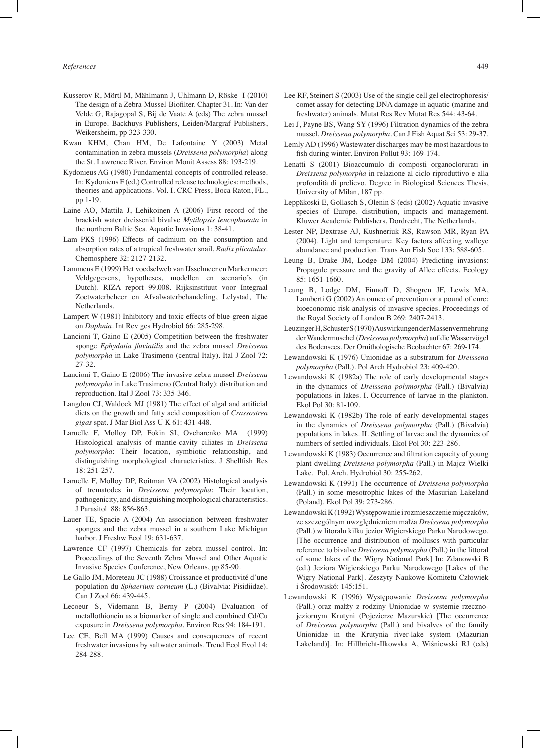- Kusserov R, Mörtl M, Mählmann J, Uhlmann D, Röske I (2010) The design of a Zebra-Mussel-Biofilter. Chapter 31. In: Van der Velde G, Rajagopal S, Bij de Vaate A (eds) The zebra mussel in Europe. Backhuys Publishers, Leiden/Margraf Publishers, Weikersheim, pp 323-330.
- Kwan KHM, Chan HM, De Lafontaine Y (2003) Metal contamination in zebra mussels (*Dreissena polymorpha*) along the St. Lawrence River. Environ Monit Assess 88: 193-219.
- Kydonieus AG (1980) Fundamental concepts of controlled release. In: Kydonieus F (ed.) Controlled release technologies: methods, theories and applications. Vol. I. CRC Press, Boca Raton, FL., pp 1-19.
- Laine AO, Mattila J, Lehikoinen A (2006) First record of the brackish water dreissenid bivalve *Mytilopsis leucophaeata* in the northern Baltic Sea. Aquatic Invasions 1: 38-41.
- Lam PKS (1996) Effects of cadmium on the consumption and absorption rates of a tropical freshwater snail, *Radix plicatulus*. Chemosphere 32: 2127-2132.
- Lammens E (1999) Het voedselweb van IJsselmeer en Markermeer: Veldgegevens, hypotheses, modellen en scenario's (in Dutch). RIZA report 99.008. Rijksinstituut voor Integraal Zoetwaterbeheer en Afvalwaterbehandeling, Lelystad, The **Netherlands**
- Lampert W (1981) Inhibitory and toxic effects of blue-green algae on *Daphnia*. Int Rev ges Hydrobiol 66: 285-298.
- Lancioni T, Gaino E (2005) Competition between the freshwater sponge *Ephydatia fluviatilis* and the zebra mussel *Dreissena polymorpha* in Lake Trasimeno (central Italy). Ital J Zool 72: 27-32.
- Lancioni T, Gaino E (2006) The invasive zebra mussel *Dreissena polymorpha* in Lake Trasimeno (Central Italy): distribution and reproduction. Ital J Zool 73: 335-346.
- Langdon CJ, Waldock MJ (1981) The effect of algal and artificial diets on the growth and fatty acid composition of *Crassostrea gigas* spat. J Mar Biol Ass U K 61: 431-448.
- Laruelle F, Molloy DP, Fokin SI, Ovcharenko MA (1999) Histological analysis of mantle-cavity ciliates in *Dreissena polymorpha*: Their location, symbiotic relationship, and distinguishing morphological characteristics. J Shellfish Res 18: 251-257.
- Laruelle F, Molloy DP, Roitman VA (2002) Histological analysis of trematodes in *Dreissena polymorpha*: Their location, pathogenicity, and distinguishing morphological characteristics. J Parasitol 88: 856-863.
- Lauer TE, Spacie A (2004) An association between freshwater sponges and the zebra mussel in a southern Lake Michigan harbor. J Freshw Ecol 19: 631-637.
- Lawrence CF (1997) Chemicals for zebra mussel control. In: Proceedings of the Seventh Zebra Mussel and Other Aquatic Invasive Species Conference, New Orleans, pp 85-90.
- Le Gallo JM, Moreteau JC (1988) Croissance et productivité d'une population du *Sphaerium corneum* (L.) (Bivalvia: Pisidiidae). Can J Zool 66: 439-445.
- Lecoeur S, Videmann B, Berny P (2004) Evaluation of metallothionein as a biomarker of single and combined Cd/Cu exposure in *Dreissena polymorpha*. Environ Res 94: 184-191.
- Lee CE, Bell MA (1999) Causes and consequences of recent freshwater invasions by saltwater animals. Trend Ecol Evol 14: 284-288.
- Lee RF, Steinert S (2003) Use of the single cell gel electrophoresis/ comet assay for detecting DNA damage in aquatic (marine and freshwater) animals. Mutat Res Rev Mutat Res 544: 43-64.
- Lei J, Payne BS, Wang SY (1996) Filtration dynamics of the zebra mussel, *Dreissena polymorpha*. Can J Fish Aquat Sci 53: 29-37.
- Lemly AD (1996) Wastewater discharges may be most hazardous to fish during winter. Environ Pollut 93: 169-174.
- Lenatti S (2001) Bioaccumulo di composti organoclorurati in *Dreissena polymorpha* in relazione al ciclo riproduttivo e alla profondità di prelievo. Degree in Biological Sciences Thesis, University of Milan, 187 pp.
- Leppäkoski E, Gollasch S, Olenin S (eds) (2002) Aquatic invasive species of Europe. distribution, impacts and management. Kluwer Academic Publishers, Dordrecht, The Netherlands.
- Lester NP, Dextrase AJ, Kushneriuk RS, Rawson MR, Ryan PA (2004). Light and temperature: Key factors affecting walleye abundance and production. Trans Am Fish Soc 133: 588-605.
- Leung B, Drake JM, Lodge DM (2004) Predicting invasions: Propagule pressure and the gravity of Allee effects. Ecology 85: 1651-1660.
- Leung B, Lodge DM, Finnoff D, Shogren JF, Lewis MA, Lamberti G (2002) An ounce of prevention or a pound of cure: bioeconomic risk analysis of invasive species. Proceedings of the Royal Society of London B 269: 2407-2413.
- Leuzinger H, Schuster S (1970) Auswirkungen der Massenvermehrung der Wandermuschel (*Dreissena polymorpha*) auf die Wasservögel des Bodensees. Der Ornithologische Beobachter 67: 269-174.
- Lewandowski K (1976) Unionidae as a substratum for *Dreissena polymorpha* (Pall.). Pol Arch Hydrobiol 23: 409-420.
- Lewandowski K (1982a) The role of early developmental stages in the dynamics of *Dreissena polymorpha* (Pall.) (Bivalvia) populations in lakes. I. Occurrence of larvae in the plankton. Ekol Pol 30: 81-109.
- Lewandowski K (1982b) The role of early developmental stages in the dynamics of *Dreissena polymorpha* (Pall.) (Bivalvia) populations in lakes. II. Settling of larvae and the dynamics of numbers of settled individuals. Ekol Pol 30: 223-286.
- Lewandowski K (1983) Occurrence and filtration capacity of young plant dwelling *Dreissena polymorpha* (Pall.) in Majcz Wielki Lake. Pol. Arch. Hydrobiol 30: 255-262.
- Lewandowski K (1991) The occurrence of *Dreissena polymorpha* (Pall.) in some mesotrophic lakes of the Masurian Lakeland (Poland). Ekol Pol 39: 273-286.
- Lewandowski K (1992) Występowanie i rozmieszczenie mięczaków, ze szczególnym uwzględnieniem małża *Dreissena polymorpha* (Pall.) w litoralu kilku jezior Wigierskiego Parku Narodowego. [The occurrence and distribution of molluscs with particular reference to bivalve *Dreissena polymorpha* (Pall.) in the littoral of some lakes of the Wigry National Park] In: Zdanowski B (ed.) Jeziora Wigierskiego Parku Narodowego [Lakes of the Wigry National Park]. Zeszyty Naukowe Komitetu Człowiek i Środowiskó: 145:151.
- Lewandowski K (1996) Występowanie *Dreissena polymorpha* (Pall.) oraz małży z rodziny Unionidae w systemie rzecznojeziornym Krutyni (Pojezierze Mazurskie) [The occurrence of *Dreissena polymorpha* (Pall.) and bivalves of the family Unionidae in the Krutynia river-lake system (Mazurian Lakeland)]. In: Hillbricht-Ilkowska A, Wiśniewski RJ (eds)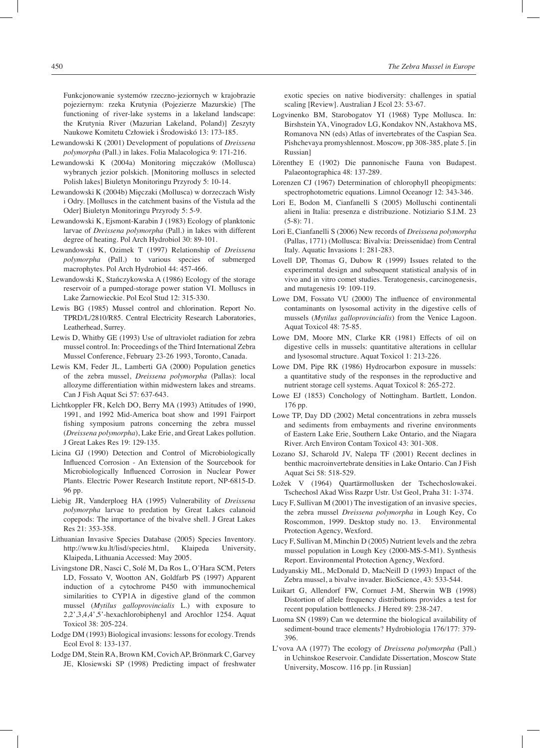Funkcjonowanie systemów rzeczno-jeziornych w krajobrazie pojeziernym: rzeka Krutynia (Pojezierze Mazurskie) [The functioning of river-lake systems in a lakeland landscape: the Krutynia River (Mazurian Lakeland, Poland)] Zeszyty Naukowe Komitetu Człowiek i Środowiskó 13: 173-185.

- Lewandowski K (2001) Development of populations of *Dreissena polymorpha* (Pall.) in lakes. Folia Malacologica 9: 171-216.
- Lewandowski K (2004a) Monitoring mięczaków (Mollusca) wybranych jezior polskich. [Monitoring molluscs in selected Polish lakes] Biuletyn Monitoringu Przyrody 5: 10-14.
- Lewandowski K (2004b) Mięczaki (Mollusca) w dorzeczach Wisły i Odry. [Molluscs in the catchment basins of the Vistula ad the Oder] Biuletyn Monitoringu Przyrody 5: 5-9.
- Lewandowski K, Ejsmont-Karabin J (1983) Ecology of planktonic larvae of *Dreissena polymorpha* (Pall.) in lakes with different degree of heating. Pol Arch Hydrobiol 30: 89-101.
- Lewandowski K, Ozimek T (1997) Relationship of *Dreissena polymorpha* (Pall.) to various species of submerged macrophytes. Pol Arch Hydrobiol 44: 457-466.
- Lewandowski K, Stańczykowska A (1986) Ecology of the storage reservoir of a pumped-storage power station VI. Molluscs in Lake Żarnowieckie. Pol Ecol Stud 12: 315-330.
- Lewis BG (1985) Mussel control and chlorination. Report No. TPRD/L/2810/R85. Central Electricity Research Laboratories, Leatherhead, Surrey.
- Lewis D, Whitby GE (1993) Use of ultraviolet radiation for zebra mussel control. In: Proceedings of the Third International Zebra Mussel Conference, February 23-26 1993, Toronto, Canada.
- Lewis KM, Feder JL, Lamberti GA (2000) Population genetics of the zebra mussel, *Dreissena polymorpha* (Pallas): local allozyme differentiation within midwestern lakes and streams. Can J Fish Aquat Sci 57: 637-643.
- Lichtkoppler FR, Kelch DO, Berry MA (1993) Attitudes of 1990, 1991, and 1992 Mid-America boat show and 1991 Fairport fishing symposium patrons concerning the zebra mussel (*Dreissena polymorpha*), Lake Erie, and Great Lakes pollution. J Great Lakes Res 19: 129-135.
- Licina GJ (1990) Detection and Control of Microbiologically Influenced Corrosion - An Extension of the Sourcebook for Microbiologically Influenced Corrosion in Nuclear Power Plants. Electric Power Research Institute report, NP-6815-D. 96 pp.
- Liebig JR, Vanderploeg HA (1995) Vulnerability of *Dreissena polymorpha* larvae to predation by Great Lakes calanoid copepods: The importance of the bivalve shell. J Great Lakes Res 21: 353-358.
- Lithuanian Invasive Species Database (2005) Species Inventory. http://www.ku.lt/lisd/species.html, Klaipeda University, Klaipeda, Lithuania Accessed: May 2005.
- Livingstone DR, Nasci C, Solé M, Da Ros L, O'Hara SCM, Peters LD, Fossato V, Wootton AN, Goldfarb PS (1997) Apparent induction of a cytochrome P450 with immunochemical similarities to CYP1A in digestive gland of the common mussel (*Mytilus galloprovincialis* L.) with exposure to 2,2',3,4,4',5'-hexachlorobiphenyl and Arochlor 1254. Aquat Toxicol 38: 205-224.
- Lodge DM (1993) Biological invasions: lessons for ecology. Trends Ecol Evol 8: 133-137.
- Lodge DM, Stein RA, Brown KM, Covich AP, Brönmark C, Garvey JE, Klosiewski SP (1998) Predicting impact of freshwater

exotic species on native biodiversity: challenges in spatial scaling [Review]. Australian J Ecol 23: 53-67.

- Logvinenko BM, Starobogatov YI (1968) Type Mollusca. In: Birshstein YA, Vinogradov LG, Kondakov NN, Astakhova MS, Romanova NN (eds) Atlas of invertebrates of the Caspian Sea. Pishchevaya promyshlennost. Moscow, pp 308-385, plate 5. [in Russian]
- Lörenthey E (1902) Die pannonische Fauna von Budapest. Palaeontographica 48: 137-289.
- Lorenzen CJ (1967) Determination of chlorophyll pheopigments: spectrophotometric equations. Limnol Oceanogr 12: 343-346.
- Lori E, Bodon M, Cianfanelli S (2005) Molluschi continentali alieni in Italia: presenza e distribuzione. Notiziario S.I.M. 23  $(5-8): 71.$
- Lori E, Cianfanelli S (2006) New records of *Dreissena polymorpha* (Pallas, 1771) (Mollusca: Bivalvia: Dreissenidae) from Central Italy. Aquatic Invasions 1: 281-283.
- Lovell DP, Thomas G, Dubow R (1999) Issues related to the experimental design and subsequent statistical analysis of in vivo and in vitro comet studies. Teratogenesis, carcinogenesis, and mutagenesis 19: 109-119.
- Lowe DM, Fossato VU (2000) The influence of environmental contaminants on lysosomal activity in the digestive cells of mussels (*Mytilus galloprovincialis*) from the Venice Lagoon. Aquat Toxicol 48: 75-85.
- Lowe DM, Moore MN, Clarke KR (1981) Effects of oil on digestive cells in mussels: quantitative alterations in cellular and lysosomal structure. Aquat Toxicol 1: 213-226.
- Lowe DM, Pipe RK (1986) Hydrocarbon exposure in mussels: a quantitative study of the responses in the reproductive and nutrient storage cell systems. Aquat Toxicol 8: 265-272.
- Lowe EJ (1853) Conchology of Nottingham. Bartlett, London. 176 pp.
- Lowe TP, Day DD (2002) Metal concentrations in zebra mussels and sediments from embayments and riverine environments of Eastern Lake Erie, Southern Lake Ontario, and the Niagara River. Arch Environ Contam Toxicol 43: 301-308.
- Lozano SJ, Scharold JV, Nalepa TF (2001) Recent declines in benthic macroinvertebrate densities in Lake Ontario. Can J Fish Aquat Sci 58: 518-529.
- Ložek V (1964) Quartärmollusken der Tschechoslowakei. Tschechosl Akad Wiss Razpr Ustr. Ust Geol, Praha 31: 1-374.
- Lucy F, Sullivan M (2001) The investigation of an invasive species, the zebra mussel *Dreissena polymorpha* in Lough Key, Co Roscommon, 1999. Desktop study no. 13. Environmental Protection Agency, Wexford.
- Lucy F, Sullivan M, Minchin D (2005) Nutrient levels and the zebra mussel population in Lough Key (2000-MS-5-M1). Synthesis Report. Environmental Protection Agency, Wexford.
- Ludyanskiy ML, McDonald D, MacNeill D (1993) Impact of the Zebra mussel, a bivalve invader. BioScience, 43: 533-544.
- Luikart G, Allendorf FW, Cornuet J-M, Sherwin WB (1998) Distortion of allele frequency distributions provides a test for recent population bottlenecks. J Hered 89: 238-247.
- Luoma SN (1989) Can we determine the biological availability of sediment-bound trace elements? Hydrobiologia 176/177: 379- 396.
- L'vova AA (1977) The ecology of *Dreissena polymorpha* (Pall.) in Uchinskoe Reservoir. Candidate Dissertation, Moscow State University, Moscow. 116 pp. [in Russian]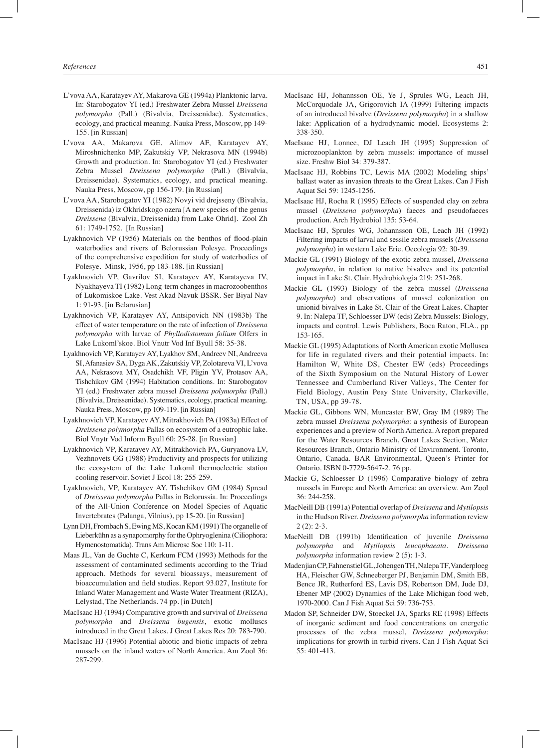- L'vova AA, Karatayev AY, Makarova GE (1994a) Planktonic larva. In: Starobogatov YI (ed.) Freshwater Zebra Mussel *Dreissena polymorpha* (Pall.) (Bivalvia, Dreissenidae). Systematics, ecology, and practical meaning. Nauka Press, Moscow, pp 149- 155. [in Russian]
- L'vova AA, Makarova GE, Alimov AF, Karatayev AY, Miroshnichenko MP, Zakutskiy VP, Nekrasova MN (1994b) Growth and production. In: Starobogatov YI (ed.) Freshwater Zebra Mussel *Dreissena polymorpha* (Pall.) (Bivalvia, Dreissenidae). Systematics, ecology, and practical meaning. Nauka Press, Moscow, pp 156-179. [in Russian]
- L'vova AA, Starobogatov YI (1982) Novyi vid drejsseny (Bivalvia, Dreissenida) iz Okhridskogo ozera [A new species of the genus *Dreissena* (Bivalvia, Dreissenida) from Lake Ohrid]. Zool Zh 61: 1749-1752. [In Russian]
- Lyakhnovich VP (1956) Materials on the benthos of flood-plain waterbodies and rivers of Belorussian Polesye. Proceedings of the comprehensive expedition for study of waterbodies of Polesye. Minsk, 1956, pp 183-188. [in Russian]
- Lyakhnovich VP, Gavrilov SI, Karatayev AY, Karatayeva IV, Nyakhayeva TI (1982) Long-term changes in macrozoobenthos of Lukomiskoe Lake. Vest Akad Navuk BSSR*.* Ser Biyal Nav 1: 91-93. [in Belarusian]
- Lyakhnovich VP, Karatayev AY, Antsipovich NN (1983b) The effect of water temperature on the rate of infection of *Dreissena polymorpha* with larvae of *Phyllodistomum folium* Olfers in Lake Lukoml'skoe. Biol Vnutr Vod Inf Byull 58: 35-38.
- Lyakhnovich VP, Karatayev AY, Lyakhov SM, Andreev NI, Andreeva SI, Afanasiev SA, Dyga AK, Zakutskiy VP, Zolotareva VI, L'vova AA, Nekrasova MY, Osadchikh VF, Pligin YV, Protasov AA, Tishchikov GM (1994) Habitation conditions. In: Starobogatov YI (ed.) Freshwater zebra mussel *Dreissena polymorpha* (Pall.) (Bivalvia, Dreissenidae). Systematics, ecology, practical meaning. Nauka Press, Moscow, pp 109-119. [in Russian]
- Lyakhnovich VP, Karatayev AY, Mitrakhovich PA (1983a) Effect of *Dreissena polymorpha* Pallas on ecosystem of a eutrophic lake. Biol Vnytr Vod Inform Byull 60: 25-28. [in Russian]
- Lyakhnovich VP, Karatayev AY, Mitrakhovich PA, Guryanova LV, Vezhnovets GG (1988) Productivity and prospects for utilizing the ecosystem of the Lake Lukoml thermoelectric station cooling reservoir. Soviet J Ecol 18: 255-259.
- Lyakhnovich, VP, Karatayev AY, Tishchikov GM (1984) Spread of *Dreissena polymorpha* Pallas in Belorussia. In: Proceedings of the All-Union Conference on Model Species of Aquatic Invertebrates (Palanga, Vilnius), pp 15-20. [in Russian]
- Lynn DH, Frombach S, Ewing MS, Kocan KM (1991) The organelle of Lieberkühn as a synapomorphy for the Ophryoglenina (Ciliophora: Hymenostomatida). Trans Am Microsc Soc 110: 1-11.
- Maas JL, Van de Guchte C, Kerkum FCM (1993) Methods for the assessment of contaminated sediments according to the Triad approach. Methods for several bioassays, measurement of bioaccumulation and field studies. Report 93.027, Institute for Inland Water Management and Waste Water Treatment (RIZA), Lelystad, The Netherlands. 74 pp. [in Dutch]
- MacIsaac HJ (1994) Comparative growth and survival of *Dreissena polymorpha* and *Dreissena bugensis*, exotic molluscs introduced in the Great Lakes. J Great Lakes Res 20: 783-790.
- MacIsaac HJ (1996) Potential abiotic and biotic impacts of zebra mussels on the inland waters of North America. Am Zool 36: 287-299.
- MacIsaac HJ, Johannsson OE, Ye J, Sprules WG, Leach JH, McCorquodale JA, Grigorovich IA (1999) Filtering impacts of an introduced bivalve (*Dreissena polymorpha*) in a shallow lake: Application of a hydrodynamic model. Ecosystems 2: 338-350.
- MacIsaac HJ, Lonnee, DJ Leach JH (1995) Suppression of microzooplankton by zebra mussels: importance of mussel size. Freshw Biol 34: 379-387.
- MacIsaac HJ, Robbins TC, Lewis MA (2002) Modeling ships' ballast water as invasion threats to the Great Lakes. Can J Fish Aquat Sci 59: 1245-1256.
- MacIsaac HJ, Rocha R (1995) Effects of suspended clay on zebra mussel (*Dreissena polymorpha*) faeces and pseudofaeces production. Arch Hydrobiol 135: 53-64.
- MacIsaac HJ, Sprules WG, Johannsson OE, Leach JH (1992) Filtering impacts of larval and sessile zebra mussels (*Dreissena polymorpha*) in western Lake Erie. Oecologia 92: 30-39.
- Mackie GL (1991) Biology of the exotic zebra mussel, *Dreissena polymorpha*, in relation to native bivalves and its potential impact in Lake St. Clair. Hydrobiologia 219: 251-268.
- Mackie GL (1993) Biology of the zebra mussel (*Dreissena polymorpha*) and observations of mussel colonization on unionid bivalves in Lake St. Clair of the Great Lakes. Chapter 9. In: Nalepa TF, Schloesser DW (eds) Zebra Mussels: Biology, impacts and control. Lewis Publishers, Boca Raton, FLA., pp 153-165.
- Mackie GL (1995) Adaptations of North American exotic Mollusca for life in regulated rivers and their potential impacts. In: Hamilton W, White DS, Chester EW (eds) Proceedings of the Sixth Symposium on the Natural History of Lower Tennessee and Cumberland River Valleys, The Center for Field Biology, Austin Peay State University, Clarkeville, TN, USA, pp 39-78.
- Mackie GL, Gibbons WN, Muncaster BW, Gray IM (1989) The zebra mussel *Dreissena polymorpha*: a synthesis of European experiences and a preview of North America. A report prepared for the Water Resources Branch, Great Lakes Section, Water Resources Branch, Ontario Ministry of Environment. Toronto, Ontario, Canada. BAR Environmental, Queen's Printer for Ontario. ISBN 0-7729-5647-2. 76 pp.
- Mackie G, Schloesser D (1996) Comparative biology of zebra mussels in Europe and North America: an overview. Am Zool 36: 244-258.
- MacNeill DB (1991a) Potential overlap of *Dreissena* and *Mytilopsis* in the Hudson River. *Dreissena polymorpha* information review  $2(2): 2-3.$
- MacNeill DB (1991b) Identification of juvenile *Dreissena polymorpha* and *Mytilopsis leucophaeata*. *Dreissena polymorpha* information review 2 (5): 1-3.
- Madenjian CP, Fahnenstiel GL, Johengen TH, Nalepa TF, Vanderploeg HA, Fleischer GW, Schneeberger PJ, Benjamin DM, Smith EB, Bence JR, Rutherford ES, Lavis DS, Robertson DM, Jude DJ, Ebener MP (2002) Dynamics of the Lake Michigan food web, 1970-2000. Can J Fish Aquat Sci 59: 736-753.
- Madon SP, Schneider DW, Stoeckel JA, Sparks RE (1998) Effects of inorganic sediment and food concentrations on energetic processes of the zebra mussel, *Dreissena polymorpha*: implications for growth in turbid rivers. Can J Fish Aquat Sci 55: 401-413.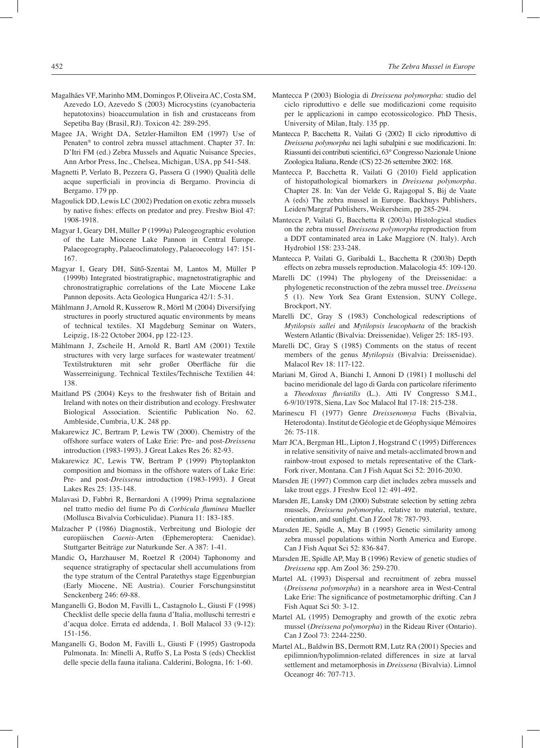- Magalhães VF, Marinho MM, Domingos P, Oliveira AC, Costa SM, Azevedo LO, Azevedo S (2003) Microcystins (cyanobacteria hepatotoxins) bioaccumulation in fish and crustaceans from Sepetiba Bay (Brasil, RJ). Toxicon 42: 289-295.
- Magee JA, Wright DA, Setzler-Hamilton EM (1997) Use of Penaten® to control zebra mussel attachment. Chapter 37. In: D'Itri FM (ed.) Zebra Mussels and Aquatic Nuisance Species, Ann Arbor Press, Inc., Chelsea, Michigan, USA, pp 541-548.
- Magnetti P, Verlato B, Pezzera G, Passera G (1990) Qualità delle acque superficiali in provincia di Bergamo. Provincia di Bergamo. 179 pp.
- Magoulick DD, Lewis LC (2002) Predation on exotic zebra mussels by native fishes: effects on predator and prey. Freshw Biol 47: 1908-1918.
- Magyar I, Geary DH, Müller P (1999a) Paleogeographic evolution of the Late Miocene Lake Pannon in Central Europe. Palaeogeography, Palaeoclimatology, Palaeoecology 147: 151- 167.
- Magyar I, Geary DH, Sütő-Szentai M, Lantos M, Müller P (1999b) Integrated biostratigraphic, magnetostratigraphic and chronostratigraphic correlations of the Late Miocene Lake Pannon deposits. Acta Geologica Hungarica 42/1: 5-31.
- Mählmann J, Arnold R, Kusserow R, Mörtl M (2004) Diversifying structures in poorly structured aquatic environments by means of technical textiles. XI Magdeburg Seminar on Waters, Leipzig, 18-22 October 2004, pp 122-123.
- Mählmann J, Zscheile H, Arnold R, Bartl AM (2001) Textile structures with very large surfaces for wastewater treatment/ Textilstrukturen mit sehr großer Oberfläche für die Wasserreinigung. Technical Textiles/Technische Textilien 44: 138.
- Maitland PS (2004) Keys to the freshwater fish of Britain and Ireland with notes on their distribution and ecology. Freshwater Biological Association. Scientific Publication No. 62. Ambleside, Cumbria, U.K. 248 pp.
- Makarewicz JC, Bertram P, Lewis TW (2000). Chemistry of the offshore surface waters of Lake Erie: Pre- and post-*Dreissena* introduction (1983-1993). J Great Lakes Res 26: 82-93.
- Makarewicz JC, Lewis TW, Bertram P (1999) Phytoplankton composition and biomass in the offshore waters of Lake Erie: Pre- and post-*Dreissena* introduction (1983-1993). J Great Lakes Res 25: 135-148.
- Malavasi D, Fabbri R, Bernardoni A (1999) Prima segnalazione nel tratto medio del fiume Po di *Corbicula fluminea* Mueller (Mollusca Bivalvia Corbiculidae). Pianura 11: 183-185.
- Malzacher P (1986) Diagnostik, Verbreitung und Biologie der europäischen *Caenis*-Arten (Ephemeroptera: Caenidae). Stuttgarter Beiträge zur Naturkunde Ser. A 387: 1-41.
- Mandic O**,** Harzhauser M, Roetzel R (2004) Taphonomy and sequence stratigraphy of spectacular shell accumulations from the type stratum of the Central Paratethys stage Eggenburgian (Early Miocene, NE Austria). Courier Forschungsinstitut Senckenberg 246: 69-88.
- Manganelli G, Bodon M, Favilli L, Castagnolo L, Giusti F (1998) Checklist delle specie della fauna d'Italia, molluschi terrestri e d'acqua dolce. Errata ed addenda, 1. Boll Malacol 33 (9-12): 151-156.
- Manganelli G, Bodon M, Favilli L, Giusti F (1995) Gastropoda Pulmonata. In: Minelli A, Ruffo S, La Posta S (eds) Checklist delle specie della fauna italiana. Calderini, Bologna, 16: 1-60.
- Mantecca P (2003) Biologia di *Dreissena polymorpha*: studio del ciclo riproduttivo e delle sue modificazioni come requisito per le applicazioni in campo ecotossicologico. PhD Thesis, University of Milan, Italy. 135 pp.
- Mantecca P, Bacchetta R, Vailati G (2002) Il ciclo riproduttivo di *Dreissena polymorpha* nei laghi subalpini e sue modificazioni. In: Riassunti dei contributi scientifici, 63° Congresso Nazionale Unione Zoologica Italiana, Rende (CS) 22-26 settembre 2002: 168.
- Mantecca P, Bacchetta R, Vailati G (2010) Field application of histopathological biomarkers in *Dreissena polymorpha*. Chapter 28. In: Van der Velde G, Rajagopal S, Bij de Vaate A (eds) The zebra mussel in Europe. Backhuys Publishers, Leiden/Margraf Publishers, Weikersheim, pp 285-294.
- Mantecca P, Vailati G, Bacchetta R (2003a) Histological studies on the zebra mussel *Dreissena polymorpha* reproduction from a DDT contaminated area in Lake Maggiore (N. Italy). Arch Hydrobiol 158: 233-248.
- Mantecca P, Vailati G, Garibaldi L, Bacchetta R (2003b) Depth effects on zebra mussels reproduction. Malacologia 45: 109-120.
- Marelli DC (1994) The phylogeny of the Dreissenidae: a phylogenetic reconstruction of the zebra mussel tree. *Dreissena* 5 (1). New York Sea Grant Extension, SUNY College, Brockport, NY.
- Marelli DC, Gray S (1983) Conchological redescriptions of *Mytilopsis sallei* and *Mytilopsis leucophaeta* of the brackish Western Atlantic (Bivalvia: Dreissenidae). Veliger 25: 185-193.
- Marelli DC, Gray S (1985) Comments on the status of recent members of the genus *Mytilopsis* (Bivalvia: Dreissenidae). Malacol Rev 18: 117-122.
- Mariani M, Girod A, Bianchi I, Annoni D (1981) I molluschi del bacino meridionale del lago di Garda con particolare riferimento a *Theodoxus fluviatilis* (L.). Atti IV Congresso S.M.I., 6-9/10/1978, Siena, Lav Soc Malacol Ital 17-18: 215-238.
- Marinescu Fl (1977) Genre *Dreissenomya* Fuchs (Bivalvia, Heterodonta). Institut de Géologie et de Géophysique Mémoires 26: 75-118.
- Marr JCA, Bergman HL, Lipton J, Hogstrand C (1995) Differences in relative sensitivity of naive and metals-acclimated brown and rainbow-trout exposed to metals representative of the Clark-Fork river, Montana. Can J Fish Aquat Sci 52: 2016-2030.
- Marsden JE (1997) Common carp diet includes zebra mussels and lake trout eggs. J Freshw Ecol 12: 491-492.
- Marsden JE, Lansky DM (2000) Substrate selection by setting zebra mussels, *Dreissena polymorpha*, relative to material, texture, orientation, and sunlight. Can J Zool 78: 787-793.
- Marsden JE, Spidle A, May B (1995) Genetic similarity among zebra mussel populations within North America and Europe. Can J Fish Aquat Sci 52: 836-847.
- Marsden JE, Spidle AP, May B (1996) Review of genetic studies of *Dreissena* spp. Am Zool 36: 259-270.
- Martel AL (1993) Dispersal and recruitment of zebra mussel (*Dreissena polymorpha*) in a nearshore area in West-Central Lake Erie: The significance of postmetamorphic drifting. Can J Fish Aquat Sci 50: 3-12.
- Martel AL (1995) Demography and growth of the exotic zebra mussel (*Dreissena polymorpha*) in the Rideau River (Ontario). Can J Zool 73: 2244-2250.
- Martel AL, Baldwin BS, Dermott RM, Lutz RA (2001) Species and epilimnion/hypolimnion-related differences in size at larval settlement and metamorphosis in *Dreissena* (Bivalvia). Limnol Oceanogr 46: 707-713.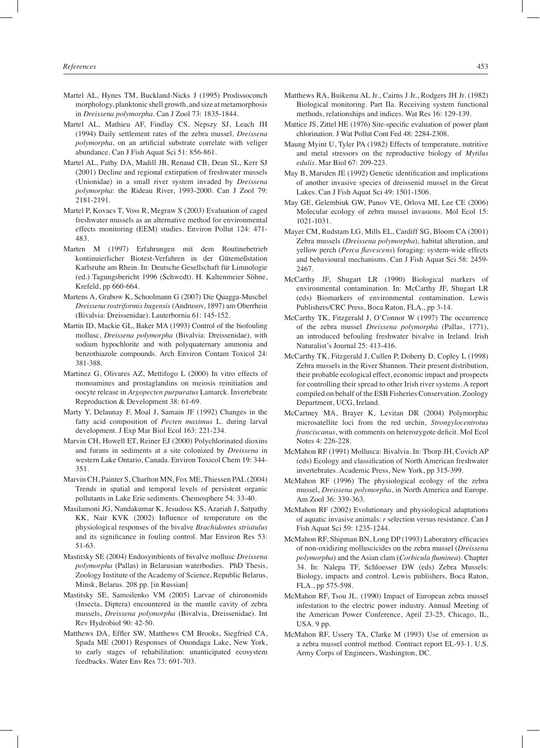- Martel AL, Hynes TM, Buckland-Nicks J (1995) Prodissoconch morphology, planktonic shell growth, and size at metamorphosis in *Dreissena polymorpha*. Can J Zool 73: 1835-1844.
- Martel AL, Mathieu AF, Findlay CS, Nepszy SJ, Leach JH (1994) Daily settlement rates of the zebra mussel, *Dreissena polymorpha*, on an artificial substrate correlate with veliger abundance. Can J Fish Aquat Sci 51: 856-861.
- Martel AL, Pathy DA, Madill JB, Renaud CB, Dean SL, Kerr SJ (2001) Decline and regional extirpation of freshwater mussels (Unionidae) in a small river system invaded by *Dreissena polymorpha*: the Rideau River, 1993-2000. Can J Zool 79: 2181-2191.
- Martel P, Kovacs T, Voss R, Megraw S (2003) Evaluation of caged freshwater mussels as an alternative method for environmental effects monitoring (EEM) studies. Environ Pollut 124: 471- 483.
- Marten M (1997) Erfahrungen mit dem Routinebetrieb kontinuierlicher Biotest-Verfahren in der Gütemeßstation Karlsruhe am Rhein. In: Deutsche Gesellschaft für Limnologie (ed.) Tagungsbericht 1996 (Schwedt). H. Kaltenmeier Söhne, Krefeld, pp 660-664.
- Martens A, Grabow K, Schoolmann G (2007) Die Quagga-Muschel *Dreissena rostriformis bugensis* (Andrusov, 1897) am Oberrhein (Bivalvia: Dreissenidae). Lauterbornia 61: 145-152.
- Martin ID, Mackie GL, Baker MA (1993) Control of the biofouling mollusc, *Dreissena polymorpha* (Bivalvia: Dreissenidae), with sodium hypochlorite and with polyquaternary ammonia and benzothiazole compounds. Arch Environ Contam Toxicol 24: 381-388.
- Martinez G, Olivares AZ, Mettifogo L (2000) In vitro effects of monoamines and prostaglandins on meiosis reinitiation and oocyte release in *Argopecten purpuratus* Lamarck. Invertebrate Reproduction & Development 38: 61-69.
- Marty Y, Delaunay F, Moal J, Samain JF (1992) Changes in the fatty acid composition of *Pecten maximus* L. during larval development. J Exp Mar Biol Ecol 163: 221-234.
- Marvin CH, Howell ET, Reiner EJ (2000) Polychlorinated dioxins and furans in sediments at a site colonized by *Dreissena* in western Lake Ontario, Canada. Environ Toxicol Chem 19: 344- 351.
- Marvin CH, Painter S, Charlton MN, Fox ME, Thiessen PAL (2004) Trends in spatial and temporal levels of persistent organic pollutants in Lake Erie sediments. Chemosphere 54: 33-40.
- Masilamoni JG, Nandakumar K, Jesudoss KS, Azariah J, Satpathy KK, Nair KVK (2002) Influence of temperature on the physiological responses of the bivalve *Brachidontes striatulus* and its significance in fouling control. Mar Environ Res 53: 51-63.
- Mastitsky SE (2004) Endosymbionts of bivalve mollusc *Dreissena polymorpha* (Pallas) in Belarusian waterbodies. PhD Thesis, Zoology Institute of the Academy of Science, Republic Belarus, Minsk, Belarus. 208 pp. [in Russian]
- Mastitsky SE, Samoilenko VM (2005) Larvae of chironomids (Insecta, Diptera) encountered in the mantle cavity of zebra mussels, *Dreissena polymorpha* (Bivalvia, Dreissenidae). Int Rev Hydrobiol 90: 42-50.
- Matthews DA, Effler SW, Matthews CM Brooks, Siegfried CA, Spada ME (2001) Responses of Onondaga Lake, New York, to early stages of rehabilitation: unanticipated ecosystem feedbacks. Water Env Res 73: 691-703.
- Matthews RA, Buikema AL Jr., Cairns J Jr., Rodgers JH Jr. (1982) Biological monitoring. Part IIa. Receiving system functional methods, relationships and indices. Wat Res 16: 129-139.
- Mattice JS, Zittel HE (1976) Site-specific evaluation of power plant chlorination. J Wat Pollut Cont Fed 48: 2284-2308.
- Maung Myint U, Tyler PA (1982) Effects of temperature, nutritive and metal stressors on the reproductive biology of *Mytilus edulis*. Mar Biol 67: 209-223.
- May B, Marsden JE (1992) Genetic identification and implications of another invasive species of dreissenid mussel in the Great Lakes. Can J Fish Aquat Sci 49: 1501-1506.
- May GE, Gelembiuk GW, Panov VE, Orlova MI, Lee CE (2006) Molecular ecology of zebra mussel invasions. Mol Ecol 15: 1021-1031.
- Mayer CM, Rudstam LG, Mills EL, Cardiff SG, Bloom CA (2001) Zebra mussels (*Dreissena polymorpha*), habitat alteration, and yellow perch (*Perca flavescens*) foraging: system-wide effects and behavioural mechanisms. Can J Fish Aquat Sci 58: 2459- 2467.
- McCarthy JF, Shugart LR (1990) Biological markers of environmental contamination. In: McCarthy JF, Shugart LR (eds) Biomarkers of environmental contamination. Lewis Publishers/CRC Press, Boca Raton, FLA., pp 3-14.
- McCarthy TK, Fitzgerald J, O'Connor W (1997) The occurrence of the zebra mussel *Dreissena polymorpha* (Pallas, 1771), an introduced befouling freshwater bivalve in Ireland. Irish Naturalist's Journal 25: 413-416.
- McCarthy TK, Fitzgerald J, Cullen P, Doherty D, Copley L (1998) Zebra mussels in the River Shannon. Their present distribution, their probable ecological effect, economic impact and prospects for controlling their spread to other Irish river systems. A report compiled on behalf of the ESB Fisheries Conservation. Zoology Department, UCG, Ireland.
- McCartney MA, Brayer K, Levitan DR (2004) Polymorphic microsatellite loci from the red urchin, *Strongylocentrotus franciscanus*, with comments on heterozygote deficit. Mol Ecol Notes 4: 226-228.
- McMahon RF (1991) Mollusca: Bivalvia. In: Thorp JH, Covich AP (eds) Ecology and classification of North American freshwater invertebrates. Academic Press, New York, pp 315-399.
- McMahon RF (1996) The physiological ecology of the zebra mussel, *Dreissena polymorpha*, in North America and Europe. Am Zool 36: 339-363.
- McMahon RF (2002) Evolutionary and physiological adaptations of aquatic invasive animals: *r* selection versus resistance. Can J Fish Aquat Sci 59: 1235-1244.
- McMahon RF, Shipman BN, Long DP (1993) Laboratory efficacies of non-oxidizing molluscicides on the zebra mussel (*Dreissena polymorpha*) and the Asian clam (*Corbicula fluminea*). Chapter 34. In: Nalepa TF, Schloesser DW (eds) Zebra Mussels: Biology, impacts and control. Lewis publishers, Boca Raton, FLA., pp 575-598.
- McMahon RF, Tsou JL. (1990) Impact of European zebra mussel infestation to the electric power industry. Annual Meeting of the American Power Conference, April 23-25, Chicago, IL, USA. 9 pp.
- McMahon RF, Ussery TA, Clarke M (1993) Use of emersion as a zebra mussel control method. Contract report EL-93-1. U.S. Army Corps of Engineers, Washington, DC.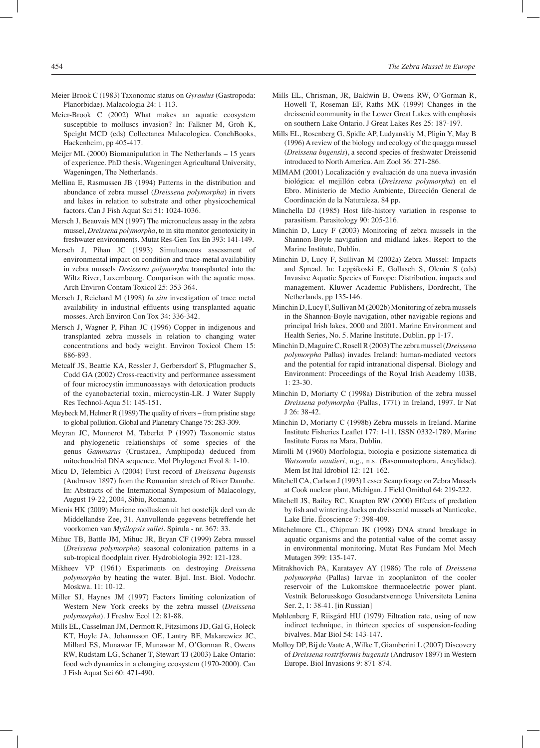- Meier-Brook C (1983) Taxonomic status on *Gyraulus* (Gastropoda: Planorbidae). Malacologia 24: 1-113.
- Meier-Brook C (2002) What makes an aquatic ecosystem susceptible to molluscs invasion? In: Falkner M, Groh K, Speight MCD (eds) Collectanea Malacologica. ConchBooks, Hackenheim, pp 405-417.
- Meijer ML (2000) Biomanipulation in The Netherlands 15 years of experience. PhD thesis, Wageningen Agricultural University, Wageningen, The Netherlands.
- Mellina E, Rasmussen JB (1994) Patterns in the distribution and abundance of zebra mussel (*Dreissena polymorpha*) in rivers and lakes in relation to substrate and other physicochemical factors. Can J Fish Aquat Sci 51: 1024-1036.
- Mersch J, Beauvais MN (1997) The micronucleus assay in the zebra mussel, *Dreissena polymorpha*, to in situ monitor genotoxicity in freshwater environments. Mutat Res-Gen Tox En 393: 141-149.
- Mersch J, Pihan JC (1993) Simultaneous assessment of environmental impact on condition and trace-metal availability in zebra mussels *Dreissena polymorpha* transplanted into the Wiltz River, Luxembourg. Comparison with the aquatic moss. Arch Environ Contam Toxicol 25: 353-364.
- Mersch J, Reichard M (1998) *In situ* investigation of trace metal availability in industrial effluents using transplanted aquatic mosses. Arch Environ Con Tox 34: 336-342.
- Mersch J, Wagner P, Pihan JC (1996) Copper in indigenous and transplanted zebra mussels in relation to changing water concentrations and body weight. Environ Toxicol Chem 15: 886-893.
- Metcalf JS, Beattie KA, Ressler J, Gerbersdorf S, Pflugmacher S, Codd GA (2002) Cross-reactivity and performance assessment of four microcystin immunoassays with detoxication products of the cyanobacterial toxin, microcystin-LR. J Water Supply Res Technol-Aqua 51: 145-151.
- Meybeck M, Helmer R (1989) The quality of rivers from pristine stage to global pollution. Global and Planetary Change 75: 283-309.
- Meyran JC, Monnerot M, Taberlet P (1997) Taxonomic status and phylogenetic relationships of some species of the genus *Gammarus* (Crustacea, Amphipoda) deduced from mitochondrial DNA sequence. Mol Phylogenet Evol 8: 1-10.
- Micu D, Telembici A (2004) First record of *Dreissena bugensis* (Andrusov 1897) from the Romanian stretch of River Danube. In: Abstracts of the International Symposium of Malacology, August 19-22, 2004, Sibiu, Romania.
- Mienis HK (2009) Mariene mollusken uit het oostelijk deel van de Middellandse Zee, 31. Aanvullende gegevens betreffende het voorkomen van *Mytilopsis sallei*. Spirula - nr. 367: 33.
- Mihuc TB, Battle JM, Mihuc JR, Bryan CF (1999) Zebra mussel (*Dreissena polymorpha*) seasonal colonization patterns in a sub-tropical floodplain river. Hydrobiologia 392: 121-128.
- Mikheev VP (1961) Experiments on destroying *Dreissena polymorpha* by heating the water. Bjul. Inst. Biol. Vodochr. Moskwa. 11: 10-12.
- Miller SJ, Haynes JM (1997) Factors limiting colonization of Western New York creeks by the zebra mussel (*Dreissena polymorpha*). J Freshw Ecol 12: 81-88.
- Mills EL, Casselman JM, Dermott R, Fitzsimons JD, Gal G, Holeck KT, Hoyle JA, Johannsson OE, Lantry BF, Makarewicz JC, Millard ES, Munawar IF, Munawar M, O'Gorman R, Owens RW, Rudstam LG, Schaner T, Stewart TJ (2003) Lake Ontario: food web dynamics in a changing ecosystem (1970-2000). Can J Fish Aquat Sci 60: 471-490.
- Mills EL, Chrisman, JR, Baldwin B, Owens RW, O'Gorman R, Howell T, Roseman EF, Raths MK (1999) Changes in the dreissenid community in the Lower Great Lakes with emphasis on southern Lake Ontario. J Great Lakes Res 25: 187-197.
- Mills EL, Rosenberg G, Spidle AP, Ludyanskiy M, Pligin Y, May B (1996) A review of the biology and ecology of the quagga mussel (*Dreissena bugensis*), a second species of freshwater Dreissenid introduced to North America. Am Zool 36: 271-286.
- MIMAM (2001) Localización y evaluación de una nueva invasión biológica: el mejillón cebra (*Dreissena polymorpha*) en el Ebro. Ministerio de Medio Ambiente, Dirección General de Coordinación de la Naturaleza. 84 pp.
- Minchella DJ (1985) Host life-history variation in response to parasitism. Parasitology 90: 205-216.
- Minchin D, Lucy F (2003) Monitoring of zebra mussels in the Shannon-Boyle navigation and midland lakes. Report to the Marine Institute, Dublin.
- Minchin D, Lucy F, Sullivan M (2002a) Zebra Mussel: Impacts and Spread. In: Leppäkoski E, Gollasch S, Olenin S (eds) Invasive Aquatic Species of Europe: Distribution, impacts and management. Kluwer Academic Publishers, Dordrecht, The Netherlands, pp 135-146.
- Minchin D, Lucy F, Sullivan M (2002b) Monitoring of zebra mussels in the Shannon-Boyle navigation, other navigable regions and principal Irish lakes, 2000 and 2001. Marine Environment and Health Series, No. 5. Marine Institute, Dublin, pp 1-17.
- Minchin D, Maguire C, Rosell R (2003) The zebra mussel (*Dreissena polymorpha* Pallas) invades Ireland: human-mediated vectors and the potential for rapid intranational dispersal. Biology and Environment: Proceedings of the Royal Irish Academy 103B, 1: 23-30.
- Minchin D, Moriarty C (1998a) Distribution of the zebra mussel *Dreissena polymorpha* (Pallas, 1771) in Ireland, 1997. Ir Nat J 26: 38-42.
- Minchin D, Moriarty C (1998b) Zebra mussels in Ireland. Marine Institute Fisheries Leaflet 177: 1-11. ISSN 0332-1789, Marine Institute Foras na Mara, Dublin.
- Mirolli M (1960) Morfologia, biologia e posizione sistematica di *Watsonula wautieri*, n.g., n.s. (Basommatophora, Ancylidae). Mem Ist Ital Idrobiol 12: 121-162.
- Mitchell CA, Carlson J (1993) Lesser Scaup forage on Zebra Mussels at Cook nuclear plant, Michigan. J Field Ornithol 64: 219-222.
- Mitchell JS, Bailey RC, Knapton RW (2000) Effects of predation by fish and wintering ducks on dreissenid mussels at Nanticoke, Lake Erie. Écoscience 7: 398-409.
- Mitchelmore CL, Chipman JK (1998) DNA strand breakage in aquatic organisms and the potential value of the comet assay in environmental monitoring. Mutat Res Fundam Mol Mech Mutagen 399: 135-147.
- Mitrakhovich PA, Karatayev AY (1986) The role of *Dreissena polymorpha* (Pallas) larvae in zooplankton of the cooler reservoir of the Lukomskoe thermaoelectric power plant. Vestnik Belorusskogo Gosudarstvennoge Universiteta Lenina Ser. 2, 1: 38-41. [in Russian]
- Møhlenberg F, Riisgård HU (1979) Filtration rate, using of new indirect technique, in thirteen species of suspension-feeding bivalves. Mar Biol 54: 143-147.
- Molloy DP, Bij de Vaate A, Wilke T, Giamberini L (2007) Discovery of *Dreissena rostriformis bugensis* (Andrusov 1897) in Western Europe. Biol Invasions 9: 871-874.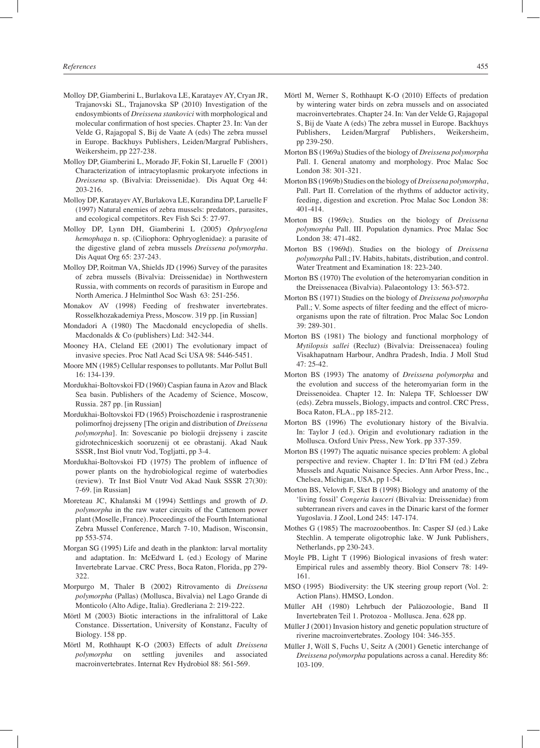- Molloy DP, Giamberini L, Burlakova LE, Karatayev AY, Cryan JR, Trajanovski SL, Trajanovska SP (2010) Investigation of the endosymbionts of *Dreissena stankovici* with morphological and molecular confirmation of host species. Chapter 23. In: Van der Velde G, Rajagopal S, Bij de Vaate A (eds) The zebra mussel in Europe. Backhuys Publishers, Leiden/Margraf Publishers, Weikersheim, pp 227-238.
- Molloy DP, Giamberini L, Morado JF, Fokin SI, Laruelle F (2001) Characterization of intracytoplasmic prokaryote infections in *Dreissena* sp. (Bivalvia: Dreissenidae). Dis Aquat Org 44: 203-216.
- Molloy DP, Karatayev AY, Burlakova LE, Kurandina DP, Laruelle F (1997) Natural enemies of zebra mussels: predators, parasites, and ecological competitors. Rev Fish Sci 5: 27-97.
- Molloy DP, Lynn DH, Giamberini L (2005) *Ophryoglena hemophaga* n. sp. (Ciliophora: Ophryoglenidae): a parasite of the digestive gland of zebra mussels *Dreissena polymorpha*. Dis Aquat Org 65: 237-243.
- Molloy DP, Roitman VA, Shields JD (1996) Survey of the parasites of zebra mussels (Bivalvia: Dreissenidae) in Northwestern Russia, with comments on records of parasitism in Europe and North America. J Helminthol Soc Wash 63: 251-256.
- Monakov AV (1998) Feeding of freshwater invertebrates. Rosselkhozakademiya Press, Moscow. 319 pp. [in Russian]
- Mondadori A (1980) The Macdonald encyclopedia of shells. Macdonalds & Co (publishers) Ltd: 342-344.
- Mooney HA, Cleland EE (2001) The evolutionary impact of invasive species. Proc Natl Acad Sci USA 98: 5446-5451.
- Moore MN (1985) Cellular responses to pollutants. Mar Pollut Bull 16: 134-139.
- Mordukhai-Boltovskoi FD (1960) Caspian fauna in Azov and Black Sea basin. Publishers of the Academy of Science, Moscow, Russia. 287 pp. [in Russian]
- Mordukhai-Boltovskoi FD (1965) Proischozdenie i rasprostranenie polimorfnoj drejsseny [The origin and distribution of *Dreissena polymorpha*]. In: Sovescanie po biologii drejsseny i zascite gidrotechniceskich sooruzenij ot ee obrastanij. Akad Nauk SSSR, Inst Biol vnutr Vod, Togljatti, pp 3-4.
- Mordukhai-Boltovskoi FD (1975) The problem of influence of power plants on the hydrobiological regime of waterbodies (review). Tr Inst Biol Vnutr Vod Akad Nauk SSSR 27(30): 7-69. [in Russian]
- Moreteau JC, Khalanski M (1994) Settlings and growth of *D. polymorpha* in the raw water circuits of the Cattenom power plant (Moselle, France). Proceedings of the Fourth International Zebra Mussel Conference, March 7-10, Madison, Wisconsin, pp 553-574.
- Morgan SG (1995) Life and death in the plankton: larval mortality and adaptation. In: McEdward L (ed.) Ecology of Marine Invertebrate Larvae. CRC Press, Boca Raton, Florida, pp 279- 322.
- Morpurgo M, Thaler B (2002) Ritrovamento di *Dreissena polymorpha* (Pallas) (Mollusca, Bivalvia) nel Lago Grande di Monticolo (Alto Adige, Italia). Gredleriana 2: 219-222.
- Mörtl M (2003) Biotic interactions in the infralittoral of Lake Constance. Dissertation, University of Konstanz, Faculty of Biology. 158 pp.
- Mörtl M, Rothhaupt K-O (2003) Effects of adult *Dreissena polymorpha* on settling juveniles and associated macroinvertebrates. Internat Rev Hydrobiol 88: 561-569.
- Mörtl M, Werner S, Rothhaupt K-O (2010) Effects of predation by wintering water birds on zebra mussels and on associated macroinvertebrates. Chapter 24. In: Van der Velde G, Rajagopal S, Bij de Vaate A (eds) The zebra mussel in Europe. Backhuys Publishers, Leiden/Margraf Publishers, Weikersheim, pp 239-250.
- Morton BS (1969a) Studies of the biology of *Dreissena polymorpha* Pall. I. General anatomy and morphology. Proc Malac Soc London 38: 301-321.
- Morton BS (1969b) Studies on the biology of *Dreissena polymorpha*, Pall. Part II. Correlation of the rhythms of adductor activity, feeding, digestion and excretion. Proc Malac Soc London 38: 401-414.
- Morton BS (1969c). Studies on the biology of *Dreissena polymorpha* Pall. III. Population dynamics. Proc Malac Soc London 38: 471-482.
- Morton BS (1969d). Studies on the biology of *Dreissena polymorpha* Pall.; IV. Habits, habitats, distribution, and control. Water Treatment and Examination 18: 223-240.
- Morton BS (1970) The evolution of the heteromyarian condition in the Dreissenacea (Bivalvia). Palaeontology 13: 563-572.
- Morton BS (1971) Studies on the biology of *Dreissena polymorpha* Pall.; V. Some aspects of filter feeding and the effect of microorganisms upon the rate of filtration. Proc Malac Soc London 39: 289-301.
- Morton BS (1981) The biology and functional morphology of *Mytilopsis sallei* (Recluz) (Bivalvia: Dreissenacea) fouling Visakhapatnam Harbour, Andhra Pradesh, India. J Moll Stud 47: 25-42.
- Morton BS (1993) The anatomy of *Dreissena polymorpha* and the evolution and success of the heteromyarian form in the Dreissenoidea. Chapter 12. In: Nalepa TF, Schloesser DW (eds). Zebra mussels, Biology, impacts and control. CRC Press, Boca Raton, FLA., pp 185-212.
- Morton BS (1996) The evolutionary history of the Bivalvia. In: Taylor J (ed.). Origin and evolutionary radiation in the Mollusca. Oxford Univ Press, New York. pp 337-359.
- Morton BS (1997) The aquatic nuisance species problem: A global perspective and review. Chapter 1. In: D'Itri FM (ed.) Zebra Mussels and Aquatic Nuisance Species. Ann Arbor Press, Inc., Chelsea, Michigan, USA, pp 1-54.
- Morton BS, Velovrh F, Sket B (1998) Biology and anatomy of the 'living fossil' *Congeria kusceri* (Bivalvia: Dreissenidae) from subterranean rivers and caves in the Dinaric karst of the former Yugoslavia. J Zool, Lond 245: 147-174.
- Mothes G (1985) The macrozoobenthos. In: Casper SJ (ed.) Lake Stechlin. A temperate oligotrophic lake. W Junk Publishers, Netherlands, pp 230-243.
- Moyle PB, Light T (1996) Biological invasions of fresh water: Empirical rules and assembly theory. Biol Conserv 78: 149- 161.
- MSO (1995) Biodiversity: the UK steering group report (Vol. 2: Action Plans). HMSO, London.
- Müller AH (1980) Lehrbuch der Paläozoologie, Band II Invertebraten Teil 1. Protozoa - Mollusca. Jena. 628 pp.
- Müller J (2001) Invasion history and genetic population structure of riverine macroinvertebrates. Zoology 104: 346-355.
- Müller J, Wöll S, Fuchs U, Seitz A (2001) Genetic interchange of *Dreissena polymorpha* populations across a canal. Heredity 86: 103-109.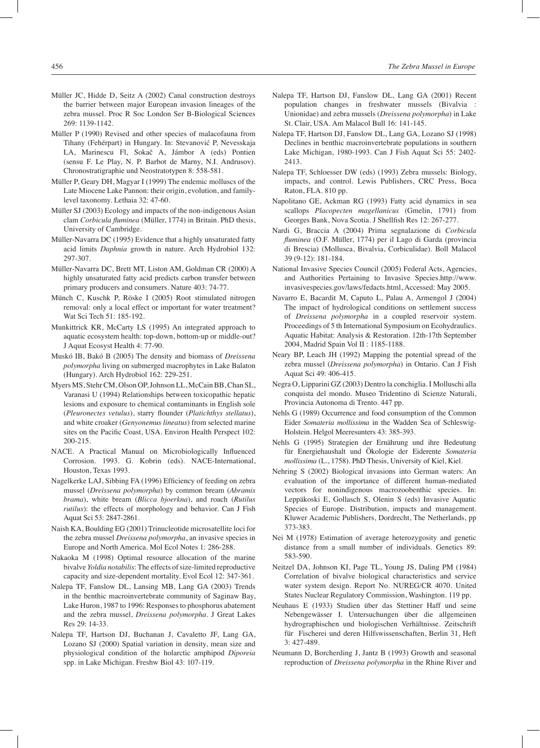- Müller JC, Hidde D, Seitz A (2002) Canal construction destroys the barrier between major European invasion lineages of the zebra mussel. Proc R Soc London Ser B-Biological Sciences 269: 1139-1142.
- Müller P (1990) Revised and other species of malacofauna from Tihany (Fehérpart) in Hungary. In: Stevanović P, Nevesskaja LA, Marinescu Fl, Sokač A, Jámbor A (eds) Pontien (sensu F. Le Play, N. P. Barbot de Marny, N.I. Andrusov). Chronostratigraphie und Neostratotypen 8: 558-581.
- Müller P, Geary DH, Magyar I (1999) The endemic molluscs of the Late Miocene Lake Pannon: their origin, evolution, and familylevel taxonomy. Lethaia 32: 47-60.
- Müller SJ (2003) Ecology and impacts of the non-indigenous Asian clam *Corbicula fluminea* (Müller, 1774) in Britain. PhD thesis, University of Cambridge.
- Müller-Navarra DC (1995) Evidence that a highly unsaturated fatty acid limits *Daphnia* growth in nature. Arch Hydrobiol 132: 297-307.
- Müller-Navarra DC, Brett MT, Liston AM, Goldman CR (2000) A highly unsaturated fatty acid predicts carbon transfer between primary producers and consumers. Nature 403: 74-77.
- Münch C, Kuschk P, Röske I (2005) Root stimulated nitrogen removal: only a local effect or important for water treatment? Wat Sci Tech 51: 185-192.
- Munkittrick KR, McCarty LS (1995) An integrated approach to aquatic ecosystem health: top-down, bottom-up or middle-out? J Aquat Ecosyst Health 4: 77-90.
- Muskó IB, Bakó B (2005) The density and biomass of *Dreissena polymorpha* living on submerged macrophytes in Lake Balaton (Hungary). Arch Hydrobiol 162: 229-251.
- Myers MS, Stehr CM, Olson OP, Johnson LL, McCain BB, Chan SL, Varanasi U (1994) Relationships between toxicopathic hepatic lesions and exposure to chemical contaminants in English sole (*Pleuronectes vetulus*), starry flounder (*Platichthys stellatus*), and white croaker (*Genyonemus lineatus*) from selected marine sites on the Pacific Coast, USA. Environ Health Perspect 102: 200-215.
- NACE. A Practical Manual on Microbiologically Influenced Corrosion. 1993. G. Kobrin (eds). NACE-International, Houston, Texas 1993.
- Nagelkerke LAJ, Sibbing FA (1996) Efficiency of feeding on zebra mussel (*Dreissena polymorpha*) by common bream (*Abramis brama*), white bream (*Blicca bjoerkna*), and roach (*Rutilus rutilus*): the effects of morphology and behavior. Can J Fish Aquat Sci 53: 2847-2861.
- Naish KA, Boulding EG (2001) Trinucleotide microsatellite loci for the zebra mussel *Dreissena polymorpha*, an invasive species in Europe and North America. Mol Ecol Notes 1: 286-288.
- Nakaoka M (1998) Optimal resource allocation of the marine bivalve *Yoldia notabilis*: The effects of size-limited reproductive capacity and size-dependent mortality. Evol Ecol 12: 347-361.
- Nalepa TF, Fanslow DL, Lansing MB, Lang GA (2003) Trends in the benthic macroinvertebrate community of Saginaw Bay, Lake Huron, 1987 to 1996: Responses to phosphorus abatement and the zebra mussel, *Dreissena polymorpha*. J Great Lakes Res 29: 14-33.
- Nalepa TF, Hartson DJ, Buchanan J, Cavaletto JF, Lang GA, Lozano SJ (2000) Spatial variation in density, mean size and physiological condition of the holarctic amphipod *Diporeia* spp. in Lake Michigan. Freshw Biol 43: 107-119.
- Nalepa TF, Hartson DJ, Fanslow DL, Lang GA (2001) Recent population changes in freshwater mussels (Bivalvia : Unionidae) and zebra mussels (*Dreissena polymorpha*) in Lake St. Clair, USA. Am Malacol Bull 16: 141-145.
- Nalepa TF, Hartson DJ, Fanslow DL, Lang GA, Lozano SJ (1998) Declines in benthic macroinvertebrate populations in southern Lake Michigan, 1980-1993. Can J Fish Aquat Sci 55: 2402- 2413.
- Nalepa TF, Schloesser DW (eds) (1993) Zebra mussels: Biology, impacts, and control. Lewis Publishers, CRC Press, Boca Raton, FLA. 810 pp.
- Napolitano GE, Ackman RG (1993) Fatty acid dynamics in sea scallops *Placopecten magellanicus* (Gmelin, 1791) from Georges Bank, Nova Scotia. J Shellfish Res 12: 267-277.
- Nardi G, Braccia A (2004) Prima segnalazione di *Corbicula fluminea* (O.F. Müller, 1774) per il Lago di Garda (provincia di Brescia) (Mollusca, Bivalvia, Corbiculidae). Boll Malacol 39 (9-12): 181-184.
- National Invasive Species Council (2005) Federal Acts, Agencies, and Authorities Pertaining to Invasive Species.http://www. invasivespecies.gov/laws/fedacts.html, Accessed: May 2005.
- Navarro E, Bacardit M, Caputo L, Palau A, Armengol J (2004) The impact of hydrological conditions on settlement success of *Dreissena polymorpha* in a coupled reservoir system. Proceedings of 5 th International Symposium on Ecohydraulics. Aquatic Habitat: Analysis & Restoration. 12th-17th September 2004, Madrid Spain Vol II : 1185-1188.
- Neary BP, Leach JH (1992) Mapping the potential spread of the zebra mussel (*Dreissena polymorpha*) in Ontario. Can J Fish Aquat Sci 49: 406-415.
- Negra O, Lipparini GZ (2003) Dentro la conchiglia. I Molluschi alla conquista del mondo. Museo Tridentino di Scienze Naturali, Provincia Autonoma di Trento. 447 pp.
- Nehls G (1989) Occurrence and food consumption of the Common Eider *Somateria mollissima* in the Wadden Sea of Schleswig-Holstein. Helgol Meeresunters 43: 385-393.
- Nehls G (1995) Strategien der Ernährung und ihre Bedeutung für Energiehaushalt und Ökologie der Eiderente *Somateria mollissima* (L., 1758). PhD Thesis, University of Kiel, Kiel.
- Nehring S (2002) Biological invasions into German waters: An evaluation of the importance of different human-mediated vectors for nonindigenous macrozoobenthic species. In: Leppäkoski E, Gollasch S, Olenin S (eds) Invasive Aquatic Species of Europe. Distribution, impacts and management. Kluwer Academic Publishers, Dordrecht, The Netherlands, pp 373-383.
- Nei M (1978) Estimation of average heterozygosity and genetic distance from a small number of individuals. Genetics 89: 583-590.
- Neitzel DA, Johnson KI, Page TL, Young JS, Daling PM (1984) Correlation of bivalve biological characteristics and service water system design. Report No. NUREG/CR 4070. United States Nuclear Regulatory Commission, Washington. 119 pp.
- Neuhaus E (1933) Studien über das Stettiner Haff und seine Nebengewässer I. Untersuchungen über die allgemeinen hydrographischen und biologischen Verhältnisse. Zeitschrift für Fischerei und deren Hilfswissenschaften, Berlin 31, Heft 3: 427-489.
- Neumann D, Borcherding J, Jantz B (1993) Growth and seasonal reproduction of *Dreissena polymorpha* in the Rhine River and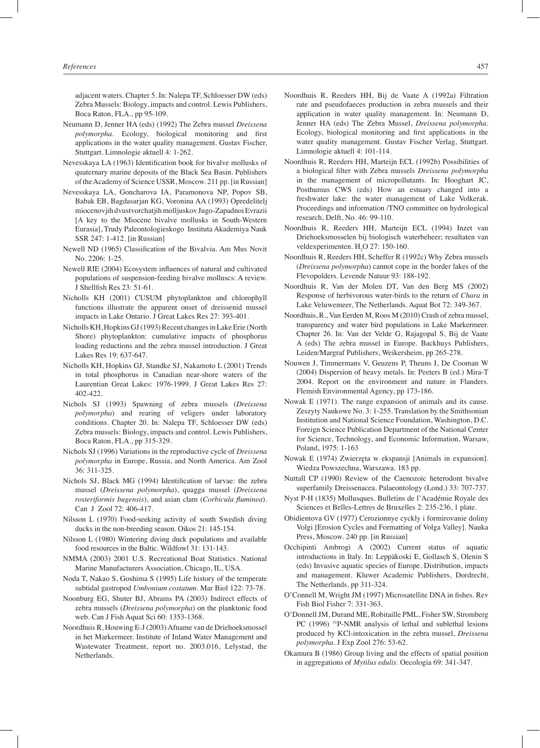adjacent waters. Chapter 5. In: Nalepa TF, Schloesser DW (eds) Zebra Mussels: Biology, impacts and control. Lewis Publishers, Boca Raton, FLA., pp 95-109.

- Neumann D, Jenner HA (eds) (1992) The Zebra mussel *Dreissena polymorpha*. Ecology, biological monitoring and first applications in the water quality management. Gustav Fischer, Stuttgart. Limnologie aktuell 4: 1-262.
- Nevesskaya LA (1963) Identification book for bivalve mollusks of quaternary marine deposits of the Black Sea Basin. Publishers of the Academy of Science USSR, Moscow. 211 pp. [in Russian]
- Nevesskaya LA, Goncharova IA, Paramonova NP, Popov SB, Babak EB, Bagdasarjan KG, Voronina AA (1993) Opredelitelj miocenovjih dvustvorchatjih molljuskov Jugo-Zapadnoi Evrazii [A key to the Miocene bivalve mollusks in South-Western Eurasia], Trudy Paleontologieskogo Instituta Akademiya Nauk SSR 247: 1-412. [in Russian]
- Newell ND (1965) Classification of the Bivalvia. Am Mus Novit No. 2206: 1-25.
- Newell RIE (2004) Ecosystem influences of natural and cultivated populations of suspension-feeding bivalve molluscs: A review. J Shellfish Res 23: 51-61.
- Nicholls KH (2001) CUSUM phytoplankton and chlorophyll functions illustrate the apparent onset of dreissenid mussel impacts in Lake Ontario. J Great Lakes Res 27: 393-401.
- Nicholls KH, Hopkins GJ (1993) Recent changes in Lake Erie (North Shore) phytoplankton: cumulative impacts of phosphorus loading reductions and the zebra mussel introduction. J Great Lakes Res 19: 637-647.
- Nicholls KH, Hopkins GJ, Standke SJ, Nakamoto L (2001) Trends in total phosphorus in Canadian near-shore waters of the Laurentian Great Lakes: 1976-1999. J Great Lakes Res 27: 402-422.
- Nichols SJ (1993) Spawning of zebra mussels (*Dreissena polymorpha*) and rearing of veligers under laboratory conditions. Chapter 20. In: Nalepa TF, Schloesser DW (eds) Zebra mussels: Biology, impacts and control. Lewis Publishers, Boca Raton, FLA., pp 315-329.
- Nichols SJ (1996) Variations in the reproductive cycle of *Dreissena polymorpha* in Europe, Russia, and North America. Am Zool 36: 311-325.
- Nichols SJ, Black MG (1994) Identification of larvae: the zebra mussel (*Dreissena polymorpha*), quagga mussel (*Dreissena rosteriformis bugensis*), and asian clam (*Corbicula fluminea*). Can J Zool 72: 406-417.
- Nilsson L (1970) Food-seeking activity of south Swedish diving ducks in the non-breeding season. Oikos 21: 145-154.
- Nilsson L (1980) Wintering diving duck populations and available food resources in the Baltic. Wildfowl 31: 131-143.
- NMMA (2003) 2001 U.S. Recreational Boat Statistics. National Marine Manufacturers Association, Chicago, IL, USA.
- Noda T, Nakao S, Goshima S (1995) Life history of the temperate subtidal gastropod *Umbonium costatum*. Mar Biol 122: 73-78.
- Noonburg EG, Shuter BJ, Abrams PA (2003) Indirect effects of zebra mussels (*Dreissena polymorpha*) on the planktonic food web. Can J Fish Aquat Sci 60: 1353-1368.
- Noordhuis R, Houwing E-J (2003) Afname van de Driehoeksmossel in het Markermeer. Institute of Inland Water Management and Wastewater Treatment, report no. 2003.016, Lelystad, the Netherlands.
- Noordhuis R, Reeders HH, Bij de Vaate A (1992a) Filtration rate and pseudofaeces production in zebra mussels and their application in water quality management. In: Neumann D, Jenner HA (eds) The Zebra Mussel, *Dreissena polymorpha*. Ecology, biological monitoring and first applications in the water quality management. Gustav Fischer Verlag, Stuttgart. Limnologie aktuell 4: 101-114.
- Noordhuis R, Reeders HH, Marteijn ECL (1992b) Possibilities of a biological filter with Zebra mussels *Dreissena polymorpha* in the management of micropollutants. In: Hooghart JC, Posthumus CWS (eds) How an estuary changed into a freshwater lake: the water management of Lake Volkerak. Proceedings and information /TNO committee on hydrological research, Delft, No. 46: 99-110.
- Noordhuis R, Reeders HH, Marteijn ECL (1994) Inzet van Driehoeksmosselen bij biologisch waterbeheer; resultaten van veldexperimenten.  $H<sub>2</sub>O$  27: 150-160.
- Noordhuis R, Reeders HH, Scheffer R (1992c) Why Zebra mussels (*Dreissena polymorpha*) cannot cope in the border lakes of the Flevopolders. Levende Natuur 93: 188-192.
- Noordhuis R, Van der Molen DT, Van den Berg MS (2002) Response of herbivorous water-birds to the return of *Chara* in Lake Veluwemeer, The Netherlands. Aquat Bot 72: 349-367.
- Noordhuis, R., Van Eerden M, Roos M (2010) Crash of zebra mussel, transparency and water bird populations in Lake Markermeer. Chapter 26. In: Van der Velde G, Rajagopal S, Bij de Vaate A (eds) The zebra mussel in Europe. Backhuys Publishers, Leiden/Margraf Publishers, Weikersheim, pp 265-278.
- Nouwen J, Timmermans V, Geuzens P, Theuns I, De Cooman W (2004) Dispersion of heavy metals. In: Peeters B (ed.) Mira-T 2004. Report on the environment and nature in Flanders. Flemish Environmental Agency, pp 173-186.
- Nowak E (1971). The range expansion of animals and its cause. Zeszyty Naukowe No. 3: 1-255. Translation by the Smithsonian Institution and National Science Foundation, Washington, D.C. Foreign Science Publication Department of the National Center for Science, Technology, and Economic Information, Warsaw, Poland, 1975: 1-163
- Nowak E (1974) Zwierzęta w ekspansji [Animals in expansion]. Wiedza Powszechna, Warszawa. 183 pp.
- Nuttall CP (1990) Review of the Caenozoic heterodont bivalve superfamily Dreissenacea. Palaeontology (Lond.) 33: 707-737.
- Nyst P-H (1835) Mollusques. Bulletins de l'Académie Royale des Sciences et Belles-Lettres de Bruxelles 2: 235-236, 1 plate.
- Obidientova GV (1977) Cerozionnye cyckly i formirovanie doliny Volgi [Erosion Cycles and Formatting of Volga Valley]. Nauka Press, Moscow. 240 pp. [in Russian]
- Occhipinti Ambrogi A (2002) Current status of aquatic introductions in Italy. In: Leppäkoski E, Gollasch S, Olenin S (eds) Invasive aquatic species of Europe. Distribution, impacts and management. Kluwer Academic Publishers, Dordrecht, The Netherlands, pp 311-324.
- O'Connell M, Wright JM (1997) Microsatellite DNA in fishes. Rev Fish Biol Fisher 7: 331-363.
- O'Donnell JM, Durand ME, Robitaille PML, Fisher SW, Stromberg PC (1996) <sup>31</sup>P-NMR analysis of lethal and sublethal lesions produced by KCl-intoxication in the zebra mussel, *Dreissena polymorpha*. J Exp Zool 276: 53-62.
- Okamura B (1986) Group living and the effects of spatial position in aggregations of *Mytilus edulis*. Oecologia 69: 341-347.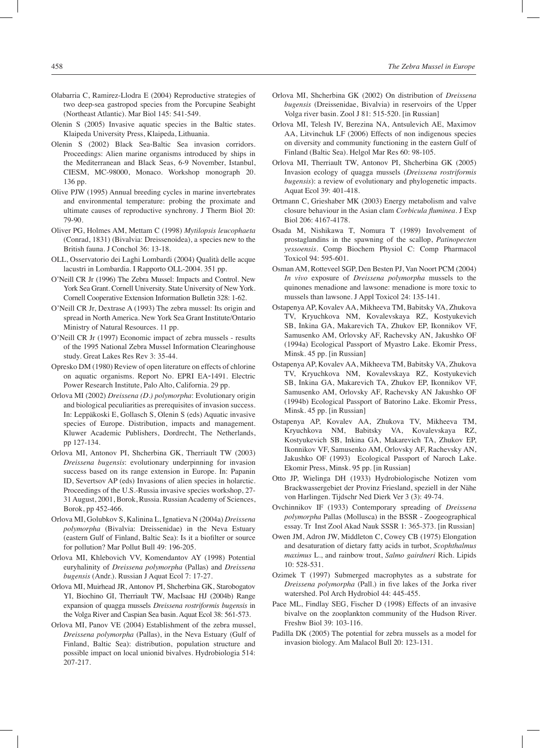- Olabarria C, Ramirez-Llodra E (2004) Reproductive strategies of two deep-sea gastropod species from the Porcupine Seabight (Northeast Atlantic). Mar Biol 145: 541-549.
- Olenin S (2005) Invasive aquatic species in the Baltic states. Klaipeda University Press, Klaipeda, Lithuania.
- Olenin S (2002) Black Sea-Baltic Sea invasion corridors. Proceedings: Alien marine organisms introduced by ships in the Mediterranean and Black Seas, 6-9 November, Istanbul, CIESM, MC-98000, Monaco. Workshop monograph 20. 136 pp.
- Olive PJW (1995) Annual breeding cycles in marine invertebrates and environmental temperature: probing the proximate and ultimate causes of reproductive synchrony. J Therm Biol 20: 79-90.
- Oliver PG, Holmes AM, Mettam C (1998) *Mytilopsis leucophaeta* (Conrad, 1831) (Bivalvia: Dreissenoidea), a species new to the British fauna. J Conchol 36: 13-18.
- OLL, Osservatorio dei Laghi Lombardi (2004) Qualità delle acque lacustri in Lombardia. I Rapporto OLL-2004. 351 pp.
- O'Neill CR Jr (1996) The Zebra Mussel: Impacts and Control. New York Sea Grant. Cornell University. State University of New York. Cornell Cooperative Extension Information Bulletin 328: 1-62.
- O'Neill CR Jr, Dextrase A (1993) The zebra mussel: Its origin and spread in North America. New York Sea Grant Institute/Ontario Ministry of Natural Resources. 11 pp.
- O'Neill CR Jr (1997) Economic impact of zebra mussels results of the 1995 National Zebra Mussel Information Clearinghouse study. Great Lakes Res Rev 3: 35-44.
- Opresko DM (1980) Review of open literature on effects of chlorine on aquatic organisms. Report No. EPRI EA-1491. Electric Power Research Institute, Palo Alto, California. 29 pp.
- Orlova MI (2002) *Dreissena (D.) polymorpha*: Evolutionary origin and biological peculiarities as prerequisites of invasion success. In: Leppäkoski E, Gollasch S, Olenin S (eds) Aquatic invasive species of Europe. Distribution, impacts and management. Kluwer Academic Publishers, Dordrecht, The Netherlands, pp 127-134.
- Orlova MI, Antonov PI, Shcherbina GK, Therriault TW (2003) *Dreissena bugensis*: evolutionary underpinning for invasion success based on its range extension in Europe. In: Papanin ID, Severtsov AP (eds) Invasions of alien species in holarctic. Proceedings of the U.S.-Russia invasive species workshop, 27- 31 August, 2001, Borok, Russia. Russian Academy of Sciences, Borok, pp 452-466.
- Orlova MI, Golubkov S, Kalinina L, Ignatieva N (2004a) *Dreissena polymorpha* (Bivalvia: Dreissenidae) in the Neva Estuary (eastern Gulf of Finland, Baltic Sea): Is it a biofilter or source for pollution? Mar Pollut Bull 49: 196-205.
- Orlova MI, Khlebovich VV, Komendantov AY (1998) Potential euryhalinity of *Dreissena polymorpha* (Pallas) and *Dreissena bugensis* (Andr.). Russian J Aquat Ecol 7: 17-27.
- Orlova MI, Muirhead JR, Antonov PI, Shcherbina GK, Starobogatov YI, Biochino GI, Therriault TW, MacIsaac HJ (2004b) Range expansion of quagga mussels *Dreissena rostriformis bugensis* in the Volga River and Caspian Sea basin. Aquat Ecol 38: 561-573.
- Orlova MI, Panov VE (2004) Establishment of the zebra mussel, *Dreissena polymorpha* (Pallas), in the Neva Estuary (Gulf of Finland, Baltic Sea): distribution, population structure and possible impact on local unionid bivalves. Hydrobiologia 514: 207-217.
- Orlova MI, Shcherbina GK (2002) On distribution of *Dreissena bugensis* (Dreissenidae, Bivalvia) in reservoirs of the Upper Volga river basin. Zool J 81: 515-520. [in Russian]
- Orlova MI, Telesh IV, Berezina NA, Antsulevich AE, Maximov AA, Litvinchuk LF (2006) Effects of non indigenous species on diversity and community functioning in the eastern Gulf of Finland (Baltic Sea). Helgol Mar Res 60: 98-105.
- Orlova MI, Therriault TW, Antonov PI, Shcherbina GK (2005) Invasion ecology of quagga mussels (*Dreissena rostriformis bugensis*): a review of evolutionary and phylogenetic impacts. Aquat Ecol 39: 401-418.
- Ortmann C, Grieshaber MK (2003) Energy metabolism and valve closure behaviour in the Asian clam *Corbicula fluminea*. J Exp Biol 206: 4167-4178.
- Osada M, Nishikawa T, Nomura T (1989) Involvement of prostaglandins in the spawning of the scallop, *Patinopecten yessoensis*. Comp Biochem Physiol C: Comp Pharmacol Toxicol 94: 595-601.
- Osman AM, Rotteveel SGP, Den Besten PJ, Van Noort PCM (2004) *In vivo* exposure of *Dreissena polymorpha* mussels to the quinones menadione and lawsone: menadione is more toxic to mussels than lawsone. J Appl Toxicol 24: 135-141.
- Ostapenya AP, Kovalev AA, Mikheeva TM, Babitsky VA, Zhukova TV, Kryuchkova NM, Kovalevskaya RZ, Kostyukevich SB, Inkina GA, Makarevich TA, Zhukov EP, Ikonnikov VF, Samusenko AM, Orlovsky AF, Rachevsky AN, Jakushko OF (1994a) Ecological Passport of Myastro Lake. Ekomir Press, Minsk. 45 pp. [in Russian]
- Ostapenya AP, Kovalev AA, Mikheeva TM, Babitsky VA, Zhukova TV, Kryuchkova NM, Kovalevskaya RZ, Kostyukevich SB, Inkina GA, Makarevich TA, Zhukov EP, Ikonnikov VF, Samusenko AM, Orlovsky AF, Rachevsky AN Jakushko OF (1994b) Ecological Passport of Batorino Lake. Ekomir Press, Minsk. 45 pp. [in Russian]
- Ostapenya AP, Kovalev AA, Zhukova TV, Mikheeva TM, Kryuchkova NM, Babitsky VA, Kovalevskaya RZ, Kostyukevich SB, Inkina GA, Makarevich TA, Zhukov EP, Ikonnikov VF, Samusenko AM, Orlovsky AF, Rachevsky AN, Jakushko OF (1993) Ecological Passport of Naroch Lake. Ekomir Press, Minsk. 95 pp. [in Russian]
- Otto JP, Wielinga DH (1933) Hydrobiologische Notizen vom Brackwassergebiet der Provinz Friesland, speziell in der Nähe von Harlingen. Tijdschr Ned Dierk Ver 3 (3): 49-74.
- Ovchinnikov IF (1933) Contemporary spreading of *Dreissena polymorpha* Pallas (Mollusca) in the BSSR - Zoogeographical essay. Tr Inst Zool Akad Nauk SSSR 1: 365-373. [in Russian]
- Owen JM, Adron JW, Middleton C, Cowey CB (1975) Elongation and desaturation of dietary fatty acids in turbot, *Scophthalmus maximus* L., and rainbow trout, *Salmo gairdneri* Rich. Lipids 10: 528-531.
- Ozimek T (1997) Submerged macrophytes as a substrate for *Dreissena polymorpha* (Pall.) in five lakes of the Jorka river watershed. Pol Arch Hydrobiol 44: 445-455.
- Pace ML, Findlay SEG, Fischer D (1998) Effects of an invasive bivalve on the zooplankton community of the Hudson River. Freshw Biol 39: 103-116.
- Padilla DK (2005) The potential for zebra mussels as a model for invasion biology. Am Malacol Bull 20: 123-131.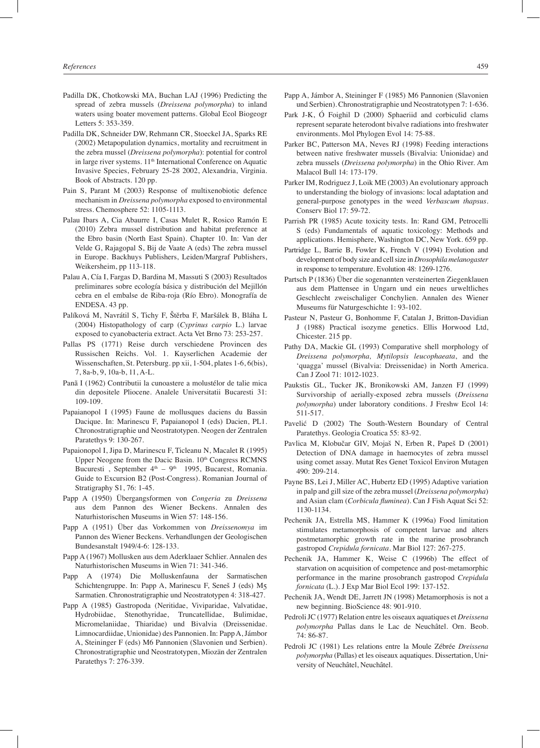- Padilla DK, Chotkowski MA, Buchan LAJ (1996) Predicting the spread of zebra mussels (*Dreissena polymorpha*) to inland waters using boater movement patterns. Global Ecol Biogeogr Letters 5: 353-359.
- Padilla DK, Schneider DW, Rehmann CR, Stoeckel JA, Sparks RE (2002) Metapopulation dynamics, mortality and recruitment in the zebra mussel (*Dreissena polymorpha*): potential for control in large river systems. 11<sup>th</sup> International Conference on Aquatic Invasive Species, February 25-28 2002, Alexandria, Virginia. Book of Abstracts. 120 pp.
- Pain S, Parant M (2003) Response of multixenobiotic defence mechanism in *Dreissena polymorpha* exposed to environmental stress. Chemosphere 52: 1105-1113.
- Palau Ibars A, Cia Abaurre I, Casas Mulet R, Rosico Ramón E (2010) Zebra mussel distribution and habitat preference at the Ebro basin (North East Spain). Chapter 10. In: Van der Velde G, Rajagopal S, Bij de Vaate A (eds) The zebra mussel in Europe. Backhuys Publishers, Leiden/Margraf Publishers, Weikersheim, pp 113-118.
- Palau A, Cía I, Fargas D, Bardina M, Massuti S (2003) Resultados preliminares sobre ecología básica y distribución del Mejillón cebra en el embalse de Riba-roja (Río Ebro). Monografía de ENDESA. 43 pp.
- Palíková M, Navrátil S, Tichy F, Štĕrba F, Maršálek B, Bláha L (2004) Histopathology of carp (*Cyprinus carpio* L.) larvae exposed to cyanobacteria extract. Acta Vet Brno 73: 253-257.
- Pallas PS (1771) Reise durch verschiedene Provincen des Russischen Reichs. Vol. 1. Kayserlichen Academie der Wissenschaften, St. Petersburg. pp xii, 1-504, plates 1-6, 6(bis), 7, 8a-b, 9, 10a-b, 11, A-L.
- Panã I (1962) Contributii la cunoastere a molustélor de talie mica din depositele Pliocene. Analele Universitatii Bucaresti 31: 109-109.
- Papaianopol I (1995) Faune de mollusques daciens du Bassin Dacique. In: Marinescu F, Papaianopol I (eds) Dacien, PL1. Chronostratigraphie und Neostratotypen. Neogen der Zentralen Paratethys 9: 130-267.
- Papaionopol I, Jipa D, Marinescu F, Ticleanu N, Macalet R (1995) Upper Neogene from the Dacic Basin. 10<sup>th</sup> Congress RCMNS Bucuresti , September  $4<sup>th</sup> - 9<sup>th</sup>$  1995, Bucarest, Romania. Guide to Excursion B2 (Post-Congress). Romanian Journal of Stratigraphy S1, 76: 1-45.
- Papp A (1950) Übergangsformen von *Congeria* zu *Dreissena* aus dem Pannon des Wiener Beckens. Annalen des Naturhistorischen Museums in Wien 57: 148-156.
- Papp A (1951) Über das Vorkommen von *Dreissenomya* im Pannon des Wiener Beckens. Verhandlungen der Geologischen Bundesanstalt 1949/4-6: 128-133.
- Papp A (1967) Mollusken aus dem Aderklaaer Schlier. Annalen des Naturhistorischen Museums in Wien 71: 341-346.
- Papp A (1974) Die Molluskenfauna der Sarmatischen Schichtengruppe. In: Papp A, Marinescu F, Seneš J (eds) M5 Sarmatien. Chronostratigraphie und Neostratotypen 4: 318-427.
- Papp A (1985) Gastropoda (Neritidae, Viviparidae, Valvatidae, Hydrobiidae, Stenothyridae, Truncatellidae, Bulimidae, Micromelaniidae, Thiaridae) und Bivalvia (Dreissenidae. Limnocardiidae, Unionidae) des Pannonien. In: Papp A, Jámbor A, Steininger F (eds) M6 Pannonien (Slavonien und Serbien). Chronostratigraphie und Neostratotypen, Miozän der Zentralen Paratethys 7: 276-339.
- Papp A, Jámbor A, Steininger F (1985) M6 Pannonien (Slavonien und Serbien). Chronostratigraphie und Neostratotypen 7: 1-636.
- Park J-K, Ó Foighil D (2000) Sphaeriid and corbiculid clams represent separate heterodont bivalve radiations into freshwater environments. Mol Phylogen Evol 14: 75-88.
- Parker BC, Patterson MA, Neves RJ (1998) Feeding interactions between native freshwater mussels (Bivalvia: Unionidae) and zebra mussels (*Dreissena polymorpha*) in the Ohio River. Am Malacol Bull 14: 173-179.
- Parker IM, Rodriguez J, Loik ME (2003) An evolutionary approach to understanding the biology of invasions: local adaptation and general-purpose genotypes in the weed *Verbascum thapsus*. Conserv Biol 17: 59-72.
- Parrish PR (1985) Acute toxicity tests. In: Rand GM, Petrocelli S (eds) Fundamentals of aquatic toxicology: Methods and applications. Hemisphere, Washington DC, New York. 659 pp.
- Partridge L, Barrie B, Fowler K, French V (1994) Evolution and development of body size and cell size in *Drosophila melanogaster* in response to temperature. Evolution 48: 1269-1276.
- Partsch P (1836) Über die sogenannten versteinerten Ziegenklauen aus dem Plattensee in Ungarn und ein neues urweltliches Geschlecht zweischaliger Conchylien. Annalen des Wiener Museums für Naturgeschichte 1: 93-102.
- Pasteur N, Pasteur G, Bonhomme F, Catalan J, Britton-Davidian J (1988) Practical isozyme genetics. Ellis Horwood Ltd, Chicester. 215 pp.
- Pathy DA, Mackie GL (1993) Comparative shell morphology of *Dreissena polymorpha, Mytilopsis leucophaeata*, and the 'quagga' mussel (Bivalvia: Dreissenidae) in North America. Can J Zool 71: 1012-1023.
- Paukstis GL, Tucker JK, Bronikowski AM, Janzen FJ (1999) Survivorship of aerially-exposed zebra mussels (*Dreissena polymorpha*) under laboratory conditions. J Freshw Ecol 14: 511-517.
- Pavelić D (2002) The South-Western Boundary of Central Paratethys. Geologia Croatica 55: 83-92.
- Pavlica M, Klobučar GIV, Mojaš N, Erben R, Papeš D (2001) Detection of DNA damage in haemocytes of zebra mussel using comet assay. Mutat Res Genet Toxicol Environ Mutagen 490: 209-214.
- Payne BS, Lei J, Miller AC, Hubertz ED (1995) Adaptive variation in palp and gill size of the zebra mussel (*Dreissena polymorpha*) and Asian clam (*Corbicula fluminea*). Can J Fish Aquat Sci 52: 1130-1134.
- Pechenik JA, Estrella MS, Hammer K (1996a) Food limitation stimulates metamorphosis of competent larvae and alters postmetamorphic growth rate in the marine prosobranch gastropod *Crepidula fornicata*. Mar Biol 127: 267-275.
- Pechenik JA, Hammer K, Weise C (1996b) The effect of starvation on acquisition of competence and post-metamorphic performance in the marine prosobranch gastropod *Crepidula fornicata* (L.). J Exp Mar Biol Ecol 199: 137-152.
- Pechenik JA, Wendt DE, Jarrett JN (1998) Metamorphosis is not a new beginning. BioScience 48: 901-910.
- Pedroli JC (1977) Relation entre les oiseaux aquatiques et *Dreissena polymorpha* Pallas dans le Lac de Neuchâtel. Orn. Beob. 74: 86-87.
- Pedroli JC (1981) Les relations entre la Moule Zébrée *Dreissena polymorpha* (Pallas) et les oiseaux aquatiques. Dissertation, University of Neuchâtel, Neuchâtel.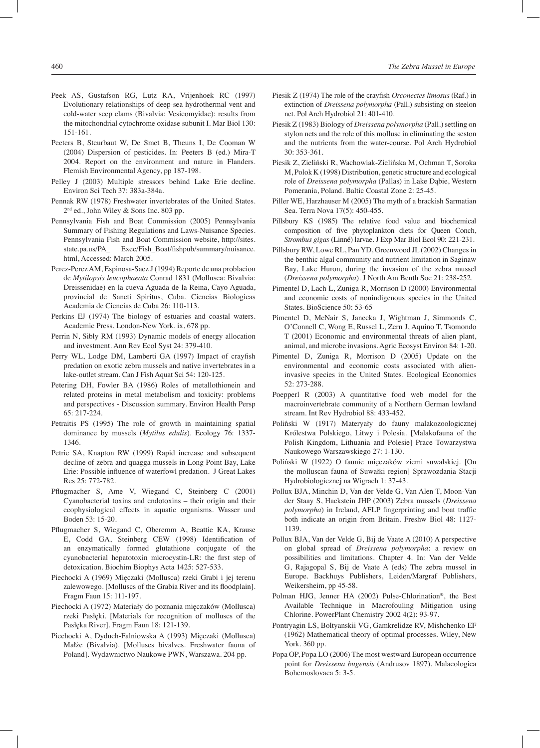- Peek AS, Gustafson RG, Lutz RA, Vrijenhoek RC (1997) Evolutionary relationships of deep-sea hydrothermal vent and cold-water seep clams (Bivalvia: Vesicomyidae): results from the mitochondrial cytochrome oxidase subunit I. Mar Biol 130: 151-161.
- Peeters B, Steurbaut W, De Smet B, Theuns I, De Cooman W (2004) Dispersion of pesticides. In: Peeters B (ed.) Mira-T 2004. Report on the environment and nature in Flanders. Flemish Environmental Agency, pp 187-198.
- Pelley J (2003) Multiple stressors behind Lake Erie decline. Environ Sci Tech 37: 383a-384a.
- Pennak RW (1978) Freshwater invertebrates of the United States. 2nd ed., John Wiley & Sons Inc. 803 pp.
- Pennsylvania Fish and Boat Commission (2005) Pennsylvania Summary of Fishing Regulations and Laws-Nuisance Species. Pennsylvania Fish and Boat Commission website, http://sites. state.pa.us/PA\_ Exec/Fish\_Boat/fishpub/summary/nuisance. html, Accessed: March 2005.
- Perez-Perez AM, Espinosa-Saez J (1994) Reporte de una problacion de *Mytilopsis leucophaeata* Conrad 1831 (Mollusca: Bivalvia: Dreissenidae) en la cueva Aguada de la Reina, Cayo Aguada, provincial de Sancti Spiritus, Cuba. Ciencias Biologicas Academia de Ciencias de Cuba 26: 110-113.
- Perkins EJ (1974) The biology of estuaries and coastal waters. Academic Press, London-New York. ix, 678 pp.
- Perrin N, Sibly RM (1993) Dynamic models of energy allocation and investment. Ann Rev Ecol Syst 24: 379-410.
- Perry WL, Lodge DM, Lamberti GA (1997) Impact of crayfish predation on exotic zebra mussels and native invertebrates in a lake-outlet stream. Can J Fish Aquat Sci 54: 120-125.
- Petering DH, Fowler BA (1986) Roles of metallothionein and related proteins in metal metabolism and toxicity: problems and perspectives - Discussion summary. Environ Health Persp 65: 217-224.
- Petraitis PS (1995) The role of growth in maintaining spatial dominance by mussels (*Mytilus edulis*). Ecology 76: 1337- 1346.
- Petrie SA, Knapton RW (1999) Rapid increase and subsequent decline of zebra and quagga mussels in Long Point Bay, Lake Erie: Possible influence of waterfowl predation. J Great Lakes Res 25: 772-782.
- Pflugmacher S, Ame V, Wiegand C, Steinberg C (2001) Cyanobacterial toxins and endotoxins – their origin and their ecophysiological effects in aquatic organisms. Wasser und Boden 53: 15-20.
- Pflugmacher S, Wiegand C, Oberemm A, Beattie KA, Krause E, Codd GA, Steinberg CEW (1998) Identification of an enzymatically formed glutathione conjugate of the cyanobacterial hepatotoxin microcystin-LR: the first step of detoxication. Biochim Biophys Acta 1425: 527-533.
- Piechocki A (1969) Mięczaki (Mollusca) rzeki Grabi i jej terenu zalewowego. [Molluscs of the Grabia River and its floodplain]. Fragm Faun 15: 111-197.
- Piechocki A (1972) Materiały do poznania mięczaków (Mollusca) rzeki Pasłęki. [Materials for recognition of molluscs of the Pasłęka River]. Fragm Faun 18: 121-139.
- Piechocki A, Dyduch-Falniowska A (1993) Mięczaki (Mollusca) Małże (Bivalvia). [Molluscs bivalves. Freshwater fauna of Poland]. Wydawnictwo Naukowe PWN, Warszawa. 204 pp.
- Piesik Z (1974) The role of the crayfish *Orconectes limosus* (Raf.) in extinction of *Dreissena polymorpha* (Pall.) subsisting on steelon net. Pol Arch Hydrobiol 21: 401-410.
- Piesik Z (1983) Biology of *Dreissena polymorpha* (Pall.) settling on stylon nets and the role of this mollusc in eliminating the seston and the nutrients from the water-course. Pol Arch Hydrobiol 30: 353-361.
- Piesik Z, Zieliński R, Wachowiak-Zielińska M, Ochman T, Soroka M, Polok K (1998) Distribution, genetic structure and ecological role of *Dreissena polymorpha* (Pallas) in Lake Dąbie, Western Pomerania, Poland. Baltic Coastal Zone 2: 25-45.
- Piller WE, Harzhauser M (2005) The myth of a brackish Sarmatian Sea. Terra Nova 17(5): 450-455.
- Pillsbury KS (1985) The relative food value and biochemical composition of five phytoplankton diets for Queen Conch, *Strombus gigas* (Linné) larvae. J Exp Mar Biol Ecol 90: 221-231.
- Pillsbury RW, Lowe RL, Pan YD, Greenwood JL (2002) Changes in the benthic algal community and nutrient limitation in Saginaw Bay, Lake Huron, during the invasion of the zebra mussel (*Dreissena polymorpha*). J North Am Benth Soc 21: 238-252.
- Pimentel D, Lach L, Zuniga R, Morrison D (2000) Environmental and economic costs of nonindigenous species in the United States. BioScience 50: 53-65
- Pimentel D, McNair S, Janecka J, Wightman J, Simmonds C, O'Connell C, Wong E, Russel L, Zern J, Aquino T, Tsomondo T (2001) Economic and environmental threats of alien plant, animal, and microbe invasions. Agric Ecosyst Environ 84: 1-20.
- Pimentel D, Zuniga R, Morrison D (2005) Update on the environmental and economic costs associated with alieninvasive species in the United States. Ecological Economics 52: 273-288.
- Poepperl R (2003) A quantitative food web model for the macroinvertebrate community of a Northern German lowland stream. Int Rev Hydrobiol 88: 433-452.
- Poliński W (1917) Materyały do fauny malakozoologicznej Królestwa Polskiego, Litwy i Polesia. [Malakofauna of the Polish Kingdom, Lithuania and Polesie] Prace Towarzystwa Naukowego Warszawskiego 27: 1-130.
- Poliński W (1922) O faunie mięczaków ziemi suwalskiej. [On the molluscan fauna of Suwałki region] Sprawozdania Stacji Hydrobiologicznej na Wigrach 1: 37-43.
- Pollux BJA, Minchin D, Van der Velde G, Van Alen T, Moon-Van der Staay S, Hackstein JHP (2003) Zebra mussels (*Dreissena polymorpha*) in Ireland, AFLP fingerprinting and boat traffic both indicate an origin from Britain. Freshw Biol 48: 1127- 1139.
- Pollux BJA, Van der Velde G, Bij de Vaate A (2010) A perspective on global spread of *Dreissena polymorpha*: a review on possibilities and limitations. Chapter 4. In: Van der Velde G, Rajagopal S, Bij de Vaate A (eds) The zebra mussel in Europe. Backhuys Publishers, Leiden/Margraf Publishers, Weikersheim, pp 45-58.
- Polman HJG, Jenner HA (2002) Pulse-Chlorination®, the Best Available Technique in Macrofouling Mitigation using Chlorine. PowerPlant Chemistry 2002 4(2): 93-97.
- Pontryagin LS, Boltyanskii VG, Gamkrelidze RV, Mishchenko EF (1962) Mathematical theory of optimal processes. Wiley, New York. 360 pp.
- Popa OP, Popa LO (2006) The most westward European occurrence point for *Dreissena bugensis* (Andrusov 1897). Malacologica Bohemoslovaca 5: 3-5.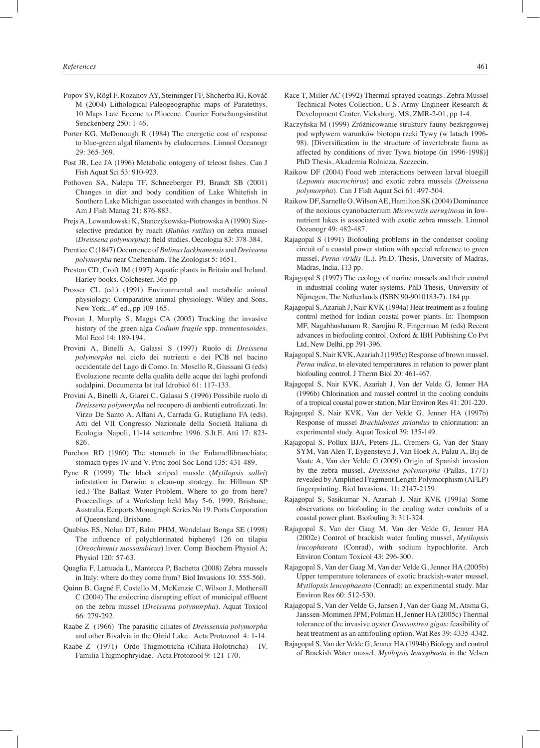- Popov SV, Rögl F, Rozanov AY, Steininger FF, Shcherba IG, Kováč M (2004) Lithological-Paleogeographic maps of Paratethys. 10 Maps Late Eocene to Pliocene. Courier Forschungsinstitut Senckenberg 250: 1-46.
- Porter KG, McDonough R (1984) The energetic cost of response to blue-green algal filaments by cladocerans. Limnol Oceanogr 29: 365-369.
- Post JR, Lee JA (1996) Metabolic ontogeny of teleost fishes. Can J Fish Aquat Sci 53: 910-923.
- Pothoven SA, Nalepa TF, Schneeberger PJ, Brandt SB (2001) Changes in diet and body condition of Lake Whitefish in Southern Lake Michigan associated with changes in benthos. N Am J Fish Manag 21: 876-883.
- Prejs A, Lewandowski K, Stanczykowska-Piotrowska A (1990) Sizeselective predation by roach (*Rutilus rutilus*) on zebra mussel (*Dreissena polymorpha*): field studies. Oecologia 83: 378-384.
- Prentice C (1847) Occurrence of *Bulinus lackhamensis* and *Dreissena polymorpha* near Cheltenham. The Zoologist 5: 1651.
- Preston CD, Croft JM (1997) Aquatic plants in Britain and Ireland. Harley books. Colchester. 365 pp
- Prosser CL (ed.) (1991) Environmental and metabolic animal physiology: Comparative animal physiology. Wiley and Sons, New York., 4<sup>th</sup> ed., pp 109-165.
- Provan J, Murphy S, Maggs CA (2005) Tracking the invasive history of the green alga *Codium fragile* spp. *trementosoides*. Mol Ecol 14: 189-194.
- Provini A, Binelli A, Galassi S (1997) Ruolo di *Dreissena polymorpha* nel ciclo dei nutrienti e dei PCB nel bacino occidentale del Lago di Como. In: Mosello R, Giussani G (eds) Evoluzione recente della qualita delle acque dei laghi profondi sudalpini. Documenta Ist ital Idrobiol 61: 117-133.
- Provini A, Binelli A, Giarei C, Galassi S (1996) Possibile ruolo di *Dreissena polymorpha* nel recupero di ambienti eutrofizzati. In: Virzo De Santo A, Alfani A, Carrada G, Rutigliano FA (eds). Atti del VII Congresso Nazionale della Società Italiana di Ecologia. Napoli, 11-14 settembre 1996. S.It.E. Atti 17: 823- 826.
- Purchon RD (1960) The stomach in the Eulamellibranchiata; stomach types IV and V. Proc zool Soc Lond 135: 431-489.
- Pyne R (1999) The black striped mussle (*Mytilopsis sallei*) infestation in Darwin: a clean-up strategy. In: Hillman SP (ed.) The Ballast Water Problem. Where to go from here? Proceedings of a Workshop held May 5-6, 1999, Brisbane, Australia, Ecoports Monograph Series No 19. Ports Corporation of Queensland, Brisbane.
- Quabius ES, Nolan DT, Balm PHM, Wendelaar Bonga SE (1998) The influence of polychlorinated biphenyl 126 on tilapia (*Oreochromis mossambicus*) liver. Comp Biochem Physiol A; Physiol 120: 57-63.
- Quaglia F, Lattuada L, Mantecca P, Bachetta (2008) Zebra mussels in Italy: where do they come from? Biol Invasions 10: 555-560.
- Quinn B, Gagné F, Costello M, McKenzie C, Wilson J, Mothersill C (2004) The endocrine disrupting effect of municipal effluent on the zebra mussel (*Dreissena polymorpha*). Aquat Toxicol 66: 279-292.
- Raabe Z (1966) The parasitic ciliates of *Dreissensia polymorpha* and other Bivalvia in the Ohrid Lake. Acta Protozool 4: 1-14.
- Raabe Z (1971) Ordo Thigmotricha (Ciliata-Holotricha) IV. Familia Thigmophryidae. Acta Protozool 9: 121-170.
- Race T, Miller AC (1992) Thermal sprayed coatings. Zebra Mussel Technical Notes Collection, U.S. Army Engineer Research & Development Center, Vicksburg, MS. ZMR-2-01, pp 1-4.
- Raczyńska M (1999) Zróżnicowanie struktury fauny bezkręgowej pod wpływem warunków biotopu rzeki Tywy (w latach 1996- 98). [Diversification in the structure of invertebrate fauna as affected by conditions of river Tywa biotope (in 1996-1998)] PhD Thesis, Akademia Rolnicza, Szczecin.
- Raikow DF (2004) Food web interactions between larval bluegill (*Lepomis macrochirus*) and exotic zebra mussels (*Dreissena polymorpha*). Can J Fish Aquat Sci 61: 497-504.
- Raikow DF, Sarnelle O, Wilson AE, Hamilton SK (2004) Dominance of the noxious cyanobacterium *Microcystis aeruginosa* in lownutrient lakes is associated with exotic zebra mussels. Limnol Oceanogr 49: 482-487.
- Rajagopal S (1991) Biofouling problems in the condenser cooling circuit of a coastal power station with special reference to green mussel, *Perna viridis* (L.). Ph.D. Thesis, University of Madras, Madras, India. 113 pp.
- Rajagopal S (1997) The ecology of marine mussels and their control in industrial cooling water systems. PhD Thesis, University of Nijmegen, The Netherlands (ISBN 90-9010183-7). 184 pp.
- Rajagopal S, Azariah J, Nair KVK (1994a) Heat treatment as a fouling control method for Indian coastal power plants. In: Thompson MF, Nagabhushanam R, Sarojini R, Fingerman M (eds) Recent advances in biofouling control. Oxford & IBH Publishing Co Pvt Ltd, New Delhi, pp 391-396.
- Rajagopal S, Nair KVK, Azariah J (1995c) Response of brown mussel, *Perna indica*, to elevated temperatures in relation to power plant biofouling control. J Therm Biol 20: 461-467.
- Rajagopal S, Nair KVK, Azariah J, Van der Velde G, Jenner HA (1996b) Chlorination and mussel control in the cooling conduits of a tropical coastal power station. Mar Environ Res 41: 201-220.
- Rajagopal S, Nair KVK, Van der Velde G, Jenner HA (1997b) Response of mussel *Brachidontes striatulus* to chlorination: an experimental study. Aquat Toxicol 39: 135-149.
- Rajagopal S, Pollux BJA, Peters JL, Cremers G, Van der Staay SYM, Van Alen T, Eygensteyn J, Van Hoek A, Palau A, Bij de Vaate A, Van der Velde G (2009) Origin of Spanish invasion by the zebra mussel, *Dreissena polymorpha* (Pallas, 1771) revealed by Amplified Fragment Length Polymorphism (AFLP) fingerprinting. Biol Invasions. 11: 2147-2159.
- Rajagopal S, Sasikumar N, Azariah J, Nair KVK (1991a) Some observations on biofouling in the cooling water conduits of a coastal power plant. Biofouling 3: 311-324.
- Rajagopal S, Van der Gaag M, Van der Velde G, Jenner HA (2002e) Control of brackish water fouling mussel, *Mytilopsis leucophaeata* (Conrad), with sodium hypochlorite. Arch Environ Contam Toxicol 43: 296-300.
- Rajagopal S, Van der Gaag M, Van der Velde G, Jenner HA (2005b) Upper temperature tolerances of exotic brackish-water mussel, *Mytilopsis leucophaeata* (Conrad): an experimental study. Mar Environ Res 60: 512-530.
- Rajagopal S, Van der Velde G, Jansen J, Van der Gaag M, Atsma G, Janssen-Mommen JPM, Polman H, Jenner HA (2005c) Thermal tolerance of the invasive oyster *Crassostrea gigas*: feasibility of heat treatment as an antifouling option. Wat Res 39: 4335-4342.
- Rajagopal S, Van der Velde G, Jenner HA (1994b) Biology and control of Brackish Water mussel, *Mytilopsis leucophaeta* in the Velsen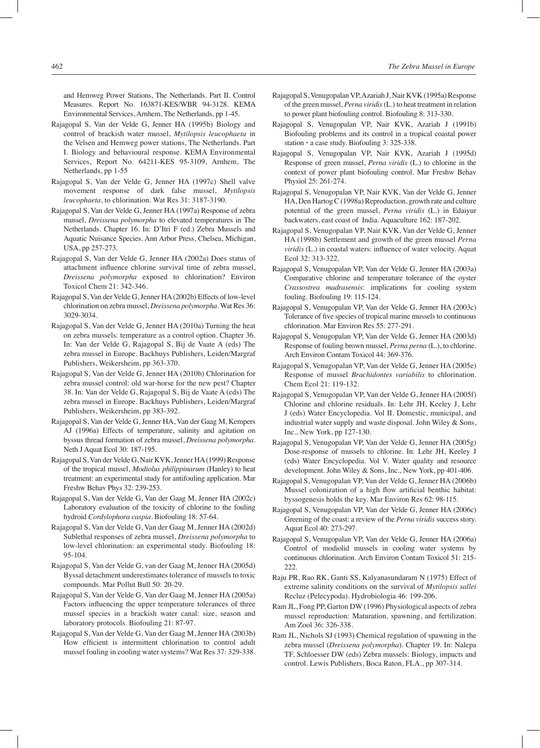and Hemweg Power Stations, The Netherlands. Part II. Control Measures. Report No. 163871-KES/WBR 94-3128. KEMA Environmental Services, Arnhem, The Netherlands, pp 1-45.

- Rajagopal S, Van der Velde G, Jenner HA (1995b) Biology and control of brackish water mussel, *Mytilopsis leucophaeta* in the Velsen and Hemweg power stations, The Netherlands. Part I. Biology and behavioural response. KEMA Environmental Services, Report No. 64211-KES 95-3109, Arnhem, The Netherlands, pp 1-55
- Rajagopal S, Van der Velde G, Jenner HA (1997c) Shell valve movement response of dark false mussel, *Mytilopsis leucophaeta*, to chlorination. Wat Res 31: 3187-3190.
- Rajagopal S, Van der Velde G, Jenner HA (1997a) Response of zebra mussel, *Dreissena polymorpha* to elevated temperatures in The Netherlands. Chapter 16. In: D'Itri F (ed.) Zebra Mussels and Aquatic Nuisance Species. Ann Arbor Press, Chelsea, Michigan, USA, pp 257-273.
- Rajagopal S, Van der Velde G, Jenner HA (2002a) Does status of attachment influence chlorine survival time of zebra mussel, *Dreissena polymorpha* exposed to chlorination? Environ Toxicol Chem 21: 342-346.
- Rajagopal S, Van der Velde G, Jenner HA (2002b) Effects of low-level chlorination on zebra mussel, *Dreissena polymorpha*. Wat Res 36: 3029-3034.
- Rajagopal S, Van der Velde G, Jenner HA (2010a) Turning the heat on zebra mussels: temperature as a control option. Chapter 36. In: Van der Velde G, Rajagopal S, Bij de Vaate A (eds) The zebra mussel in Europe. Backhuys Publishers, Leiden/Margraf Publishers, Weikersheim, pp 363-370.
- Rajagopal S, Van der Velde G, Jenner HA (2010b) Chlorination for zebra mussel control: old war-horse for the new pest? Chapter 38. In: Van der Velde G, Rajagopal S, Bij de Vaate A (eds) The zebra mussel in Europe. Backhuys Publishers, Leiden/Margraf Publishers, Weikersheim, pp 383-392.
- Rajagopal S, Van der Velde G, Jenner HA, Van der Gaag M, Kempers AJ (1996a) Effects of temperature, salinity and agitation on byssus thread formation of zebra mussel, *Dreissena polymorpha*. Neth J Aquat Ecol 30: 187-195.
- Rajagopal S, Van der Velde G, Nair KVK, Jenner HA (1999) Response of the tropical mussel, *Modiolus philippinarum* (Hanley) to heat treatment: an experimental study for antifouling application. Mar Freshw Behav Phys 32: 239-253.
- Rajagopal S, Van der Velde G, Van der Gaag M, Jenner HA (2002c) Laboratory evaluation of the toxicity of chlorine to the fouling hydroid *Cordylophora caspia*. Biofouling 18: 57-64.
- Rajagopal S, Van der Velde G, Van der Gaag M, Jenner HA (2002d) Sublethal responses of zebra mussel, *Dreissena polymorpha* to low-level chlorination: an experimental study. Biofouling 18: 95-104.
- Rajagopal S, Van der Velde G, van der Gaag M, Jenner HA (2005d) Byssal detachment underestimates tolerance of mussels to toxic compounds. Mar Pollut Bull 50: 20-29.
- Rajagopal S, Van der Velde G, Van der Gaag M, Jenner HA (2005a) Factors influencing the upper temperature tolerances of three mussel species in a brackish water canal: size, season and laboratory protocols. Biofouling 21: 87-97.
- Rajagopal S, Van der Velde G, Van der Gaag M, Jenner HA (2003b) How efficient is intermittent chlorination to control adult mussel fouling in cooling water systems? Wat Res 37: 329-338.
- Rajagopal S, Venugopalan VP, Azariah J, Nair KVK (1995a) Response of the green mussel, *Perna viridis* (L.) to heat treatment in relation to power plant biofouling control. Biofouling 8: 313-330.
- Rajagopal S, Venugopalan VP, Nair KVK, Azariah J (1991b) Biofouling problems and its control in a tropical coastal power station ‑ a case study. Biofouling 3: 325-338.
- Rajagopal S, Venugopalan VP, Nair KVK, Azariah J (1995d) Response of green mussel, *Perna viridis* (L.) to chlorine in the context of power plant biofouling control. Mar Freshw Behav Physiol 25: 261-274.
- Rajagopal S, Venugopalan VP, Nair KVK, Van der Velde G, Jenner HA, Den Hartog C (1998a) Reproduction, growth rate and culture potential of the green mussel, *Perna viridis* (L.) in Edaiyur backwaters, east coast of India. Aquaculture 162: 187-202.
- Rajagopal S, Venugopalan VP, Nair KVK, Van der Velde G, Jenner HA (1998b) Settlement and growth of the green mussel *Perna viridis* (L.) in coastal waters: influence of water velocity. Aquat Ecol 32: 313-322.
- Rajagopal S, Venugopalan VP, Van der Velde G, Jenner HA (2003a) Comparative chlorine and temperature tolerance of the oyster *Crassostrea madrasensis*: implications for cooling system fouling. Biofouling 19: 115-124.
- Rajagopal S, Venugopalan VP, Van der Velde G, Jenner HA (2003c) Tolerance of five species of tropical marine mussels to continuous chlorination. Mar Environ Res 55: 277-291.
- Rajagopal S, Venugopalan VP, Van der Velde G, Jenner HA (2003d) Response of fouling brown mussel, *Perna perna* (L.), to chlorine. Arch Environ Contam Toxicol 44: 369-376.
- Rajagopal S, Venugopalan VP, Van der Velde G, Jenner HA (2005e) Response of mussel *Brachidontes variabilis* to chlorination. Chem Ecol 21: 119-132.
- Rajagopal S, Venugopalan VP, Van der Velde G, Jenner HA (2005f) Chlorine and chlorine residuals. In: Lehr JH, Keeley J, Lehr J (eds) Water Encyclopedia. Vol II. Domestic, municipal, and industrial water supply and waste disposal. John Wiley & Sons, Inc., New York, pp 127-130.
- Rajagopal S, Venugopalan VP, Van der Velde G, Jenner HA (2005g) Dose-response of mussels to chlorine. In: Lehr JH, Keeley J (eds) Water Encyclopedia. Vol V. Water quality and resource development. John Wiley & Sons, Inc., New York, pp 401-406.
- Rajagopal S, Venugopalan VP, Van der Velde G, Jenner HA (2006b) Mussel colonization of a high flow artificial benthic habitat: byssogenesis holds the key. Mar Environ Res 62: 98-115.
- Rajagopal S, Venugopalan VP, Van der Velde G, Jenner HA (2006c) Greening of the coast: a review of the *Perna viridis* success story. Aquat Ecol 40: 273-297.
- Rajagopal S, Venugopalan VP, Van der Velde G, Jenner HA (2006a) Control of modiolid mussels in cooling water systems by continuous chlorination. Arch Environ Contam Toxicol 51: 215- 222.
- Raju PR, Rao RK, Ganti SS, Kalyanasundaram N (1975) Effect of extreme salinity conditions on the survival of *Mytilopsis sallei* Recluz (Pelecypoda). Hydrobiologia 46: 199-206.
- Ram JL, Fong PP, Garton DW (1996) Physiological aspects of zebra mussel reproduction: Maturation, spawning, and fertilization. Am Zool 36: 326-338.
- Ram JL, Nichols SJ (1993) Chemical regulation of spawning in the zebra mussel (*Dreissena polymorpha*). Chapter 19. In: Nalepa TF, Schloesser DW (eds) Zebra mussels: Biology, impacts and control. Lewis Publishers, Boca Raton, FLA., pp 307-314.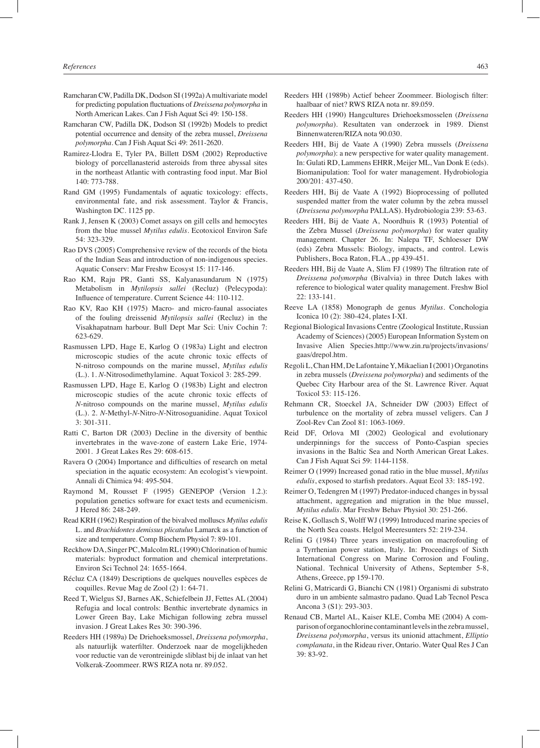- Ramcharan CW, Padilla DK, Dodson SI (1992a) A multivariate model for predicting population fluctuations of *Dreissena polymorpha* in North American Lakes. Can J Fish Aquat Sci 49: 150-158.
- Ramcharan CW, Padilla DK, Dodson SI (1992b) Models to predict potential occurrence and density of the zebra mussel, *Dreissena polymorpha*. Can J Fish Aquat Sci 49: 2611-2620.
- Ramirez-Llodra E, Tyler PA, Billett DSM (2002) Reproductive biology of porcellanasterid asteroids from three abyssal sites in the northeast Atlantic with contrasting food input. Mar Biol 140: 773-788.
- Rand GM (1995) Fundamentals of aquatic toxicology: effects, environmental fate, and risk assessment. Taylor & Francis, Washington DC. 1125 pp.
- Rank J, Jensen K (2003) Comet assays on gill cells and hemocytes from the blue mussel *Mytilus edulis*. Ecotoxicol Environ Safe 54: 323-329.
- Rao DVS (2005) Comprehensive review of the records of the biota of the Indian Seas and introduction of non-indigenous species. Aquatic Conserv: Mar Freshw Ecosyst 15: 117-146.
- Rao KM, Raju PR, Ganti SS, Kalyanasundarum N (1975) Metabolism in *Mytilopsis sallei* (Recluz) (Pelecypoda): Influence of temperature. Current Science 44: 110-112.
- Rao KV, Rao KH (1975) Macro- and micro-faunal associates of the fouling dreissenid *Mytilopsis sallei* (Recluz) in the Visakhapatnam harbour. Bull Dept Mar Sci: Univ Cochin 7: 623-629.
- Rasmussen LPD, Hage E, Karlog O (1983a) Light and electron microscopic studies of the acute chronic toxic effects of N-nitroso compounds on the marine mussel, *Mytilus edulis* (L.). 1. *N*-Nitrosodimethylamine. Aquat Toxicol 3: 285-299.
- Rasmussen LPD, Hage E, Karlog O (1983b) Light and electron microscopic studies of the acute chronic toxic effects of *N*-nitroso compounds on the marine mussel, *Mytilus edulis* (L.). 2. *N*-Methyl-*N*-Nitro-*N*-Nitrosoguanidine. Aquat Toxicol 3: 301-311.
- Ratti C, Barton DR (2003) Decline in the diversity of benthic invertebrates in the wave-zone of eastern Lake Erie, 1974- 2001. J Great Lakes Res 29: 608-615.
- Ravera O (2004) Importance and difficulties of research on metal speciation in the aquatic ecosystem: An ecologist's viewpoint. Annali di Chimica 94: 495-504.
- Raymond M, Rousset F (1995) GENEPOP (Version 1.2.): population genetics software for exact tests and ecumenicism. J Hered 86: 248-249.
- Read KRH (1962) Respiration of the bivalved molluscs *Mytilus edulis*  L. and *Brachidontes demissus plicatulus* Lamarck as a function of size and temperature. Comp Biochem Physiol 7: 89-101.
- Reckhow DA, Singer PC, Malcolm RL (1990) Chlorination of humic materials: byproduct formation and chemical interpretations. Environ Sci Technol 24: 1655-1664.
- Récluz CA (1849) Descriptions de quelques nouvelles espèces de coquilles. Revue Mag de Zool (2) 1: 64-71.
- Reed T, Wielgus SJ, Barnes AK, Schiefelbein JJ, Fettes AL (2004) Refugia and local controls: Benthic invertebrate dynamics in Lower Green Bay, Lake Michigan following zebra mussel invasion. J Great Lakes Res 30: 390-396.
- Reeders HH (1989a) De Driehoeksmossel, *Dreissena polymorpha*, als natuurlijk waterfilter. Onderzoek naar de mogelijkheden voor reductie van de verontreinigde sliblast bij de inlaat van het Volkerak-Zoommeer. RWS RIZA nota nr. 89.052.
- Reeders HH (1989b) Actief beheer Zoommeer. Biologisch filter: haalbaar of niet? RWS RIZA nota nr. 89.059.
- Reeders HH (1990) Hangcultures Driehoeksmosselen (*Dreissena polymorpha*). Resultaten van onderzoek in 1989. Dienst Binnenwateren/RIZA nota 90.030.
- Reeders HH, Bij de Vaate A (1990) Zebra mussels (*Dreissena polymorpha*): a new perspective for water quality management. In: Gulati RD, Lammens EHRR, Meijer ML, Van Donk E (eds). Biomanipulation: Tool for water management. Hydrobiologia 200/201: 437-450.
- Reeders HH, Bij de Vaate A (1992) Bioprocessing of polluted suspended matter from the water column by the zebra mussel (*Dreissena polymorpha* PALLAS). Hydrobiologia 239: 53-63.
- Reeders HH, Bij de Vaate A, Noordhuis R (1993) Potential of the Zebra Mussel (*Dreissena polymorpha*) for water quality management. Chapter 26. In: Nalepa TF, Schloesser DW (eds) Zebra Mussels: Biology, impacts, and control. Lewis Publishers, Boca Raton, FLA., pp 439-451.
- Reeders HH, Bij de Vaate A, Slim FJ (1989) The filtration rate of *Dreissena polymorpha* (Bivalvia) in three Dutch lakes with reference to biological water quality management. Freshw Biol 22: 133-141.
- Reeve LA (1858) Monograph de genus *Mytilus*. Conchologia Iconica 10 (2): 380-424, plates I-XI.
- Regional Biological Invasions Centre (Zoological Institute, Russian Academy of Sciences) (2005) European Information System on Invasive Alien Species.http://www.zin.ru/projects/invasions/ gaas/drepol.htm.
- Regoli L, Chan HM, De Lafontaine Y, Mikaelian I (2001) Organotins in zebra mussels (*Dreissena polymorpha*) and sediments of the Quebec City Harbour area of the St. Lawrence River. Aquat Toxicol 53: 115-126.
- Rehmann CR, Stoeckel JA, Schneider DW (2003) Effect of turbulence on the mortality of zebra mussel veligers. Can J Zool-Rev Can Zool 81: 1063-1069.
- Reid DF, Orlova MI (2002) Geological and evolutionary underpinnings for the success of Ponto-Caspian species invasions in the Baltic Sea and North American Great Lakes. Can J Fish Aquat Sci 59: 1144-1158.
- Reimer O (1999) Increased gonad ratio in the blue mussel, *Mytilus edulis*, exposed to starfish predators. Aquat Ecol 33: 185-192.
- Reimer O, Tedengren M (1997) Predator-induced changes in byssal attachment, aggregation and migration in the blue mussel, *Mytilus edulis*. Mar Freshw Behav Physiol 30: 251-266.
- Reise K, Gollasch S, Wolff WJ (1999) Introduced marine species of the North Sea coasts. Helgol Meeresunters 52: 219-234.
- Relini G (1984) Three years investigation on macrofouling of a Tyrrhenian power station, Italy. In: Proceedings of Sixth International Congress on Marine Corrosion and Fouling, National. Technical University of Athens, September 5-8, Athens, Greece, pp 159-170.
- Relini G, Matricardi G, Bianchi CN (1981) Organismi di substrato duro in un ambiente salmastro padano. Quad Lab Tecnol Pesca Ancona 3 (S1): 293-303.
- Renaud CB, Martel AL, Kaiser KLE, Comba ME (2004) A comparison of organochlorine contaminant levels in the zebra mussel, *Dreissena polymorpha*, versus its unionid attachment, *Elliptio complanata*, in the Rideau river, Ontario. Water Qual Res J Can 39: 83-92.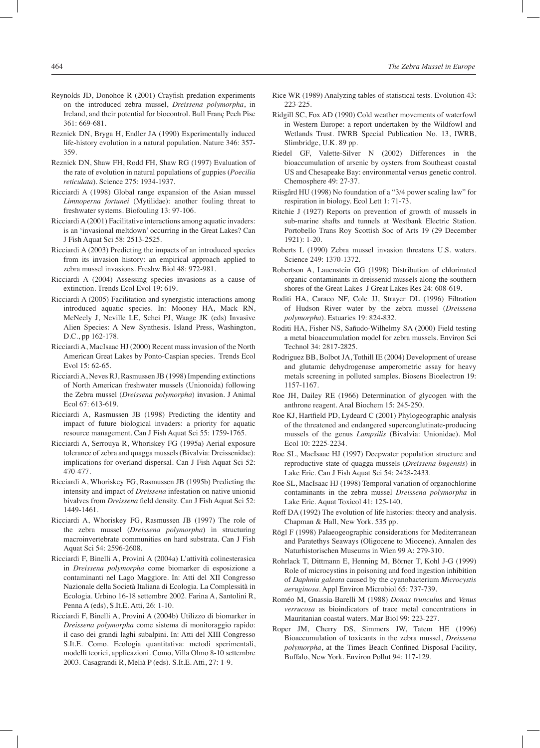- Reynolds JD, Donohoe R (2001) Crayfish predation experiments on the introduced zebra mussel, *Dreissena polymorpha*, in Ireland, and their potential for biocontrol. Bull Franç Pech Pisc 361: 669-681.
- Reznick DN, Bryga H, Endler JA (1990) Experimentally induced life-history evolution in a natural population. Nature 346: 357- 359.
- Reznick DN, Shaw FH, Rodd FH, Shaw RG (1997) Evaluation of the rate of evolution in natural populations of guppies (*Poecilia reticulata*). Science 275: 1934-1937.
- Ricciardi A (1998) Global range expansion of the Asian mussel *Limnoperna fortunei* (Mytilidae): another fouling threat to freshwater systems. Biofouling 13: 97-106.
- Ricciardi A (2001) Facilitative interactions among aquatic invaders: is an 'invasional meltdown' occurring in the Great Lakes? Can J Fish Aquat Sci 58: 2513-2525.
- Ricciardi A (2003) Predicting the impacts of an introduced species from its invasion history: an empirical approach applied to zebra mussel invasions. Freshw Biol 48: 972-981.
- Ricciardi A (2004) Assessing species invasions as a cause of extinction. Trends Ecol Evol 19: 619.
- Ricciardi A (2005) Facilitation and synergistic interactions among introduced aquatic species. In: Mooney HA, Mack RN, McNeely J, Neville LE, Schei PJ, Waage JK (eds) Invasive Alien Species: A New Synthesis. Island Press, Washington, D.C., pp 162-178.
- Ricciardi A, MacIsaac HJ (2000) Recent mass invasion of the North American Great Lakes by Ponto-Caspian species. Trends Ecol Evol 15: 62-65.
- Ricciardi A, Neves RJ, Rasmussen JB (1998) Impending extinctions of North American freshwater mussels (Unionoida) following the Zebra mussel (*Dreissena polymorpha*) invasion. J Animal Ecol 67: 613-619.
- Ricciardi A, Rasmussen JB (1998) Predicting the identity and impact of future biological invaders: a priority for aquatic resource management. Can J Fish Aquat Sci 55: 1759-1765.
- Ricciardi A, Serrouya R, Whoriskey FG (1995a) Aerial exposure tolerance of zebra and quagga mussels (Bivalvia: Dreissenidae): implications for overland dispersal. Can J Fish Aquat Sci 52: 470-477.
- Ricciardi A, Whoriskey FG, Rasmussen JB (1995b) Predicting the intensity and impact of *Dreissena* infestation on native unionid bivalves from *Dreissena* field density. Can J Fish Aquat Sci 52: 1449-1461.
- Ricciardi A, Whoriskey FG, Rasmussen JB (1997) The role of the zebra mussel (*Dreissena polymorpha*) in structuring macroinvertebrate communities on hard substrata. Can J Fish Aquat Sci 54: 2596-2608.
- Ricciardi F, Binelli A, Provini A (2004a) L'attività colinesterasica in *Dreissena polymorpha* come biomarker di esposizione a contaminanti nel Lago Maggiore. In: Atti del XII Congresso Nazionale della Società Italiana di Ecologia. La Complessità in Ecologia. Urbino 16-18 settembre 2002. Farina A, Santolini R, Penna A (eds), S.It.E. Atti, 26: 1-10.
- Ricciardi F, Binelli A, Provini A (2004b) Utilizzo di biomarker in *Dreissena polymorpha* come sistema di monitoraggio rapido: il caso dei grandi laghi subalpini. In: Atti del XIII Congresso S.It.E. Como. Ecologia quantitativa: metodi sperimentali, modelli teorici, applicazioni. Como, Villa Olmo 8-10 settembre 2003. Casagrandi R, Melià P (eds). S.It.E. Atti, 27: 1-9.
- Rice WR (1989) Analyzing tables of statistical tests. Evolution 43: 223-225.
- Ridgill SC, Fox AD (1990) Cold weather movements of waterfowl in Western Europe: a report undertaken by the Wildfowl and Wetlands Trust. IWRB Special Publication No. 13, IWRB, Slimbridge, U.K. 89 pp.
- Riedel GF, Valette-Silver N (2002) Differences in the bioaccumulation of arsenic by oysters from Southeast coastal US and Chesapeake Bay: environmental versus genetic control. Chemosphere 49: 27-37.
- Riisgård HU (1998) No foundation of a "3/4 power scaling law" for respiration in biology. Ecol Lett 1: 71-73.
- Ritchie J (1927) Reports on prevention of growth of mussels in sub-marine shafts and tunnels at Westbank Electric Station. Portobello Trans Roy Scottish Soc of Arts 19 (29 December 1921): 1-20.
- Roberts L (1990) Zebra mussel invasion threatens U.S. waters. Science 249: 1370-1372.
- Robertson A, Lauenstein GG (1998) Distribution of chlorinated organic contaminants in dreissenid mussels along the southern shores of the Great Lakes J Great Lakes Res 24: 608-619.
- Roditi HA, Caraco NF, Cole JJ, Strayer DL (1996) Filtration of Hudson River water by the zebra mussel (*Dreissena polymorpha*). Estuaries 19: 824-832.
- Roditi HA, Fisher NS, Sañudo-Wilhelmy SA (2000) Field testing a metal bioaccumulation model for zebra mussels. Environ Sci Technol 34: 2817-2825.
- Rodriguez BB, Bolbot JA, Tothill IE (2004) Development of urease and glutamic dehydrogenase amperometric assay for heavy metals screening in polluted samples. Biosens Bioelectron 19: 1157-1167.
- Roe JH, Dailey RE (1966) Determination of glycogen with the anthrone reagent. Anal Biochem 15: 245-250.
- Roe KJ, Hartfield PD, Lydeard C (2001) Phylogeographic analysis of the threatened and endangered superconglutinate-producing mussels of the genus *Lampsilis* (Bivalvia: Unionidae). Mol Ecol 10: 2225-2234.
- Roe SL, MacIsaac HJ (1997) Deepwater population structure and reproductive state of quagga mussels (*Dreissena bugensis*) in Lake Erie. Can J Fish Aquat Sci 54: 2428-2433.
- Roe SL, MacIsaac HJ (1998) Temporal variation of organochlorine contaminants in the zebra mussel *Dreissena polymorpha* in Lake Erie. Aquat Toxicol 41: 125-140.
- Roff DA (1992) The evolution of life histories: theory and analysis. Chapman & Hall, New York. 535 pp.
- Rögl F (1998) Palaeogeographic considerations for Mediterranean and Paratethys Seaways (Oligocene to Miocene). Annalen des Naturhistorischen Museums in Wien 99 A: 279-310.
- Rohrlack T, Dittmann E, Henning M, Börner T, Kohl J-G (1999) Role of microcystins in poisoning and food ingestion inhibition of *Daphnia galeata* caused by the cyanobacterium *Microcystis aeruginosa*. Appl Environ Microbiol 65: 737-739.
- Roméo M, Gnassia-Barelli M (1988) *Donax trunculus* and *Venus verrucosa* as bioindicators of trace metal concentrations in Mauritanian coastal waters. Mar Biol 99: 223-227.
- Roper JM, Cherry DS, Simmers JW, Tatem HE (1996) Bioaccumulation of toxicants in the zebra mussel, *Dreissena polymorpha*, at the Times Beach Confined Disposal Facility, Buffalo, New York. Environ Pollut 94: 117-129.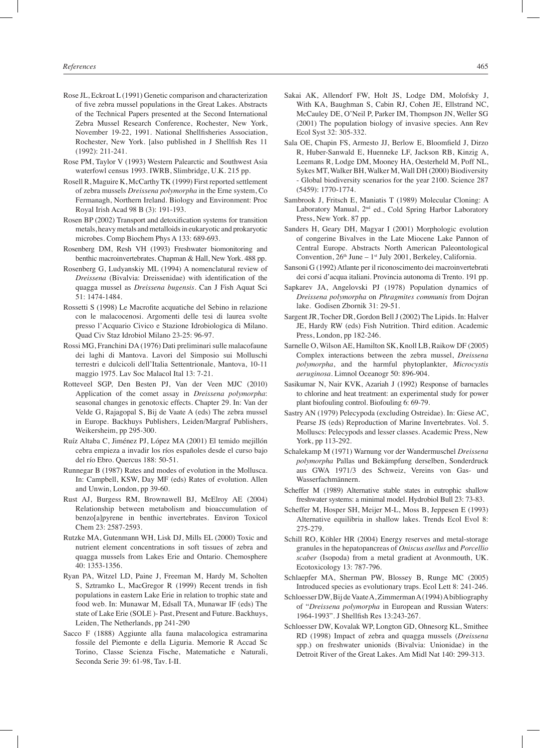- Rose JL, Eckroat L (1991) Genetic comparison and characterization of five zebra mussel populations in the Great Lakes. Abstracts of the Technical Papers presented at the Second International Zebra Mussel Research Conference, Rochester, New York, November 19-22, 1991. National Shellfisheries Association, Rochester, New York. [also published in J Shellfish Res 11 (1992): 211-241.
- Rose PM, Taylor V (1993) Western Palearctic and Southwest Asia waterfowl census 1993. IWRB, Slimbridge, U.K. 215 pp.
- Rosell R, Maguire K, McCarthy TK (1999) First reported settlement of zebra mussels *Dreissena polymorpha* in the Erne system, Co Fermanagh, Northern Ireland. Biology and Environment: Proc Royal Irish Acad 98 B (3): 191-193.
- Rosen BP (2002) Transport and detoxification systems for transition metals, heavy metals and metalloids in eukaryotic and prokaryotic microbes. Comp Biochem Phys A 133: 689-693.
- Rosenberg DM, Resh VH (1993) Freshwater biomonitoring and benthic macroinvertebrates. Chapman & Hall, New York. 488 pp.
- Rosenberg G, Ludyanskiy ML (1994) A nomenclatural review of *Dreissena* (Bivalvia: Dreissenidae) with identification of the quagga mussel as *Dreissena bugensis*. Can J Fish Aquat Sci 51: 1474-1484.
- Rossetti S (1998) Le Macrofite acquatiche del Sebino in relazione con le malacocenosi. Argomenti delle tesi di laurea svolte presso l'Acquario Civico e Stazione Idrobiologica di Milano. Quad Civ Staz Idrobiol Milano 23-25: 96-97.
- Rossi MG, Franchini DA (1976) Dati preliminari sulle malacofaune dei laghi di Mantova. Lavori del Simposio sui Molluschi terrestri e dulcicoli dell'Italia Settentrionale, Mantova, 10-11 maggio 1975. Lav Soc Malacol Ital 13: 7-21.
- Rotteveel SGP, Den Besten PJ, Van der Veen MJC (2010) Application of the comet assay in *Dreissena polymorpha*: seasonal changes in genotoxic effects. Chapter 29. In: Van der Velde G, Rajagopal S, Bij de Vaate A (eds) The zebra mussel in Europe. Backhuys Publishers, Leiden/Margraf Publishers, Weikersheim, pp 295-300.
- Ruíz Altaba C, Jiménez PJ, López MA (2001) El temido mejillón cebra empieza a invadir los ríos españoles desde el curso bajo del río Ebro. Quercus 188: 50-51.
- Runnegar B (1987) Rates and modes of evolution in the Mollusca. In: Campbell, KSW, Day MF (eds) Rates of evolution. Allen and Unwin, London, pp 39-60.
- Rust AJ, Burgess RM, Brownawell BJ, McElroy AE (2004) Relationship between metabolism and bioaccumulation of benzo[a]pyrene in benthic invertebrates. Environ Toxicol Chem 23: 2587-2593.
- Rutzke MA, Gutenmann WH, Lisk DJ, Mills EL (2000) Toxic and nutrient element concentrations in soft tissues of zebra and quagga mussels from Lakes Erie and Ontario. Chemosphere 40: 1353-1356.
- Ryan PA, Witzel LD, Paine J, Freeman M, Hardy M, Scholten S, Sztramko L, MacGregor R (1999) Recent trends in fish populations in eastern Lake Erie in relation to trophic state and food web. In: Munawar M, Edsall TA, Munawar IF (eds) The state of Lake Erie (SOLE )- Past, Present and Future. Backhuys, Leiden, The Netherlands, pp 241-290
- Sacco F (1888) Aggiunte alla fauna malacologica estramarina fossile del Piemonte e della Liguria. Memorie R Accad Sc Torino, Classe Scienza Fische, Matematiche e Naturali, Seconda Serie 39: 61-98, Tav. I-II.
- Sakai AK, Allendorf FW, Holt JS, Lodge DM, Molofsky J, With KA, Baughman S, Cabin RJ, Cohen JE, Ellstrand NC, McCauley DE, O'Neil P, Parker IM, Thompson JN, Weller SG (2001) The population biology of invasive species. Ann Rev Ecol Syst 32: 305-332.
- Sala OE, Chapin FS, Armesto JJ, Berlow E, Bloomfield J, Dirzo R, Huber-Sanwald E, Huenneke LF, Jackson RB, Kinzig A, Leemans R, Lodge DM, Mooney HA, Oesterheld M, Poff NL, Sykes MT, Walker BH, Walker M, Wall DH (2000) Biodiversity - Global biodiversity scenarios for the year 2100. Science 287 (5459): 1770-1774.
- Sambrook J, Fritsch E, Maniatis T (1989) Molecular Cloning: A Laboratory Manual, 2<sup>nd</sup> ed., Cold Spring Harbor Laboratory Press, New York. 87 pp.
- Sanders H, Geary DH, Magyar I (2001) Morphologic evolution of congerine Bivalves in the Late Miocene Lake Pannon of Central Europe. Abstracts North American Paleontological Convention,  $26<sup>th</sup>$  June –  $1<sup>st</sup>$  July 2001, Berkeley, California.
- Sansoni G (1992) Atlante per il riconoscimento dei macroinvertebrati dei corsi d'acqua italiani. Provincia autonoma di Trento. 191 pp.
- Sapkarev JA, Angelovski PJ (1978) Population dynamics of *Dreissena polymorpha* on *Phragmites communis* from Dojran lake. Godisen Zbornik 31: 29-51.
- Sargent JR, Tocher DR, Gordon Bell J (2002) The Lipids. In: Halver JE, Hardy RW (eds) Fish Nutrition. Third edition. Academic Press, London, pp 182-246.
- Sarnelle O, Wilson AE, Hamilton SK, Knoll LB, Raikow DF (2005) Complex interactions between the zebra mussel, *Dreissena polymorpha*, and the harmful phytoplankter, *Microcystis aeruginosa*. Limnol Oceanogr 50: 896-904.
- Sasikumar N, Nair KVK, Azariah J (1992) Response of barnacles to chlorine and heat treatment: an experimental study for power plant biofouling control. Biofouling 6: 69-79.
- Sastry AN (1979) Pelecypoda (excluding Ostreidae). In: Giese AC, Pearse JS (eds) Reproduction of Marine Invertebrates. Vol. 5. Molluscs: Pelecypods and lesser classes. Academic Press, New York, pp 113-292.
- Schalekamp M (1971) Warnung vor der Wandermuschel *Dreissena polymorpha* Pallas und Bekämpfung derselben, Sonderdruck aus GWA 1971/3 des Schweiz, Vereins von Gas- und Wasserfachmännern.
- Scheffer M (1989) Alternative stable states in eutrophic shallow freshwater systems: a minimal model. Hydrobiol Bull 23: 73-83.
- Scheffer M, Hosper SH, Meijer M-L, Moss B, Jeppesen E (1993) Alternative equilibria in shallow lakes. Trends Ecol Evol 8: 275-279.
- Schill RO, Köhler HR (2004) Energy reserves and metal-storage granules in the hepatopancreas of *Oniscus asellus* and *Porcellio scaber* (Isopoda) from a metal gradient at Avonmouth, UK. Ecotoxicology 13: 787-796.
- Schlaepfer MA, Sherman PW, Blossey B, Runge MC (2005) Introduced species as evolutionary traps. Ecol Lett 8: 241-246.
- Schloesser DW, Bij de Vaate A, Zimmerman A (1994) A bibliography of "*Dreissena polymorpha* in European and Russian Waters: 1964-1993". J Shellfish Res 13:243-267.
- Schloesser DW, Kovalak WP, Longton GD, Ohnesorg KL, Smithee RD (1998) Impact of zebra and quagga mussels (*Dreissena* spp.) on freshwater unionids (Bivalvia: Unionidae) in the Detroit River of the Great Lakes. Am Midl Nat 140: 299-313.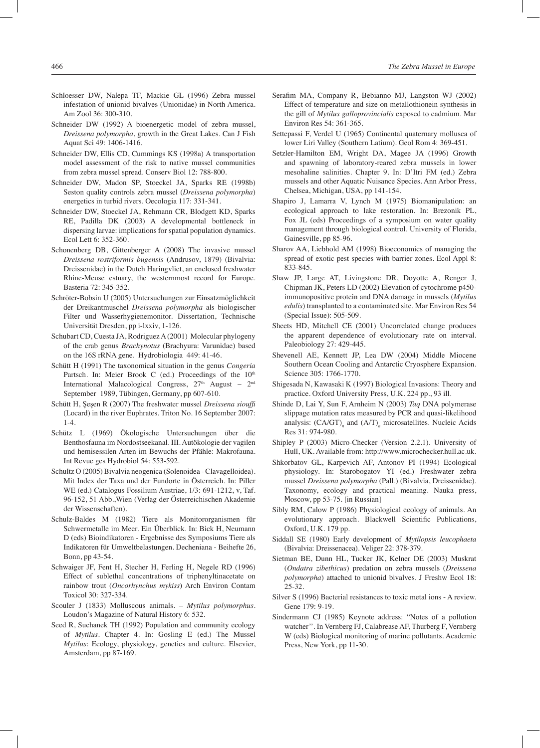- Schloesser DW, Nalepa TF, Mackie GL (1996) Zebra mussel infestation of unionid bivalves (Unionidae) in North America. Am Zool 36: 300-310.
- Schneider DW (1992) A bioenergetic model of zebra mussel, *Dreissena polymorpha*, growth in the Great Lakes. Can J Fish Aquat Sci 49: 1406-1416.
- Schneider DW, Ellis CD, Cummings KS (1998a) A transportation model assessment of the risk to native mussel communities from zebra mussel spread. Conserv Biol 12: 788-800.
- Schneider DW, Madon SP, Stoeckel JA, Sparks RE (1998b) Seston quality controls zebra mussel (*Dreissena polymorpha*) energetics in turbid rivers. Oecologia 117: 331-341.
- Schneider DW, Stoeckel JA, Rehmann CR, Blodgett KD, Sparks RE, Padilla DK (2003) A developmental bottleneck in dispersing larvae: implications for spatial population dynamics. Ecol Lett 6: 352-360.
- Schonenberg DB, Gittenberger A (2008) The invasive mussel *Dreissena rostriformis bugensis* (Andrusov, 1879) (Bivalvia: Dreissenidae) in the Dutch Haringvliet, an enclosed freshwater Rhine-Meuse estuary, the westernmost record for Europe. Basteria 72: 345-352.
- Schröter-Bobsin U (2005) Untersuchungen zur Einsatzmöglichkeit der Dreikantmuschel *Dreissena polymorpha* als biologischer Filter und Wasserhygienemonitor. Dissertation, Technische Universität Dresden, pp i-lxxiv, 1-126.
- Schubart CD, Cuesta JA, Rodriguez A (2001) Molecular phylogeny of the crab genus *Brachynotus* (Brachyura: Varunidae) based on the 16S rRNA gene. Hydrobiologia 449: 41-46.
- Schütt H (1991) The taxonomical situation in the genus *Congeria* Partsch. In: Meier Brook C (ed.) Proceedings of the 10<sup>th</sup> International Malacological Congress,  $27<sup>th</sup>$  August –  $2<sup>nd</sup>$ September 1989, Tübingen, Germany, pp 607-610.
- Schütt H, Şeşen R (2007) The freshwater mussel *Dreissena siouffi* (Locard) in the river Euphrates. Triton No. 16 September 2007: 1-4.
- Schütz L (1969) Ökologische Untersuchungen über die Benthosfauna im Nordostseekanal. III. Autökologie der vagilen und hemisessilen Arten im Bewuchs der Pfähle: Makrofauna. Int Revue ges Hydrobiol 54: 553-592.
- Schultz O (2005) Bivalvia neogenica (Solenoidea Clavagelloidea). Mit Index der Taxa und der Fundorte in Österreich. In: Piller WE (ed.) Catalogus Fossilium Austriae, 1/3: 691-1212, v, Taf. 96-152, 51 Abb.,Wien (Verlag der Österreichischen Akademie der Wissenschaften).
- Schulz-Baldes M (1982) Tiere als Monitororganismen für Schwermetalle im Meer. Ein Überblick. In: Bick H, Neumann D (eds) Bioindikatoren - Ergebnisse des Symposiums Tiere als Indikatoren für Umweltbelastungen. Decheniana - Beihefte 26, Bonn, pp 43-54.
- Schwaiger JF, Fent H, Stecher H, Ferling H, Negele RD (1996) Effect of sublethal concentrations of triphenyltinacetate on rainbow trout (*Oncorhynchus mykiss*) Arch Environ Contam Toxicol 30: 327-334.
- Scouler J (1833) Molluscous animals. *Mytilus polymorphus*. Loudon's Magazine of Natural History 6: 532.
- Seed R, Suchanek TH (1992) Population and community ecology of *Mytilus*. Chapter 4. In: Gosling E (ed.) The Mussel *Mytilus*: Ecology, physiology, genetics and culture. Elsevier, Amsterdam, pp 87-169.
- Serafim MA, Company R, Bebianno MJ, Langston WJ (2002) Effect of temperature and size on metallothionein synthesis in the gill of *Mytilus galloprovincialis* exposed to cadmium. Mar Environ Res 54: 361-365.
- Settepassi F, Verdel U (1965) Continental quaternary mollusca of lower Liri Valley (Southern Latium). Geol Rom 4: 369-451.
- Setzler-Hamilton EM, Wright DA, Magee JA (1996) Growth and spawning of laboratory-reared zebra mussels in lower mesohaline salinities. Chapter 9. In: D'Itri FM (ed.) Zebra mussels and other Aquatic Nuisance Species. Ann Arbor Press, Chelsea, Michigan, USA, pp 141-154.
- Shapiro J, Lamarra V, Lynch M (1975) Biomanipulation: an ecological approach to lake restoration. In: Brezonik PL, Fox JL (eds) Proceedings of a symposium on water quality management through biological control. University of Florida, Gainesville, pp 85-96.
- Sharov AA, Liebhold AM (1998) Bioeconomics of managing the spread of exotic pest species with barrier zones. Ecol Appl 8: 833-845.
- Shaw JP, Large AT, Livingstone DR, Doyotte A, Renger J, Chipman JK, Peters LD (2002) Elevation of cytochrome p450 immunopositive protein and DNA damage in mussels (*Mytilus edulis*) transplanted to a contaminated site. Mar Environ Res 54 (Special Issue): 505-509.
- Sheets HD, Mitchell CE (2001) Uncorrelated change produces the apparent dependence of evolutionary rate on interval. Paleobiology 27: 429-445.
- Shevenell AE, Kennett JP, Lea DW (2004) Middle Miocene Southern Ocean Cooling and Antarctic Cryosphere Expansion. Science 305: 1766-1770.
- Shigesada N, Kawasaki K (1997) Biological Invasions: Theory and practice. Oxford University Press, U.K. 224 pp., 93 ill.
- Shinde D, Lai Y, Sun F, Arnheim N (2003) *Taq* DNA polymerase slippage mutation rates measured by PCR and quasi-likelihood analysis: (CA/GT)<sub>n</sub> and (A/T)<sub>n</sub> microsatellites. Nucleic Acids Res 31: 974-980.
- Shipley P (2003) Micro-Checker (Version 2.2.1). University of Hull, UK. Available from: http://www.microchecker.hull.ac.uk.
- Shkorbatov GL, Karpevich AF, Antonov PI (1994) Ecological physiology. In: Starobogatov YI (ed.) Freshwater zebra mussel *Dreissena polymorpha* (Pall.) (Bivalvia, Dreissenidae). Taxonomy, ecology and practical meaning. Nauka press, Мoscow, pp 53-75. [in Russian]
- Sibly RM, Calow P (1986) Physiological ecology of animals. An evolutionary approach. Blackwell Scientific Publications, Oxford, U.K. 179 pp.
- Siddall SE (1980) Early development of *Mytilopsis leucophaeta* (Bivalvia: Dreissenacea). Veliger 22: 378-379.
- Sietman BE, Dunn HL, Tucker JK, Kelner DE (2003) Muskrat (*Ondatra zibethicus*) predation on zebra mussels (*Dreissena polymorpha*) attached to unionid bivalves. J Freshw Ecol 18: 25-32.
- Silver S (1996) Bacterial resistances to toxic metal ions A review. Gene 179: 9-19.
- Sindermann CJ (1985) Keynote address: "Notes of a pollution watcher''. In Vernberg FJ, Calabrease AF, Thurberg F, Vernberg W (eds) Biological monitoring of marine pollutants. Academic Press, New York, pp 11-30.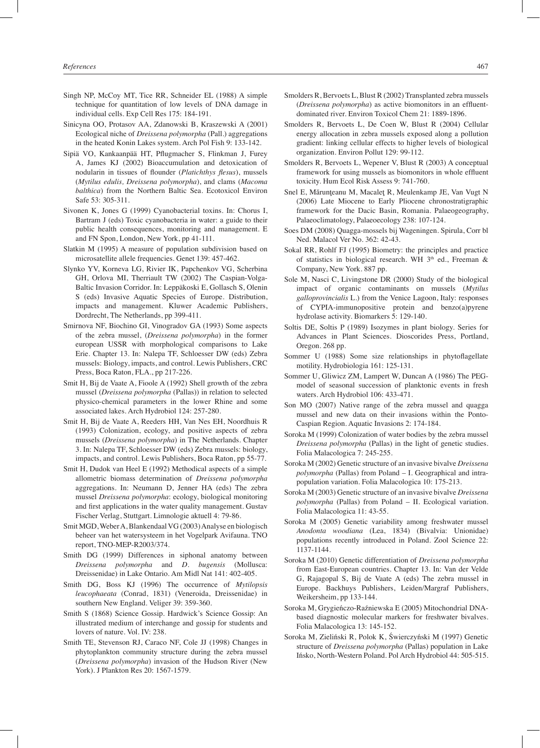- Singh NP, McCoy MT, Tice RR, Schneider EL (1988) A simple technique for quantitation of low levels of DNA damage in individual cells. Exp Cell Res 175: 184-191.
- Sinicyna OO, Protasov AA, Zdanowski B, Kraszewski A (2001) Ecological niche of *Dreissena polymorpha* (Pall.) aggregations in the heated Konin Lakes system. Arch Pol Fish 9: 133-142.
- Sipiä VO, Kankaanpää HT, Pflugmacher S, Flinkman J, Furey A, James KJ (2002) Bioaccumulation and detoxication of nodularin in tissues of flounder (*Platichthys flesus*), mussels (*Mytilus edulis, Dreissena polymorpha*), and clams (*Macoma balthica*) from the Northern Baltic Sea. Ecotoxicol Environ Safe 53: 305-311.
- Sivonen K, Jones G (1999) Cyanobacterial toxins. In: Chorus I, Bartram J (eds) Toxic cyanobacteria in water: a guide to their public health consequences, monitoring and management. E and FN Spon, London, New York, pp 41-111.
- Slatkin M (1995) A measure of population subdivision based on microsatellite allele frequencies. Genet 139: 457-462.
- Slynko YV, Korneva LG, Rivier IK, Papchenkov VG, Scherbina GH, Orlova MI, Therriault TW (2002) The Caspian-Volga-Baltic Invasion Corridor. In: Leppäkoski E, Gollasch S, Olenin S (eds) Invasive Aquatic Species of Europe. Distribution, impacts and management. Kluwer Academic Publishers, Dordrecht, The Netherlands, pp 399-411.
- Smirnova NF, Biochino GI, Vinogradov GA (1993) Some aspects of the zebra mussel, (*Dreissena polymorpha*) in the former european USSR with morphological comparisons to Lake Erie. Chapter 13. In: Nalepa TF, Schloesser DW (eds) Zebra mussels: Biology, impacts, and control. Lewis Publishers, CRC Press, Boca Raton, FLA., pp 217-226.
- Smit H, Bij de Vaate A, Fioole A (1992) Shell growth of the zebra mussel (*Dreissena polymorpha* (Pallas)) in relation to selected physico-chemical parameters in the lower Rhine and some associated lakes. Arch Hydrobiol 124: 257-280.
- Smit H, Bij de Vaate A, Reeders HH, Van Nes EH, Noordhuis R (1993) Colonization, ecology, and positive aspects of zebra mussels (*Dreissena polymorpha*) in The Netherlands. Chapter 3. In: Nalepa TF, Schloesser DW (eds) Zebra mussels: biology, impacts, and control. Lewis Publishers, Boca Raton, pp 55-77.
- Smit H, Dudok van Heel E (1992) Methodical aspects of a simple allometric biomass determination of *Dreissena polymorpha* aggregations. In: Neumann D, Jenner HA (eds) The zebra mussel *Dreissena polymorpha*: ecology, biological monitoring and first applications in the water quality management. Gustav Fischer Verlag, Stuttgart. Limnologie aktuell 4: 79-86.
- Smit MGD, Weber A, Blankendaal VG (2003) Analyse en biologisch beheer van het watersysteem in het Vogelpark Avifauna. TNO report, TNO-MEP-R2003/374.
- Smith DG (1999) Differences in siphonal anatomy between *Dreissena polymorpha* and *D. bugensis* (Mollusca: Dreissenidae) in Lake Ontario. Am Midl Nat 141: 402-405.
- Smith DG, Boss KJ (1996) The occurrence of *Mytilopsis leucophaeata* (Conrad, 1831) (Veneroida, Dreissenidae) in southern New England. Veliger 39: 359-360.
- Smith S (1868) Science Gossip. Hardwick's Science Gossip: An illustrated medium of interchange and gossip for students and lovers of nature. Vol. IV: 238.
- Smith TE, Stevenson RJ, Caraco NF, Cole JJ (1998) Changes in phytoplankton community structure during the zebra mussel (*Dreissena polymorpha*) invasion of the Hudson River (New York). J Plankton Res 20: 1567-1579.
- Smolders R, Bervoets L, Blust R (2002) Transplanted zebra mussels (*Dreissena polymorpha*) as active biomonitors in an effluentdominated river. Environ Toxicol Chem 21: 1889-1896.
- Smolders R, Bervoets L, De Coen W, Blust R (2004) Cellular energy allocation in zebra mussels exposed along a pollution gradient: linking cellular effects to higher levels of biological organization. Environ Pollut 129: 99-112.
- Smolders R, Bervoets L, Wepener V, Blust R (2003) A conceptual framework for using mussels as biomonitors in whole effluent toxicity. Hum Ecol Risk Assess 9: 741-760.
- Snel E, Mărunţeanu M, Macaleţ R, Meulenkamp JE, Van Vugt N (2006) Late Miocene to Early Pliocene chronostratigraphic framework for the Dacic Basin, Romania. Palaeogeography, Palaeoclimatology, Palaeoecology 238: 107-124.
- Soes DM (2008) Quagga-mossels bij Wageningen. Spirula, Corr bl Ned. Malacol Ver No. 362: 42-43.
- Sokal RR, Rohlf FJ (1995) Biometry: the principles and practice of statistics in biological research. WH  $3<sup>th</sup>$  ed., Freeman & Company, New York. 887 pp.
- Sole M, Nasci C, Livingstone DR (2000) Study of the biological impact of organic contaminants on mussels (*Mytilus galloprovincialis* L.) from the Venice Lagoon, Italy: responses of CYPIA-immunopositive protein and benzo(a)pyrene hydrolase activity. Biomarkers 5: 129-140.
- Soltis DE, Soltis P (1989) Isozymes in plant biology. Series for Advances in Plant Sciences. Dioscorides Press, Portland, Oregon. 268 pp.
- Sommer U (1988) Some size relationships in phytoflagellate motility. Hydrobiologia 161: 125-131.
- Sommer U, Gliwicz ZM, Lampert W, Duncan A (1986) The PEGmodel of seasonal succession of planktonic events in fresh waters. Arch Hydrobiol 106: 433-471.
- Son MO (2007) Native range of the zebra mussel and quagga mussel and new data on their invasions within the Ponto-Caspian Region. Aquatic Invasions 2: 174-184.
- Soroka M (1999) Colonization of water bodies by the zebra mussel *Dreissena polymorpha* (Pallas) in the light of genetic studies. Folia Malacologica 7: 245-255.
- Soroka M (2002) Genetic structure of an invasive bivalve *Dreissena polymorpha* (Pallas) from Poland – I. Geographical and intrapopulation variation. Folia Malacologica 10: 175-213.
- Soroka M (2003) Genetic structure of an invasive bivalve *Dreissena polymorpha* (Pallas) from Poland – II. Ecological variation. Folia Malacologica 11: 43-55.
- Soroka M (2005) Genetic variability among freshwater mussel *Anodonta woodiana* (Lea, 1834) (Bivalvia: Unionidae) populations recently introduced in Poland. Zool Science 22: 1137-1144.
- Soroka M (2010) Genetic differentiation of *Dreissena polymorpha* from East-European countries. Chapter 13. In: Van der Velde G, Rajagopal S, Bij de Vaate A (eds) The zebra mussel in Europe. Backhuys Publishers, Leiden/Margraf Publishers, Weikersheim, pp 133-144.
- Soroka M, Grygieńczo-Raźniewska E (2005) Mitochondrial DNAbased diagnostic molecular markers for freshwater bivalves. Folia Malacologica 13: 145-152.
- Soroka M, Zieliński R, Polok K, Świerczyński M (1997) Genetic structure of *Dreissena polymorpha* (Pallas) population in Lake Ińsko, North-Western Poland. Pol Arch Hydrobiol 44: 505-515.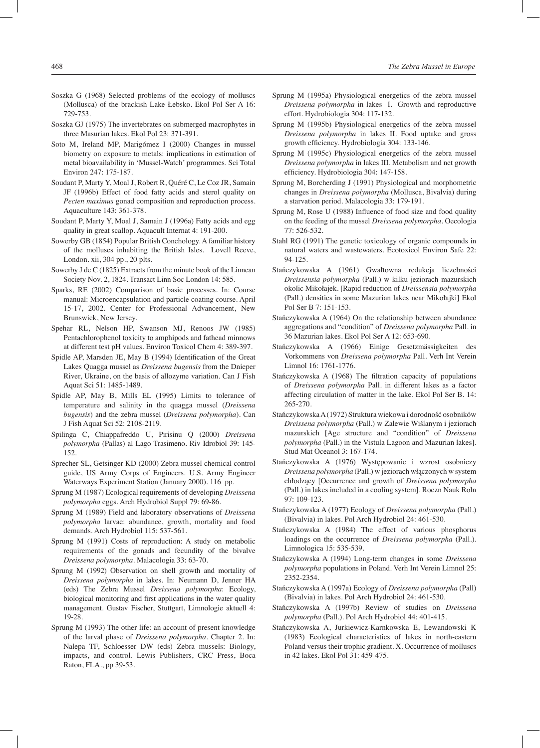- Soszka G (1968) Selected problems of the ecology of molluscs (Mollusca) of the brackish Lake Łebsko. Ekol Pol Ser A 16: 729-753.
- Soszka GJ (1975) The invertebrates on submerged macrophytes in three Masurian lakes. Ekol Pol 23: 371-391.
- Soto M, Ireland MP, Marigómez I (2000) Changes in mussel biometry on exposure to metals: implications in estimation of metal bioavailability in 'Mussel-Watch' programmes. Sci Total Environ 247: 175-187.
- Soudant P, Marty Y, Moal J, Robert R, Quéré C, Le Coz JR, Samain JF (1996b) Effect of food fatty acids and sterol quality on *Pecten maximus* gonad composition and reproduction process. Aquaculture 143: 361-378.
- Soudant P, Marty Y, Moal J, Samain J (1996a) Fatty acids and egg quality in great scallop. Aquacult Internat 4: 191-200.
- Sowerby GB (1854) Popular British Conchology. A familiar history of the molluscs inhabiting the British Isles. Lovell Reeve, London. xii, 304 pp., 20 plts.
- Sowerby J de C (1825) Extracts from the minute book of the Linnean Society Nov. 2, 1824. Transact Linn Soc London 14: 585.
- Sparks, RE (2002) Comparison of basic processes. In: Course manual: Microencapsulation and particle coating course. April 15-17, 2002. Center for Professional Advancement, New Brunswick, New Jersey.
- Spehar RL, Nelson HP, Swanson MJ, Renoos JW (1985) Pentachlorophenol toxicity to amphipods and fathead minnows at different test pH values. Environ Toxicol Chem 4: 389-397.
- Spidle AP, Marsden JE, May B (1994) Identification of the Great Lakes Quagga mussel as *Dreissena bugensis* from the Dnieper River, Ukraine, on the basis of allozyme variation. Can J Fish Aquat Sci 51: 1485-1489.
- Spidle AP, May B, Mills EL (1995) Limits to tolerance of temperature and salinity in the quagga mussel (*Dreissena bugensis*) and the zebra mussel (*Dreissena polymorpha*). Can J Fish Aquat Sci 52: 2108-2119.
- Spilinga C, Chiappafreddo U, Pirisinu Q (2000) *Dreissena polymorpha* (Pallas) al Lago Trasimeno. Riv Idrobiol 39: 145- 152.
- Sprecher SL, Getsinger KD (2000) Zebra mussel chemical control guide, US Army Corps of Engineers. U.S. Army Engineer Waterways Experiment Station (January 2000). 116 pp.
- Sprung M (1987) Ecological requirements of developing *Dreissena polymorpha* eggs. Arch Hydrobiol Suppl 79: 69-86.
- Sprung M (1989) Field and laboratory observations of *Dreissena polymorpha* larvae: abundance, growth, mortality and food demands. Arch Hydrobiol 115: 537-561.
- Sprung M (1991) Costs of reproduction: A study on metabolic requirements of the gonads and fecundity of the bivalve *Dreissena polymorpha*. Malacologia 33: 63-70.
- Sprung M (1992) Observation on shell growth and mortality of *Dreissena polymorpha* in lakes. In: Neumann D, Jenner HA (eds) The Zebra Mussel *Dreissena polymorpha*: Ecology, biological monitoring and first applications in the water quality management. Gustav Fischer, Stuttgart, Limnologie aktuell 4: 19-28.
- Sprung M (1993) The other life: an account of present knowledge of the larval phase of *Dreissena polymorpha.* Chapter 2. In: Nalepa TF, Schloesser DW (eds) Zebra mussels: Biology, impacts, and control. Lewis Publishers, CRC Press, Boca Raton, FLA., pp 39-53.
- Sprung M (1995a) Physiological energetics of the zebra mussel *Dreissena polymorpha* in lakes I. Growth and reproductive effort. Hydrobiologia 304: 117-132.
- Sprung M (1995b) Physiological energetics of the zebra mussel *Dreissena polymorpha* in lakes II. Food uptake and gross growth efficiency. Hydrobiologia 304: 133-146.
- Sprung M (1995c) Physiological energetics of the zebra mussel *Dreissena polymorpha* in lakes III. Metabolism and net growth efficiency. Hydrobiologia 304: 147-158.
- Sprung M, Borcherding J (1991) Physiological and morphometric changes in *Dreissena polymorpha* (Mollusca, Bivalvia) during a starvation period. Malacologia 33: 179-191.
- Sprung M, Rose U (1988) Influence of food size and food quality on the feeding of the mussel *Dreissena polymorpha*. Oecologia 77: 526-532.
- Stahl RG (1991) The genetic toxicology of organic compounds in natural waters and wastewaters. Ecotoxicol Environ Safe 22: 94-125.
- Stańczykowska A (1961) Gwałtowna redukcja liczebności *Dreissensia polymorpha* (Pall.) w kilku jeziorach mazurskich okolic Mikołajek. [Rapid reduction of *Dreissensia polymorpha* (Pall.) densities in some Mazurian lakes near Mikołajki] Ekol Pol Ser B 7: 151-153.
- Stańczykowska A (1964) On the relationship between abundance aggregations and "condition" of *Dreissena polymorpha* Pall. in 36 Mazurian lakes. Ekol Pol Ser A 12: 653-690.
- Stańczykowska A (1966) Einige Gesetzmässigkeiten des Vorkommens von *Dreissena polymorpha* Pall. Verh Int Verein Limnol 16: 1761-1776.
- Stańczykowska A (1968) The filtration capacity of populations of *Dreissena polymorpha* Pall. in different lakes as a factor affecting circulation of matter in the lake. Ekol Pol Ser B. 14: 265-270.
- Stańczykowska A (1972) Struktura wiekowa i dorodność osobników *Dreissena polymorpha* (Pall.) w Zalewie Wiślanym i jeziorach mazurskich [Age structure and "condition" of *Dreissena polymorpha* (Pall.) in the Vistula Lagoon and Mazurian lakes]. Stud Mat Oceanol 3: 167-174.
- Stańczykowska A (1976) Występowanie i wzrost osobniczy *Dreissena polymorpha* (Pall.) w jeziorach włączonych w system chłodzący [Occurrence and growth of *Dreissena polymorpha* (Pall.) in lakes included in a cooling system]. Roczn Nauk Roln 97: 109-123.
- Stańczykowska A (1977) Ecology of *Dreissena polymorpha* (Pall.) (Bivalvia) in lakes. Pol Arch Hydrobiol 24: 461-530.
- Stańczykowska A (1984) The effect of various phosphorus loadings on the occurrence of *Dreissena polymorpha* (Pall.). Limnologica 15: 535-539.
- Stańczykowska A (1994) Long-term changes in some *Dreissena polymorpha* populations in Poland. Verh Int Verein Limnol 25: 2352-2354.
- Stańczykowska A (1997a) Ecology of *Dreissena polymorpha* (Pall) (Bivalvia) in lakes. Pol Arch Hydrobiol 24: 461-530.
- Stańczykowska A (1997b) Review of studies on *Dreissena polymorpha* (Pall.). Pol Arch Hydrobiol 44: 401-415.
- Stańczykowska A, Jurkiewicz-Karnkowska E, Lewandowski K (1983) Ecological characteristics of lakes in north-eastern Poland versus their trophic gradient. X. Occurrence of molluscs in 42 lakes. Ekol Pol 31: 459-475.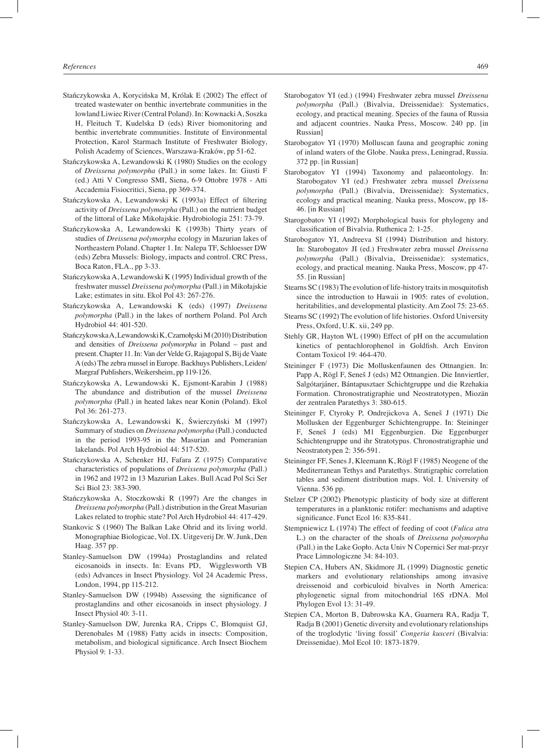- Stańczykowska A, Korycińska M, Królak E (2002) The effect of treated wastewater on benthic invertebrate communities in the lowland Liwiec River (Central Poland). In: Kownacki A, Soszka H, Fleituch T, Kudelska D (eds) River biomonitoring and benthic invertebrate communities. Institute of Environmental Protection, Karol Starmach Institute of Freshwater Biology, Polish Academy of Sciences, Warszawa-Kraków, pp 51-62.
- Stańczykowska A, Lewandowski K (1980) Studies on the ecology of *Dreissena polymorpha* (Pall.) in some lakes. In: Giusti F (ed.) Atti V Congresso SMI, Siena, 6-9 Ottobre 1978 - Atti Accademia Fisiocritici, Siena, pp 369-374.
- Stańczykowska A, Lewandowski K (1993a) Effect of filtering activity of *Dreissena polymorpha* (Pall.) on the nutrient budget of the littoral of Lake Mikołajskie. Hydrobiologia 251: 73-79.
- Stańczykowska A, Lewandowski K (1993b) Thirty years of studies of *Dreissena polymorpha* ecology in Mazurian lakes of Northeastern Poland. Chapter 1. In: Nalepa TF, Schloesser DW (eds) Zebra Mussels: Biology, impacts and control. CRC Press, Boca Raton, FLA., pp 3-33.
- Stańczykowska A, Lewandowski K (1995) Individual growth of the freshwater mussel *Dreissena polymorpha* (Pall.) in Mikołajskie Lake; estimates in situ. Ekol Pol 43: 267-276.
- Stańczykowska A, Lewandowski K (eds) (1997) *Dreissena polymorpha* (Pall.) in the lakes of northern Poland. Pol Arch Hydrobiol 44: 401-520.
- Stańczykowska A, Lewandowski K, Czarnołęski M (2010) Distribution and densities of *Dreissena polymorpha* in Poland – past and present. Chapter 11. In: Van der Velde G, Rajagopal S, Bij de Vaate A (eds) The zebra mussel in Europe. Backhuys Publishers, Leiden/ Margraf Publishers, Weikersheim, pp 119-126.
- Stańczykowska A, Lewandowski K, Ejsmont-Karabin J (1988) The abundance and distribution of the mussel *Dreissena polymorpha* (Pall.) in heated lakes near Konin (Poland). Ekol Pol 36: 261-273.
- Stańczykowska A, Lewandowski K, Świerczyński M (1997) Summary of studies on *Dreissena polymorpha* (Pall.) conducted in the period 1993-95 in the Masurian and Pomeranian lakelands. Pol Arch Hydrobiol 44: 517-520.
- Stańczykowska A, Schenker HJ, Fafara Z (1975) Comparative characteristics of populations of *Dreissena polymorpha* (Pall.) in 1962 and 1972 in 13 Mazurian Lakes. Bull Acad Pol Sci Ser Sci Biol 23: 383-390.
- Stańczykowska A, Stoczkowski R (1997) Are the changes in *Dreissena polymorpha* (Pall.) distribution in the Great Masurian Lakes related to trophic state? Pol Arch Hydrobiol 44: 417-429.
- Stankovic S (1960) The Balkan Lake Ohrid and its living world. Monographiae Biologicae, Vol. IX. Uitgeverij Dr. W. Junk, Den Haag. 357 pp.
- Stanley-Samuelson DW (1994a) Prostaglandins and related eicosanoids in insects. In: Evans PD, Wigglesworth VB (eds) Advances in Insect Physiology. Vol 24 Academic Press, London, 1994, pp 115-212.
- Stanley-Samuelson DW (1994b) Assessing the significance of prostaglandins and other eicosanoids in insect physiology. J Insect Physiol 40: 3-11.
- Stanley-Samuelson DW, Jurenka RA, Cripps C, Blomquist GJ, Derenobales M (1988) Fatty acids in insects: Composition, metabolism, and biological significance. Arch Insect Biochem Physiol 9: 1-33.
- Starobogatov YI (ed.) (1994) Freshwater zebra mussel *Dreissena polymorpha* (Pall.) (Bivalvia, Dreissenidae): Systematics, ecology, and practical meaning. Species of the fauna of Russia and adjacent countries. Nauka Press, Moscow. 240 pp. [in Russian]
- Starobogatov YI (1970) Molluscan fauna and geographic zoning of inland waters of the Globe. Nauka press, Leningrad, Russia. 372 pp. [in Russian]
- Starobogatov YI (1994) Taxonomy and palaeontology. In: Starobogatov YI (ed.) Freshwater zebra mussel *Dreissena polymorpha* (Pall.) (Bivalvia, Dreissenidae): Systematics, ecology and practical meaning. Nauka press, Moscow, pp 18- 46. [in Russian]
- Starogobatov YI (1992) Morphological basis for phylogeny and classification of Bivalvia. Ruthenica 2: 1-25.
- Starobogatov YI, Andreeva SI (1994) Distribution and history. In: Starobogatov JI (ed.) Freshwater zebra mussel *Dreissena polymorpha* (Pall.) (Bivalvia, Dreissenidae): systematics, ecology, and practical meaning. Nauka Press, Moscow, pp 47- 55. [in Russian]
- Stearns SC (1983) The evolution of life-history traits in mosquitofish since the introduction to Hawaii in 1905: rates of evolution, heritabilities, and developmental plasticity. Am Zool 75: 23-65.
- Stearns SC (1992) The evolution of life histories. Oxford University Press, Oxford, U.K. xii, 249 pp.
- Stehly GR, Hayton WL (1990) Effect of pH on the accumulation kinetics of pentachlorophenol in Goldfish. Arch Environ Contam Toxicol 19: 464-470.
- Steininger F (1973) Die Molluskenfaunen des Ottnangien. In: Papp A, Rögl F, Seneš J (eds) M2 Ottnangien. Die Innviertler, Salgótarjáner, Bántapusztaer Schichtgruppe und die Rzehakia Formation. Chronostratigraphie und Neostratotypen, Miozän der zentralen Paratethys 3: 380-615.
- Steininger F, Ctyroky P, Ondrejickova A, Seneš J (1971) Die Mollusken der Eggenburger Schichtengruppe. In: Steininger F, Seneš J (eds) M1 Eggenburgien. Die Eggenburger Schichtengruppe und ihr Stratotypus. Chronostratigraphie und Neostratotypen 2: 356-591.
- Steininger FF, Senes J, Kleemann K, Rögl F (1985) Neogene of the Mediterranean Tethys and Paratethys. Stratigraphic correlation tables and sediment distribution maps. Vol. I. University of Vienna. 536 pp.
- Stelzer CP (2002) Phenotypic plasticity of body size at different temperatures in a planktonic rotifer: mechanisms and adaptive significance. Funct Ecol 16: 835-841.
- Stempniewicz L (1974) The effect of feeding of coot (*Fulica atra* L.) on the character of the shoals of *Dreissena polymorpha* (Pall.) in the Lake Gopło. Acta Univ N Copernici Ser mat-przyr Prace Limnologiczne 34: 84-103.
- Stepien CA, Hubers AN, Skidmore JL (1999) Diagnostic genetic markers and evolutionary relationships among invasive dreissenoid and corbiculoid bivalves in North America: phylogenetic signal from mitochondrial 16S rDNA. Mol Phylogen Evol 13: 31-49.
- Stepien CA, Morton B, Dabrowska KA, Guarnera RA, Radja T, Radja B (2001) Genetic diversity and evolutionary relationships of the troglodytic 'living fossil' *Congeria kusceri* (Bivalvia: Dreissenidae). Mol Ecol 10: 1873-1879.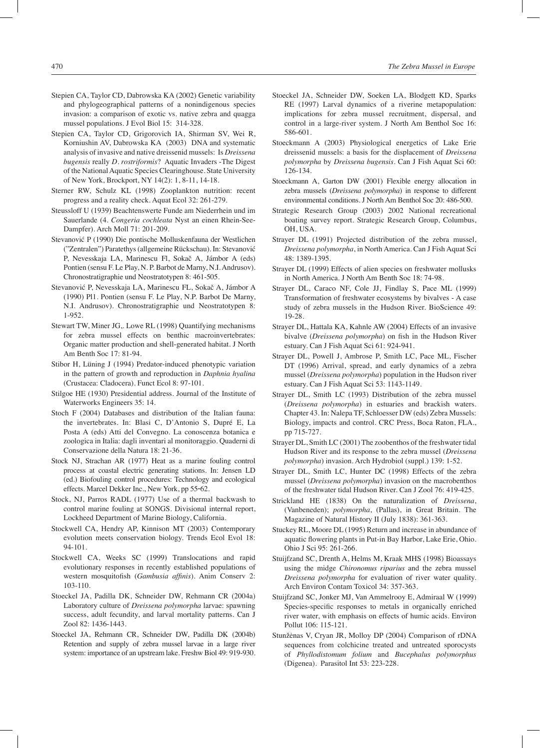- Stepien CA, Taylor CD, Dabrowska KA (2002) Genetic variability and phylogeographical patterns of a nonindigenous species invasion: a comparison of exotic vs. native zebra and quagga mussel populations. J Evol Biol 15: 314-328.
- Stepien CA, Taylor CD, Grigorovich IA, Shirman SV, Wei R, Korniushin AV, Dabrowska KA (2003) DNA and systematic analysis of invasive and native dreissenid mussels: Is *Dreissena bugensis* really *D. rostriformis*? Aquatic Invaders -The Digest of the National Aquatic Species Clearinghouse. State University of New York, Brockport, NY 14(2): 1, 8-11, 14-18.
- Sterner RW, Schulz KL (1998) Zooplankton nutrition: recent progress and a reality check. Aquat Ecol 32: 261-279.
- Steussloff U (1939) Beachtenswerte Funde am Niederrhein und im Sauerlande (4. *Congeria cochleata* Nyst an einen Rhein-See-Dampfer). Arch Moll 71: 201-209.
- Stevanović P (1990) Die pontische Molluskenfauna der Westlichen ("Zentralen") Paratethys (allgemeine Rückschau). In: Stevanović P, Nevesskaja LA, Marinescu Fl, Sokač A, Jámbor A (eds) Pontien (sensu F. Le Play, N. P. Barbot de Marny, N.I. Andrusov). Chronostratigraphie und Neostratotypen 8: 461-505.
- Stevanović P, Nevesskaja LA, Marinescu FL, Sokač A, Jámbor A (1990) Pl1. Pontien (sensu F. Le Play, N.P. Barbot De Marny, N.I. Andrusov). Chronostratigraphie und Neostratotypen 8: 1-952.
- Stewart TW, Miner JG,. Lowe RL (1998) Quantifying mechanisms for zebra mussel effects on benthic macroinvertebrates: Organic matter production and shell-generated habitat. J North Am Benth Soc 17: 81-94.
- Stibor H, Lüning J (1994) Predator-induced phenotypic variation in the pattern of growth and reproduction in *Daphnia hyalina* (Crustacea: Cladocera). Funct Ecol 8: 97-101.
- Stilgoe HE (1930) Presidential address. Journal of the Institute of Waterworks Engineers 35: 14.
- Stoch F (2004) Databases and distribution of the Italian fauna: the invertebrates. In: Blasi C, D'Antonio S, Dupré E, La Posta A (eds) Atti del Convegno. La conoscenza botanica e zoologica in Italia: dagli inventari al monitoraggio. Quaderni di Conservazione della Natura 18: 21-36.
- Stock NJ, Strachan AR (1977) Heat as a marine fouling control process at coastal electric generating stations. In: Jensen LD (ed.) Biofouling control procedures: Technology and ecological effects. Marcel Dekker Inc., New York, pp 55‑62.
- Stock, NJ, Parros RADL (1977) Use of a thermal backwash to control marine fouling at SONGS. Divisional internal report, Lockheed Department of Marine Biology, California.
- Stockwell CA, Hendry AP, Kinnison MT (2003) Contemporary evolution meets conservation biology. Trends Ecol Evol 18: 94-101.
- Stockwell CA, Weeks SC (1999) Translocations and rapid evolutionary responses in recently established populations of western mosquitofish (*Gambusia affinis*). Anim Conserv 2: 103-110.
- Stoeckel JA, Padilla DK, Schneider DW, Rehmann CR (2004a) Laboratory culture of *Dreissena polymorpha* larvae: spawning success, adult fecundity, and larval mortality patterns. Can J Zool 82: 1436-1443.
- Stoeckel JA, Rehmann CR, Schneider DW, Padilla DK (2004b) Retention and supply of zebra mussel larvae in a large river system: importance of an upstream lake. Freshw Biol 49: 919-930.
- Stoeckel JA, Schneider DW, Soeken LA, Blodgett KD, Sparks RE (1997) Larval dynamics of a riverine metapopulation: implications for zebra mussel recruitment, dispersal, and control in a large-river system. J North Am Benthol Soc 16: 586-601.
- Stoeckmann A (2003) Physiological energetics of Lake Erie dreissenid mussels: a basis for the displacement of *Dreissena polymorpha* by *Dreissena bugensis*. Can J Fish Aquat Sci 60: 126-134.
- Stoeckmann A, Garton DW (2001) Flexible energy allocation in zebra mussels (*Dreissena polymorpha*) in response to different environmental conditions. J North Am Benthol Soc 20: 486-500.
- Strategic Research Group (2003) 2002 National recreational boating survey report. Strategic Research Group, Columbus, OH, USA.
- Strayer DL (1991) Projected distribution of the zebra mussel, *Dreissena polymorpha*, in North America. Can J Fish Aquat Sci 48: 1389-1395.
- Strayer DL (1999) Effects of alien species on freshwater mollusks in North America. J North Am Benth Soc 18: 74-98.
- Strayer DL, Caraco NF, Cole JJ, Findlay S, Pace ML (1999) Transformation of freshwater ecosystems by bivalves - A case study of zebra mussels in the Hudson River. BioScience 49: 19-28.
- Strayer DL, Hattala KA, Kahnle AW (2004) Effects of an invasive bivalve (*Dreissena polymorpha*) on fish in the Hudson River estuary. Can J Fish Aquat Sci 61: 924-941.
- Strayer DL, Powell J, Ambrose P, Smith LC, Pace ML, Fischer DT (1996) Arrival, spread, and early dynamics of a zebra mussel (*Dreissena polymorpha*) population in the Hudson river estuary. Can J Fish Aquat Sci 53: 1143-1149.
- Strayer DL, Smith LC (1993) Distribution of the zebra mussel (*Dreissena polymorpha*) in estuaries and brackish waters. Chapter 43. In: Nalepa TF, Schloesser DW (eds) Zebra Mussels: Biology, impacts and control. CRC Press, Boca Raton, FLA., pp 715-727.
- Strayer DL, Smith LC (2001) The zoobenthos of the freshwater tidal Hudson River and its response to the zebra mussel (*Dreissena polymorpha*) invasion. Arch Hydrobiol (suppl.) 139: 1-52.
- Strayer DL, Smith LC, Hunter DC (1998) Effects of the zebra mussel (*Dreissena polymorpha*) invasion on the macrobenthos of the freshwater tidal Hudson River. Can J Zool 76: 419-425.
- Strickland HE (1838) On the naturalization of *Dreissena*, (Vanbeneden); *polymorpha*, (Pallas), in Great Britain. The Magazine of Natural History II (July 1838): 361-363.
- Stuckey RL, Moore DL (1995) Return and increase in abundance of aquatic flowering plants in Put-in Bay Harbor, Lake Erie, Ohio. Ohio J Sci 95: 261-266.
- Stuijfzand SC, Drenth A, Helms M, Kraak MHS (1998) Bioassays using the midge *Chironomus riparius* and the zebra mussel *Dreissena polymorpha* for evaluation of river water quality. Arch Environ Contam Toxicol 34: 357-363.
- Stuijfzand SC, Jonker MJ, Van Ammelrooy E, Admiraal W (1999) Species-specific responses to metals in organically enriched river water, with emphasis on effects of humic acids. Environ Pollut 106: 115-121.
- Stunžėnas V, Cryan JR, Molloy DP (2004) Comparison of rDNA sequences from colchicine treated and untreated sporocysts of *Phyllodistomum folium* and *Bucephalus polymorphus* (Digenea). Parasitol Int 53: 223-228.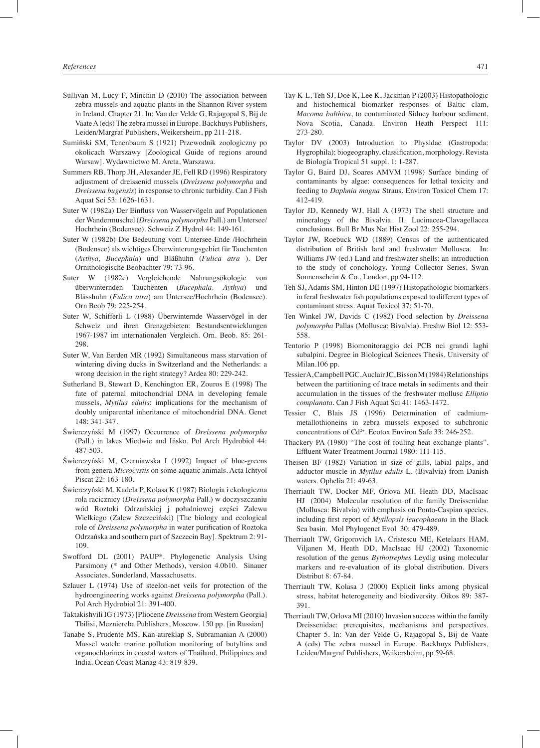- Sullivan M, Lucy F, Minchin D (2010) The association between zebra mussels and aquatic plants in the Shannon River system in Ireland. Chapter 21. In: Van der Velde G, Rajagopal S, Bij de Vaate A (eds) The zebra mussel in Europe. Backhuys Publishers, Leiden/Margraf Publishers, Weikersheim, pp 211-218.
- Sumiński SM, Tenenbaum S (1921) Przewodnik zoologiczny po okolicach Warszawy [Zoological Guide of regions around Warsaw]. Wydawnictwo M. Arcta, Warszawa.
- Summers RB, Thorp JH, Alexander JE, Fell RD (1996) Respiratory adjustment of dreissenid mussels (*Dreissena polymorpha* and *Dreissena bugensis*) in response to chronic turbidity. Can J Fish Aquat Sci 53: 1626-1631.
- Suter W (1982a) Der Einfluss von Wasservögeln auf Populationen der Wandermuschel (*Dreissena polymorpha* Pall.) am Untersee/ Hochrhein (Bodensee). Schweiz Z Hydrol 44: 149-161.
- Suter W (1982b) Die Bedeutung vom Untersee-Ende /Hochrhein (Bodensee) als wichtiges Überwinterungsgebiet für Tauchenten (*Aythya, Bucephala*) und Bläßhuhn (*Fulica atra* ). Der Ornithologische Beobachter 79: 73-96.
- Suter W (1982c) Vergleichende Nahrungsökologie von überwinternden Tauchenten (*Bucephala, Aythya*) und Blässhuhn (*Fulica atra*) am Untersee/Hochrhein (Bodensee). Orn Beob 79: 225-254.
- Suter W, Schifferli L (1988) Überwinternde Wasservögel in der Schweiz und ihren Grenzgebieten: Bestandsentwicklungen 1967-1987 im internationalen Vergleich. Orn. Beob. 85: 261- 298.
- Suter W, Van Eerden MR (1992) Simultaneous mass starvation of wintering diving ducks in Switzerland and the Netherlands: a wrong decision in the right strategy? Ardea 80: 229-242.
- Sutherland B, Stewart D, Kenchington ER, Zouros E (1998) The fate of paternal mitochondrial DNA in developing female mussels, *Mytilus edulis*: implications for the mechanism of doubly uniparental inheritance of mitochondrial DNA. Genet 148: 341-347.
- Świerczyński M (1997) Occurrence of *Dreissena polymorpha* (Pall.) in lakes Miedwie and Ińsko. Pol Arch Hydrobiol 44: 487-503.
- Świerczyński M, Czerniawska I (1992) Impact of blue-greens from genera *Microcystis* on some aquatic animals. Acta Ichtyol Piscat 22: 163-180.
- Świerczyński M, Kadela P, Kolasa K (1987) Biologia i ekologiczna rola racicznicy (*Dreissena polymorpha* Pall.) w doczyszczaniu wód Roztoki Odrzańskiej j południowej części Zalewu Wielkiego (Zalew Szczeciński) [The biology and ecological role of *Dreissena polymorpha* in water purification of Roztoka Odrzańska and southern part of Szczecin Bay]. Spektrum 2: 91- 109.
- Swofford DL (2001) PAUP\*. Phylogenetic Analysis Using Parsimony (\* and Other Methods), version 4.0b10. Sinauer Associates, Sunderland, Massachusetts.
- Szlauer L (1974) Use of steelon-net veils for protection of the hydroengineering works against *Dreissena polymorpha* (Pall.). Pol Arch Hydrobiol 21: 391-400.
- Taktakishvili IG (1973) [Pliocene *Dreissena* from Western Georgia] Tbilisi, Mezniereba Publishers, Moscow. 150 pp. [in Russian]
- Tanabe S, Prudente MS, Kan-atireklap S, Subramanian A (2000) Mussel watch: marine pollution monitoring of butyltins and organochlorines in coastal waters of Thailand, Philippines and India. Ocean Coast Manag 43: 819-839.
- Tay K-L, Teh SJ, Doe K, Lee K, Jackman P (2003) Histopathologic and histochemical biomarker responses of Baltic clam, *Macoma balthica*, to contaminated Sidney harbour sediment, Nova Scotia, Canada. Environ Heath Perspect 111: 273-280.
- Taylor DV (2003) Introduction to Physidae (Gastropoda: Hygrophila); biogeography, classification, morphology. Revista de Biología Tropical 51 suppl. 1: 1-287.
- Taylor G, Baird DJ, Soares AMVM (1998) Surface binding of contaminants by algae: consequences for lethal toxicity and feeding to *Daphnia magna* Straus. Environ Toxicol Chem 17: 412-419.
- Taylor JD, Kennedy WJ, Hall A (1973) The shell structure and mineralogy of the Bivalvia. II. Lucinacea-Clavagellacea conclusions. Bull Br Mus Nat Hist Zool 22: 255-294.
- Taylor JW, Roebuck WD (1889) Census of the authenticated distribution of British land and freshwater Mollusca. In: Williams JW (ed.) Land and freshwater shells: an introduction to the study of conchology. Young Collector Series, Swan Sonnenschein & Co., London, pp 94-112.
- Teh SJ, Adams SM, Hinton DE (1997) Histopathologic biomarkers in feral freshwater fish populations exposed to different types of contaminant stress. Aquat Toxicol 37: 51-70.
- Ten Winkel JW, Davids C (1982) Food selection by *Dreissena polymorpha* Pallas (Mollusca: Bivalvia). Freshw Biol 12: 553- 558.
- Tentorio P (1998) Biomonitoraggio dei PCB nei grandi laghi subalpini. Degree in Biological Sciences Thesis, University of Milan.106 pp.
- Tessier A, Campbell PGC, Auclair JC, Bisson M (1984) Relationships between the partitioning of trace metals in sediments and their accumulation in the tissues of the freshwater mollusc *Elliptio complanata*. Can J Fish Aquat Sci 41: 1463-1472.
- Tessier C, Blais JS (1996) Determination of cadmiummetallothioneins in zebra mussels exposed to subchronic concentrations of Cd2+. Ecotox Environ Safe 33: 246-252.
- Thackery PA (1980) "The cost of fouling heat exchange plants". Effluent Water Treatment Journal 1980: 111-115.
- Theisen BF (1982) Variation in size of gills, labial palps, and adductor muscle in *Mytilus edulis* L. (Bivalvia) from Danish waters. Ophelia 21: 49-63.
- Therriault TW, Docker MF, Orlova MI, Heath DD, MacIsaac HJ (2004) Molecular resolution of the family Dreissenidae (Mollusca: Bivalvia) with emphasis on Ponto-Caspian species, including first report of *Mytilopsis leucophaeata* in the Black Sea basin. Mol Phylogenet Evol 30: 479-489.
- Therriault TW, Grigorovich IA, Cristescu ME, Ketelaars HAM, Viljanen M, Heath DD, MacIsaac HJ (2002) Taxonomic resolution of the genus *Bythotrephes* Leydig using molecular markers and re-evaluation of its global distribution. Divers Distribut 8: 67-84.
- Therriault TW, Kolasa J (2000) Explicit links among physical stress, habitat heterogeneity and biodiversity. Oikos 89: 387- 391.
- Therriault TW, Orlova MI (2010) Invasion success within the family Dreissenidae: prerequisites, mechanisms and perspectives. Chapter 5. In: Van der Velde G, Rajagopal S, Bij de Vaate A (eds) The zebra mussel in Europe. Backhuys Publishers, Leiden/Margraf Publishers, Weikersheim, pp 59-68.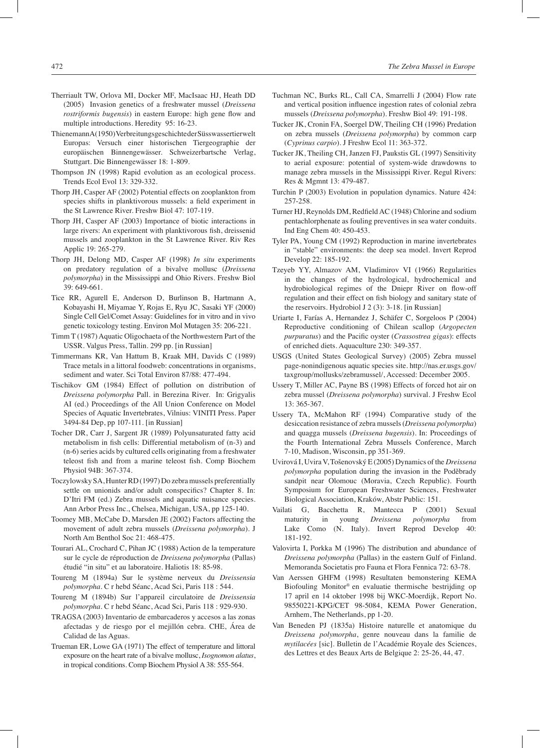- Therriault TW, Orlova MI, Docker MF, MacIsaac HJ, Heath DD (2005) Invasion genetics of a freshwater mussel (*Dreissena rostriformis bugensis*) in eastern Europe: high gene flow and multiple introductions. Heredity 95: 16-23.
- Thienemann A (1950) Verbreitungsgeschichte der Süsswassertierwelt Europas: Versuch einer historischen Tiergeographie der europäischen Binnengewässer. Schweizerbartsche Verlag, Stuttgart. Die Binnengewässer 18: 1-809.
- Thompson JN (1998) Rapid evolution as an ecological process. Trends Ecol Evol 13: 329-332.
- Thorp JH, Casper AF (2002) Potential effects on zooplankton from species shifts in planktivorous mussels: a field experiment in the St Lawrence River. Freshw Biol 47: 107-119.
- Thorp JH, Casper AF (2003) Importance of biotic interactions in large rivers: An experiment with planktivorous fish, dreissenid mussels and zooplankton in the St Lawrence River. Riv Res Applic 19: 265-279.
- Thorp JH, Delong MD, Casper AF (1998) *In situ* experiments on predatory regulation of a bivalve mollusc (*Dreissena polymorpha*) in the Mississippi and Ohio Rivers. Freshw Biol 39: 649-661.
- Tice RR, Agurell E, Anderson D, Burlinson B, Hartmann A, Kobayashi H, Miyamae Y, Rojas E, Ryu JC, Sasaki YF (2000) Single Cell Gel/Comet Assay: Guidelines for in vitro and in vivo genetic toxicology testing. Environ Mol Mutagen 35: 206-221.
- Timm T (1987) Aquatic Oligochaeta of the Northwestern Part of the USSR. Valgus Press, Tallin. 299 pp. [in Russian]
- Timmermans KR, Van Hattum B, Kraak MH, Davids C (1989) Trace metals in a littoral foodweb: concentrations in organisms, sediment and water. Sci Total Environ 87/88: 477-494.
- Tischikov GM (1984) Effect of pollution on distribution of *Dreissena polymorpha* Pall. in Berezina River. In: Grigyalis AI (ed.) Proceedings of the All Union Conference on Model Species of Aquatic Invertebrates, Vilnius: VINITI Press. Paper 3494-84 Dep, pp 107-111. [in Russian]
- Tocher DR, Carr J, Sargent JR (1989) Polyunsaturated fatty acid metabolism in fish cells: Differential metabolism of (n-3) and (n-6) series acids by cultured cells originating from a freshwater teleost fish and from a marine teleost fish. Comp Biochem Physiol 94B: 367-374.
- Toczylowsky SA, Hunter RD (1997) Do zebra mussels preferentially settle on unionids and/or adult conspecifics? Chapter 8. In: D'Itri FM (ed.) Zebra mussels and aquatic nuisance species. Ann Arbor Press Inc., Chelsea, Michigan, USA, pp 125-140.
- Toomey MB, McCabe D, Marsden JE (2002) Factors affecting the movement of adult zebra mussels (*Dreissena polymorpha*). J North Am Benthol Soc 21: 468-475.
- Tourari AL, Crochard C, Pihan JC (1988) Action de la temperature sur le cycle de réproduction de *Dreissena polymorpha* (Pallas) étudié "in situ" et au laboratoire. Haliotis 18: 85-98.
- Toureng M (1894a) Sur le système nerveux du *Dreissensia polymorpha*. C r hebd Séanc, Acad Sci, Paris 118 : 544.
- Toureng M (1894b) Sur l'appareil circulatoire de *Dreissensia polymorpha*. C r hebd Séanc, Acad Sci, Paris 118 : 929-930.
- TRAGSA (2003) Inventario de embarcaderos y accesos a las zonas afectadas y de riesgo por el mejillón cebra. CHE, Área de Calidad de las Aguas.
- Trueman ER, Lowe GA (1971) The effect of temperature and littoral exposure on the heart rate of a bivalve mollusc, *Isognomon alatus*, in tropical conditions. Comp Biochem Physiol A 38: 555-564.
- Tuchman NC, Burks RL, Call CA, Smarrelli J (2004) Flow rate and vertical position influence ingestion rates of colonial zebra mussels (*Dreissena polymorpha*). Freshw Biol 49: 191-198.
- Tucker JK, Cronin FA, Soergel DW, Theiling CH (1996) Predation on zebra mussels (*Dreissena polymorpha*) by common carp (*Cyprinus carpio*). J Freshw Ecol 11: 363-372.
- Tucker JK, Theiling CH, Janzen FJ, Paukstis GL (1997) Sensitivity to aerial exposure: potential of system-wide drawdowns to manage zebra mussels in the Mississippi River. Regul Rivers: Res & Mgmnt 13: 479-487.
- Turchin P (2003) Evolution in population dynamics. Nature 424: 257-258.
- Turner HJ, Reynolds DM, Redfield AC (1948) Chlorine and sodium pentachlorphenate as fouling preventives in sea water conduits. Ind Eng Chem 40: 450-453.
- Tyler PA, Young CM (1992) Reproduction in marine invertebrates in "stable" environments: the deep sea model. Invert Reprod Develop 22: 185-192.
- Tzeyeb YY, Almazov AM, Vladimirov VI (1966) Regularities in the changes of the hydrological, hydrochemical and hydrobiological regimes of the Dniepr River on flow-off regulation and their effect on fish biology and sanitary state of the reservoirs. Hydrobiol J 2 (3): 3-18. [in Russian]
- Uriarte I, Farías A, Hernandez J, Schäfer C, Sorgeloos P (2004) Reproductive conditioning of Chilean scallop (*Argopecten purpuratus*) and the Pacific oyster (*Crassostrea gigas*): effects of enriched diets. Aquaculture 230: 349-357.
- USGS (United States Geological Survey) (2005) Zebra mussel page-nonindigenous aquatic species site. http://nas.er.usgs.gov/ taxgroup/mollusks/zebramussel/, Accessed: December 2005.
- Ussery T, Miller AC, Payne BS (1998) Effects of forced hot air on zebra mussel (*Dreissena polymorpha*) survival. J Freshw Ecol 13: 365-367.
- Ussery TA, McMahon RF (1994) Comparative study of the desiccation resistance of zebra mussels (*Dreissena polymorpha*) and quagga mussels (*Dreissena bugensis*). In: Proceedings of the Fourth International Zebra Mussels Conference, March 7-10, Madison, Wisconsin, pp 351-369.
- Uvirová I, Uvira V, Tošenovský E (2005) Dynamics of the *Dreissena polymorpha* population during the invasion in the Poděbrady sandpit near Olomouc (Moravia, Czech Republic). Fourth Symposium for European Freshwater Sciences, Freshwater Biological Association, Kraków, Abstr Public: 151.
- Vailati G, Bacchetta R, Mantecca P (2001) Sexual maturity in young *Dreissena polymorpha* from Lake Como (N. Italy). Invert Reprod Develop 40: 181-192.
- Valovirta I, Porkka M (1996) The distribution and abundance of *Dreissena polymorpha* (Pallas) in the eastern Gulf of Finland. Memoranda Societatis pro Fauna et Flora Fennica 72: 63-78.
- Van Aerssen GHFM (1998) Resultaten bemonstering KEMA Biofouling Monitor® en evaluatie thermische bestrijding op 17 april en 14 oktober 1998 bij WKC-Moerdijk, Report No. 98550221-KPG/CET 98-5084, KEMA Power Generation, Arnhem, The Netherlands, pp 1-20.
- Van Beneden PJ (1835a) Histoire naturelle et anatomique du *Dreissena polymorpha*, genre nouveau dans la familie de *mytilacées* [sic]. Bulletin de l'Académie Royale des Sciences, des Lettres et des Beaux Arts de Belgique 2: 25-26, 44, 47.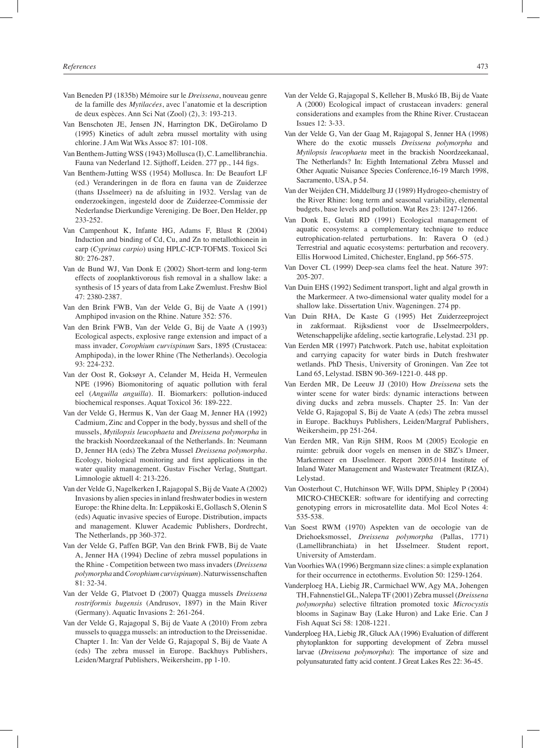- Van Beneden PJ (1835b) Mémoire sur le *Dreissena*, nouveau genre de la famille des *Mytilacées*, avec l'anatomie et la description de deux espèces. Ann Sci Nat (Zool) (2), 3: 193-213.
- Van Benschoten JE, Jensen JN, Harrington DK, DeGirolamo D (1995) Kinetics of adult zebra mussel mortality with using chlorine. J Am Wat Wks Assoc 87: 101-108.
- Van Benthem-Jutting WSS (1943) Mollusca (I), C. Lamellibranchia. Fauna van Nederland 12. Sijthoff, Leiden. 277 pp., 144 figs.
- Van Benthem-Jutting WSS (1954) Mollusca. In: De Beaufort LF (ed.) Veranderingen in de flora en fauna van de Zuiderzee (thans IJsselmeer) na de afsluiting in 1932. Verslag van de onderzoekingen, ingesteld door de Zuiderzee-Commissie der Nederlandse Dierkundige Vereniging. De Boer, Den Helder, pp 233-252.
- Van Campenhout K, Infante HG, Adams F, Blust R (2004) Induction and binding of Cd, Cu, and Zn to metallothionein in carp (*Cyprinus carpio*) using HPLC-ICP-TOFMS. Toxicol Sci 80: 276-287.
- Van de Bund WJ, Van Donk E (2002) Short-term and long-term effects of zooplanktivorous fish removal in a shallow lake: a synthesis of 15 years of data from Lake Zwemlust. Freshw Biol 47: 2380-2387.
- Van den Brink FWB, Van der Velde G, Bij de Vaate A (1991) Amphipod invasion on the Rhine. Nature 352: 576.
- Van den Brink FWB, Van der Velde G, Bij de Vaate A (1993) Ecological aspects, explosive range extension and impact of a mass invader, *Corophium curvispinum* Sars, 1895 (Crustacea: Amphipoda), in the lower Rhine (The Netherlands). Oecologia 93: 224-232.
- Van der Oost R, Goksøyr A, Celander M, Heida H, Vermeulen NPE (1996) Biomonitoring of aquatic pollution with feral eel (*Anguilla anguilla*). II. Biomarkers: pollution-induced biochemical responses. Aquat Toxicol 36: 189-222.
- Van der Velde G, Hermus K, Van der Gaag M, Jenner HA (1992) Cadmium, Zinc and Copper in the body, byssus and shell of the mussels, *Mytilopsis leucophaeta* and *Dreissena polymorpha* in the brackish Noordzeekanaal of the Netherlands. In: Neumann D, Jenner HA (eds) The Zebra Mussel *Dreissena polymorpha*. Ecology, biological monitoring and first applications in the water quality management. Gustav Fischer Verlag, Stuttgart. Limnologie aktuell 4: 213-226.
- Van der Velde G, Nagelkerken I, Rajagopal S, Bij de Vaate A (2002) Invasions by alien species in inland freshwater bodies in western Europe: the Rhine delta. In: Leppäkoski E, Gollasch S, Olenin S (eds) Aquatic invasive species of Europe. Distribution, impacts and management. Kluwer Academic Publishers, Dordrecht, The Netherlands, pp 360-372.
- Van der Velde G, Paffen BGP, Van den Brink FWB, Bij de Vaate A, Jenner HA (1994) Decline of zebra mussel populations in the Rhine - Competition between two mass invaders (*Dreissena polymorpha* and *Corophium curvispinum*). Naturwissenschaften 81: 32-34.
- Van der Velde G, Platvoet D (2007) Quagga mussels *Dreissena rostriformis bugensis* (Andrusov, 1897) in the Main River (Germany). Aquatic Invasions 2: 261-264.
- Van der Velde G, Rajagopal S, Bij de Vaate A (2010) From zebra mussels to quagga mussels: an introduction to the Dreissenidae. Chapter 1. In: Van der Velde G, Rajagopal S, Bij de Vaate A (eds) The zebra mussel in Europe. Backhuys Publishers, Leiden/Margraf Publishers, Weikersheim, pp 1-10.
- Van der Velde G, Rajagopal S, Kelleher B, Muskó IB, Bij de Vaate A (2000) Ecological impact of crustacean invaders: general considerations and examples from the Rhine River. Crustacean Issues 12: 3-33.
- Van der Velde G, Van der Gaag M, Rajagopal S, Jenner HA (1998) Where do the exotic mussels *Dreissena polymorpha* and *Mytilopsis leucophaeta* meet in the brackish Noordzeekanaal, The Netherlands? In: Eighth International Zebra Mussel and Other Aquatic Nuisance Species Conference,16-19 March 1998, Sacramento, USA, p 54.
- Van der Weijden CH, Middelburg JJ (1989) Hydrogeo-chemistry of the River Rhine: long term and seasonal variability, elemental budgets, base levels and pollution. Wat Res 23: 1247-1266.
- Van Donk E, Gulati RD (1991) Ecological management of aquatic ecosystems: a complementary technique to reduce eutrophication-related perturbations. In: Ravera O (ed.) Terrestrial and aquatic ecosystems: perturbation and recovery. Ellis Horwood Limited, Chichester, England, pp 566-575.
- Van Dover CL (1999) Deep-sea clams feel the heat. Nature 397: 205-207.
- Van Duin EHS (1992) Sediment transport, light and algal growth in the Markermeer. A two-dimensional water quality model for a shallow lake. Dissertation Univ. Wageningen. 274 pp.
- Van Duin RHA, De Kaste G (1995) Het Zuiderzeeproject in zakformaat. Rijksdienst voor de IJsselmeerpolders, Wetenschappelijke afdeling, sectie kartografie, Lelystad. 231 pp.
- Van Eerden MR (1997) Patchwork. Patch use, habitat exploitation and carrying capacity for water birds in Dutch freshwater wetlands. PhD Thesis, University of Groningen. Van Zee tot Land 65, Lelystad. ISBN 90-369-1221-0. 448 pp.
- Van Eerden MR, De Leeuw JJ (2010) How *Dreissena* sets the winter scene for water birds: dynamic interactions between diving ducks and zebra mussels. Chapter 25. In: Van der Velde G, Rajagopal S, Bij de Vaate A (eds) The zebra mussel in Europe. Backhuys Publishers, Leiden/Margraf Publishers, Weikersheim, pp 251-264.
- Van Eerden MR, Van Rijn SHM, Roos M (2005) Ecologie en ruimte: gebruik door vogels en mensen in de SBZ's IJmeer, Markermeer en IJsselmeer. Report 2005.014 Institute of Inland Water Management and Wastewater Treatment (RIZA), Lelystad.
- Van Oosterhout C, Hutchinson WF, Wills DPM, Shipley P (2004) MICRO-CHECKER: software for identifying and correcting genotyping errors in microsatellite data. Mol Ecol Notes 4: 535-538.
- Van Soest RWM (1970) Aspekten van de oecologie van de Driehoeksmossel, *Dreissena polymorpha* (Pallas, 1771) (Lamellibranchiata) in het IJsselmeer. Student report, University of Amsterdam.
- Van Voorhies WA (1996) Bergmann size clines: a simple explanation for their occurrence in ectotherms. Evolution 50: 1259-1264.
- Vanderploeg HA, Liebig JR, Carmichael WW, Agy MA, Johengen TH, Fahnenstiel GL, Nalepa TF (2001) Zebra mussel (*Dreissena polymorpha*) selective filtration promoted toxic *Microcystis* blooms in Saginaw Bay (Lake Huron) and Lake Erie. Can J Fish Aquat Sci 58: 1208-1221.
- Vanderploeg HA, Liebig JR, Gluck AA (1996) Evaluation of different phytoplankton for supporting development of Zebra mussel larvae (*Dreissena polymorpha*): The importance of size and polyunsaturated fatty acid content. J Great Lakes Res 22: 36-45.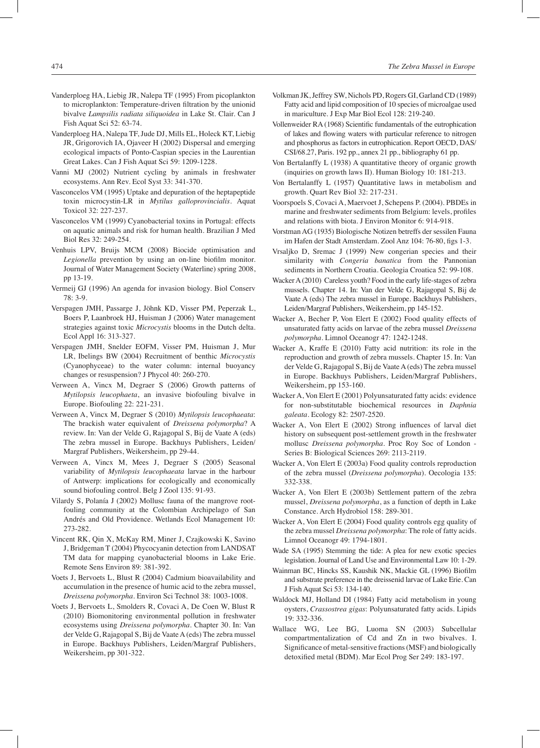- Vanderploeg HA, Liebig JR, Nalepa TF (1995) From picoplankton to microplankton: Temperature-driven filtration by the unionid bivalve *Lampsilis radiata siliquoidea* in Lake St. Clair. Can J Fish Aquat Sci 52: 63-74.
- Vanderploeg HA, Nalepa TF, Jude DJ, Mills EL, Holeck KT, Liebig JR, Grigorovich IA, Ojaveer H (2002) Dispersal and emerging ecological impacts of Ponto-Caspian species in the Laurentian Great Lakes. Can J Fish Aquat Sci 59: 1209-1228.
- Vanni MJ (2002) Nutrient cycling by animals in freshwater ecosystems. Ann Rev. Ecol Syst 33: 341-370.
- Vasconcelos VM (1995) Uptake and depuration of the heptapeptide toxin microcystin-LR in *Mytilus galloprovincialis*. Aquat Toxicol 32: 227-237.
- Vasconcelos VM (1999) Cyanobacterial toxins in Portugal: effects on aquatic animals and risk for human health. Brazilian J Med Biol Res 32: 249-254.
- Venhuis LPV, Bruijs MCM (2008) Biocide optimisation and *Legionella* prevention by using an on-line biofilm monitor. Journal of Water Management Society (Waterline) spring 2008, pp 13-19.
- Vermeij GJ (1996) An agenda for invasion biology. Biol Conserv 78: 3-9.
- Verspagen JMH, Passarge J, Jöhnk KD, Visser PM, Peperzak L, Boers P, Laanbroek HJ, Huisman J (2006) Water management strategies against toxic *Microcystis* blooms in the Dutch delta. Ecol Appl 16: 313-327.
- Verspagen JMH, Snelder EOFM, Visser PM, Huisman J, Mur LR, Ibelings BW (2004) Recruitment of benthic *Microcystis* (Cyanophyceae) to the water column: internal buoyancy changes or resuspension? J Phycol 40: 260-270.
- Verween A, Vincx M, Degraer S (2006) Growth patterns of *Mytilopsis leucophaeta*, an invasive biofouling bivalve in Europe. Biofouling 22: 221-231.
- Verween A, Vincx M, Degraer S (2010) *Mytilopsis leucophaeata*: The brackish water equivalent of *Dreissena polymorpha*? A review. In: Van der Velde G, Rajagopal S, Bij de Vaate A (eds) The zebra mussel in Europe. Backhuys Publishers, Leiden/ Margraf Publishers, Weikersheim, pp 29-44.
- Verween A, Vincx M, Mees J, Degraer S (2005) Seasonal variability of *Mytilopsis leucophaeata* larvae in the harbour of Antwerp: implications for ecologically and economically sound biofouling control. Belg J Zool 135: 91-93.
- Vilardy S, Polanía J (2002) Mollusc fauna of the mangrove rootfouling community at the Colombian Archipelago of San Andrés and Old Providence. Wetlands Ecol Management 10: 273-282.
- Vincent RK, Qin X, McKay RM, Miner J, Czajkowski K, Savino J, Bridgeman T (2004) Phycocyanin detection from LANDSAT TM data for mapping cyanobacterial blooms in Lake Erie. Remote Sens Environ 89: 381-392.
- Voets J, Bervoets L, Blust R (2004) Cadmium bioavailability and accumulation in the presence of humic acid to the zebra mussel, *Dreissena polymorpha*. Environ Sci Technol 38: 1003-1008.
- Voets J, Bervoets L, Smolders R, Covaci A, De Coen W, Blust R (2010) Biomonitoring environmental pollution in freshwater ecosystems using *Dreissena polymorpha*. Chapter 30. In: Van der Velde G, Rajagopal S, Bij de Vaate A (eds) The zebra mussel in Europe. Backhuys Publishers, Leiden/Margraf Publishers, Weikersheim, pp 301-322.
- Volkman JK, Jeffrey SW, Nichols PD, Rogers GI, Garland CD (1989) Fatty acid and lipid composition of 10 species of microalgae used in mariculture. J Exp Mar Biol Ecol 128: 219-240.
- Vollenweider RA (1968) Scientific fundamentals of the eutrophication of lakes and flowing waters with particular reference to nitrogen and phosphorus as factors in eutrophication. Report OECD, DAS/ CSI/68.27, Paris. 192 pp., annex 21 pp., bibliography 61 pp.
- Von Bertalanffy L (1938) A quantitative theory of organic growth (inquiries on growth laws II). Human Biology 10: 181-213.
- Von Bertalanffy L (1957) Quantitative laws in metabolism and growth. Quart Rev Biol 32: 217-231.
- Voorspoels S, Covaci A, Maervoet J, Schepens P. (2004). PBDEs in marine and freshwater sediments from Belgium: levels, profiles and relations with biota. J Environ Monitor 6: 914-918.
- Vorstman AG (1935) Biologische Notizen betreffs der sessilen Fauna im Hafen der Stadt Amsterdam. Zool Anz 104: 76-80, figs 1-3.
- Vrsaljko D, Sremac J (1999) New congerian species and their similarity with *Congeria banatica* from the Pannonian sediments in Northern Croatia. Geologia Croatica 52: 99-108.
- Wacker A (2010) Careless youth? Food in the early life-stages of zebra mussels. Chapter 14. In: Van der Velde G, Rajagopal S, Bij de Vaate A (eds) The zebra mussel in Europe. Backhuys Publishers, Leiden/Margraf Publishers, Weikersheim, pp 145-152.
- Wacker A, Becher P, Von Elert E (2002) Food quality effects of unsaturated fatty acids on larvae of the zebra mussel *Dreissena polymorpha*. Limnol Oceanogr 47: 1242-1248.
- Wacker A, Kraffe E (2010) Fatty acid nutrition: its role in the reproduction and growth of zebra mussels. Chapter 15. In: Van der Velde G, Rajagopal S, Bij de Vaate A (eds) The zebra mussel in Europe. Backhuys Publishers, Leiden/Margraf Publishers, Weikersheim, pp 153-160.
- Wacker A, Von Elert E (2001) Polyunsaturated fatty acids: evidence for non-substitutable biochemical resources in *Daphnia galeata*. Ecology 82: 2507-2520.
- Wacker A, Von Elert E (2002) Strong influences of larval diet history on subsequent post-settlement growth in the freshwater mollusc *Dreissena polymorpha*. Proc Roy Soc of London - Series B: Biological Sciences 269: 2113-2119.
- Wacker A, Von Elert E (2003a) Food quality controls reproduction of the zebra mussel (*Dreissena polymorpha*). Oecologia 135: 332-338.
- Wacker A, Von Elert E (2003b) Settlement pattern of the zebra mussel, *Dreissena polymorpha*, as a function of depth in Lake Constance. Arch Hydrobiol 158: 289-301.
- Wacker A, Von Elert E (2004) Food quality controls egg quality of the zebra mussel *Dreissena polymorpha*: The role of fatty acids. Limnol Oceanogr 49: 1794-1801.
- Wade SA (1995) Stemming the tide: A plea for new exotic species legislation. Journal of Land Use and Environmental Law 10: 1-29.
- Wainman BC, Hincks SS, Kaushik NK, Mackie GL (1996) Biofilm and substrate preference in the dreissenid larvae of Lake Erie. Can J Fish Aquat Sci 53: 134-140.
- Waldock MJ, Holland DI (1984) Fatty acid metabolism in young oysters, *Crassostrea gigas*: Polyunsaturated fatty acids. Lipids 19: 332-336.
- Wallace WG, Lee BG, Luoma SN (2003) Subcellular compartmentalization of Cd and Zn in two bivalves. I. Significance of metal-sensitive fractions (MSF) and biologically detoxified metal (BDM). Mar Ecol Prog Ser 249: 183-197.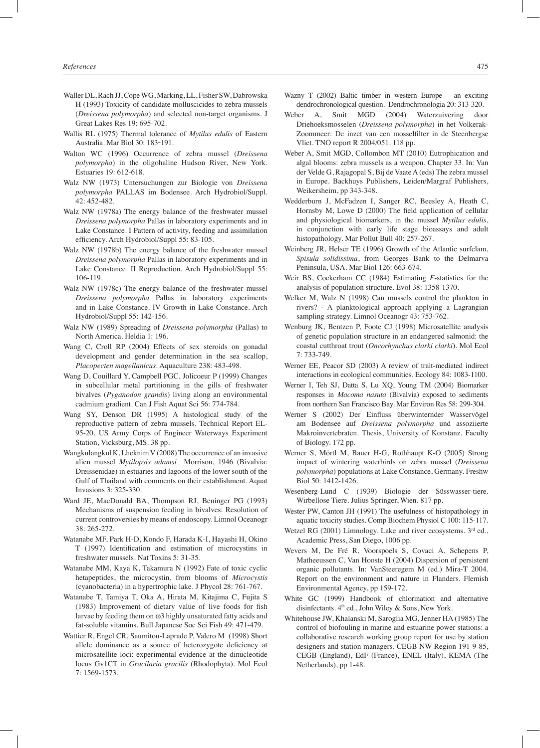- Waller DL, Rach JJ, Cope WG, Marking, LL, Fisher SW, Dabrowska H (1993) Toxicity of candidate molluscicides to zebra mussels (*Dreissena polymorpha*) and selected non-target organisms. J Great Lakes Res 19: 695-702.
- Wallis RL (1975) Thermal tolerance of *Mytilus edulis* of Eastern Australia. Mar Biol 30: 183‑191.
- Walton WC (1996) Occurrence of zebra mussel (*Dreissena polymorpha*) in the oligohaline Hudson River, New York. Estuaries 19: 612-618.
- Walz NW (1973) Untersuchungen zur Biologie von *Dreissena polymorpha* PALLAS im Bodensee. Arch Hydrobiol/Suppl. 42: 452-482.
- Walz NW (1978a) The energy balance of the freshwater mussel *Dreissena polymorpha* Pallas in laboratory experiments and in Lake Constance. I Pattern of activity, feeding and assimilation efficiency. Arch Hydrobiol/Suppl 55: 83-105.
- Walz NW (1978b) The energy balance of the freshwater mussel *Dreissena polymorpha* Pallas in laboratory experiments and in Lake Constance. II Reproduction. Arch Hydrobiol/Suppl 55: 106-119.
- Walz NW (1978c) The energy balance of the freshwater mussel *Dreissena polymorpha* Pallas in laboratory experiments and in Lake Constance. IV Growth in Lake Constance. Arch Hydrobiol/Suppl 55: 142-156.
- Walz NW (1989) Spreading of *Dreissena polymorpha* (Pallas) to North America. Heldia 1: 196.
- Wang C, Croll RP (2004) Effects of sex steroids on gonadal development and gender determination in the sea scallop, *Placopecten magellanicus*. Aquaculture 238: 483-498.
- Wang D, Couillard Y, Campbell PGC, Jolicoeur P (1999) Changes in subcellular metal partitioning in the gills of freshwater bivalves (*Pyganodon grandis*) living along an environmental cadmium gradient. Can J Fish Aquat Sci 56: 774-784.
- Wang SY, Denson DR (1995) A histological study of the reproductive pattern of zebra mussels. Technical Report EL-95-20, US Army Corps of Engineer Waterways Experiment Station, Vicksburg, MS. 38 pp.
- Wangkulangkul K, Lheknim V (2008) The occurrence of an invasive alien mussel *Mytilopsis adamsi* Morrison, 1946 (Bivalvia: Dreissenidae) in estuaries and lagoons of the lower south of the Gulf of Thailand with comments on their establishment. Aquat Invasions 3: 325-330.
- Ward JE, MacDonald BA, Thompson RJ, Beninger PG (1993) Mechanisms of suspension feeding in bivalves: Resolution of current controversies by means of endoscopy. Limnol Oceanogr 38: 265-272.
- Watanabe MF, Park H-D, Kondo F, Harada K-I, Hayashi H, Okino T (1997) Identification and estimation of microcystins in freshwater mussels. Nat Toxins 5: 31-35.
- Watanabe MM, Kaya K, Takamura N (1992) Fate of toxic cyclic hetapeptides, the microcystin, from blooms of *Microcystis* (cyanobacteria) in a hypertrophic lake. J Phycol 28: 761-767.
- Watanabe T, Tamiya T, Oka A, Hirata M, Kitajima C, Fujita S (1983) Improvement of dietary value of live foods for fish larvae by feeding them on ω3 highly unsaturated fatty acids and fat-soluble vitamins. Bull Japanese Soc Sci Fish 49: 471-479.
- Wattier R, Engel CR, Saumitou-Laprade P, Valero M (1998) Short allele dominance as a source of heterozygote deficiency at microsatellite loci: experimental evidence at the dinucleotide locus Gv1CT in *Gracilaria gracilis* (Rhodophyta). Mol Ecol 7: 1569-1573.
- Wazny T (2002) Baltic timber in western Europe an exciting dendrochronological question. Dendrochronologia 20: 313-320.
- Weber A, Smit MGD (2004) Waterzuivering door Driehoeksmosselen (*Dreissena polymorpha*) in het Volkerak-Zoommeer: De inzet van een mosselfilter in de Steenbergse Vliet. TNO report R 2004/051. 118 pp.
- Weber A, Smit MGD, Collombon MT (2010) Eutrophication and algal blooms: zebra mussels as a weapon. Chapter 33. In: Van der Velde G, Rajagopal S, Bij de Vaate A (eds) The zebra mussel in Europe. Backhuys Publishers, Leiden/Margraf Publishers, Weikersheim, pp 343-348.
- Wedderburn J, McFadzen I, Sanger RC, Beesley A, Heath C, Hornsby M, Lowe D (2000) The field application of cellular and physiological biomarkers, in the mussel *Mytilus edulis*, in conjunction with early life stage bioassays and adult histopathology. Mar Pollut Bull 40: 257-267.
- Weinberg JR, Helser TE (1996) Growth of the Atlantic surfclam, *Spisula solidissima*, from Georges Bank to the Delmarva Peninsula, USA. Mar Biol 126: 663-674.
- Weir BS, Cockerham CC (1984) Estimating *F*-statistics for the analysis of population structure. Evol 38: 1358-1370.
- Welker M, Walz N (1998) Can mussels control the plankton in rivers? - A planktological approach applying a Lagrangian sampling strategy. Limnol Oceanogr 43: 753-762.
- Wenburg JK, Bentzen P, Foote CJ (1998) Microsatellite analysis of genetic population structure in an endangered salmonid: the coastal cutthroat trout (*Oncorhynchus clarki clarki*). Mol Ecol 7: 733-749.
- Werner EE, Peacor SD (2003) A review of trait-mediated indirect interactions in ecological communities. Ecology 84: 1083-1100.
- Werner I, Teh SJ, Datta S, Lu XQ, Young TM (2004) Biomarker responses in *Macoma nasuta* (Bivalvia) exposed to sediments from northern San Francisco Bay. Mar Environ Res 58: 299-304.
- Werner S (2002) Der Einfluss überwinternder Wasservögel am Bodensee auf *Dreissena polymorpha* und assoziierte Makroinvertebraten. Thesis, University of Konstanz, Faculty of Biology. 172 pp.
- Werner S, Mörtl M, Bauer H-G, Rothhaupt K-O (2005) Strong impact of wintering waterbirds on zebra mussel (*Dreissena polymorpha*) populations at Lake Constance, Germany. Freshw Biol 50: 1412-1426.
- Wesenberg-Lund C (1939) Biologie der Süsswasser-tiere. Wirbellose Tiere. Julius Springer, Wien. 817 pp.
- Wester PW, Canton JH (1991) The usefulness of histopathology in aquatic toxicity studies. Comp Biochem Physiol C 100: 115-117.
- Wetzel RG (2001) Limnology. Lake and river ecosystems. 3<sup>rd</sup> ed., Academic Press, San Diego, 1006 pp.
- Wevers M, De Fré R, Voorspoels S, Covaci A, Schepens P, Matheeussen C, Van Hooste H (2004) Dispersion of persistent organic pollutants. In: VanSteeregem M (ed.) Mira-T 2004. Report on the environment and nature in Flanders. Flemish Environmental Agency, pp 159-172.
- White GC (1999) Handbook of chlorination and alternative disinfectants. 4th ed., John Wiley & Sons, New York.
- Whitehouse JW, Khalanski M, Saroglia MG, Jenner HA (1985) The control of biofouling in marine and estuarine power stations: a collaborative research working group report for use by station designers and station managers. CEGB NW Region 191-9-85, CEGB (England), EdF (France), ENEL (Italy), KEMA (The Netherlands), pp 1-48.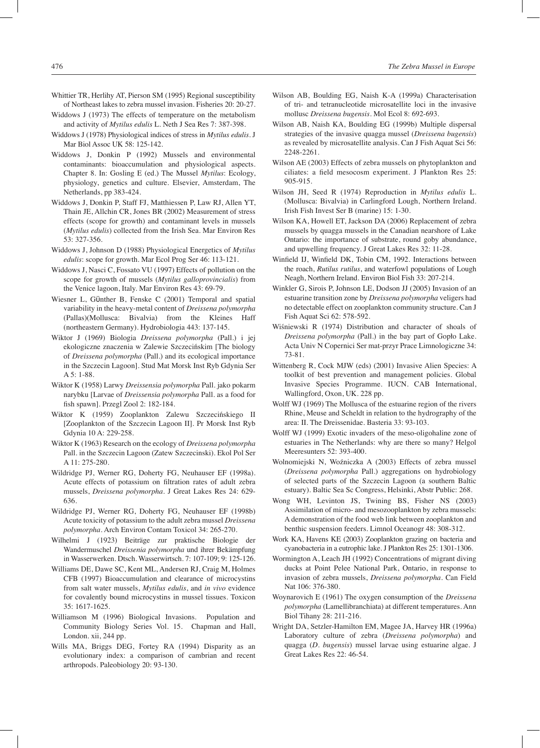- Whittier TR, Herlihy AT, Pierson SM (1995) Regional susceptibility of Northeast lakes to zebra mussel invasion. Fisheries 20: 20-27.
- Widdows J (1973) The effects of temperature on the metabolism and activity of *Mytilus edulis* L. Neth J Sea Res 7: 387-398.
- Widdows J (1978) Physiological indices of stress in *Mytilus edulis*. J Mar Biol Assoc UK 58: 125-142.
- Widdows J, Donkin P (1992) Mussels and environmental contaminants: bioaccumulation and physiological aspects. Chapter 8. In: Gosling E (ed.) The Mussel *Mytilus*: Ecology, physiology, genetics and culture. Elsevier, Amsterdam, The Netherlands, pp 383-424.
- Widdows J, Donkin P, Staff FJ, Matthiessen P, Law RJ, Allen YT, Thain JE, Allchin CR, Jones BR (2002) Measurement of stress effects (scope for growth) and contaminant levels in mussels (*Mytilus edulis*) collected from the Irish Sea. Mar Environ Res 53: 327-356.
- Widdows J, Johnson D (1988) Physiological Energetics of *Mytilus edulis*: scope for growth. Mar Ecol Prog Ser 46: 113-121.
- Widdows J, Nasci C, Fossato VU (1997) Effects of pollution on the scope for growth of mussels (*Mytilus galloprovincialis*) from the Venice lagoon, Italy. Mar Environ Res 43: 69-79.
- Wiesner L, Gϋnther B, Fenske C (2001) Temporal and spatial variability in the heavy-metal content of *Dreissena polymorpha* (Pallas)(Mollusca: Bivalvia) from the Kleines Haff (northeastern Germany). Hydrobiologia 443: 137-145.
- Wiktor J (1969) Biologia *Dreissena polymorpha* (Pall.) i jej ekologiczne znaczenia w Zalewie Szczecińskim [The biology of *Dreissena polymorpha* (Pall.) and its ecological importance in the Szczecin Lagoon]. Stud Mat Morsk Inst Ryb Gdynia Ser A 5: 1-88.
- Wiktor K (1958) Larwy *Dreissensia polymorpha* Pall. jako pokarm narybku [Larvae of *Dreissensia polymorpha* Pall. as a food for fish spawn]. Przegl Zool 2: 182-184.
- Wiktor K (1959) Zooplankton Zalewu Szczecińskiego II [Zooplankton of the Szczecin Lagoon II]. Pr Morsk Inst Ryb Gdynia 10 A: 229-258.
- Wiktor K (1963) Research on the ecology of *Dreissena polymorpha* Pall. in the Szczecin Lagoon (Zatew Szczecinski). Ekol Pol Ser A 11: 275-280.
- Wildridge PJ, Werner RG, Doherty FG, Neuhauser EF (1998a). Acute effects of potassium on filtration rates of adult zebra mussels, *Dreissena polymorpha*. J Great Lakes Res 24: 629- 636.
- Wildridge PJ, Werner RG, Doherty FG, Neuhauser EF (1998b) Acute toxicity of potassium to the adult zebra mussel *Dreissena polymorpha*. Arch Environ Contam Toxicol 34: 265-270.
- Wilhelmi J (1923) Beiträge zur praktische Biologie der Wandermuschel *Dreissenia polymorpha* und ihrer Bekämpfung in Wasserwerken. Dtsch. Wasserwirtsch. 7: 107-109; 9: 125-126.
- Williams DE, Dawe SC, Kent ML, Andersen RJ, Craig M, Holmes CFB (1997) Bioaccumulation and clearance of microcystins from salt water mussels, *Mytilus edulis*, and *in vivo* evidence for covalently bound microcystins in mussel tissues. Toxicon 35: 1617-1625.
- Williamson M (1996) Biological Invasions. Population and Community Biology Series Vol. 15. Chapman and Hall, London. xii, 244 pp.
- Wills MA, Briggs DEG, Fortey RA (1994) Disparity as an evolutionary index: a comparison of cambrian and recent arthropods. Paleobiology 20: 93-130.
- Wilson AB, Boulding EG, Naish K-A (1999a) Characterisation of tri- and tetranucleotide microsatellite loci in the invasive mollusc *Dreissena bugensis*. Mol Ecol 8: 692-693.
- Wilson AB, Naish KA, Boulding EG (1999b) Multiple dispersal strategies of the invasive quagga mussel (*Dreissena bugensis*) as revealed by microsatellite analysis. Can J Fish Aquat Sci 56: 2248-2261.
- Wilson AE (2003) Effects of zebra mussels on phytoplankton and ciliates: a field mesocosm experiment. J Plankton Res 25: 905-915.
- Wilson JH, Seed R (1974) Reproduction in *Mytilus edulis* L. (Mollusca: Bivalvia) in Carlingford Lough, Northern Ireland. Irish Fish Invest Ser B (marine) 15: 1-30.
- Wilson KA, Howell ET, Jackson DA (2006) Replacement of zebra mussels by quagga mussels in the Canadian nearshore of Lake Ontario: the importance of substrate, round goby abundance, and upwelling frequency. J Great Lakes Res 32: 11-28.
- Winfield IJ, Winfield DK, Tobin CM, 1992. Interactions between the roach, *Rutilus rutilus*, and waterfowl populations of Lough Neagh, Northern Ireland. Environ Biol Fish 33: 207-214.
- Winkler G, Sirois P, Johnson LE, Dodson JJ (2005) Invasion of an estuarine transition zone by *Dreissena polymorpha* veligers had no detectable effect on zooplankton community structure. Can J Fish Aquat Sci 62: 578-592.
- Wiśniewski R (1974) Distribution and character of shoals of *Dreissena polymorpha* (Pall.) in the bay part of Gopło Lake. Acta Univ N Copernici Ser mat-przyr Prace Limnologiczne 34: 73-81.
- Wittenberg R, Cock MJW (eds) (2001) Invasive Alien Species: A toolkit of best prevention and management policies. Global Invasive Species Programme. IUCN. CAB International, Wallingford, Oxon, UK. 228 pp.
- Wolff WJ (1969) The Mollusca of the estuarine region of the rivers Rhine, Meuse and Scheldt in relation to the hydrography of the area: II. The Dreissenidae. Basteria 33: 93-103.
- Wolff WJ (1999) Exotic invaders of the meso-oligohaline zone of estuaries in The Netherlands: why are there so many? Helgol Meeresunters 52: 393-400.
- Wolnomiejski N, Woźniczka A (2003) Effects of zebra mussel (*Dreissena polymorpha* Pall.) aggregations on hydrobiology of selected parts of the Szczecin Lagoon (a southern Baltic estuary). Baltic Sea Sc Congress, Helsinki, Abstr Public: 268.
- Wong WH, Levinton JS, Twining BS, Fisher NS (2003) Assimilation of micro- and mesozooplankton by zebra mussels: A demonstration of the food web link between zooplankton and benthic suspension feeders. Limnol Oceanogr 48: 308-312.
- Work KA, Havens KE (2003) Zooplankton grazing on bacteria and cyanobacteria in a eutrophic lake. J Plankton Res 25: 1301-1306.
- Wormington A, Leach JH (1992) Concentrations of migrant diving ducks at Point Pelee National Park, Ontario, in response to invasion of zebra mussels, *Dreissena polymorpha*. Can Field Nat 106: 376-380.
- Woynarovich E (1961) The oxygen consumption of the *Dreissena polymorpha* (Lamellibranchiata) at different temperatures. Ann Biol Tihany 28: 211-216.
- Wright DA, Setzler-Hamilton EM, Magee JA, Harvey HR (1996a) Laboratory culture of zebra (*Dreissena polymorpha*) and quagga (*D. bugensis*) mussel larvae using estuarine algae. J Great Lakes Res 22: 46-54.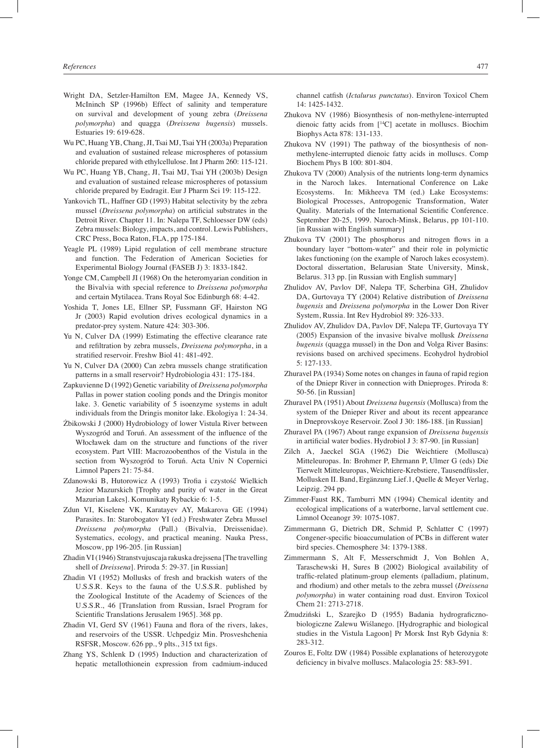- Wright DA, Setzler-Hamilton EM, Magee JA, Kennedy VS, McIninch SP (1996b) Effect of salinity and temperature on survival and development of young zebra (*Dreissena polymorpha*) and quagga (*Dreissena bugensis*) mussels. Estuaries 19: 619-628.
- Wu PC, Huang YB, Chang, JI, Tsai MJ, Tsai YH (2003a) Preparation and evaluation of sustained release microspheres of potassium chloride prepared with ethylcellulose. Int J Pharm 260: 115-121.
- Wu PC, Huang YB, Chang, JI, Tsai MJ, Tsai YH (2003b) Design and evaluation of sustained release microspheres of potassium chloride prepared by Eudragit. Eur J Pharm Sci 19: 115-122.
- Yankovich TL, Haffner GD (1993) Habitat selectivity by the zebra mussel (*Dreissena polymorpha*) on artificial substrates in the Detroit River. Chapter 11. In: Nalepa TF, Schloesser DW (eds) Zebra mussels: Biology, impacts, and control. Lewis Publishers, CRC Press, Boca Raton, FLA, pp 175-184.
- Yeagle PL (1989) Lipid regulation of cell membrane structure and function. The Federation of American Societies for Experimental Biology Journal (FASEB J) 3: 1833-1842.
- Yonge CM, Campbell JI (1968) On the heteromyarian condition in the Bivalvia with special reference to *Dreissena polymorpha*  and certain Mytilacea. Trans Royal Soc Edinburgh 68: 4-42.
- Yoshida T, Jones LE, Ellner SP, Fussmann GF, Hairston NG Jr (2003) Rapid evolution drives ecological dynamics in a predator-prey system. Nature 424: 303-306.
- Yu N, Culver DA (1999) Estimating the effective clearance rate and refiltration by zebra mussels, *Dreissena polymorpha*, in a stratified reservoir. Freshw Biol 41: 481-492.
- Yu N, Culver DA (2000) Can zebra mussels change stratification patterns in a small reservoir? Hydrobiologia 431: 175-184.
- Zapkuvienne D (1992) Genetic variability of *Dreissena polymorpha* Pallas in power station cooling ponds and the Dringis monitor lake. 3. Genetic variability of 5 isoenzyme systems in adult individuals from the Dringis monitor lake. Ekologiya 1: 24-34.
- Żbikowski J (2000) Hydrobiology of lower Vistula River between Wyszogród and Toruń. An assessment of the influence of the Włocławek dam on the structure and functions of the river ecosystem. Part VIII: Macrozoobenthos of the Vistula in the section from Wyszogród to Toruń. Acta Univ N Copernici Limnol Papers 21: 75-84.
- Zdanowski B, Hutorowicz A (1993) Trofia i czystość Wielkich Jezior Mazurskich [Trophy and purity of water in the Great Mazurian Lakes]. Komunikaty Rybackie 6: 1-5.
- Zdun VI, Kiselene VK, Karatayev AY, Makarova GE (1994) Parasites. In: Starobogatov YI (ed.) Freshwater Zebra Mussel *Dreissena polymorpha* (Pall.) (Bivalvia, Dreissenidae). Systematics, ecology, and practical meaning. Nauka Press, Moscow*,* pp 196-205. [in Russian]
- Zhadin VI (1946) Stranstvujuscaja rakuska drejssena [The travelling shell of *Dreissena*]. Priroda 5: 29-37. [in Russian]
- Zhadin VI (1952) Mollusks of fresh and brackish waters of the U.S.S.R. Keys to the fauna of the U.S.S.R. published by the Zoological Institute of the Academy of Sciences of the U.S.S.R., 46 [Translation from Russian, Israel Program for Scientific Translations Jerusalem 1965]. 368 pp.
- Zhadin VI, Gerd SV (1961) Fauna and flora of the rivers, lakes, and reservoirs of the USSR. Uchpedgiz Min. Prosveshchenia RSFSR, Moscow. 626 pp., 9 plts., 315 txt figs.
- Zhang YS, Schlenk D (1995) Induction and characterization of hepatic metallothionein expression from cadmium-induced

channel catfish (*Ictalurus punctatus*). Environ Toxicol Chem 14: 1425-1432.

- Zhukova NV (1986) Biosynthesis of non-methylene-interrupted dienoic fatty acids from [14C] acetate in molluscs. Biochim Biophys Acta 878: 131-133.
- Zhukova NV (1991) The pathway of the biosynthesis of nonmethylene-interrupted dienoic fatty acids in molluscs. Comp Biochem Phys B 100: 801-804.
- Zhukova TV (2000) Analysis of the nutrients long-term dynamics in the Naroch lakes. International Conference on Lake Ecosystems. In: Mikheeva TM (ed.) Lake Ecosystems: Biological Processes, Antropogenic Transformation, Water Quality. Materials of the International Scientific Conference. September 20-25, 1999. Naroch-Minsk, Belarus, pp 101-110. [in Russian with English summary]
- Zhukova TV (2001) The phosphorus and nitrogen flows in a boundary layer "bottom-water" and their role in polymictic lakes functioning (on the example of Naroch lakes ecosystem). Doctoral dissertation, Belarusian State University, Minsk, Belarus. 313 pp. [in Russian with English summary]
- Zhulidov AV, Pavlov DF, Nalepa TF, Scherbina GH, Zhulidov DA, Gurtovaya TY (2004) Relative distribution of *Dreissena bugensis* and *Dreissena polymorpha* in the Lower Don River System, Russia. Int Rev Hydrobiol 89: 326-333.
- Zhulidov AV, Zhulidov DA, Pavlov DF, Nalepa TF, Gurtovaya TY (2005) Expansion of the invasive bivalve mollusk *Dreissena bugensis* (quagga mussel) in the Don and Volga River Basins: revisions based on archived specimens. Ecohydrol hydrobiol 5: 127-133.
- Zhuravel PA (1934) Some notes on changes in fauna of rapid region of the Dniepr River in connection with Dnieproges. Priroda 8: 50-56. [in Russian]
- Zhuravel PA (1951) About *Dreissena bugensis* (Mollusca) from the system of the Dnieper River and about its recent appearance in Dneprovskoye Reservoir. Zool J 30: 186-188. [in Russian]
- Zhuravel PA (1967) About range expansion of *Dreissena bugensis* in artificial water bodies. Hydrobiol J 3: 87-90. [in Russian]
- Zilch A, Jaeckel SGA (1962) Die Weichtiere (Mollusca) Mitteleuropas. In: Brohmer P, Ehrmann P, Ulmer G (eds) Die Tierwelt Mitteleuropas, Weichtiere-Krebstiere, Tausendfüssler, Mollusken II. Band, Ergänzung Lief.1, Quelle & Meyer Verlag, Leipzig. 294 pp.
- Zimmer-Faust RK, Tamburri MN (1994) Chemical identity and ecological implications of a waterborne, larval settlement cue. Limnol Oceanogr 39: 1075-1087.
- Zimmermann G, Dietrich DR, Schmid P, Schlatter C (1997) Congener-specific bioaccumulation of PCBs in different water bird species. Chemosphere 34: 1379-1388.
- Zimmermann S, Alt F, Messerschmidt J, Von Bohlen A, Taraschewski H, Sures B (2002) Biological availability of traffic-related platinum-group elements (palladium, platinum, and rhodium) and other metals to the zebra mussel (*Dreissena polymorpha*) in water containing road dust. Environ Toxicol Chem 21: 2713-2718.
- Żmudziński L, Szarejko D (1955) Badania hydrograficznobiologiczne Zalewu Wiślanego. [Hydrographic and biological studies in the Vistula Lagoon] Pr Morsk Inst Ryb Gdynia 8: 283-312.
- Zouros E, Foltz DW (1984) Possible explanations of heterozygote deficiency in bivalve molluscs. Malacologia 25: 583-591.